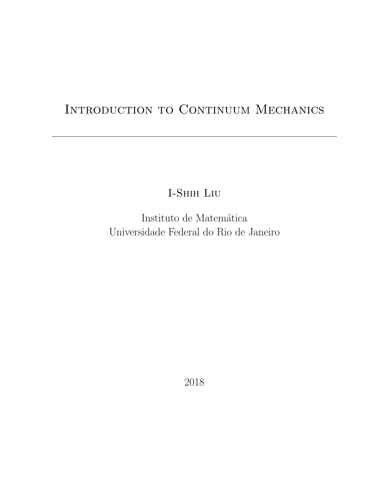# INTRODUCTION TO CONTINUUM MECHANICS

I-Shih Liu

Instituto de Matemática Universidade Federal do Rio de Janeiro

2018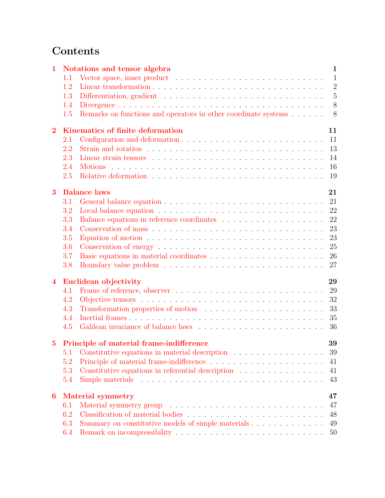# Contents

| $\mathbf 1$             |                                | Notations and tensor algebra                                                                        | $\mathbf{1}$   |  |  |
|-------------------------|--------------------------------|-----------------------------------------------------------------------------------------------------|----------------|--|--|
|                         | 1.1                            |                                                                                                     | $\mathbf{1}$   |  |  |
|                         | 1.2                            |                                                                                                     | $\overline{2}$ |  |  |
|                         | 1.3                            |                                                                                                     | $\overline{5}$ |  |  |
|                         | 1.4                            |                                                                                                     | 8              |  |  |
|                         | 1.5                            | Remarks on functions and operators in other coordinate systems                                      | 8              |  |  |
| $\overline{2}$          |                                | Kinematics of finite deformation                                                                    | 11             |  |  |
|                         | 2.1                            |                                                                                                     | 11             |  |  |
|                         | 2.2                            |                                                                                                     | 13             |  |  |
|                         | 2.3                            |                                                                                                     | 14             |  |  |
|                         | 2.4                            |                                                                                                     | 16             |  |  |
|                         | 2.5                            |                                                                                                     | 19             |  |  |
| 3                       | <b>Balance laws</b><br>21      |                                                                                                     |                |  |  |
|                         | 3.1                            |                                                                                                     | 21             |  |  |
|                         | 3.2                            |                                                                                                     | 22             |  |  |
|                         | 3.3                            |                                                                                                     | 22             |  |  |
|                         | 3.4                            | Conservation of mass $\ldots \ldots \ldots \ldots \ldots \ldots \ldots \ldots \ldots \ldots \ldots$ | 23             |  |  |
|                         | 3.5                            |                                                                                                     | 23             |  |  |
|                         | 3.6                            | Conservation of energy $\ldots \ldots \ldots \ldots \ldots \ldots \ldots \ldots \ldots \ldots$      | 25             |  |  |
|                         | 3.7                            |                                                                                                     | 26             |  |  |
|                         | 3.8                            |                                                                                                     | 27             |  |  |
| $\overline{\mathbf{4}}$ |                                | Euclidean objectivity                                                                               | 29             |  |  |
|                         | 4.1                            |                                                                                                     | 29             |  |  |
|                         | 4.2                            |                                                                                                     | 32             |  |  |
|                         | 4.3                            |                                                                                                     | 33             |  |  |
|                         | 4.4                            | Transformation properties of motion $\ldots \ldots \ldots \ldots \ldots \ldots \ldots$              | 35             |  |  |
|                         | 4.5                            |                                                                                                     | 36             |  |  |
|                         |                                |                                                                                                     |                |  |  |
|                         |                                | 5 Principle of material frame-indifference                                                          | 39             |  |  |
|                         | 5.1                            | Constitutive equations in material description                                                      | 39             |  |  |
|                         | 5.2                            |                                                                                                     | 41             |  |  |
|                         | 5.3                            | Constitutive equations in referential description                                                   | 41             |  |  |
|                         | 5.4                            |                                                                                                     | 43             |  |  |
| 6                       | 47<br><b>Material symmetry</b> |                                                                                                     |                |  |  |
|                         | 6.1                            |                                                                                                     | 47             |  |  |
|                         | 6.2                            |                                                                                                     | 48             |  |  |
|                         | 6.3                            | Summary on constitutive models of simple materials                                                  | 49             |  |  |
|                         | 6.4                            |                                                                                                     | 50             |  |  |
|                         |                                |                                                                                                     |                |  |  |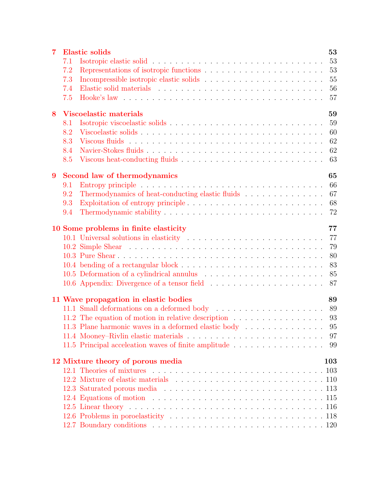| $\overline{7}$ |     | <b>Elastic solids</b>                                                                             | 53  |
|----------------|-----|---------------------------------------------------------------------------------------------------|-----|
|                | 7.1 |                                                                                                   | 53  |
|                | 7.2 |                                                                                                   | 53  |
|                | 7.3 |                                                                                                   | 55  |
|                | 7.4 |                                                                                                   | 56  |
|                | 7.5 | Hooke's law $\ldots \ldots \ldots \ldots \ldots \ldots \ldots \ldots \ldots \ldots \ldots \ldots$ | 57  |
| 8              |     | <b>Viscoelastic materials</b>                                                                     | 59  |
|                | 8.1 |                                                                                                   | 59  |
|                | 8.2 |                                                                                                   | 60  |
|                | 8.3 |                                                                                                   | 62  |
|                | 8.4 |                                                                                                   | 62  |
|                | 8.5 |                                                                                                   | 63  |
| 9              |     | Second law of thermodynamics                                                                      | 65  |
|                | 9.1 |                                                                                                   | 66  |
|                | 9.2 | Thermodynamics of heat-conducting elastic fluids                                                  | 67  |
|                | 9.3 |                                                                                                   | 68  |
|                | 9.4 |                                                                                                   | 72  |
|                |     | 10 Some problems in finite elasticity                                                             | 77  |
|                |     |                                                                                                   | 77  |
|                |     |                                                                                                   | 79  |
|                |     |                                                                                                   | 80  |
|                |     |                                                                                                   | 83  |
|                |     |                                                                                                   | 85  |
|                |     |                                                                                                   | 87  |
|                |     | 11 Wave propagation in elastic bodies                                                             | 89  |
|                |     |                                                                                                   |     |
|                |     | 11.2 The equation of motion in relative description 93                                            |     |
|                |     | 11.3 Plane harmonic waves in a deformed elastic body 95                                           |     |
|                |     |                                                                                                   |     |
|                |     | 11.5 Principal acceleation waves of finite amplitude 99                                           |     |
|                |     | 12 Mixture theory of porous media                                                                 | 103 |
|                |     |                                                                                                   |     |
|                |     |                                                                                                   |     |
|                |     |                                                                                                   |     |
|                |     |                                                                                                   |     |
|                |     |                                                                                                   |     |
|                |     |                                                                                                   |     |
|                |     |                                                                                                   |     |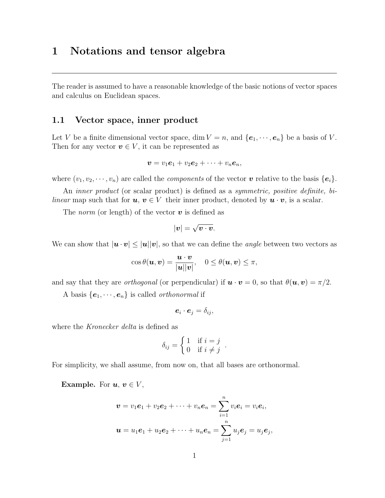# <span id="page-6-0"></span>1 Notations and tensor algebra

The reader is assumed to have a reasonable knowledge of the basic notions of vector spaces and calculus on Euclidean spaces.

#### <span id="page-6-1"></span>1.1 Vector space, inner product

Let V be a finite dimensional vector space, dim  $V = n$ , and  $\{e_1, \dots, e_n\}$  be a basis of V. Then for any vector  $v \in V$ , it can be represented as

$$
\boldsymbol{v}=v_1\boldsymbol{e}_1+v_2\boldsymbol{e}_2+\cdots+v_n\boldsymbol{e}_n,
$$

where  $(v_1, v_2, \dots, v_n)$  are called the *components* of the vector  $\boldsymbol{v}$  relative to the basis  $\{e_i\}$ .

An *inner product* (or scalar product) is defined as a *symmetric*, *positive definite*, *bilinear* map such that for  $u, v \in V$  their inner product, denoted by  $u \cdot v$ , is a scalar.

The *norm* (or length) of the vector  $\boldsymbol{v}$  is defined as

$$
|\boldsymbol{v}| = \sqrt{\boldsymbol{v} \cdot \boldsymbol{v}}.
$$

We can show that  $|\mathbf{u} \cdot \mathbf{v}| \leq |\mathbf{u}||\mathbf{v}|$ , so that we can define the *angle* between two vectors as

$$
\cos \theta(\boldsymbol{u}, \boldsymbol{v}) = \frac{\boldsymbol{u} \cdot \boldsymbol{v}}{|\boldsymbol{u}||\boldsymbol{v}|}, \quad 0 \leq \theta(\boldsymbol{u}, \boldsymbol{v}) \leq \pi,
$$

and say that they are *orthogonal* (or perpendicular) if  $\mathbf{u} \cdot \mathbf{v} = 0$ , so that  $\theta(\mathbf{u}, \mathbf{v}) = \pi/2$ .

A basis  $\{e_1, \dots, e_n\}$  is called *orthonormal* if

$$
\boldsymbol{e}_i\cdot\boldsymbol{e}_j=\delta_{ij},
$$

where the *Kronecker delta* is defined as

$$
\delta_{ij} = \begin{cases} 1 & \text{if } i = j \\ 0 & \text{if } i \neq j \end{cases}.
$$

For simplicity, we shall assume, from now on, that all bases are orthonormal.

**Example.** For  $u, v \in V$ ,

$$
\boldsymbol{v} = v_1 \boldsymbol{e}_1 + v_2 \boldsymbol{e}_2 + \cdots + v_n \boldsymbol{e}_n = \sum_{i=1}^n v_i \boldsymbol{e}_i = v_i \boldsymbol{e}_i,
$$
  

$$
\boldsymbol{u} = u_1 \boldsymbol{e}_1 + u_2 \boldsymbol{e}_2 + \cdots + u_n \boldsymbol{e}_n = \sum_{j=1}^n u_j \boldsymbol{e}_j = u_j \boldsymbol{e}_j,
$$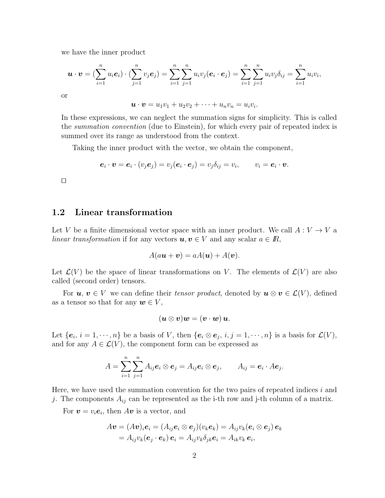we have the inner product

$$
\boldsymbol{u} \cdot \boldsymbol{v} = (\sum_{i=1}^n u_i \boldsymbol{e}_i) \cdot (\sum_{j=1}^n v_j \boldsymbol{e}_j) = \sum_{i=1}^n \sum_{j=1}^n u_i v_j (\boldsymbol{e}_i \cdot \boldsymbol{e}_j) = \sum_{i=1}^n \sum_{j=1}^n u_i v_j \delta_{ij} = \sum_{i=1}^n u_i v_i,
$$

or

 $u \cdot v = u_1v_1 + u_2v_2 + \cdots + u_nv_n = u_iv_i.$ 

In these expressions, we can neglect the summation signs for simplicity. This is called the summation convention (due to Einstein), for which every pair of repeated index is summed over its range as understood from the context.

Taking the inner product with the vector, we obtain the component,

$$
\boldsymbol{e}_i \cdot \boldsymbol{v} = \boldsymbol{e}_i \cdot (v_j \boldsymbol{e}_j) = v_j (\boldsymbol{e}_i \cdot \boldsymbol{e}_j) = v_j \delta_{ij} = v_i, \qquad v_i = \boldsymbol{e}_i \cdot \boldsymbol{v}.
$$

 $\Box$ 

## <span id="page-7-0"></span>1.2 Linear transformation

Let V be a finite dimensional vector space with an inner product. We call  $A: V \to V$  a linear transformation if for any vectors  $u, v \in V$  and any scalar  $a \in \mathbb{R}$ ,

$$
A(a\boldsymbol{u}+\boldsymbol{v})=aA(\boldsymbol{u})+A(\boldsymbol{v}).
$$

Let  $\mathcal{L}(V)$  be the space of linear transformations on V. The elements of  $\mathcal{L}(V)$  are also called (second order) tensors.

For  $u, v \in V$  we can define their tensor product, denoted by  $u \otimes v \in \mathcal{L}(V)$ , defined as a tensor so that for any  $w \in V$ ,

$$
(\boldsymbol{u}\otimes\boldsymbol{v})\boldsymbol{w}=(\boldsymbol{v}\cdot\boldsymbol{w})\,\boldsymbol{u}.
$$

Let  $\{e_i, i = 1, \dots, n\}$  be a basis of V, then  $\{e_i \otimes e_j, i, j = 1, \dots, n\}$  is a basis for  $\mathcal{L}(V)$ , and for any  $A \in \mathcal{L}(V)$ , the component form can be expressed as

$$
A=\sum_{i=1}^n\sum_{j=1}^n A_{ij}\boldsymbol{e}_i\otimes \boldsymbol{e}_j=A_{ij}\boldsymbol{e}_i\otimes \boldsymbol{e}_j, \qquad A_{ij}=\boldsymbol{e}_i\cdot A\boldsymbol{e}_j.
$$

Here, we have used the summation convention for the two pairs of repeated indices  $i$  and j. The components  $A_{ij}$  can be represented as the i-th row and j-th column of a matrix.

For  $\boldsymbol{v} = v_i \boldsymbol{e}_i$ , then  $A\boldsymbol{v}$  is a vector, and

$$
A\boldsymbol{v} = (A\boldsymbol{v})_i \boldsymbol{e}_i = (A_{ij}\boldsymbol{e}_i \otimes \boldsymbol{e}_j)(v_k \boldsymbol{e}_k) = A_{ij}v_k(\boldsymbol{e}_i \otimes \boldsymbol{e}_j)\boldsymbol{e}_k
$$
  
=  $A_{ij}v_k(\boldsymbol{e}_j \cdot \boldsymbol{e}_k)\boldsymbol{e}_i = A_{ij}v_k\delta_{jk}\boldsymbol{e}_i = A_{ik}v_k\boldsymbol{e}_i$ ,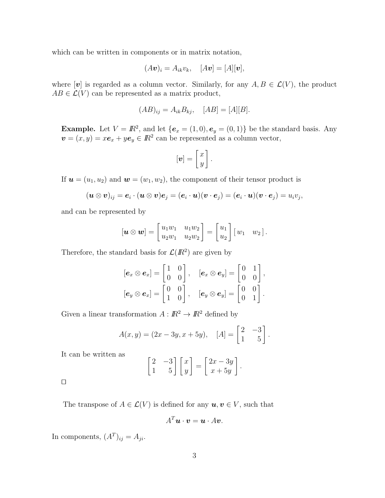which can be written in components or in matrix notation,

$$
(A\boldsymbol{v})_i = A_{ik}v_k, \quad [A\boldsymbol{v}] = [A][\boldsymbol{v}],
$$

where  $[v]$  is regarded as a column vector. Similarly, for any  $A, B \in \mathcal{L}(V)$ , the product  $AB \in \mathcal{L}(V)$  can be represented as a matrix product,

$$
(AB)_{ij} = A_{ik}B_{kj}, \quad [AB] = [A][B].
$$

**Example.** Let  $V = \mathbb{R}^2$ , and let  $\{e_x = (1,0), e_y = (0,1)\}\$  be the standard basis. Any  $\mathbf{v} = (x, y) = x\mathbf{e}_x + y\mathbf{e}_y \in \mathbb{R}^2$  can be represented as a column vector,

$$
[\boldsymbol{v}]=\left[\begin{matrix} x \\ y \end{matrix}\right].
$$

If  $\mathbf{u} = (u_1, u_2)$  and  $\mathbf{w} = (w_1, w_2)$ , the component of their tensor product is

$$
(\boldsymbol{u}\otimes \boldsymbol{v})_{ij}=\boldsymbol{e}_i\cdot(\boldsymbol{u}\otimes \boldsymbol{v})\boldsymbol{e}_j=(\boldsymbol{e}_i\cdot \boldsymbol{u})(\boldsymbol{v}\cdot \boldsymbol{e}_j)=(\boldsymbol{e}_i\cdot \boldsymbol{u})(\boldsymbol{v}\cdot \boldsymbol{e}_j)=u_iv_j,
$$

and can be represented by

$$
[\boldsymbol{u} \otimes \boldsymbol{w}] = \begin{bmatrix} u_1w_1 & u_1w_2 \\ u_2w_1 & u_2w_2 \end{bmatrix} = \begin{bmatrix} u_1 \\ u_2 \end{bmatrix} [w_1 \quad w_2].
$$

Therefore, the standard basis for  $\mathcal{L}(I\!\!R^2)$  are given by

$$
\begin{aligned} &[\bm{e}_x \otimes \bm{e}_x] = \begin{bmatrix} 1 & 0 \\ 0 & 0 \end{bmatrix}, &&& [\bm{e}_x \otimes \bm{e}_y] = \begin{bmatrix} 0 & 1 \\ 0 & 0 \end{bmatrix}, \\ &[\bm{e}_y \otimes \bm{e}_x] = \begin{bmatrix} 0 & 0 \\ 1 & 0 \end{bmatrix}, &&& [\bm{e}_y \otimes \bm{e}_y] = \begin{bmatrix} 0 & 0 \\ 0 & 1 \end{bmatrix}. \end{aligned}
$$

Given a linear transformation  $A: \mathbb{R}^2 \to \mathbb{R}^2$  defined by

$$
A(x,y) = (2x - 3y, x + 5y), \quad [A] = \begin{bmatrix} 2 & -3 \\ 1 & 5 \end{bmatrix}.
$$

It can be written as

$$
\begin{bmatrix} 2 & -3 \\ 1 & 5 \end{bmatrix} \begin{bmatrix} x \\ y \end{bmatrix} = \begin{bmatrix} 2x - 3y \\ x + 5y \end{bmatrix}.
$$

 $\Box$ 

The transpose of  $A \in \mathcal{L}(V)$  is defined for any  $u, v \in V$ , such that

$$
A^T\boldsymbol{u}\cdot\boldsymbol{v}=\boldsymbol{u}\cdot A\boldsymbol{v}.
$$

In components,  $(A^T)_{ij} = A_{ji}$ .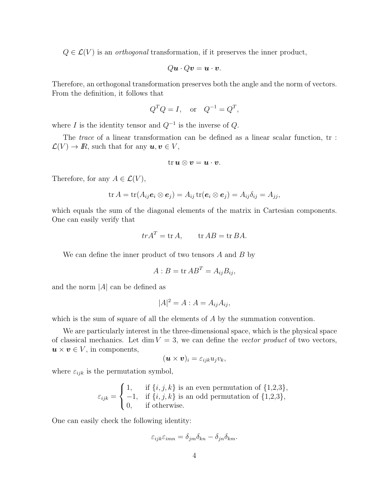$Q \in \mathcal{L}(V)$  is an *orthogonal* transformation, if it preserves the inner product,

$$
Q\boldsymbol{u}\cdot Q\boldsymbol{v}=\boldsymbol{u}\cdot\boldsymbol{v}.
$$

Therefore, an orthogonal transformation preserves both the angle and the norm of vectors. From the definition, it follows that

$$
Q^T Q = I, \quad \text{or} \quad Q^{-1} = Q^T,
$$

where I is the identity tensor and  $Q^{-1}$  is the inverse of  $Q$ .

The *trace* of a linear transformation can be defined as a linear scalar function, tr:  $\mathcal{L}(V) \to \mathbb{R}$ , such that for any  $u, v \in V$ ,

$$
\mathrm{tr}\,\boldsymbol{u}\otimes\boldsymbol{v}=\boldsymbol{u}\cdot\boldsymbol{v}.
$$

Therefore, for any  $A \in \mathcal{L}(V)$ ,

$$
\operatorname{tr} A = \operatorname{tr}(A_{ij} \mathbf{e}_i \otimes \mathbf{e}_j) = A_{ij} \operatorname{tr}(\mathbf{e}_i \otimes \mathbf{e}_j) = A_{ij} \delta_{ij} = A_{jj},
$$

which equals the sum of the diagonal elements of the matrix in Cartesian components. One can easily verify that

$$
tr A^T = tr A
$$
,  $tr AB = tr BA$ .

We can define the inner product of two tensors  $A$  and  $B$  by

$$
A:B = \operatorname{tr} AB^T = A_{ij}B_{ij},
$$

and the norm  $|A|$  can be defined as

$$
|A|^2 = A : A = A_{ij}A_{ij},
$$

which is the sum of square of all the elements of A by the summation convention.

We are particularly interest in the three-dimensional space, which is the physical space of classical mechanics. Let dim  $V = 3$ , we can define the vector product of two vectors,  $u \times v \in V$ , in components,

$$
(\boldsymbol{u}\times\boldsymbol{v})_i=\varepsilon_{ijk}u_jv_k,
$$

where  $\varepsilon_{ijk}$  is the permutation symbol,

$$
\varepsilon_{ijk} = \begin{cases} 1, & \text{if } \{i,j,k\} \text{ is an even permutation of } \{1,2,3\}, \\ -1, & \text{if } \{i,j,k\} \text{ is an odd permutation of } \{1,2,3\}, \\ 0, & \text{if otherwise.} \end{cases}
$$

One can easily check the following identity:

$$
\varepsilon_{ijk}\varepsilon_{imn} = \delta_{jm}\delta_{kn} - \delta_{jn}\delta_{km}.
$$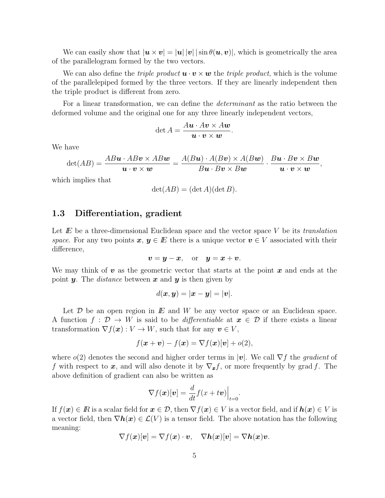We can easily show that  $|\mathbf{u} \times \mathbf{v}| = |\mathbf{u}| |\mathbf{v}| |\sin \theta(\mathbf{u}, \mathbf{v})|$ , which is geometrically the area of the parallelogram formed by the two vectors.

We can also define the *triple product*  $\mathbf{u} \cdot \mathbf{v} \times \mathbf{w}$  the *triple product*, which is the volume of the parallelepiped formed by the three vectors. If they are linearly independent then the triple product is different from zero.

For a linear transformation, we can define the determinant as the ratio between the deformed volume and the original one for any three linearly independent vectors,

$$
\det A = \frac{Au \cdot Av \times Aw}{u \cdot v \times w}.
$$

We have

$$
\det(AB) = \frac{AB\bm{u}\cdot AB\bm{v}\times AB\bm{w}}{\bm{u}\cdot\bm{v}\times\bm{w}} = \frac{A(B\bm{u})\cdot A(B\bm{v})\times A(B\bm{w})}{B\bm{u}\cdot B\bm{v}\times B\bm{w}}\cdot\frac{B\bm{u}\cdot B\bm{v}\times B\bm{w}}{\bm{u}\cdot\bm{v}\times\bm{w}}
$$

,

which implies that

$$
\det(AB) = (\det A)(\det B).
$$

#### <span id="page-10-0"></span>1.3 Differentiation, gradient

Let  $E$  be a three-dimensional Euclidean space and the vector space V be its translation space. For any two points  $x, y \in E$  there is a unique vector  $v \in V$  associated with their difference,

$$
v = y - x, \quad \text{or} \quad y = x + v.
$$

We may think of  $v$  as the geometric vector that starts at the point  $x$  and ends at the point **y**. The *distance* between **x** and **y** is then given by

$$
d(\boldsymbol{x},\boldsymbol{y})=|\boldsymbol{x}-\boldsymbol{y}|=|\boldsymbol{v}|.
$$

Let  $\mathcal D$  be an open region in  $E$  and  $W$  be any vector space or an Euclidean space. A function  $f: \mathcal{D} \to W$  is said to be *differentiable* at  $x \in \mathcal{D}$  if there exists a linear transformation  $\nabla f(\boldsymbol{x}): V \to W$ , such that for any  $\boldsymbol{v} \in V$ ,

$$
f(\boldsymbol{x} + \boldsymbol{v}) - f(\boldsymbol{x}) = \nabla f(\boldsymbol{x})[\boldsymbol{v}] + o(2),
$$

where  $o(2)$  denotes the second and higher order terms in |v|. We call  $\nabla f$  the *gradient* of f with respect to x, and will also denote it by  $\nabla_{x} f$ , or more frequently by grad f. The above definition of gradient can also be written as

$$
\nabla f(\boldsymbol{x})[\boldsymbol{v}] = \frac{d}{dt} f(x + t\boldsymbol{v})\Big|_{t=0}.
$$

If  $f(\mathbf{x}) \in \mathbb{R}$  is a scalar field for  $\mathbf{x} \in \mathcal{D}$ , then  $\nabla f(\mathbf{x}) \in V$  is a vector field, and if  $h(\mathbf{x}) \in V$  is a vector field, then  $\nabla h(x) \in \mathcal{L}(V)$  is a tensor field. The above notation has the following meaning:

$$
\nabla f(\boldsymbol{x})[\boldsymbol{v}] = \nabla f(\boldsymbol{x}) \cdot \boldsymbol{v}, \quad \nabla \boldsymbol{h}(\boldsymbol{x})[\boldsymbol{v}] = \nabla \boldsymbol{h}(\boldsymbol{x}) \boldsymbol{v}.
$$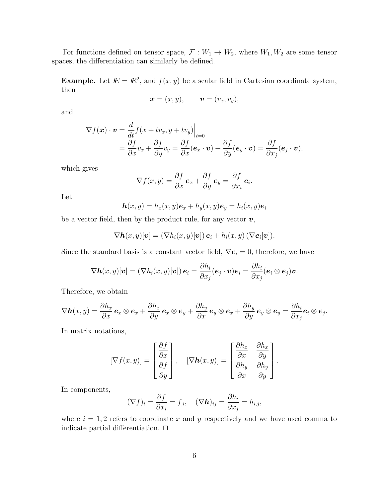For functions defined on tensor space,  $\mathcal{F}: W_1 \to W_2$ , where  $W_1, W_2$  are some tensor spaces, the differentiation can similarly be defined.

**Example.** Let  $\mathbf{E} = \mathbf{R}^2$ , and  $f(x, y)$  be a scalar field in Cartesian coordinate system, then

$$
\boldsymbol{x}=(x,y),\qquad \boldsymbol{v}=(v_x,v_y),
$$

and

$$
\nabla f(\mathbf{x}) \cdot \mathbf{v} = \frac{d}{dt} f(x + tv_x, y + tv_y)|_{t=0}
$$
  
=  $\frac{\partial f}{\partial x} v_x + \frac{\partial f}{\partial y} v_y = \frac{\partial f}{\partial x} (\mathbf{e}_x \cdot \mathbf{v}) + \frac{\partial f}{\partial y} (\mathbf{e}_y \cdot \mathbf{v}) = \frac{\partial f}{\partial x_j} (\mathbf{e}_j \cdot \mathbf{v}),$ 

which gives

$$
\nabla f(x,y) = \frac{\partial f}{\partial x} \mathbf{e}_x + \frac{\partial f}{\partial y} \mathbf{e}_y = \frac{\partial f}{\partial x_i} \mathbf{e}_i.
$$

Let

$$
\mathbf{h}(x,y) = h_x(x,y)\mathbf{e}_x + h_y(x,y)\mathbf{e}_y = h_i(x,y)\mathbf{e}_i
$$

be a vector field, then by the product rule, for any vector  $v$ ,

$$
\nabla \mathbf{h}(x,y)[\mathbf{v}] = (\nabla h_i(x,y)[\mathbf{v}]) \,\mathbf{e}_i + h_i(x,y) \,(\nabla \mathbf{e}_i[\mathbf{v}]).
$$

Since the standard basis is a constant vector field,  $\nabla e_i = 0$ , therefore, we have

$$
\nabla \boldsymbol{h} (x,y)[\boldsymbol{v}] = (\nabla h_i(x,y)[\boldsymbol{v}])\,\boldsymbol{e}_i = \frac{\partial h_i}{\partial x_j}(\boldsymbol{e}_j\cdot \boldsymbol{v})\boldsymbol{e}_i = \frac{\partial h_i}{\partial x_j}(\boldsymbol{e}_i\otimes \boldsymbol{e}_j)\boldsymbol{v}.
$$

Therefore, we obtain

$$
\nabla \mathbf{h}(x,y) = \frac{\partial h_x}{\partial x} \mathbf{e}_x \otimes \mathbf{e}_x + \frac{\partial h_x}{\partial y} \mathbf{e}_x \otimes \mathbf{e}_y + \frac{\partial h_y}{\partial x} \mathbf{e}_y \otimes \mathbf{e}_x + \frac{\partial h_y}{\partial y} \mathbf{e}_y \otimes \mathbf{e}_y = \frac{\partial h_i}{\partial x_j} \mathbf{e}_i \otimes \mathbf{e}_j.
$$

In matrix notations,

$$
[\nabla f(x,y)] = \begin{bmatrix} \frac{\partial f}{\partial x} \\ \frac{\partial f}{\partial y} \end{bmatrix}, \quad [\nabla \mathbf{h}(x,y)] = \begin{bmatrix} \frac{\partial h_x}{\partial x} & \frac{\partial h_x}{\partial y} \\ \frac{\partial h_y}{\partial x} & \frac{\partial h_y}{\partial y} \end{bmatrix}.
$$

In components,

$$
(\nabla f)_i = \frac{\partial f}{\partial x_i} = f_{,i}, \quad (\nabla \mathbf{h})_{ij} = \frac{\partial h_i}{\partial x_j} = h_{i,j},
$$

where  $i = 1, 2$  refers to coordinate x and y respectively and we have used comma to indicate partial differentiation.  $\Box$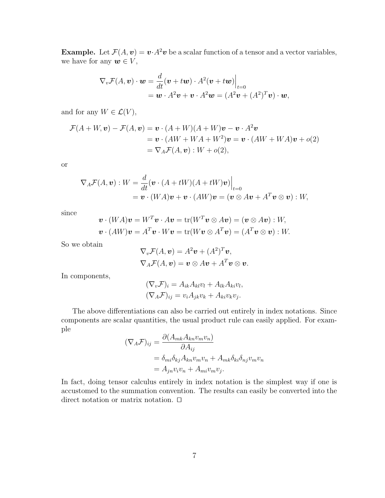**Example.** Let  $\mathcal{F}(A, v) = v \cdot A^2 v$  be a scalar function of a tensor and a vector variables, we have for any  $w \in V$ ,

$$
\nabla_v \mathcal{F}(A, v) \cdot \boldsymbol{w} = \frac{d}{dt} (\boldsymbol{v} + t\boldsymbol{w}) \cdot A^2 (\boldsymbol{v} + t\boldsymbol{w}) \Big|_{t=0}
$$
  
=  $\boldsymbol{w} \cdot A^2 \boldsymbol{v} + \boldsymbol{v} \cdot A^2 \boldsymbol{w} = (A^2 \boldsymbol{v} + (A^2)^T \boldsymbol{v}) \cdot \boldsymbol{w},$ 

and for any  $W \in \mathcal{L}(V)$ ,

$$
\mathcal{F}(A+W,\mathbf{v}) - \mathcal{F}(A,\mathbf{v}) = \mathbf{v} \cdot (A+W)(A+W)\mathbf{v} - \mathbf{v} \cdot A^2 \mathbf{v}
$$
  
=  $\mathbf{v} \cdot (AW + WA + W^2)\mathbf{v} = \mathbf{v} \cdot (AW + WA)\mathbf{v} + o(2)$   
=  $\nabla_A \mathcal{F}(A,\mathbf{v}) : W + o(2),$ 

or

$$
\nabla_A \mathcal{F}(A, \mathbf{v}) : W = \frac{d}{dt} (\mathbf{v} \cdot (A + tW)(A + tW)\mathbf{v}) \Big|_{t=0}
$$
  
=  $\mathbf{v} \cdot (WA)\mathbf{v} + \mathbf{v} \cdot (AW)\mathbf{v} = (\mathbf{v} \otimes A\mathbf{v} + A^T \mathbf{v} \otimes \mathbf{v}) : W,$ 

since

$$
\mathbf{v} \cdot (WA)\mathbf{v} = W^T \mathbf{v} \cdot A\mathbf{v} = \text{tr}(W^T \mathbf{v} \otimes A\mathbf{v}) = (\mathbf{v} \otimes A\mathbf{v}) : W,
$$
  

$$
\mathbf{v} \cdot (AW)\mathbf{v} = A^T \mathbf{v} \cdot W\mathbf{v} = \text{tr}(W\mathbf{v} \otimes A^T \mathbf{v}) = (A^T \mathbf{v} \otimes \mathbf{v}) : W.
$$

So we obtain

$$
\nabla_v \mathcal{F}(A, v) = A^2 v + (A^2)^T v,
$$
  
\n
$$
\nabla_A \mathcal{F}(A, v) = v \otimes A v + A^T v \otimes v.
$$

In components,

$$
(\nabla_v \mathcal{F})_i = A_{ik} A_{kl} v_l + A_{lk} A_{ki} v_l,
$$
  
\n
$$
(\nabla_A \mathcal{F})_{ij} = v_i A_{jk} v_k + A_{ki} v_k v_j.
$$

The above differentiations can also be carried out entirely in index notations. Since components are scalar quantities, the usual product rule can easily applied. For example

$$
(\nabla_A \mathcal{F})_{ij} = \frac{\partial (A_{mk} A_{kn} v_m v_n)}{\partial A_{ij}}
$$
  
=  $\delta_{mi} \delta_{kj} A_{kn} v_m v_n + A_{mk} \delta_{ki} \delta_{nj} v_m v_n$   
=  $A_{jn} v_i v_n + A_{mi} v_m v_j$ .

In fact, doing tensor calculus entirely in index notation is the simplest way if one is accustomed to the summation convention. The results can easily be converted into the direct notation or matrix notation.  $\Box$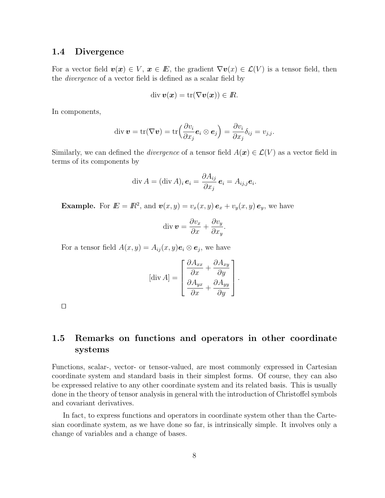#### <span id="page-13-0"></span>1.4 Divergence

For a vector field  $\mathbf{v}(\mathbf{x}) \in V$ ,  $\mathbf{x} \in E$ , the gradient  $\nabla \mathbf{v}(x) \in \mathcal{L}(V)$  is a tensor field, then the divergence of a vector field is defined as a scalar field by

$$
\operatorname{div} \boldsymbol{v}(\boldsymbol{x}) = \operatorname{tr}(\nabla \boldsymbol{v}(\boldsymbol{x})) \in I\!\!R.
$$

In components,

$$
\operatorname{div} \boldsymbol{v} = \operatorname{tr}(\nabla \boldsymbol{v}) = \operatorname{tr} \left( \frac{\partial v_i}{\partial x_j} \boldsymbol{e}_i \otimes \boldsymbol{e}_j \right) = \frac{\partial v_i}{\partial x_j} \delta_{ij} = v_{j,j}.
$$

Similarly, we can defined the *divergence* of a tensor field  $A(\mathbf{x}) \in \mathcal{L}(V)$  as a vector field in terms of its components by

$$
\operatorname{div} A = (\operatorname{div} A)_i \, \boldsymbol{e}_i = \frac{\partial A_{ij}}{\partial x_j} \, \boldsymbol{e}_i = A_{ij,j} \boldsymbol{e}_i.
$$

**Example.** For  $E = \mathbb{R}^2$ , and  $\mathbf{v}(x, y) = v_x(x, y) \mathbf{e}_x + v_y(x, y) \mathbf{e}_y$ , we have

$$
\operatorname{div} \boldsymbol{v} = \frac{\partial v_x}{\partial x} + \frac{\partial v_y}{\partial x_y}.
$$

For a tensor field  $A(x, y) = A_{ij}(x, y)e_i \otimes e_j$ , we have

$$
[\text{div } A] = \begin{bmatrix} \frac{\partial A_{xx}}{\partial x} + \frac{\partial A_{xy}}{\partial y} \\ \frac{\partial A_{yx}}{\partial x} + \frac{\partial A_{yy}}{\partial y} \end{bmatrix}.
$$

 $\Box$ 

# <span id="page-13-1"></span>1.5 Remarks on functions and operators in other coordinate systems

Functions, scalar-, vector- or tensor-valued, are most commonly expressed in Cartesian coordinate system and standard basis in their simplest forms. Of course, they can also be expressed relative to any other coordinate system and its related basis. This is usually done in the theory of tensor analysis in general with the introduction of Christoffel symbols and covariant derivatives.

In fact, to express functions and operators in coordinate system other than the Cartesian coordinate system, as we have done so far, is intrinsically simple. It involves only a change of variables and a change of bases.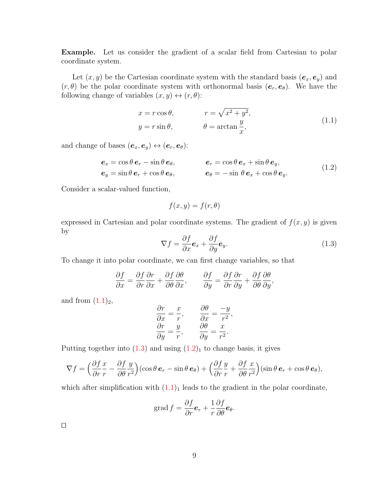Example. Let us consider the gradient of a scalar field from Cartesian to polar coordinate system.

Let  $(x, y)$  be the Cartesian coordinate system with the standard basis  $(e_x, e_y)$  and  $(r, \theta)$  be the polar coordinate system with orthonormal basis  $(e_r, e_{\theta})$ . We have the following change of variables  $(x, y) \leftrightarrow (r, \theta)$ :

$$
x = r \cos \theta, \qquad r = \sqrt{x^2 + y^2},
$$
  
\n
$$
y = r \sin \theta, \qquad \theta = \arctan \frac{y}{x}, \qquad (1.1)
$$

and change of bases  $(\boldsymbol{e}_x, \boldsymbol{e}_y) \leftrightarrow (\boldsymbol{e}_r, \boldsymbol{e}_\theta)$ :

$$
\begin{aligned}\n\mathbf{e}_x &= \cos\theta \,\mathbf{e}_r - \sin\theta \,\mathbf{e}_\theta, & \mathbf{e}_r &= \cos\theta \,\mathbf{e}_x + \sin\theta \,\mathbf{e}_y, \\
\mathbf{e}_y &= \sin\theta \,\mathbf{e}_r + \cos\theta \,\mathbf{e}_\theta, & \mathbf{e}_\theta &= -\sin\theta \,\mathbf{e}_x + \cos\theta \,\mathbf{e}_y.\n\end{aligned} \tag{1.2}
$$

Consider a scalar-valued function,

$$
f(x, y) = f(r, \theta)
$$

expressed in Cartesian and polar coordinate systems. The gradient of  $f(x, y)$  is given by

$$
\nabla f = \frac{\partial f}{\partial x} \mathbf{e}_x + \frac{\partial f}{\partial y} \mathbf{e}_y.
$$
 (1.3)

To change it into polar coordinate, we can first change variables, so that

$$
\frac{\partial f}{\partial x} = \frac{\partial f}{\partial r}\frac{\partial r}{\partial x} + \frac{\partial f}{\partial \theta}\frac{\partial \theta}{\partial x}, \qquad \frac{\partial f}{\partial y} = \frac{\partial f}{\partial r}\frac{\partial r}{\partial y} + \frac{\partial f}{\partial \theta}\frac{\partial \theta}{\partial y},
$$

and from  $(1.1)<sub>2</sub>$ ,

$$
\frac{\partial r}{\partial x} = \frac{x}{r}, \qquad \frac{\partial \theta}{\partial x} = \frac{-y}{r^2}, \n\frac{\partial r}{\partial y} = \frac{y}{r}, \qquad \frac{\partial \theta}{\partial y} = \frac{x}{r^2}.
$$

Putting together into  $(1.3)$  and using  $(1.2)_1$  to change basis, it gives

$$
\nabla f = \left(\frac{\partial f}{\partial r}\frac{x}{r} - \frac{\partial f}{\partial \theta}\frac{y}{r^2}\right)(\cos\theta \, \mathbf{e}_r - \sin\theta \, \mathbf{e}_\theta) + \left(\frac{\partial f}{\partial r}\frac{y}{r} + \frac{\partial f}{\partial \theta}\frac{x}{r^2}\right)(\sin\theta \, \mathbf{e}_r + \cos\theta \, \mathbf{e}_\theta),
$$

which after simplification with  $(1.1)<sub>1</sub>$  leads to the gradient in the polar coordinate,

grad 
$$
f = \frac{\partial f}{\partial r} \mathbf{e}_r + \frac{1}{r} \frac{\partial f}{\partial \theta} \mathbf{e}_\theta
$$
.

 $\Box$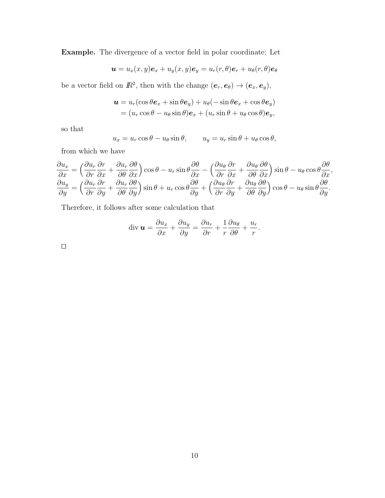Example. The divergence of a vector field in polar coordinate: Let

$$
\boldsymbol{u}=u_x(x,y)\boldsymbol{e}_x+u_y(x,y)\boldsymbol{e}_y=u_r(r,\theta)\boldsymbol{e}_r+u_\theta(r,\theta)\boldsymbol{e}_\theta
$$

be a vector field on  $\mathbb{R}^2$ , then with the change  $(e_r, e_{\theta}) \to (e_x, e_y)$ ,

$$
\mathbf{u} = u_r(\cos\theta\mathbf{e}_x + \sin\theta\mathbf{e}_y) + u_\theta(-\sin\theta\mathbf{e}_x + \cos\theta\mathbf{e}_y)
$$
  
=  $(u_r \cos\theta - u_\theta \sin\theta)\mathbf{e}_x + (u_r \sin\theta + u_\theta \cos\theta)\mathbf{e}_y$ ,

so that

$$
u_x = u_r \cos \theta - u_\theta \sin \theta, \qquad u_y = u_r \sin \theta + u_\theta \cos \theta,
$$

from which we have

$$
\frac{\partial u_x}{\partial x} = \left(\frac{\partial u_r}{\partial r}\frac{\partial r}{\partial x} + \frac{\partial u_r}{\partial \theta}\frac{\partial \theta}{\partial x}\right)\cos\theta - u_r\sin\theta\frac{\partial \theta}{\partial x} - \left(\frac{\partial u_\theta}{\partial r}\frac{\partial r}{\partial x} + \frac{\partial u_\theta}{\partial \theta}\frac{\partial \theta}{\partial x}\right)\sin\theta - u_\theta\cos\theta\frac{\partial \theta}{\partial x},
$$
  

$$
\frac{\partial u_y}{\partial y} = \left(\frac{\partial u_r}{\partial r}\frac{\partial r}{\partial y} + \frac{\partial u_r}{\partial \theta}\frac{\partial \theta}{\partial y}\right)\sin\theta + u_r\cos\theta\frac{\partial \theta}{\partial y} + \left(\frac{\partial u_\theta}{\partial r}\frac{\partial r}{\partial y} + \frac{\partial u_\theta}{\partial \theta}\frac{\partial \theta}{\partial y}\right)\cos\theta - u_\theta\sin\theta\frac{\partial \theta}{\partial y}.
$$

Therefore, it follows after some calculation that

$$
\operatorname{div} \boldsymbol{u} = \frac{\partial u_x}{\partial x} + \frac{\partial u_y}{\partial y} = \frac{\partial u_r}{\partial r} + \frac{1}{r} \frac{\partial u_\theta}{\partial \theta} + \frac{u_r}{r}.
$$

 $\Box$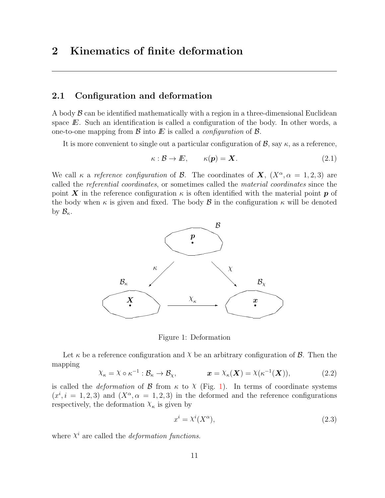# <span id="page-16-0"></span>2 Kinematics of finite deformation

#### <span id="page-16-1"></span>2.1 Configuration and deformation

A body  $\beta$  can be identified mathematically with a region in a three-dimensional Euclidean space  $E$ . Such an identification is called a configuration of the body. In other words, a one-to-one mapping from  $\mathcal B$  into  $E$  is called a *configuration* of  $\mathcal B$ .

It is more convenient to single out a particular configuration of  $\mathcal{B}$ , say  $\kappa$ , as a reference,

$$
\kappa : \mathcal{B} \to E, \qquad \kappa(\mathbf{p}) = \mathbf{X}.
$$
 (2.1)

We call  $\kappa$  a reference configuration of B. The coordinates of  $\mathbf{X}$ ,  $(X^{\alpha}, \alpha = 1, 2, 3)$  are called the referential coordinates, or sometimes called the material coordinates since the point X in the reference configuration  $\kappa$  is often identified with the material point p of the body when  $\kappa$  is given and fixed. The body  $\beta$  in the configuration  $\kappa$  will be denoted by  $\mathcal{B}_{\kappa}$ .



<span id="page-16-2"></span>Figure 1: Deformation

Let  $\kappa$  be a reference configuration and  $\chi$  be an arbitrary configuration of  $\beta$ . Then the mapping

$$
\chi_{\kappa} = \chi \circ \kappa^{-1} : \mathcal{B}_{\kappa} \to \mathcal{B}_{\chi}, \qquad \mathbf{x} = \chi_{\kappa}(\mathbf{X}) = \chi(\kappa^{-1}(\mathbf{X})), \tag{2.2}
$$

is called the *deformation* of  $\beta$  from  $\kappa$  to  $\chi$  (Fig. [1\)](#page-16-2). In terms of coordinate systems  $(x^{i}, i = 1, 2, 3)$  and  $(X^{\alpha}, \alpha = 1, 2, 3)$  in the deformed and the reference configurations respectively, the deformation  $X_{\kappa}$  is given by

$$
x^i = \lambda^i(X^\alpha),\tag{2.3}
$$

where  $X^i$  are called the *deformation functions*.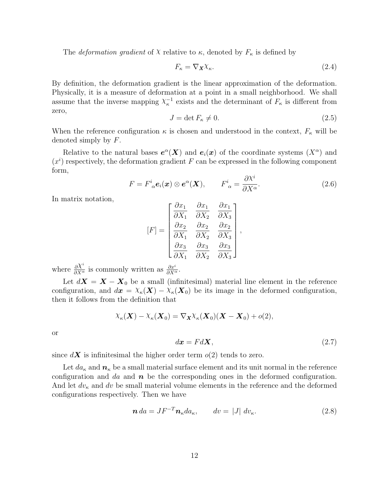The *deformation gradient* of  $X$  relative to  $\kappa$ , denoted by  $F_{\kappa}$  is defined by

$$
F_{\kappa} = \nabla_{\mathbf{X}} \chi_{\kappa}.\tag{2.4}
$$

By definition, the deformation gradient is the linear approximation of the deformation. Physically, it is a measure of deformation at a point in a small neighborhood. We shall assume that the inverse mapping  $\chi_{\kappa}^{-1}$  exists and the determinant of  $F_{\kappa}$  is different from zero,

$$
J = \det F_{\kappa} \neq 0. \tag{2.5}
$$

When the reference configuration  $\kappa$  is chosen and understood in the context,  $F_{\kappa}$  will be denoted simply by F.

Relative to the natural bases  $e^{\alpha}$ (X) and  $e_i(x)$  of the coordinate systems  $(X^{\alpha})$  and  $(x<sup>i</sup>)$  respectively, the deformation gradient F can be expressed in the following component form,

$$
F = F^i_{\alpha} \mathbf{e}_i(\mathbf{x}) \otimes \mathbf{e}^{\alpha}(\mathbf{X}), \qquad F^i_{\alpha} = \frac{\partial X^i}{\partial X^{\alpha}}.
$$
 (2.6)

In matrix notation,

$$
[F] = \begin{bmatrix} \frac{\partial x_1}{\partial X_1} & \frac{\partial x_1}{\partial X_2} & \frac{\partial x_1}{\partial X_3} \\ \frac{\partial x_2}{\partial X_1} & \frac{\partial x_2}{\partial X_2} & \frac{\partial x_2}{\partial X_3} \\ \frac{\partial x_3}{\partial X_1} & \frac{\partial x_3}{\partial X_2} & \frac{\partial x_3}{\partial X_3} \end{bmatrix},
$$

where  $\frac{\partial \chi^i}{\partial X^{\alpha}}$  is commonly written as  $\frac{\partial x^i}{\partial X^{\alpha}}$ .

Let  $dX = X - X_0$  be a small (infinitesimal) material line element in the reference configuration, and  $d\mathbf{x} = X_{\kappa}(\mathbf{X}) - X_{\kappa}(\mathbf{X}_0)$  be its image in the deformed configuration, then it follows from the definition that

$$
\chi_{\kappa}(\boldsymbol{X}) - \chi_{\kappa}(\boldsymbol{X}_0) = \nabla_{\boldsymbol{X}} \chi_{\kappa}(\boldsymbol{X}_0) (\boldsymbol{X} - \boldsymbol{X}_0) + o(2),
$$

or

$$
d\mathbf{x} = Fd\mathbf{X},\tag{2.7}
$$

since  $d\mathbf{X}$  is infinitesimal the higher order term  $o(2)$  tends to zero.

Let  $da_{\kappa}$  and  $n_{\kappa}$  be a small material surface element and its unit normal in the reference configuration and da and  $\boldsymbol{n}$  be the corresponding ones in the deformed configuration. And let  $dv_{\kappa}$  and dv be small material volume elements in the reference and the deformed configurations respectively. Then we have

$$
\mathbf{n} \, da = J F^{-T} \mathbf{n}_{\kappa} da_{\kappa}, \qquad dv = |J| \, dv_{\kappa}. \tag{2.8}
$$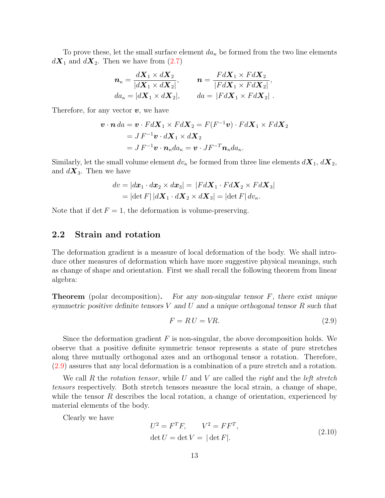To prove these, let the small surface element  $da_{\kappa}$  be formed from the two line elements  $d\mathbf{X}_1$  and  $d\mathbf{X}_2$ . Then we have from [\(2.7\)](#page-16-2)

$$
\begin{aligned}\n\mathbf{n}_{\kappa} &= \frac{d\mathbf{X}_1 \times d\mathbf{X}_2}{|d\mathbf{X}_1 \times d\mathbf{X}_2|}, & \mathbf{n} &= \frac{Fd\mathbf{X}_1 \times Fd\mathbf{X}_2}{|Fd\mathbf{X}_1 \times Fd\mathbf{X}_2|}, \\
da_{\kappa} &= |d\mathbf{X}_1 \times d\mathbf{X}_2|, & da &= |Fd\mathbf{X}_1 \times Fd\mathbf{X}_2| \,.\n\end{aligned}
$$

Therefore, for any vector  $v$ , we have

$$
\mathbf{v} \cdot \mathbf{n} \, da = \mathbf{v} \cdot F d\mathbf{X}_1 \times F d\mathbf{X}_2 = F(F^{-1}\mathbf{v}) \cdot F d\mathbf{X}_1 \times F d\mathbf{X}_2
$$
  
= J F^{-1}\mathbf{v} \cdot d\mathbf{X}\_1 \times d\mathbf{X}\_2  
= J F^{-1}\mathbf{v} \cdot \mathbf{n}\_{\kappa} da\_{\kappa} = \mathbf{v} \cdot J F^{-T} \mathbf{n}\_{\kappa} da\_{\kappa}.

Similarly, let the small volume element  $dv_{\kappa}$  be formed from three line elements  $d\mathbf{X}_1, d\mathbf{X}_2$ , and  $d\mathbf{X}_3$ . Then we have

$$
dv = |d\boldsymbol{x}_1 \cdot d\boldsymbol{x}_2 \times d\boldsymbol{x}_3| = |F d\boldsymbol{X}_1 \cdot F d\boldsymbol{X}_2 \times F d\boldsymbol{X}_3|
$$
  
= |det F| |d\boldsymbol{X}\_1 \cdot d\boldsymbol{X}\_2 \times d\boldsymbol{X}\_3| = |det F| dv<sub>\kappa</sub>.

Note that if det  $F = 1$ , the deformation is volume-preserving.

## <span id="page-18-0"></span>2.2 Strain and rotation

The deformation gradient is a measure of local deformation of the body. We shall introduce other measures of deformation which have more suggestive physical meanings, such as change of shape and orientation. First we shall recall the following theorem from linear algebra:

**Theorem** (polar decomposition). For any non-singular tensor  $F$ , there exist unique symmetric positive definite tensors  $V$  and  $U$  and a unique orthogonal tensor  $R$  such that

$$
F = RU = VR.\t(2.9)
$$

Since the deformation gradient  $F$  is non-singular, the above decomposition holds. We observe that a positive definite symmetric tensor represents a state of pure stretches along three mutually orthogonal axes and an orthogonal tensor a rotation. Therefore, [\(2.9\)](#page-18-0) assures that any local deformation is a combination of a pure stretch and a rotation.

We call R the rotation tensor, while U and V are called the right and the left stretch tensors respectively. Both stretch tensors measure the local strain, a change of shape, while the tensor  $R$  describes the local rotation, a change of orientation, experienced by material elements of the body.

Clearly we have

$$
U^2 = F^T F, \qquad V^2 = F F^T,
$$
  
det  $U = \det V = |\det F|.$  (2.10)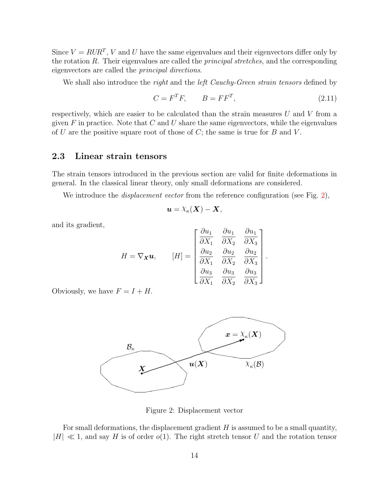Since  $V = RUR^T$ , V and U have the same eigenvalues and their eigenvectors differ only by the rotation R. Their eigenvalues are called the principal stretches, and the corresponding eigenvectors are called the principal directions.

We shall also introduce the *right* and the *left Cauchy-Green strain tensors* defined by

$$
C = F^T F, \qquad B = F F^T,\tag{2.11}
$$

∩… -

respectively, which are easier to be calculated than the strain measures  $U$  and  $V$  from a given  $F$  in practice. Note that  $C$  and  $U$  share the same eigenvectors, while the eigenvalues of U are the positive square root of those of  $C$ ; the same is true for  $B$  and  $V$ .

## <span id="page-19-0"></span>2.3 Linear strain tensors

The strain tensors introduced in the previous section are valid for finite deformations in general. In the classical linear theory, only small deformations are considered.

We introduce the *displacement vector* from the reference configuration (see Fig. [2\)](#page-19-1),

$$
\boldsymbol{u}=\lambda_{\kappa}(\boldsymbol{X})-\boldsymbol{X},
$$

and its gradient,

$$
H = \nabla_{\mathbf{X}} \mathbf{u}, \qquad [H] = \begin{bmatrix} \frac{\partial u_1}{\partial X_1} & \frac{\partial u_1}{\partial X_2} & \frac{\partial u_1}{\partial X_3} \\ \frac{\partial u_2}{\partial X_1} & \frac{\partial u_2}{\partial X_2} & \frac{\partial u_2}{\partial X_3} \\ \frac{\partial u_3}{\partial X_1} & \frac{\partial u_3}{\partial X_2} & \frac{\partial u_3}{\partial X_3} \end{bmatrix}.
$$

Obviously, we have  $F = I + H$ .



<span id="page-19-1"></span>Figure 2: Displacement vector

For small deformations, the displacement gradient  $H$  is assumed to be a small quantity,  $|H| \ll 1$ , and say H is of order  $o(1)$ . The right stretch tensor U and the rotation tensor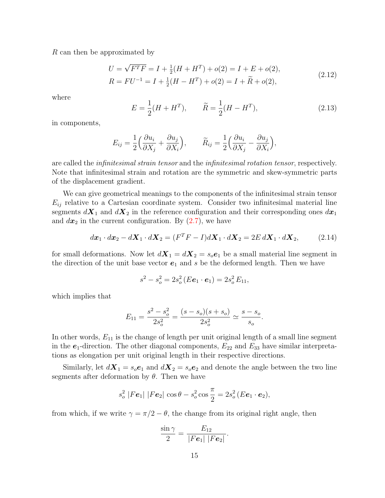R can then be approximated by

$$
U = \sqrt{F^T F} = I + \frac{1}{2}(H + H^T) + o(2) = I + E + o(2),
$$
  
\n
$$
R = FU^{-1} = I + \frac{1}{2}(H - H^T) + o(2) = I + \tilde{R} + o(2),
$$
\n(2.12)

where

$$
E = \frac{1}{2}(H + H^T), \qquad \tilde{R} = \frac{1}{2}(H - H^T), \tag{2.13}
$$

in components,

$$
E_{ij} = \frac{1}{2} \left( \frac{\partial u_i}{\partial X_j} + \frac{\partial u_j}{\partial X_i} \right), \qquad \widetilde{R}_{ij} = \frac{1}{2} \left( \frac{\partial u_i}{\partial X_j} - \frac{\partial u_j}{\partial X_i} \right),
$$

are called the infinitesimal strain tensor and the infinitesimal rotation tensor, respectively. Note that infinitesimal strain and rotation are the symmetric and skew-symmetric parts of the displacement gradient.

We can give geometrical meanings to the components of the infinitesimal strain tensor  $E_{ij}$  relative to a Cartesian coordinate system. Consider two infinitesimal material line segments  $d\mathbf{X}_1$  and  $d\mathbf{X}_2$  in the reference configuration and their corresponding ones  $d\mathbf{x}_1$ and  $dx_2$  in the current configuration. By  $(2.7)$ , we have

$$
d\boldsymbol{x}_1 \cdot d\boldsymbol{x}_2 - d\boldsymbol{X}_1 \cdot d\boldsymbol{X}_2 = (F^T F - I)d\boldsymbol{X}_1 \cdot d\boldsymbol{X}_2 = 2E d\boldsymbol{X}_1 \cdot d\boldsymbol{X}_2, \tag{2.14}
$$

for small deformations. Now let  $d\mathbf{X}_1 = d\mathbf{X}_2 = s_o \mathbf{e}_1$  be a small material line segment in the direction of the unit base vector  $e_1$  and s be the deformed length. Then we have

$$
s^2 - s_o^2 = 2s_o^2(E\mathbf{e}_1 \cdot \mathbf{e}_1) = 2s_o^2 E_{11},
$$

which implies that

$$
E_{11} = \frac{s^2 - s_o^2}{2s_o^2} = \frac{(s - s_o)(s + s_o)}{2s_o^2} \simeq \frac{s - s_o}{s_o}.
$$

In other words,  $E_{11}$  is the change of length per unit original length of a small line segment in the  $e_1$ -direction. The other diagonal components,  $E_{22}$  and  $E_{33}$  have similar interpretations as elongation per unit original length in their respective directions.

Similarly, let  $d\mathbf{X}_1 = s_o \mathbf{e}_1$  and  $d\mathbf{X}_2 = s_o \mathbf{e}_2$  and denote the angle between the two line segments after deformation by  $\theta$ . Then we have

$$
s_o^2 |Fe_1| |Fe_2| \cos \theta - s_o^2 \cos \frac{\pi}{2} = 2s_o^2 (E\mathbf{e}_1 \cdot \mathbf{e}_2),
$$

from which, if we write  $\gamma = \pi/2 - \theta$ , the change from its original right angle, then

$$
\frac{\sin \gamma}{2} = \frac{E_{12}}{|Fe_1| |Fe_2|}.
$$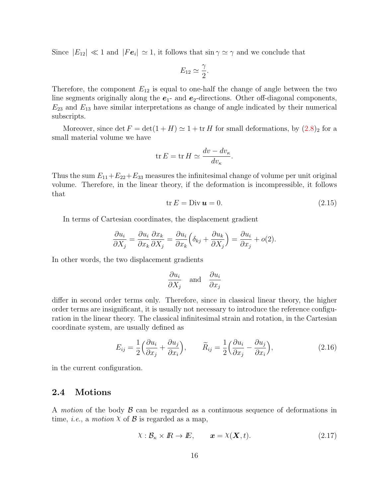Since  $|E_{12}| \ll 1$  and  $|Fe_i| \simeq 1$ , it follows that  $\sin \gamma \simeq \gamma$  and we conclude that

$$
E_{12} \simeq \frac{\gamma}{2}.
$$

Therefore, the component  $E_{12}$  is equal to one-half the change of angle between the two line segments originally along the  $e_1$ - and  $e_2$ -directions. Other off-diagonal components,  $E_{23}$  and  $E_{13}$  have similar interpretations as change of angle indicated by their numerical subscripts.

Moreover, since det  $F = det(1 + H) \simeq 1 + tr H$  for small deformations, by  $(2.8)_2$  $(2.8)_2$  $(2.8)_2$  for a small material volume we have

$$
\operatorname{tr} E = \operatorname{tr} H \simeq \frac{dv - dv_{\kappa}}{dv_{\kappa}}.
$$

Thus the sum  $E_{11}+E_{22}+E_{33}$  measures the infinitesimal change of volume per unit original volume. Therefore, in the linear theory, if the deformation is incompressible, it follows that

$$
\text{tr}\,E = \text{Div}\,\mathbf{u} = 0. \tag{2.15}
$$

In terms of Cartesian coordinates, the displacement gradient

$$
\frac{\partial u_i}{\partial X_j} = \frac{\partial u_i}{\partial x_k} \frac{\partial x_k}{\partial X_j} = \frac{\partial u_i}{\partial x_k} \left( \delta_{kj} + \frac{\partial u_k}{\partial X_j} \right) = \frac{\partial u_i}{\partial x_j} + o(2).
$$

In other words, the two displacement gradients

$$
\frac{\partial u_i}{\partial X_j} \quad \text{and} \quad \frac{\partial u_i}{\partial x_j}
$$

differ in second order terms only. Therefore, since in classical linear theory, the higher order terms are insignificant, it is usually not necessary to introduce the reference configuration in the linear theory. The classical infinitesimal strain and rotation, in the Cartesian coordinate system, are usually defined as

$$
E_{ij} = \frac{1}{2} \left( \frac{\partial u_i}{\partial x_j} + \frac{\partial u_j}{\partial x_i} \right), \qquad \widetilde{R}_{ij} = \frac{1}{2} \left( \frac{\partial u_i}{\partial x_j} - \frac{\partial u_j}{\partial x_i} \right), \tag{2.16}
$$

in the current configuration.

#### <span id="page-21-0"></span>2.4 Motions

A motion of the body  $\beta$  can be regarded as a continuous sequence of deformations in time, *i.e.*, a *motion*  $X$  of  $\mathcal{B}$  is regarded as a map,

$$
\chi: \mathcal{B}_{\kappa} \times \mathbb{R} \to \mathbb{E}, \qquad \mathbf{x} = \chi(\mathbf{X}, t). \tag{2.17}
$$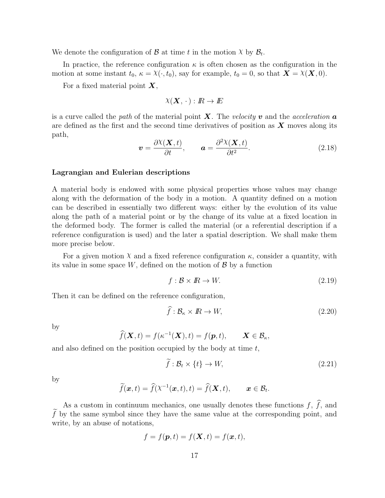We denote the configuration of  $\mathcal{B}$  at time t in the motion  $\chi$  by  $\mathcal{B}_t$ .

In practice, the reference configuration  $\kappa$  is often chosen as the configuration in the motion at some instant  $t_0$ ,  $\kappa = \chi(\cdot, t_0)$ , say for example,  $t_0 = 0$ , so that  $\mathbf{X} = \chi(\mathbf{X}, 0)$ .

For a fixed material point  $\boldsymbol{X}$ ,

$$
\chi(\mathbf{X},\,\cdot\,):I\!\!R\to I\!\!E
$$

is a curve called the path of the material point  $\bm{X}$ . The velocity v and the acceleration a are defined as the first and the second time derivatives of position as  $\boldsymbol{X}$  moves along its path,

$$
\boldsymbol{v} = \frac{\partial \mathcal{X}(\boldsymbol{X},t)}{\partial t}, \qquad \boldsymbol{a} = \frac{\partial^2 \mathcal{X}(\boldsymbol{X},t)}{\partial t^2}.
$$
 (2.18)

#### <span id="page-22-0"></span>Lagrangian and Eulerian descriptions

A material body is endowed with some physical properties whose values may change along with the deformation of the body in a motion. A quantity defined on a motion can be described in essentially two different ways: either by the evolution of its value along the path of a material point or by the change of its value at a fixed location in the deformed body. The former is called the material (or a referential description if a reference configuration is used) and the later a spatial description. We shall make them more precise below.

For a given motion  $\chi$  and a fixed reference configuration  $\kappa$ , consider a quantity, with its value in some space  $W$ , defined on the motion of  $\mathcal{B}$  by a function

$$
f: \mathcal{B} \times \mathbb{R} \to W. \tag{2.19}
$$

Then it can be defined on the reference configuration,

$$
\hat{f}: \mathcal{B}_{\kappa} \times \mathbb{R} \to W,\tag{2.20}
$$

by

$$
\widehat{f}(\boldsymbol{X},t) = f(\kappa^{-1}(\boldsymbol{X}),t) = f(\boldsymbol{p},t), \qquad \boldsymbol{X} \in \mathcal{B}_{\kappa},
$$

and also defined on the position occupied by the body at time  $t$ ,

$$
\tilde{f}: \mathcal{B}_t \times \{t\} \to W,\tag{2.21}
$$

by

$$
\widetilde{f}(\boldsymbol{x},t)=\widehat{f}(\lambda^{-1}(\boldsymbol{x},t),t)=\widehat{f}(\boldsymbol{X},t),\qquad \boldsymbol{x}\in\mathcal{B}_t.
$$

As a custom in continuum mechanics, one usually denotes these functions  $f, \hat{f}$ , and  $\hat{f}$  by the same symbol since they have the same value at the corresponding point, and write, by an abuse of notations,

$$
f = f(\mathbf{p}, t) = f(\mathbf{X}, t) = f(\mathbf{x}, t),
$$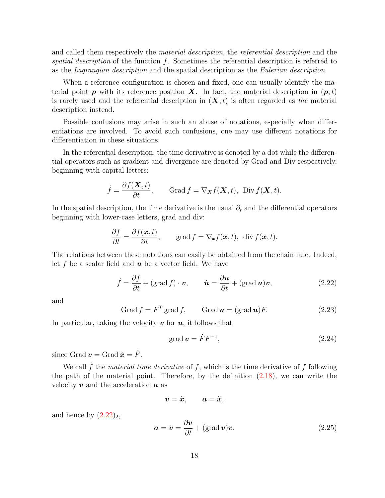and called them respectively the material description, the referential description and the spatial description of the function  $f$ . Sometimes the referential description is referred to as the Lagrangian description and the spatial description as the Eulerian description.

When a reference configuration is chosen and fixed, one can usually identify the material point **p** with its reference position **X**. In fact, the material description in  $(\mathbf{p}, t)$ is rarely used and the referential description in  $(X, t)$  is often regarded as the material description instead.

Possible confusions may arise in such an abuse of notations, especially when differentiations are involved. To avoid such confusions, one may use different notations for differentiation in these situations.

In the referential description, the time derivative is denoted by a dot while the differential operators such as gradient and divergence are denoted by Grad and Div respectively, beginning with capital letters:

$$
\dot{f} = \frac{\partial f(\mathbf{X}, t)}{\partial t}, \quad \text{Grad } f = \nabla_{\mathbf{X}} f(\mathbf{X}, t), \text{ Div } f(\mathbf{X}, t).
$$

In the spatial description, the time derivative is the usual  $\partial_t$  and the differential operators beginning with lower-case letters, grad and div:

$$
\frac{\partial f}{\partial t} = \frac{\partial f(\boldsymbol{x},t)}{\partial t}, \quad \text{grad } f = \nabla_{\boldsymbol{x}} f(\boldsymbol{x},t), \text{ div } f(\boldsymbol{x},t).
$$

The relations between these notations can easily be obtained from the chain rule. Indeed, let f be a scalar field and  $u$  be a vector field. We have

$$
\dot{f} = \frac{\partial f}{\partial t} + (\text{grad } f) \cdot \boldsymbol{v}, \qquad \dot{\boldsymbol{u}} = \frac{\partial \boldsymbol{u}}{\partial t} + (\text{grad } \boldsymbol{u}) \boldsymbol{v}, \tag{2.22}
$$

and

$$
Grad f = FT grad f, \qquad Grad u = (grad u)F.
$$
 (2.23)

In particular, taking the velocity  $\boldsymbol{v}$  for  $\boldsymbol{u}$ , it follows that

$$
\text{grad}\,\mathbf{v} = \dot{F}F^{-1},\tag{2.24}
$$

since Grad  $\boldsymbol{v} =$  Grad  $\dot{\boldsymbol{x}} = \dot{F}$ .

We call  $\dot{f}$  the material time derivative of f, which is the time derivative of f following the path of the material point. Therefore, by the definition [\(2.18\)](#page-21-0), we can write the velocity  $v$  and the acceleration  $a$  as

$$
\boldsymbol{v}=\dot{\boldsymbol{x}},\qquad \boldsymbol{a}=\ddot{\boldsymbol{x}},
$$

and hence by  $(2.22)_2$ ,

$$
\mathbf{a} = \dot{\mathbf{v}} = \frac{\partial \mathbf{v}}{\partial t} + (\text{grad}\,\mathbf{v})\mathbf{v}.\tag{2.25}
$$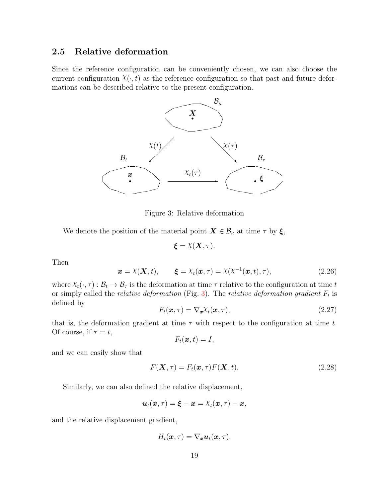## <span id="page-24-0"></span>2.5 Relative deformation

Since the reference configuration can be conveniently chosen, we can also choose the current configuration  $\chi(\cdot, t)$  as the reference configuration so that past and future deformations can be described relative to the present configuration.



<span id="page-24-1"></span>Figure 3: Relative deformation

We denote the position of the material point  $X \in \mathcal{B}_{\kappa}$  at time  $\tau$  by  $\xi$ ,

 $\boldsymbol{\xi} = \lambda(\boldsymbol{X}, \tau).$ 

Then

$$
\boldsymbol{x} = \lambda(\boldsymbol{X}, t), \qquad \boldsymbol{\xi} = \lambda_t(\boldsymbol{x}, \tau) = \lambda(\lambda^{-1}(\boldsymbol{x}, t), \tau), \tag{2.26}
$$

where  $X_t(\cdot, \tau) : \mathcal{B}_t \to \mathcal{B}_\tau$  is the deformation at time  $\tau$  relative to the configuration at time t or simply called the *relative deformation* (Fig. [3\)](#page-24-1). The *relative deformation gradient*  $F_t$  is defined by

$$
F_t(\boldsymbol{x}, \tau) = \nabla_{\boldsymbol{x}} \chi_t(\boldsymbol{x}, \tau), \qquad (2.27)
$$

that is, the deformation gradient at time  $\tau$  with respect to the configuration at time t. Of course, if  $\tau = t$ ,

$$
F_t(\boldsymbol{x},t)=I,
$$

and we can easily show that

$$
F(\mathbf{X}, \tau) = F_t(\mathbf{x}, \tau) F(\mathbf{X}, t).
$$
\n(2.28)

Similarly, we can also defined the relative displacement,

$$
\boldsymbol{u}_t(\boldsymbol{x},\tau) = \boldsymbol{\xi} - \boldsymbol{x} = \lambda_t(\boldsymbol{x},\tau) - \boldsymbol{x},
$$

and the relative displacement gradient,

$$
H_t(\boldsymbol{x},\tau)=\nabla_{\boldsymbol{x}}\boldsymbol{u}_t(\boldsymbol{x},\tau).
$$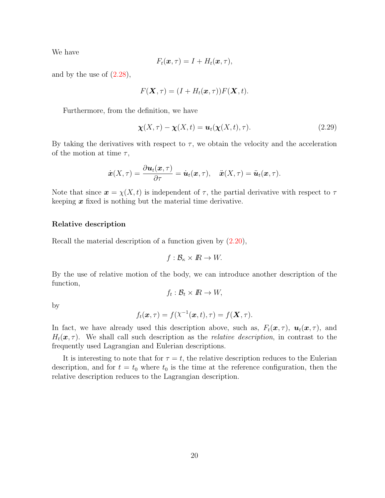We have

$$
F_t(\boldsymbol{x},\tau)=I+H_t(\boldsymbol{x},\tau),
$$

and by the use of  $(2.28)$ ,

$$
F(\mathbf{X}, \tau) = (I + H_t(\mathbf{x}, \tau))F(\mathbf{X}, t).
$$

Furthermore, from the definition, we have

$$
\chi(X,\tau) - \chi(X,t) = \mathbf{u}_t(\chi(X,t),\tau). \tag{2.29}
$$

By taking the derivatives with respect to  $\tau$ , we obtain the velocity and the acceleration of the motion at time  $\tau$ ,

$$
\dot{\boldsymbol{x}}(X,\tau)=\frac{\partial \boldsymbol{u}_t(\boldsymbol{x},\tau)}{\partial \tau}=\dot{\boldsymbol{u}}_t(\boldsymbol{x},\tau),\quad \ddot{\boldsymbol{x}}(X,\tau)=\ddot{\boldsymbol{u}}_t(\boldsymbol{x},\tau).
$$

Note that since  $\mathbf{x} = \chi(X, t)$  is independent of  $\tau$ , the partial derivative with respect to  $\tau$ keeping  $x$  fixed is nothing but the material time derivative.

#### Relative description

Recall the material description of a function given by [\(2.20\)](#page-22-0),

$$
f: \mathcal{B}_{\kappa} \times \mathbb{R} \to W.
$$

By the use of relative motion of the body, we can introduce another description of the function,

$$
f_t: \mathcal{B}_t \times \mathbb{R} \to W,
$$

by

$$
f_t(\boldsymbol{x},\tau) = f(\lambda^{-1}(\boldsymbol{x},t),\tau) = f(\boldsymbol{X},\tau).
$$

In fact, we have already used this description above, such as,  $F_t(\mathbf{x}, \tau)$ ,  $\mathbf{u}_t(\mathbf{x}, \tau)$ , and  $H_t(\mathbf{x}, \tau)$ . We shall call such description as the *relative description*, in contrast to the frequently used Lagrangian and Eulerian descriptions.

It is interesting to note that for  $\tau = t$ , the relative description reduces to the Eulerian description, and for  $t = t_0$  where  $t_0$  is the time at the reference configuration, then the relative description reduces to the Lagrangian description.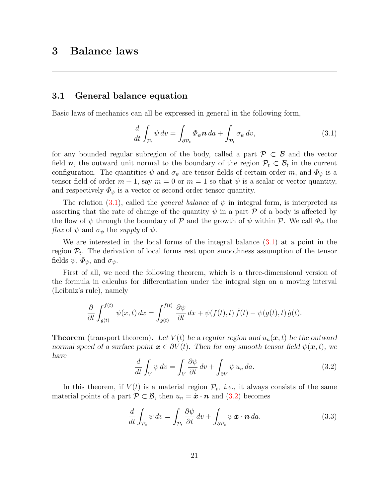#### <span id="page-26-1"></span><span id="page-26-0"></span>3.1 General balance equation

Basic laws of mechanics can all be expressed in general in the following form,

$$
\frac{d}{dt} \int_{\mathcal{P}_t} \psi \, dv = \int_{\partial \mathcal{P}_t} \Phi_{\psi} \mathbf{n} \, da + \int_{\mathcal{P}_t} \sigma_{\psi} \, dv,\tag{3.1}
$$

for any bounded regular subregion of the body, called a part  $\mathcal{P} \subset \mathcal{B}$  and the vector field  $n$ , the outward unit normal to the boundary of the region  $\mathcal{P}_t \subset \mathcal{B}_t$  in the current configuration. The quantities  $\psi$  and  $\sigma_{\psi}$  are tensor fields of certain order m, and  $\Phi_{\psi}$  is a tensor field of order  $m + 1$ , say  $m = 0$  or  $m = 1$  so that  $\psi$  is a scalar or vector quantity, and respectively  $\Phi_{\psi}$  is a vector or second order tensor quantity.

The relation [\(3.1\)](#page-26-1), called the *general balance* of  $\psi$  in integral form, is interpreted as asserting that the rate of change of the quantity  $\psi$  in a part P of a body is affected by the flow of  $\psi$  through the boundary of P and the growth of  $\psi$  within P. We call  $\Phi_{\psi}$  the flux of  $\psi$  and  $\sigma_{\psi}$  the supply of  $\psi$ .

We are interested in the local forms of the integral balance [\(3.1\)](#page-26-1) at a point in the region  $\mathcal{P}_t$ . The derivation of local forms rest upon smoothness assumption of the tensor fields  $\psi$ ,  $\Phi_{\psi}$ , and  $\sigma_{\psi}$ .

First of all, we need the following theorem, which is a three-dimensional version of the formula in calculus for differentiation under the integral sign on a moving interval (Leibniz's rule), namely

$$
\frac{\partial}{\partial t} \int_{g(t)}^{f(t)} \psi(x, t) dx = \int_{g(t)}^{f(t)} \frac{\partial \psi}{\partial t} dx + \psi(f(t), t) \dot{f}(t) - \psi(g(t), t) \dot{g}(t).
$$

**Theorem** (transport theorem). Let  $V(t)$  be a regular region and  $u_n(x, t)$  be the outward normal speed of a surface point  $x \in \partial V(t)$ . Then for any smooth tensor field  $\psi(x, t)$ , we have

$$
\frac{d}{dt} \int_{V} \psi \, dv = \int_{V} \frac{\partial \psi}{\partial t} \, dv + \int_{\partial V} \psi \, u_n \, da. \tag{3.2}
$$

In this theorem, if  $V(t)$  is a material region  $\mathcal{P}_t$ , *i.e.*, it always consists of the same material points of a part  $\mathcal{P} \subset \mathcal{B}$ , then  $u_n = \dot{x} \cdot \mathbf{n}$  and  $(3.2)$  becomes

$$
\frac{d}{dt} \int_{\mathcal{P}_t} \psi \, dv = \int_{\mathcal{P}_t} \frac{\partial \psi}{\partial t} \, dv + \int_{\partial \mathcal{P}_t} \psi \, \dot{\mathbf{x}} \cdot \mathbf{n} \, da. \tag{3.3}
$$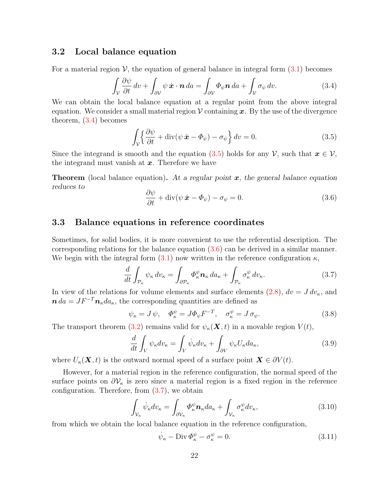#### <span id="page-27-0"></span>3.2 Local balance equation

For a material region  $\mathcal{V}$ , the equation of general balance in integral form  $(3.1)$  becomes

$$
\int_{\mathcal{V}} \frac{\partial \psi}{\partial t} dv + \int_{\partial \mathcal{V}} \psi \dot{\mathbf{x}} \cdot \mathbf{n} da = \int_{\partial \mathcal{V}} \Phi_{\psi} \mathbf{n} da + \int_{\mathcal{V}} \sigma_{\psi} dv.
$$
\n(3.4)

We can obtain the local balance equation at a regular point from the above integral equation. We consider a small material region  $\mathcal V$  containing  $\mathbf x$ . By the use of the divergence theorem, [\(3.4\)](#page-27-0) becomes

$$
\int_{\mathcal{V}} \left\{ \frac{\partial \psi}{\partial t} + \text{div}(\psi \, \dot{\mathbf{x}} - \Phi_{\psi}) - \sigma_{\psi} \right\} dv = 0. \tag{3.5}
$$

Since the integrand is smooth and the equation [\(3.5\)](#page-27-0) holds for any  $\mathcal{V}$ , such that  $x \in \mathcal{V}$ , the integrand must vanish at  $x$ . Therefore we have

**Theorem** (local balance equation). At a regular point  $x$ , the general balance equation reduces to

$$
\frac{\partial \psi}{\partial t} + \operatorname{div}(\psi \, \dot{\mathbf{x}} - \Phi_{\psi}) - \sigma_{\psi} = 0. \tag{3.6}
$$

#### <span id="page-27-1"></span>3.3 Balance equations in reference coordinates

Sometimes, for solid bodies, it is more convenient to use the referential description. The corresponding relations for the balance equation [\(3.6\)](#page-27-0) can be derived in a similar manner. We begin with the integral form [\(3.1\)](#page-26-1) now written in the reference configuration  $\kappa$ ,

$$
\frac{d}{dt} \int_{\mathcal{P}_{\kappa}} \psi_{\kappa} \, dv_{\kappa} = \int_{\partial \mathcal{P}_{\kappa}} \Phi_{\kappa}^{\psi} \mathbf{n}_{\kappa} \, da_{\kappa} + \int_{\mathcal{P}_{\kappa}} \sigma_{\kappa}^{\psi} \, dv_{\kappa}.
$$
\n(3.7)

In view of the relations for volume elements and surface elements [\(2.8\)](#page-16-2),  $dv = J dv_{\kappa}$ , and  $\mathbf{n} \, da = J F^{-T} \mathbf{n}_{\kappa} da_{\kappa}$ , the corresponding quantities are defined as

$$
\psi_{\kappa} = J \psi, \quad \Phi_{\kappa}^{\psi} = J \Phi_{\psi} F^{-T}, \quad \sigma_{\kappa}^{\psi} = J \sigma_{\psi}.
$$
\n(3.8)

The transport theorem [\(3.2\)](#page-26-1) remains valid for  $\psi_{\kappa}(\mathbf{X},t)$  in a movable region  $V(t)$ ,

$$
\frac{d}{dt} \int_{V} \psi_{\kappa} dv_{\kappa} = \int_{V} \dot{\psi}_{\kappa} dv_{\kappa} + \int_{\partial V} \psi_{\kappa} U_{\kappa} da_{\kappa},
$$
\n(3.9)

where  $U_{\kappa}(\mathbf{X},t)$  is the outward normal speed of a surface point  $\mathbf{X} \in \partial V(t)$ .

However, for a material region in the reference configuration, the normal speed of the surface points on  $\partial \mathcal{V}_{\kappa}$  is zero since a material region is a fixed region in the reference configuration. Therefore, from  $(3.7)$ , we obtain

$$
\int_{\mathcal{V}_{\kappa}} \dot{\psi}_{\kappa} dv_{\kappa} = \int_{\partial \mathcal{V}_{\kappa}} \Phi_{\kappa}^{\psi} \mathbf{n}_{\kappa} da_{\kappa} + \int_{\mathcal{V}_{\kappa}} \sigma_{\kappa}^{\psi} dv_{\kappa},
$$
\n(3.10)

from which we obtain the local balance equation in the reference configuration,

$$
\dot{\psi}_{\kappa} - \text{Div}\,\Phi_{\kappa}^{\psi} - \sigma_{\kappa}^{\psi} = 0. \tag{3.11}
$$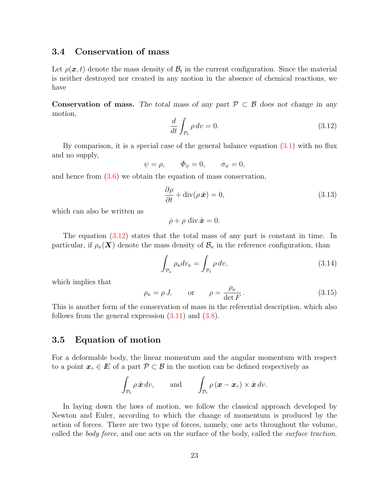## <span id="page-28-0"></span>3.4 Conservation of mass

Let  $\rho(\boldsymbol{x},t)$  denote the mass density of  $\mathcal{B}_t$  in the current configuration. Since the material is neither destroyed nor created in any motion in the absence of chemical reactions, we have

Conservation of mass. The total mass of any part  $P \subset B$  does not change in any motion,

$$
\frac{d}{dt} \int_{\mathcal{P}_t} \rho \, dv = 0. \tag{3.12}
$$

By comparison, it is a special case of the general balance equation [\(3.1\)](#page-26-1) with no flux and no supply,

$$
\psi = \rho, \qquad \Phi_{\psi} = 0, \qquad \sigma_{\psi} = 0,
$$

and hence from [\(3.6\)](#page-27-0) we obtain the equation of mass conservation,

$$
\frac{\partial \rho}{\partial t} + \text{div}(\rho \dot{\boldsymbol{x}}) = 0,
$$
\n(3.13)

which can also be written as

$$
\dot{\rho} + \rho \, \mathrm{div} \, \dot{\bm{x}} = 0.
$$

The equation [\(3.12\)](#page-28-0) states that the total mass of any part is constant in time. In particular, if  $\rho_{\kappa}(\mathbf{X})$  denote the mass density of  $\mathcal{B}_{\kappa}$  in the reference configuration, than

$$
\int_{\mathcal{P}_{\kappa}} \rho_{\kappa} dv_{\kappa} = \int_{\mathcal{P}_{t}} \rho \, dv,
$$
\n(3.14)

which implies that

$$
\rho_{\kappa} = \rho J,
$$
 or  $\rho = \frac{\rho_{\kappa}}{\det F}.$  (3.15)

This is another form of the conservation of mass in the referential description, which also follows from the general expression  $(3.11)$  and  $(3.8)$ .

#### <span id="page-28-1"></span>3.5 Equation of motion

For a deformable body, the linear momentum and the angular momentum with respect to a point  $x \circ \in E$  of a part  $\mathcal{P} \subset \mathcal{B}$  in the motion can be defined respectively as

$$
\int_{\mathcal{P}_t} \rho \dot{\boldsymbol{x}} \, dv, \quad \text{and} \quad \int_{\mathcal{P}_t} \rho \left( \boldsymbol{x} - \boldsymbol{x}_\circ \right) \times \dot{\boldsymbol{x}} \, dv.
$$

In laying down the laws of motion, we follow the classical approach developed by Newton and Euler, according to which the change of momentum is produced by the action of forces. There are two type of forces, namely, one acts throughout the volume, called the *body force*, and one acts on the surface of the body, called the *surface traction*.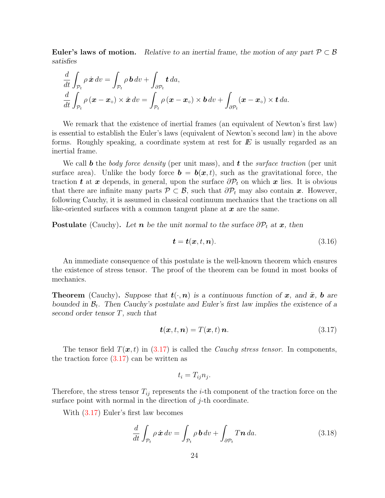Euler's laws of motion. Relative to an inertial frame, the motion of any part  $\mathcal{P} \subset \mathcal{B}$ satisfies

$$
\frac{d}{dt} \int_{\mathcal{P}_t} \rho \dot{\mathbf{x}} \, dv = \int_{\mathcal{P}_t} \rho \, \mathbf{b} \, dv + \int_{\partial \mathcal{P}_t} \mathbf{t} \, da,
$$
\n
$$
\frac{d}{dt} \int_{\mathcal{P}_t} \rho \left( \mathbf{x} - \mathbf{x}_{\circ} \right) \times \dot{\mathbf{x}} \, dv = \int_{\mathcal{P}_t} \rho \left( \mathbf{x} - \mathbf{x}_{\circ} \right) \times \mathbf{b} \, dv + \int_{\partial \mathcal{P}_t} (\mathbf{x} - \mathbf{x}_{\circ}) \times \mathbf{t} \, da.
$$

We remark that the existence of inertial frames (an equivalent of Newton's first law) is essential to establish the Euler's laws (equivalent of Newton's second law) in the above forms. Roughly speaking, a coordinate system at rest for  $E$  is usually regarded as an inertial frame.

We call **b** the body force density (per unit mass), and **t** the surface traction (per unit surface area). Unlike the body force  $\mathbf{b} = \mathbf{b}(\mathbf{x}, t)$ , such as the gravitational force, the traction t at x depends, in general, upon the surface  $\partial \mathcal{P}_t$  on which x lies. It is obvious that there are infinite many parts  $\mathcal{P} \subset \mathcal{B}$ , such that  $\partial \mathcal{P}_t$  may also contain x. However, following Cauchy, it is assumed in classical continuum mechanics that the tractions on all like-oriented surfaces with a common tangent plane at  $x$  are the same.

**Postulate** (Cauchy). Let **n** be the unit normal to the surface  $\partial P_t$  at **x**, then

$$
\boldsymbol{t} = \boldsymbol{t}(\boldsymbol{x}, t, \boldsymbol{n}).\tag{3.16}
$$

An immediate consequence of this postulate is the well-known theorem which ensures the existence of stress tensor. The proof of the theorem can be found in most books of mechanics.

**Theorem** (Cauchy). Suppose that  $t(\cdot, n)$  is a continuous function of x, and  $\ddot{x}$ , b are bounded in  $\mathcal{B}_t$ . Then Cauchy's postulate and Euler's first law implies the existence of a second order tensor T, such that

$$
\boldsymbol{t}(\boldsymbol{x},t,\boldsymbol{n})=T(\boldsymbol{x},t)\,\boldsymbol{n}.\tag{3.17}
$$

The tensor field  $T(\mathbf{x}, t)$  in [\(3.17\)](#page-28-1) is called the *Cauchy stress tensor*. In components, the traction force [\(3.17\)](#page-28-1) can be written as

$$
t_i = T_{ij} n_j.
$$

Therefore, the stress tensor  $T_{ij}$  represents the *i*-th component of the traction force on the surface point with normal in the direction of  $j$ -th coordinate.

With [\(3.17\)](#page-28-1) Euler's first law becomes

$$
\frac{d}{dt} \int_{\mathcal{P}_t} \rho \dot{\mathbf{x}} \, dv = \int_{\mathcal{P}_t} \rho \, \mathbf{b} \, dv + \int_{\partial \mathcal{P}_t} T \mathbf{n} \, da. \tag{3.18}
$$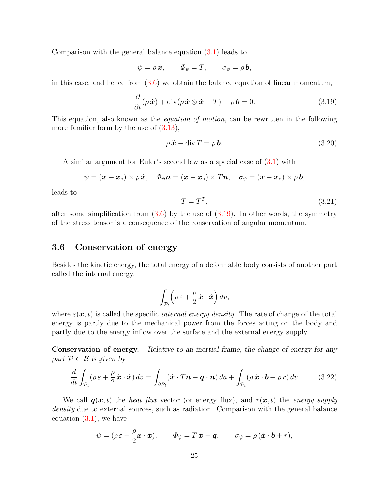Comparison with the general balance equation [\(3.1\)](#page-26-1) leads to

$$
\psi = \rho \dot{\boldsymbol{x}}, \qquad \Phi_{\psi} = T, \qquad \sigma_{\psi} = \rho \, \boldsymbol{b},
$$

in this case, and hence from  $(3.6)$  we obtain the balance equation of linear momentum,

$$
\frac{\partial}{\partial t}(\rho \dot{\boldsymbol{x}}) + \mathrm{div}(\rho \dot{\boldsymbol{x}} \otimes \dot{\boldsymbol{x}} - T) - \rho \boldsymbol{b} = 0.
$$
 (3.19)

This equation, also known as the *equation of motion*, can be rewritten in the following more familiar form by the use of  $(3.13)$ ,

$$
\rho \ddot{\mathbf{x}} - \text{div}\,T = \rho \mathbf{b}.\tag{3.20}
$$

A similar argument for Euler's second law as a special case of [\(3.1\)](#page-26-1) with

$$
\psi = (\boldsymbol{x} - \boldsymbol{x}_{\circ}) \times \rho \, \dot{\boldsymbol{x}}, \quad \varPhi_{\psi} \boldsymbol{n} = (\boldsymbol{x} - \boldsymbol{x}_{\circ}) \times T\boldsymbol{n}, \quad \sigma_{\psi} = (\boldsymbol{x} - \boldsymbol{x}_{\circ}) \times \rho \, \boldsymbol{b},
$$

leads to

$$
T = T^T,\t\t(3.21)
$$

after some simplification from  $(3.6)$  by the use of  $(3.19)$ . In other words, the symmetry of the stress tensor is a consequence of the conservation of angular momentum.

# <span id="page-30-0"></span>3.6 Conservation of energy

Besides the kinetic energy, the total energy of a deformable body consists of another part called the internal energy,

$$
\int_{\mathcal{P}_t} \left( \rho \, \varepsilon + \frac{\rho}{2} \, \dot{\boldsymbol{x}} \cdot \dot{\boldsymbol{x}} \right) dv,
$$

where  $\varepsilon(x, t)$  is called the specific *internal energy density*. The rate of change of the total energy is partly due to the mechanical power from the forces acting on the body and partly due to the energy inflow over the surface and the external energy supply.

Conservation of energy. Relative to an inertial frame, the change of energy for any part  $\mathcal{P} \subset \mathcal{B}$  is given by

$$
\frac{d}{dt} \int_{\mathcal{P}_t} (\rho \, \varepsilon + \frac{\rho}{2} \, \dot{\mathbf{x}} \cdot \dot{\mathbf{x}}) \, dv = \int_{\partial \mathcal{P}_t} (\dot{\mathbf{x}} \cdot T \mathbf{n} - \mathbf{q} \cdot \mathbf{n}) \, da + \int_{\mathcal{P}_t} (\rho \, \dot{\mathbf{x}} \cdot \mathbf{b} + \rho \, r) \, dv. \tag{3.22}
$$

We call  $q(x, t)$  the heat flux vector (or energy flux), and  $r(x, t)$  the energy supply density due to external sources, such as radiation. Comparison with the general balance equation  $(3.1)$ , we have

$$
\psi = (\rho \varepsilon + \frac{\rho}{2}\dot{\boldsymbol{x}} \cdot \dot{\boldsymbol{x}}), \qquad \Phi_{\psi} = T\dot{\boldsymbol{x}} - \boldsymbol{q}, \qquad \sigma_{\psi} = \rho(\dot{\boldsymbol{x}} \cdot \boldsymbol{b} + r),
$$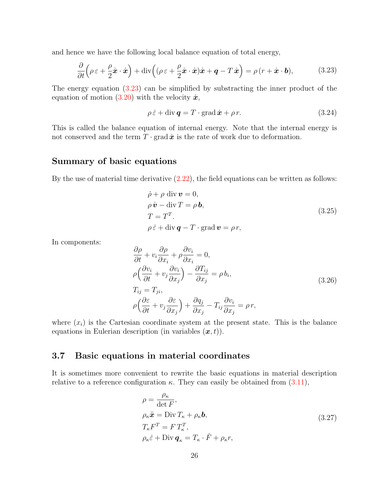and hence we have the following local balance equation of total energy,

$$
\frac{\partial}{\partial t} \left( \rho \, \varepsilon + \frac{\rho}{2} \dot{\boldsymbol{x}} \cdot \dot{\boldsymbol{x}} \right) + \mathrm{div} \left( (\rho \, \varepsilon + \frac{\rho}{2} \dot{\boldsymbol{x}} \cdot \dot{\boldsymbol{x}}) \dot{\boldsymbol{x}} + \boldsymbol{q} - T \, \dot{\boldsymbol{x}} \right) = \rho \left( r + \dot{\boldsymbol{x}} \cdot \boldsymbol{b} \right),\tag{3.23}
$$

The energy equation [\(3.23\)](#page-30-0) can be simplified by substracting the inner product of the equation of motion [\(3.20\)](#page-28-1) with the velocity  $\dot{x}$ ,

$$
\rho \dot{\varepsilon} + \text{div} \, \mathbf{q} = T \cdot \text{grad} \, \dot{\mathbf{x}} + \rho \, r. \tag{3.24}
$$

This is called the balance equation of internal energy. Note that the internal energy is not conserved and the term  $T \cdot \text{grad} \dot{x}$  is the rate of work due to deformation.

## <span id="page-31-1"></span>Summary of basic equations

By the use of material time derivative  $(2.22)$ , the field equations can be written as follows:

$$
\dot{\rho} + \rho \operatorname{div} \mathbf{v} = 0,\n\rho \dot{\mathbf{v}} - \operatorname{div} T = \rho \mathbf{b},\nT = TT.\n\rho \dot{\varepsilon} + \operatorname{div} \mathbf{q} - T \cdot \operatorname{grad} \mathbf{v} = \rho r,
$$
\n(3.25)

In components:

$$
\frac{\partial \rho}{\partial t} + v_i \frac{\partial \rho}{\partial x_i} + \rho \frac{\partial v_i}{\partial x_i} = 0, \n\rho \left( \frac{\partial v_i}{\partial t} + v_j \frac{\partial v_i}{\partial x_j} \right) - \frac{\partial T_{ij}}{\partial x_j} = \rho b_i, \nT_{ij} = T_{ji}, \n\rho \left( \frac{\partial \varepsilon}{\partial t} + v_j \frac{\partial \varepsilon}{\partial x_j} \right) + \frac{\partial q_j}{\partial x_j} - T_{ij} \frac{\partial v_i}{\partial x_j} = \rho r,
$$
\n(3.26)

where  $(x_i)$  is the Cartesian coordinate system at the present state. This is the balance equations in Eulerian description (in variables  $(x, t)$ ).

## <span id="page-31-0"></span>3.7 Basic equations in material coordinates

∂ρ

It is sometimes more convenient to rewrite the basic equations in material description relative to a reference configuration  $\kappa$ . They can easily be obtained from [\(3.11\)](#page-27-1),

$$
\rho = \frac{\rho_{\kappa}}{\det F},
$$
\n
$$
\rho_{\kappa} \ddot{\mathbf{x}} = \text{Div} T_{\kappa} + \rho_{\kappa} \mathbf{b},
$$
\n
$$
T_{\kappa} F^{T} = F T_{\kappa}^{T},
$$
\n
$$
\rho_{\kappa} \dot{\varepsilon} + \text{Div} \, \mathbf{q}_{\kappa} = T_{\kappa} \cdot \dot{F} + \rho_{\kappa} r,
$$
\n(3.27)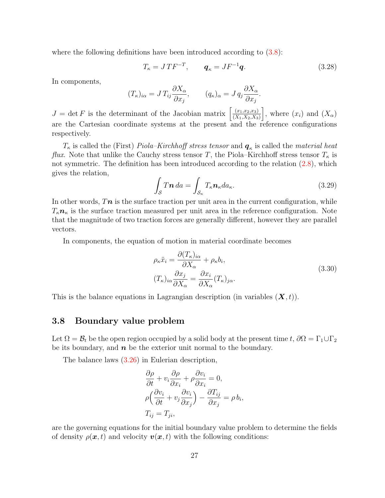where the following definitions have been introduced according to  $(3.8)$ :

$$
T_{\kappa} = JTF^{-T}, \qquad \mathbf{q}_{\kappa} = JF^{-1}\mathbf{q}.\tag{3.28}
$$

In components,

$$
(T_{\kappa})_{i\alpha} = J T_{ij} \frac{\partial X_{\alpha}}{\partial x_j}, \qquad (q_{\kappa})_{\alpha} = J q_j \frac{\partial X_{\alpha}}{\partial x_j}.
$$

 $J = \det F$  is the determinant of the Jacobian matrix  $\left[\frac{(x_1,x_2,x_3)}{(X_1,X_2,X_3)}\right]$  $(X_1,X_2,X_3)$ , where  $(x_i)$  and  $(X_\alpha)$ are the Cartesian coordinate systems at the present and the reference configurations respectively.

 $T_{\kappa}$  is called the (First) *Piola–Kirchhoff stress tensor* and  $\boldsymbol{q}_{\kappa}$  is called the *material heat flux*. Note that unlike the Cauchy stress tensor T, the Piola–Kirchhoff stress tensor  $T_{\kappa}$  is not symmetric. The definition has been introduced according to the relation  $(2.8)$ , which gives the relation,

$$
\int_{\mathcal{S}} T \mathbf{n} \, da = \int_{\mathcal{S}_{\kappa}} T_{\kappa} \mathbf{n}_{\kappa} da_{\kappa}.
$$
\n(3.29)

In other words,  $Tn$  is the surface traction per unit area in the current configuration, while  $T_{\kappa}n_{\kappa}$  is the surface traction measured per unit area in the reference configuration. Note that the magnitude of two traction forces are generally different, however they are parallel vectors.

In components, the equation of motion in material coordinate becomes

$$
\rho_{\kappa}\ddot{x}_{i} = \frac{\partial (T_{\kappa})_{i\alpha}}{\partial X_{\alpha}} + \rho_{\kappa}b_{i},
$$
\n
$$
(T_{\kappa})_{i\alpha}\frac{\partial x_{j}}{\partial X_{\alpha}} = \frac{\partial x_{i}}{\partial X_{\alpha}}(T_{\kappa})_{j\alpha}.
$$
\n(3.30)

This is the balance equations in Lagrangian description (in variables  $(\mathbf{X}, t)$ ).

#### <span id="page-32-0"></span>3.8 Boundary value problem

Let  $\Omega = \mathcal{B}_t$  be the open region occupied by a solid body at the present time t,  $\partial \Omega = \Gamma_1 \cup \Gamma_2$ be its boundary, and  $n$  be the exterior unit normal to the boundary.

The balance laws [\(3.26\)](#page-31-1) in Eulerian description,

$$
\frac{\partial \rho}{\partial t} + v_i \frac{\partial \rho}{\partial x_i} + \rho \frac{\partial v_i}{\partial x_i} = 0,
$$
  
\n
$$
\rho \left( \frac{\partial v_i}{\partial t} + v_j \frac{\partial v_i}{\partial x_j} \right) - \frac{\partial T_{ij}}{\partial x_j} = \rho b_i,
$$
  
\n
$$
T_{ij} = T_{ji},
$$

are the governing equations for the initial boundary value problem to determine the fields of density  $\rho(\mathbf{x}, t)$  and velocity  $\mathbf{v}(\mathbf{x}, t)$  with the following conditions: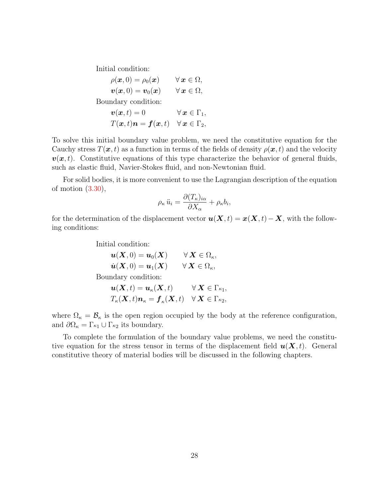Initial condition:

$$
\rho(\boldsymbol{x},0) = \rho_0(\boldsymbol{x}) \qquad \forall \, \boldsymbol{x} \in \Omega, \n\boldsymbol{v}(\boldsymbol{x},0) = \boldsymbol{v}_0(\boldsymbol{x}) \qquad \forall \, \boldsymbol{x} \in \Omega, \n\text{Boundary condition:} \n\boldsymbol{v}(\boldsymbol{x},t) = 0 \qquad \forall \, \boldsymbol{x} \in \Gamma_1, \nT(\boldsymbol{x},t)\boldsymbol{n} = \boldsymbol{f}(\boldsymbol{x},t) \quad \forall \, \boldsymbol{x} \in \Gamma_2,
$$

To solve this initial boundary value problem, we need the constitutive equation for the Cauchy stress  $T(x, t)$  as a function in terms of the fields of density  $\rho(x, t)$  and the velocity  $v(x, t)$ . Constitutive equations of this type characterize the behavior of general fluids, such as elastic fluid, Navier-Stokes fluid, and non-Newtonian fluid.

For solid bodies, it is more convenient to use the Lagrangian description of the equation of motion [\(3.30\)](#page-31-0),

$$
\rho_{\kappa} \ddot{u}_i = \frac{\partial (T_{\kappa})_{i\alpha}}{\partial X_{\alpha}} + \rho_{\kappa} b_i,
$$

for the determination of the displacement vector  $u(\mathbf{X}, t) = x(\mathbf{X}, t) - \mathbf{X}$ , with the following conditions:

Initial condition:

$$
\begin{aligned}\n\mathbf{u}(\mathbf{X},0) &= \mathbf{u}_0(\mathbf{X}) & \forall \mathbf{X} \in \Omega_\kappa, \\
\dot{\mathbf{u}}(\mathbf{X},0) &= \mathbf{u}_1(\mathbf{X}) & \forall \mathbf{X} \in \Omega_\kappa,\n\end{aligned}
$$

Boundary condition:

$$
\begin{aligned} \boldsymbol{u}(\boldsymbol{X},t) &= \boldsymbol{u}_\kappa(\boldsymbol{X},t) && \forall\, \boldsymbol{X} \in \Gamma_{\kappa_1},\\ T_\kappa(\boldsymbol{X},t)\boldsymbol{n}_\kappa &= \boldsymbol{f}_\kappa(\boldsymbol{X},t) && \forall\, \boldsymbol{X} \in \Gamma_{\kappa_2}, \end{aligned}
$$

where  $\Omega_{\kappa} = \mathcal{B}_{\kappa}$  is the open region occupied by the body at the reference configuration, and  $\partial\Omega_{\kappa} = \Gamma_{\kappa_1} \cup \Gamma_{\kappa_2}$  its boundary.

To complete the formulation of the boundary value problems, we need the constitutive equation for the stress tensor in terms of the displacement field  $u(X, t)$ . General constitutive theory of material bodies will be discussed in the following chapters.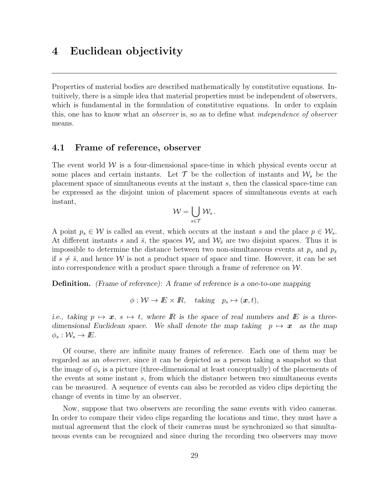# <span id="page-34-0"></span>4 Euclidean objectivity

Properties of material bodies are described mathematically by constitutive equations. Intuitively, there is a simple idea that material properties must be independent of observers, which is fundamental in the formulation of constitutive equations. In order to explain this, one has to know what an observer is, so as to define what independence of observer means.

#### <span id="page-34-1"></span>4.1 Frame of reference, observer

The event world  $W$  is a four-dimensional space-time in which physical events occur at some places and certain instants. Let  $\mathcal T$  be the collection of instants and  $\mathcal W_s$  be the placement space of simultaneous events at the instant s, then the classical space-time can be expressed as the disjoint union of placement spaces of simultaneous events at each instant,

$$
\mathcal{W}=\bigcup_{s\in\mathcal{T}}\mathcal{W}_s\,.
$$

A point  $p_s \in \mathcal{W}$  is called an event, which occurs at the instant s and the place  $p \in \mathcal{W}_s$ . At different instants s and  $\bar{s}$ , the spaces  $\mathcal{W}_s$  and  $\mathcal{W}_{\bar{s}}$  are two disjoint spaces. Thus it is impossible to determine the distance between two non-simultaneous events at  $p_s$  and  $p_{\bar{s}}$ if  $s \neq \overline{s}$ , and hence W is not a product space of space and time. However, it can be set into correspondence with a product space through a frame of reference on  $W$ .

Definition. (Frame of reference): A frame of reference is a one-to-one mapping

$$
\phi: \mathcal{W} \to \mathbb{E} \times \mathbb{R}, \quad \text{taking} \quad p_s \mapsto (\boldsymbol{x}, t),
$$

i.e., taking  $p \mapsto x$ ,  $s \mapsto t$ , where R is the space of real numbers and E is a threedimensional Euclidean space. We shall denote the map taking  $p \mapsto x$  as the map  $\phi_s: \mathcal{W}_s \to E$ .

Of course, there are infinite many frames of reference. Each one of them may be regarded as an observer, since it can be depicted as a person taking a snapshot so that the image of  $\phi_s$  is a picture (three-dimensional at least conceptually) of the placements of the events at some instant s, from which the distance between two simultaneous events can be measured. A sequence of events can also be recorded as video clips depicting the change of events in time by an observer.

Now, suppose that two observers are recording the same events with video cameras. In order to compare their video clips regarding the locations and time, they must have a mutual agreement that the clock of their cameras must be synchronized so that simultaneous events can be recognized and since during the recording two observers may move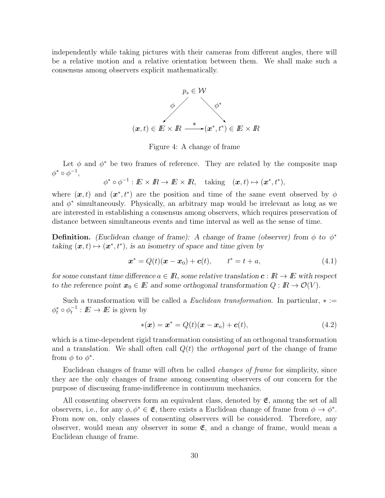independently while taking pictures with their cameras from different angles, there will be a relative motion and a relative orientation between them. We shall make such a consensus among observers explicit mathematically.



Figure 4: A change of frame

Let  $\phi$  and  $\phi^*$  be two frames of reference. They are related by the composite map  $\phi^* \circ \phi^{-1},$ 

$$
\phi^* \circ \phi^{-1} : I\!\!E \times I\!\!R \to I\!\!E \times I\!\!R, \quad \text{taking} \quad (\boldsymbol{x}, t) \mapsto (\boldsymbol{x}^*, t^*),
$$

where  $(x, t)$  and  $(x^*, t^*)$  are the position and time of the same event observed by  $\phi$ and  $\phi^*$  simultaneously. Physically, an arbitrary map would be irrelevant as long as we are interested in establishing a consensus among observers, which requires preservation of distance between simultaneous events and time interval as well as the sense of time.

**Definition.** (Euclidean change of frame): A change of frame (observer) from  $\phi$  to  $\phi^*$ taking  $(\boldsymbol{x}, t) \mapsto (\boldsymbol{x}^*, t^*)$ , is an isometry of space and time given by

$$
x^* = Q(t)(x - x_0) + c(t), \qquad t^* = t + a,
$$
\n(4.1)

for some constant time difference  $a \in \mathbb{R}$ , some relative translation  $c : \mathbb{R} \to \mathbb{E}$  with respect to the reference point  $x_0 \in E$  and some orthogonal transformation  $Q : \mathbb{R} \to \mathcal{O}(V)$ .

Such a transformation will be called a *Euclidean transformation*. In particular,  $* :=$  $\phi_t^* \circ \phi_t^{-1} : E \to E$  is given by

$$
*(x) = x^* = Q(t)(x - x_o) + c(t),
$$
\n(4.2)

which is a time-dependent rigid transformation consisting of an orthogonal transformation and a translation. We shall often call  $Q(t)$  the *orthogonal part* of the change of frame from  $\phi$  to  $\phi^*$ .

Euclidean changes of frame will often be called changes of frame for simplicity, since they are the only changes of frame among consenting observers of our concern for the purpose of discussing frame-indifference in continuum mechanics.

All consenting observers form an equivalent class, denoted by  $\mathfrak{E}$ , among the set of all observers, i.e., for any  $\phi, \phi^* \in \mathfrak{E}$ , there exists a Euclidean change of frame from  $\phi \to \phi^*$ . From now on, only classes of consenting observers will be considered. Therefore, any observer, would mean any observer in some  $\mathfrak{E}$ , and a change of frame, would mean a Euclidean change of frame.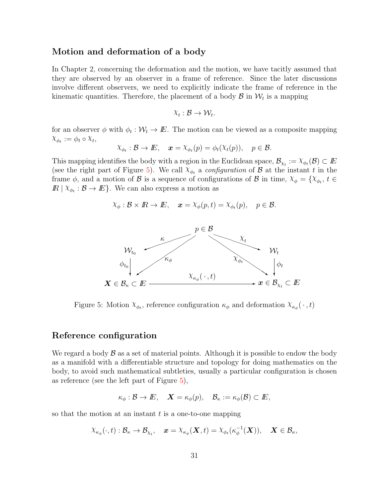### Motion and deformation of a body

In Chapter 2, concerning the deformation and the motion, we have tacitly assumed that they are observed by an observer in a frame of reference. Since the later discussions involve different observers, we need to explicitly indicate the frame of reference in the kinematic quantities. Therefore, the placement of a body  $\mathcal{B}$  in  $\mathcal{W}_t$  is a mapping

$$
\chi_t : \mathcal{B} \to \mathcal{W}_t.
$$

for an observer  $\phi$  with  $\phi_t : \mathcal{W}_t \to E$ . The motion can be viewed as a composite mapping  $X_{\phi_t} := \phi_t \circ X_t,$ 

$$
\chi_{\phi_t} : \mathcal{B} \to \mathbb{E}, \quad \mathbf{x} = \chi_{\phi_t}(p) = \phi_t(\chi_t(p)), \quad p \in \mathcal{B}.
$$

This mapping identifies the body with a region in the Euclidean space,  $\mathcal{B}_{\chi_t} := \chi_{\phi_t}(\mathcal{B}) \subset E$ (see the right part of Figure [5\)](#page-36-0). We call  $\chi_{\phi_t}$  a *configuration* of  $\beta$  at the instant t in the frame  $\phi$ , and a motion of B is a sequence of configurations of B in time,  $\chi_{\phi} = {\chi_{\phi_t}, t \in \mathbb{R}^d}$  $\mathbb{R} \mid X_{\phi_t} : \mathcal{B} \to \mathbb{E}$ . We can also express a motion as

$$
\chi_{\phi}: \mathcal{B} \times \mathbb{R} \to \mathbb{E}, \quad \mathbf{x} = \chi_{\phi}(p, t) = \chi_{\phi_t}(p), \quad p \in \mathcal{B}.
$$



<span id="page-36-0"></span>Figure 5: Motion  $X_{\phi_t}$ , reference configuration  $\kappa_{\phi}$  and deformation  $X_{\kappa_{\phi}}(\cdot, t)$ 

#### Reference configuration

We regard a body  $\beta$  as a set of material points. Although it is possible to endow the body as a manifold with a differentiable structure and topology for doing mathematics on the body, to avoid such mathematical subtleties, usually a particular configuration is chosen as reference (see the left part of Figure [5\)](#page-36-0),

$$
\kappa_{\phi}: \mathcal{B} \to E, \quad \mathbf{X} = \kappa_{\phi}(p), \quad \mathbf{B}_{\kappa} := \kappa_{\phi}(\mathbf{B}) \subset E,
$$

so that the motion at an instant  $t$  is a one-to-one mapping

$$
\chi_{\kappa_\phi}(\cdot,t):\mathcal{B}_\kappa\to\mathcal{B}_{\chi_t},\quad \pmb{x}=\chi_{\kappa_\phi}(\pmb{X},t)=\chi_{\phi_t}(\kappa_\phi^{-1}(\pmb{X})),\quad \pmb{X}\in\mathcal{B}_\kappa,
$$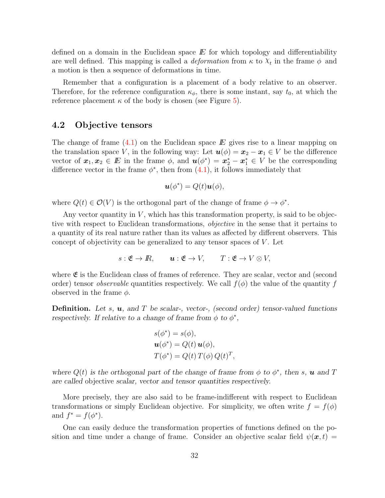defined on a domain in the Euclidean space  $E$  for which topology and differentiability are well defined. This mapping is called a *deformation* from  $\kappa$  to  $\chi_t$  in the frame  $\phi$  and a motion is then a sequence of deformations in time.

Remember that a configuration is a placement of a body relative to an observer. Therefore, for the reference configuration  $\kappa_{\phi}$ , there is some instant, say  $t_0$ , at which the reference placement  $\kappa$  of the body is chosen (see Figure [5\)](#page-36-0).

#### 4.2 Objective tensors

The change of frame  $(4.1)$  on the Euclidean space E gives rise to a linear mapping on the translation space V, in the following way: Let  $u(\phi) = x_2 - x_1 \in V$  be the difference vector of  $x_1, x_2 \in E$  in the frame  $\phi$ , and  $u(\phi^*) = x_2^* - x_1^* \in V$  be the corresponding difference vector in the frame  $\phi^*$ , then from  $(4.1)$ , it follows immediately that

$$
\mathbf{u}(\phi^*) = Q(t)\mathbf{u}(\phi),
$$

where  $Q(t) \in \mathcal{O}(V)$  is the orthogonal part of the change of frame  $\phi \to \phi^*$ .

Any vector quantity in  $V$ , which has this transformation property, is said to be objective with respect to Euclidean transformations, objective in the sense that it pertains to a quantity of its real nature rather than its values as affected by different observers. This concept of objectivity can be generalized to any tensor spaces of  $V$ . Let

$$
s: \mathfrak{E} \to \mathbb{R}, \qquad \mathbf{u}: \mathfrak{E} \to V, \qquad T: \mathfrak{E} \to V \otimes V,
$$

where  $\mathfrak{E}$  is the Euclidean class of frames of reference. They are scalar, vector and (second order) tensor *observable* quantities respectively. We call  $f(\phi)$  the value of the quantity f observed in the frame  $\phi$ .

**Definition.** Let s,  $u$ , and T be scalar-, vector-, (second order) tensor-valued functions respectively. If relative to a change of frame from  $\phi$  to  $\phi^*$ ,

$$
s(\phi^*) = s(\phi),
$$
  

$$
\mathbf{u}(\phi^*) = Q(t) \mathbf{u}(\phi),
$$
  

$$
T(\phi^*) = Q(t) \, T(\phi) \, Q(t)^T,
$$

where  $Q(t)$  is the orthogonal part of the change of frame from  $\phi$  to  $\phi^*$ , then s, **u** and T are called objective scalar, vector and tensor quantities respectively.

More precisely, they are also said to be frame-indifferent with respect to Euclidean transformations or simply Euclidean objective. For simplicity, we often write  $f = f(\phi)$ and  $f^* = f(\phi^*).$ 

One can easily deduce the transformation properties of functions defined on the position and time under a change of frame. Consider an objective scalar field  $\psi(x, t)$  =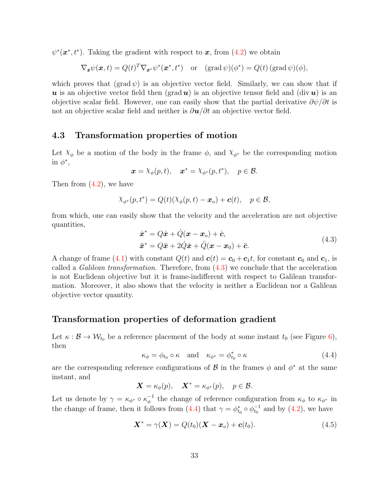$\psi^*(\boldsymbol{x}^*, t^*)$ . Taking the gradient with respect to  $\boldsymbol{x}$ , from [\(4.2\)](#page-35-0) we obtain

$$
\nabla_{\boldsymbol{x}} \psi(\boldsymbol{x},t) = Q(t)^T \nabla_{\boldsymbol{x}^*} \psi^*(\boldsymbol{x}^*,t^*) \quad \text{or} \quad (\text{grad }\psi)(\phi^*) = Q(t) (\text{grad }\psi)(\phi),
$$

which proves that  $(\text{grad }\psi)$  is an objective vector field. Similarly, we can show that if u is an objective vector field then  $(\text{grad } u)$  is an objective tensor field and  $(\text{div } u)$  is an objective scalar field. However, one can easily show that the partial derivative  $\partial \psi / \partial t$  is not an objective scalar field and neither is  $\partial u/\partial t$  an objective vector field.

# <span id="page-38-0"></span>4.3 Transformation properties of motion

Let  $\chi_{\phi}$  be a motion of the body in the frame  $\phi$ , and  $\chi_{\phi^*}$  be the corresponding motion in  $\phi^*$ ,

$$
\boldsymbol{x} = \lambda_{\phi}(p, t), \quad \boldsymbol{x}^* = \lambda_{\phi^*}(p, t^*), \quad p \in \mathcal{B}.
$$

Then from  $(4.2)$ , we have

$$
\chi_{\phi^*}(p, t^*) = Q(t)(\chi_{\phi}(p, t) - \boldsymbol{x}_o) + \boldsymbol{c}(t), \quad p \in \mathcal{B},
$$

from which, one can easily show that the velocity and the acceleration are not objective quantities,

$$
\dot{\boldsymbol{x}}^* = Q\dot{\boldsymbol{x}} + \dot{Q}(\boldsymbol{x} - \boldsymbol{x}_o) + \dot{\boldsymbol{c}},
$$
  

$$
\ddot{\boldsymbol{x}}^* = Q\ddot{\boldsymbol{x}} + 2\dot{Q}\dot{\boldsymbol{x}} + \ddot{Q}(\boldsymbol{x} - \boldsymbol{x}_0) + \ddot{\boldsymbol{c}}.
$$
 (4.3)

A change of frame [\(4.1\)](#page-35-0) with constant  $Q(t)$  and  $c(t) = c_0 + c_1t$ , for constant  $c_0$  and  $c_1$ , is called a *Galilean transformation*. Therefore, from  $(4.3)$  we conclude that the acceleration is not Euclidean objective but it is frame-indifferent with respect to Galilean transformation. Moreover, it also shows that the velocity is neither a Euclidean nor a Galilean objective vector quantity.

# <span id="page-38-1"></span>Transformation properties of deformation gradient

Let  $\kappa : \mathcal{B} \to \mathcal{W}_{t_0}$  be a reference placement of the body at some instant  $t_0$  (see Figure [6\)](#page-39-0), then

$$
\kappa_{\phi} = \phi_{t_0} \circ \kappa \quad \text{and} \quad \kappa_{\phi^*} = \phi_{t_0}^* \circ \kappa \tag{4.4}
$$

are the corresponding reference configurations of  $\mathcal{B}$  in the frames  $\phi$  and  $\phi^*$  at the same instant, and

$$
\mathbf{X} = \kappa_{\phi}(p), \quad \mathbf{X}^* = \kappa_{\phi^*}(p), \quad p \in \mathcal{B}.
$$

Let us denote by  $\gamma = \kappa_{\phi^*} \circ \kappa_{\phi}^{-1}$  $\epsilon_{\phi}^{-1}$  the change of reference configuration from  $\kappa_{\phi}$  to  $\kappa_{\phi^*}$  in the change of frame, then it follows from [\(4.4\)](#page-38-1) that  $\gamma = \phi_{t_0}^* \circ \phi_{t_0}^{-1}$  and by [\(4.2\)](#page-35-0), we have

$$
\mathbf{X}^* = \gamma(\mathbf{X}) = Q(t_0)(\mathbf{X} - \mathbf{x}_o) + \mathbf{c}(t_0).
$$
 (4.5)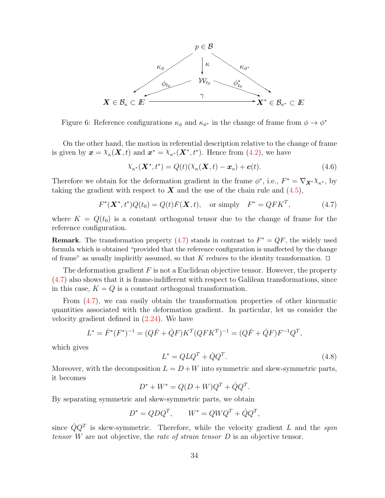

<span id="page-39-0"></span>Figure 6: Reference configurations  $\kappa_{\phi}$  and  $\kappa_{\phi^*}$  in the change of frame from  $\phi \to \phi^*$ 

On the other hand, the motion in referential description relative to the change of frame is given by  $\mathbf{x} = \chi_{\kappa}(\mathbf{X}, t)$  and  $\mathbf{x}^* = \chi_{\kappa^*}(\mathbf{X}^*, t^*)$ . Hence from [\(4.2\)](#page-35-0), we have

$$
\chi_{\kappa^*}(\mathbf{X}^*,t^*) = Q(t)(\chi_{\kappa}(\mathbf{X},t) - \mathbf{x}_o) + \mathbf{c}(t). \tag{4.6}
$$

Therefore we obtain for the deformation gradient in the frame  $\phi^*$ , i.e.,  $F^* = \nabla_{\mathbf{X}^*} \chi_{\kappa^*}$ , by taking the gradient with respect to  $\boldsymbol{X}$  and the use of the chain rule and [\(4.5\)](#page-38-1),

$$
F^*(\mathbf{X}^*, t^*)Q(t_0) = Q(t)F(\mathbf{X}, t), \text{ or simply } F^* = QFK^T,
$$
 (4.7)

where  $K = Q(t_0)$  is a constant orthogonal tensor due to the change of frame for the reference configuration.

**Remark**. The transformation property [\(4.7\)](#page-39-0) stands in contrast to  $F^* = QF$ , the widely used formula which is obtained "provided that the reference configuration is unaffected by the change of frame" as usually implicitly assumed, so that K reduces to the identity transformation.  $\Box$ 

The deformation gradient  $F$  is not a Euclidean objective tensor. However, the property [\(4.7\)](#page-39-0) also shows that it is frame-indifferent with respect to Galilean transformations, since in this case,  $K = Q$  is a constant orthogonal transformation.

From  $(4.7)$ , we can easily obtain the transformation properties of other kinematic quantities associated with the deformation gradient. In particular, let us consider the velocity gradient defined in [\(2.24\)](#page-22-0). We have

$$
L^* = \dot{F}^*(F^*)^{-1} = (Q\dot{F} + \dot{Q}F)K^T(QFK^T)^{-1} = (Q\dot{F} + \dot{Q}F)F^{-1}Q^T,
$$

which gives

$$
L^* = Q L Q^T + \dot{Q} Q^T. \tag{4.8}
$$

Moreover, with the decomposition  $L = D + W$  into symmetric and skew-symmetric parts, it becomes

$$
D^* + W^* = Q(D + W)Q^T + \dot{Q}Q^T.
$$

By separating symmetric and skew-symmetric parts, we obtain

$$
D^* = QDQ^T, \qquad W^* = QWQ^T + \dot{Q}Q^T,
$$

since  $\dot{Q}Q^{T}$  is skew-symmetric. Therefore, while the velocity gradient L and the spin tensor  $W$  are not objective, the rate of strain tensor  $D$  is an objective tensor.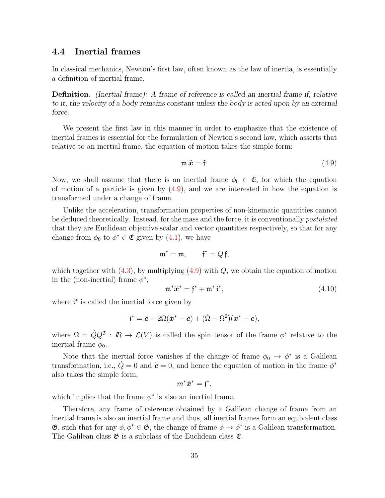### <span id="page-40-0"></span>4.4 Inertial frames

In classical mechanics, Newton's first law, often known as the law of inertia, is essentially a definition of inertial frame.

Definition. (Inertial frame): A frame of reference is called an inertial frame if, relative to it, the velocity of a body remains constant unless the body is acted upon by an external force.

We present the first law in this manner in order to emphasize that the existence of inertial frames is essential for the formulation of Newton's second law, which asserts that relative to an inertial frame, the equation of motion takes the simple form:

$$
\mathfrak{m}\ddot{x} = \mathfrak{f}.\tag{4.9}
$$

Now, we shall assume that there is an inertial frame  $\phi_0 \in \mathfrak{E}$ , for which the equation of motion of a particle is given by  $(4.9)$ , and we are interested in how the equation is transformed under a change of frame.

Unlike the acceleration, transformation properties of non-kinematic quantities cannot be deduced theoretically. Instead, for the mass and the force, it is conventionally postulated that they are Euclidean objective scalar and vector quantities respectively, so that for any change from  $\phi_0$  to  $\phi^* \in \mathfrak{E}$  given by  $(4.1)$ , we have

$$
\mathfrak{m}^* = \mathfrak{m}, \qquad \mathfrak{f}^* = Q \mathfrak{f},
$$

which together with  $(4.3)$ , by multiplying  $(4.9)$  with  $Q$ , we obtain the equation of motion in the (non-inertial) frame  $\phi^*$ ,

$$
\mathfrak{m}^* \ddot{x}^* = \mathfrak{f}^* + \mathfrak{m}^* \, \mathfrak{i}^*,\tag{4.10}
$$

where  $\mathbf{i}^*$  is called the inertial force given by

$$
\mathfrak{i}^* = \ddot{\mathbf{c}} + 2\Omega(\dot{\mathbf{x}}^* - \dot{\mathbf{c}}) + (\dot{\Omega} - \Omega^2)(\mathbf{x}^* - \mathbf{c}),
$$

where  $\Omega = \dot{Q}Q^T : \mathbb{R} \to \mathcal{L}(V)$  is called the spin tensor of the frame  $\phi^*$  relative to the inertial frame  $\phi_0$ .

Note that the inertial force vanishes if the change of frame  $\phi_0 \to \phi^*$  is a Galilean transformation, i.e.,  $\dot{Q} = 0$  and  $\ddot{c} = 0$ , and hence the equation of motion in the frame  $\phi^*$ also takes the simple form,

$$
m^*\ddot{x}^* = \mathfrak{f}^*,
$$

which implies that the frame  $\phi^*$  is also an inertial frame.

Therefore, any frame of reference obtained by a Galilean change of frame from an inertial frame is also an inertial frame and thus, all inertial frames form an equivalent class  $\mathfrak{G}$ , such that for any  $\phi, \phi^* \in \mathfrak{G}$ , the change of frame  $\phi \to \phi^*$  is a Galilean transformation. The Galilean class  $\mathfrak{G}$  is a subclass of the Euclidean class  $\mathfrak{E}$ .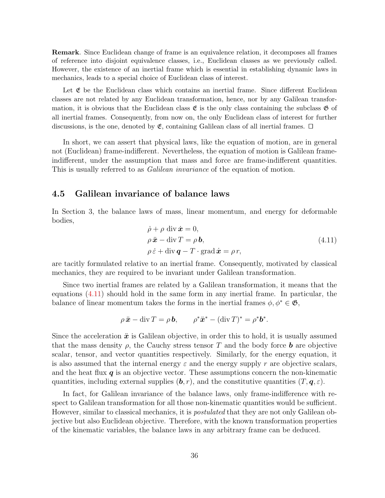Remark. Since Euclidean change of frame is an equivalence relation, it decomposes all frames of reference into disjoint equivalence classes, i.e., Euclidean classes as we previously called. However, the existence of an inertial frame which is essential in establishing dynamic laws in mechanics, leads to a special choice of Euclidean class of interest.

Let  $\mathfrak E$  be the Euclidean class which contains an inertial frame. Since different Euclidean classes are not related by any Euclidean transformation, hence, nor by any Galilean transformation, it is obvious that the Euclidean class  $\mathfrak{E}$  is the only class containing the subclass  $\mathfrak{G}$  of all inertial frames. Consequently, from now on, the only Euclidean class of interest for further discussions, is the one, denoted by  $\mathfrak{E}$ , containing Galilean class of all inertial frames.  $\Box$ 

In short, we can assert that physical laws, like the equation of motion, are in general not (Euclidean) frame-indifferent. Nevertheless, the equation of motion is Galilean frameindifferent, under the assumption that mass and force are frame-indifferent quantities. This is usually referred to as *Galilean invariance* of the equation of motion.

### <span id="page-41-0"></span>4.5 Galilean invariance of balance laws

In Section 3, the balance laws of mass, linear momentum, and energy for deformable bodies,

$$
\dot{\rho} + \rho \operatorname{div} \dot{\mathbf{x}} = 0,\n\rho \ddot{\mathbf{x}} - \operatorname{div} T = \rho \mathbf{b},\n\rho \dot{\varepsilon} + \operatorname{div} \mathbf{q} - T \cdot \operatorname{grad} \dot{\mathbf{x}} = \rho r,
$$
\n(4.11)

are tacitly formulated relative to an inertial frame. Consequently, motivated by classical mechanics, they are required to be invariant under Galilean transformation.

Since two inertial frames are related by a Galilean transformation, it means that the equations [\(4.11\)](#page-41-0) should hold in the same form in any inertial frame. In particular, the balance of linear momentum takes the forms in the inertial frames  $\phi, \phi^* \in \mathfrak{G}$ ,

$$
\rho \ddot{x} - \operatorname{div} T = \rho \mathbf{b}, \qquad \rho^* \ddot{x}^* - (\operatorname{div} T)^* = \rho^* \mathbf{b}^*.
$$

Since the acceleration  $\ddot{x}$  is Galilean objective, in order this to hold, it is usually assumed that the mass density  $\rho$ , the Cauchy stress tensor T and the body force **b** are objective scalar, tensor, and vector quantities respectively. Similarly, for the energy equation, it is also assumed that the internal energy  $\varepsilon$  and the energy supply r are objective scalars, and the heat flux  $q$  is an objective vector. These assumptions concern the non-kinematic quantities, including external supplies  $(b, r)$ , and the constitutive quantities  $(T, \mathbf{q}, \varepsilon)$ .

In fact, for Galilean invariance of the balance laws, only frame-indifference with respect to Galilean transformation for all those non-kinematic quantities would be sufficient. However, similar to classical mechanics, it is *postulated* that they are not only Galilean objective but also Euclidean objective. Therefore, with the known transformation properties of the kinematic variables, the balance laws in any arbitrary frame can be deduced.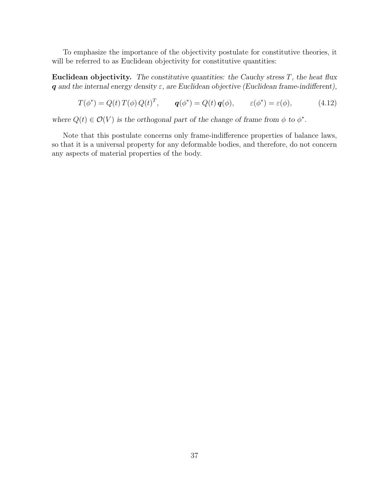To emphasize the importance of the objectivity postulate for constitutive theories, it will be referred to as Euclidean objectivity for constitutive quantities:

Euclidean objectivity. The constitutive quantities: the Cauchy stress  $T$ , the heat flux q and the internal energy density  $\varepsilon$ , are Euclidean objective (Euclidean frame-indifferent),

$$
T(\phi^*) = Q(t) T(\phi) Q(t)^T, \qquad \mathbf{q}(\phi^*) = Q(t) \mathbf{q}(\phi), \qquad \varepsilon(\phi^*) = \varepsilon(\phi), \tag{4.12}
$$

where  $Q(t) \in \mathcal{O}(V)$  is the orthogonal part of the change of frame from  $\phi$  to  $\phi^*$ .

Note that this postulate concerns only frame-indifference properties of balance laws, so that it is a universal property for any deformable bodies, and therefore, do not concern any aspects of material properties of the body.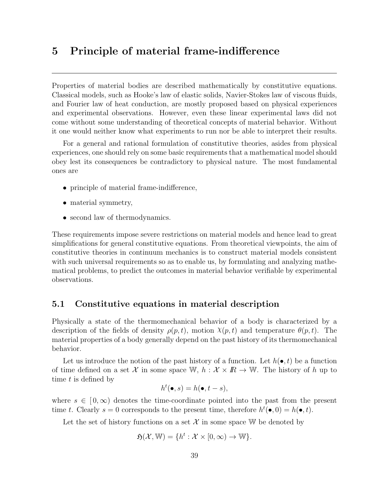# 5 Principle of material frame-indifference

Properties of material bodies are described mathematically by constitutive equations. Classical models, such as Hooke's law of elastic solids, Navier-Stokes law of viscous fluids, and Fourier law of heat conduction, are mostly proposed based on physical experiences and experimental observations. However, even these linear experimental laws did not come without some understanding of theoretical concepts of material behavior. Without it one would neither know what experiments to run nor be able to interpret their results.

For a general and rational formulation of constitutive theories, asides from physical experiences, one should rely on some basic requirements that a mathematical model should obey lest its consequences be contradictory to physical nature. The most fundamental ones are

- principle of material frame-indifference,
- material symmetry,
- second law of thermodynamics.

These requirements impose severe restrictions on material models and hence lead to great simplifications for general constitutive equations. From theoretical viewpoints, the aim of constitutive theories in continuum mechanics is to construct material models consistent with such universal requirements so as to enable us, by formulating and analyzing mathematical problems, to predict the outcomes in material behavior verifiable by experimental observations.

# <span id="page-44-0"></span>5.1 Constitutive equations in material description

Physically a state of the thermomechanical behavior of a body is characterized by a description of the fields of density  $\rho(p, t)$ , motion  $\chi(p, t)$  and temperature  $\theta(p, t)$ . The material properties of a body generally depend on the past history of its thermomechanical behavior.

Let us introduce the notion of the past history of a function. Let  $h(\bullet, t)$  be a function of time defined on a set X in some space W,  $h : \mathcal{X} \times \mathbb{R} \to \mathbb{W}$ . The history of h up to time t is defined by

$$
h^t(\bullet, s) = h(\bullet, t - s),
$$

where  $s \in [0,\infty)$  denotes the time-coordinate pointed into the past from the present time t. Clearly  $s = 0$  corresponds to the present time, therefore  $h^t(\bullet, 0) = h(\bullet, t)$ .

Let the set of history functions on a set  $\mathcal X$  in some space W be denoted by

$$
\mathfrak{H}(\mathcal{X}, \mathbb{W}) = \{ h^t : \mathcal{X} \times [0, \infty) \to \mathbb{W} \}.
$$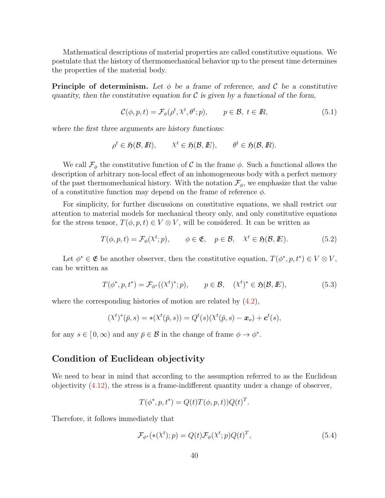Mathematical descriptions of material properties are called constitutive equations. We postulate that the history of thermomechanical behavior up to the present time determines the properties of the material body.

**Principle of determinism.** Let  $\phi$  be a frame of reference, and C be a constitutive quantity, then the constitutive equation for  $\mathcal C$  is given by a functional of the form,

$$
\mathcal{C}(\phi, p, t) = \mathcal{F}_{\phi}(\rho^t, \chi^t, \theta^t; p), \qquad p \in \mathcal{B}, \ t \in \mathbb{R}, \tag{5.1}
$$

where the first three arguments are history functions:

$$
\rho^t \in \mathfrak{H}(\mathcal{B}, \mathbb{R}), \qquad \chi^t \in \mathfrak{H}(\mathcal{B}, \mathbb{E}), \qquad \theta^t \in \mathfrak{H}(\mathcal{B}, \mathbb{R}).
$$

We call  $\mathcal{F}_{\phi}$  the constitutive function of C in the frame  $\phi$ . Such a functional allows the description of arbitrary non-local effect of an inhomogeneous body with a perfect memory of the past thermomechanical history. With the notation  $\mathcal{F}_{\phi}$ , we emphasize that the value of a constitutive function may depend on the frame of reference  $\phi$ .

For simplicity, for further discussions on constitutive equations, we shall restrict our attention to material models for mechanical theory only, and only constitutive equations for the stress tensor,  $T(\phi, p, t) \in V \otimes V$ , will be considered. It can be written as

$$
T(\phi, p, t) = \mathcal{F}_{\phi}(\mathcal{X}^t; p), \qquad \phi \in \mathfrak{E}, \quad p \in \mathcal{B}, \quad \mathcal{X}^t \in \mathfrak{H}(\mathcal{B}, \mathbb{E}). \tag{5.2}
$$

Let  $\phi^* \in \mathfrak{E}$  be another observer, then the constitutive equation,  $T(\phi^*, p, t^*) \in V \otimes V$ , can be written as

$$
T(\phi^*, p, t^*) = \mathcal{F}_{\phi^*}((\chi^t)^*; p), \qquad p \in \mathcal{B}, \quad (\chi^t)^* \in \mathfrak{H}(\mathcal{B}, \mathbb{E}), \tag{5.3}
$$

where the corresponding histories of motion are related by  $(4.2)$ ,

$$
(\chi^t)^*(\bar{p}, s) = *(\chi^t(\bar{p}, s)) = Q^t(s)(\chi^t(\bar{p}, s) - x_o) + c^t(s),
$$

for any  $s \in [0, \infty)$  and any  $\bar{p} \in \mathcal{B}$  in the change of frame  $\phi \to \phi^*$ .

# <span id="page-45-0"></span>Condition of Euclidean objectivity

We need to bear in mind that according to the assumption referred to as the Euclidean objectivity [\(4.12\)](#page-41-0), the stress is a frame-indifferent quantity under a change of observer,

$$
T(\phi^*, p, t^*) = Q(t)T(\phi, p, t))Q(t)^T.
$$

Therefore, it follows immediately that

$$
\mathcal{F}_{\phi^*}(*(\mathcal{X}^t); p) = Q(t)\mathcal{F}_{\phi}(\mathcal{X}^t; p)Q(t)^T,
$$
\n(5.4)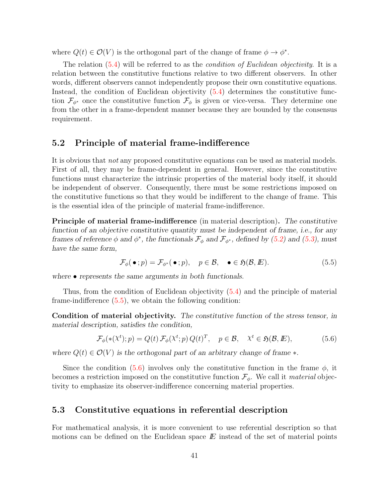where  $Q(t) \in \mathcal{O}(V)$  is the orthogonal part of the change of frame  $\phi \to \phi^*$ .

The relation  $(5.4)$  will be referred to as the *condition of Euclidean objectivity*. It is a relation between the constitutive functions relative to two different observers. In other words, different observers cannot independently propose their own constitutive equations. Instead, the condition of Euclidean objectivity [\(5.4\)](#page-45-0) determines the constitutive function  $\mathcal{F}_{\phi^*}$  once the constitutive function  $\mathcal{F}_{\phi}$  is given or vice-versa. They determine one from the other in a frame-dependent manner because they are bounded by the consensus requirement.

# <span id="page-46-0"></span>5.2 Principle of material frame-indifference

It is obvious that not any proposed constitutive equations can be used as material models. First of all, they may be frame-dependent in general. However, since the constitutive functions must characterize the intrinsic properties of the material body itself, it should be independent of observer. Consequently, there must be some restrictions imposed on the constitutive functions so that they would be indifferent to the change of frame. This is the essential idea of the principle of material frame-indifference.

Principle of material frame-indifference (in material description). The constitutive function of an objective constitutive quantity must be independent of frame, i.e., for any frames of reference  $\phi$  and  $\phi^*$ , the functionals  $\mathcal{F}_{\phi}$  and  $\mathcal{F}_{\phi^*}$ , defined by [\(5.2\)](#page-44-0) and [\(5.3\)](#page-44-0), must have the same form,

$$
\mathcal{F}_{\phi}(\bullet; p) = \mathcal{F}_{\phi^*}(\bullet; p), \quad p \in \mathcal{B}, \quad \bullet \in \mathfrak{H}(\mathcal{B}, E). \tag{5.5}
$$

where  $\bullet$  represents the same arguments in both functionals.

Thus, from the condition of Euclidean objectivity [\(5.4\)](#page-45-0) and the principle of material frame-indifference [\(5.5\)](#page-46-0), we obtain the following condition:

Condition of material objectivity. The constitutive function of the stress tensor, in material description, satisfies the condition,

$$
\mathcal{F}_{\phi}(*(\mathcal{X}^t); p) = Q(t) \mathcal{F}_{\phi}(\mathcal{X}^t; p) Q(t)^T, \quad p \in \mathcal{B}, \quad \mathcal{X}^t \in \mathfrak{H}(\mathcal{B}, \mathbb{E}), \tag{5.6}
$$

where  $Q(t) \in \mathcal{O}(V)$  is the orthogonal part of an arbitrary change of frame  $\ast$ .

Since the condition [\(5.6\)](#page-46-0) involves only the constitutive function in the frame  $\phi$ , it becomes a restriction imposed on the constitutive function  $\mathcal{F}_{\phi}$ . We call it *material* objectivity to emphasize its observer-indifference concerning material properties.

# <span id="page-46-1"></span>5.3 Constitutive equations in referential description

For mathematical analysis, it is more convenient to use referential description so that motions can be defined on the Euclidean space  $E$  instead of the set of material points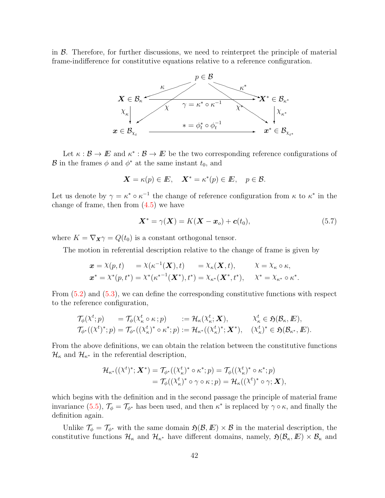in  $\beta$ . Therefore, for further discussions, we need to reinterpret the principle of material frame-indifference for constitutive equations relative to a reference configuration.



Let  $\kappa : \mathcal{B} \to \mathbb{E}$  and  $\kappa^* : \mathcal{B} \to \mathbb{E}$  be the two corresponding reference configurations of B in the frames  $\phi$  and  $\phi^*$  at the same instant  $t_0$ , and

$$
\mathbf{X} = \kappa(p) \in \mathbb{E}, \quad \mathbf{X}^* = \kappa^*(p) \in \mathbb{E}, \quad p \in \mathcal{B}.
$$

Let us denote by  $\gamma = \kappa^* \circ \kappa^{-1}$  the change of reference configuration from  $\kappa$  to  $\kappa^*$  in the change of frame, then from  $(4.5)$  we have

$$
\mathbf{X}^* = \gamma(\mathbf{X}) = K(\mathbf{X} - \mathbf{x}_o) + \mathbf{c}(t_0),\tag{5.7}
$$

where  $K = \nabla_{\mathbf{X}} \gamma = Q(t_0)$  is a constant orthogonal tensor.

The motion in referential description relative to the change of frame is given by

$$
\begin{aligned}\n\boldsymbol{x} &= \boldsymbol{\chi}(p,t) &= \boldsymbol{\chi}(\kappa^{-1}(\boldsymbol{X}),t) &= \boldsymbol{\chi}_{\kappa}(\boldsymbol{X},t), & \boldsymbol{\chi} &= \boldsymbol{\chi}_{\kappa} \circ \kappa, \\
\boldsymbol{x}^* &= \boldsymbol{\chi}^*(p,t^*) &= \boldsymbol{\chi}^*(\kappa^{*-1}(\boldsymbol{X}^*),t^*) = \boldsymbol{\chi}_{\kappa^*}(\boldsymbol{X}^*,t^*), & \boldsymbol{\chi}^* &= \boldsymbol{\chi}_{\kappa^*} \circ \kappa^*.\n\end{aligned}
$$

From [\(5.2\)](#page-44-0) and [\(5.3\)](#page-44-0), we can define the corresponding constitutive functions with respect to the reference configuration,

$$
\begin{array}{lll}\mathcal{T}_{\phi}(\chi^t;p)&=\mathcal{T}_{\phi}(\chi^t_{\kappa}\circ\kappa\,;p)&:=\mathcal{H}_{\kappa}(\chi^t_{\kappa};\boldsymbol{X}), &\chi^t_{\kappa}\in\mathfrak{H}(\mathcal{B}_{\kappa},E),\\ \mathcal{T}_{\phi^*}((\chi^t)^*;p)&=\mathcal{T}_{\phi^*}((\chi^t_{\kappa})^*\circ\kappa^*;p):=\mathcal{H}_{\kappa^*}((\chi^t_{\kappa})^*;\boldsymbol{X}^*), &(\chi^t_{\kappa})^*\in\mathfrak{H}(\mathcal{B}_{\kappa^*},E).\end{array}
$$

From the above definitions, we can obtain the relation between the constitutive functions  $\mathcal{H}_{\kappa}$  and  $\mathcal{H}_{\kappa^*}$  in the referential description,

$$
\mathcal{H}_{\kappa^*}((\chi^t)^*; \mathbf{X}^*) = \mathcal{T}_{\phi^*}((\chi^t_{\kappa})^* \circ \kappa^*; p) = \mathcal{T}_{\phi}((\chi^t_{\kappa})^* \circ \kappa^*; p)
$$
  
= 
$$
\mathcal{T}_{\phi}((\chi^t_{\kappa})^* \circ \gamma \circ \kappa; p) = \mathcal{H}_{\kappa}((\chi^t)^* \circ \gamma; \mathbf{X}),
$$

which begins with the definition and in the second passage the principle of material frame invariance [\(5.5\)](#page-46-0),  $\mathcal{T}_{\phi} = \mathcal{T}_{\phi^*}$  has been used, and then  $\kappa^*$  is replaced by  $\gamma \circ \kappa$ , and finally the definition again.

Unlike  $\mathcal{T}_{\phi} = \mathcal{T}_{\phi^*}$  with the same domain  $\mathfrak{H}(\mathcal{B}, E) \times \mathcal{B}$  in the material description, the constitutive functions  $\mathcal{H}_{\kappa}$  and  $\mathcal{H}_{\kappa^*}$  have different domains, namely,  $\mathfrak{H}(\mathcal{B}_{\kappa}, E) \times \mathcal{B}_{\kappa}$  and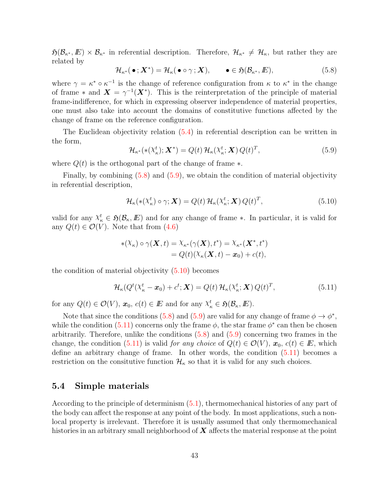$\mathfrak{H}(\mathcal{B}_{\kappa^*}, E) \times \mathcal{B}_{\kappa^*}$  in referential description. Therefore,  $\mathcal{H}_{\kappa^*} \neq \mathcal{H}_{\kappa}$ , but rather they are related by

$$
\mathcal{H}_{\kappa^*}(\bullet; \mathbf{X}^*) = \mathcal{H}_{\kappa}(\bullet \circ \gamma; \mathbf{X}), \qquad \bullet \in \mathfrak{H}(\mathcal{B}_{\kappa^*}, \mathbb{E}), \tag{5.8}
$$

where  $\gamma = \kappa^* \circ \kappa^{-1}$  is the change of reference configuration from  $\kappa$  to  $\kappa^*$  in the change of frame \* and  $\mathbf{X} = \gamma^{-1}(\mathbf{X}^*)$ . This is the reinterpretation of the principle of material frame-indifference, for which in expressing observer independence of material properties, one must also take into account the domains of constitutive functions affected by the change of frame on the reference configuration.

The Euclidean objectivity relation [\(5.4\)](#page-45-0) in referential description can be written in the form,

$$
\mathcal{H}_{\kappa^*}(*(\mathcal{X}_{\kappa}^t); \mathbf{X}^*) = Q(t) \mathcal{H}_{\kappa}(\mathcal{X}_{\kappa}^t; \mathbf{X}) Q(t)^T,
$$
\n(5.9)

where  $Q(t)$  is the orthogonal part of the change of frame  $\ast$ .

Finally, by combining  $(5.8)$  and  $(5.9)$ , we obtain the condition of material objectivity in referential description,

$$
\mathcal{H}_{\kappa}(*({\mathcal{X}}_{\kappa}^t) \circ \gamma; \mathbf{X}) = Q(t) \mathcal{H}_{\kappa}({\mathcal{X}}_{\kappa}^t; \mathbf{X}) Q(t)^T, \tag{5.10}
$$

valid for any  $\chi^t_{\kappa} \in \mathfrak{H}(\mathcal{B}_{\kappa}, \mathbb{E})$  and for any change of frame \*. In particular, it is valid for any  $Q(t) \in \mathcal{O}(V)$ . Note that from [\(4.6\)](#page-39-0)

$$
\begin{aligned} *(\mathcal{X}_{\kappa}) \circ \gamma(\boldsymbol{X},t) &= \mathcal{X}_{\kappa^*}(\gamma(\boldsymbol{X}),t^*) = \mathcal{X}_{\kappa^*}(\boldsymbol{X}^*,t^*) \\ &= Q(t)(\mathcal{X}_{\kappa}(\boldsymbol{X},t) - \boldsymbol{x}_0) + c(t), \end{aligned}
$$

the condition of material objectivity  $(5.10)$  becomes

$$
\mathcal{H}_{\kappa}(Q^{t}(X_{\kappa}^{t}-\boldsymbol{x}_{0})+c^{t};\boldsymbol{X})=Q(t)\,\mathcal{H}_{\kappa}(X_{\kappa}^{t};\boldsymbol{X})\,Q(t)^{T},\tag{5.11}
$$

for any  $Q(t) \in \mathcal{O}(V)$ ,  $\boldsymbol{x}_0$ ,  $c(t) \in E$  and for any  $\chi^t_{\kappa} \in \mathfrak{H}(\mathcal{B}_{\kappa}, E)$ .

Note that since the conditions [\(5.8\)](#page-46-1) and [\(5.9\)](#page-46-1) are valid for any change of frame  $\phi \to \phi^*$ , while the condition  $(5.11)$  concerns only the frame  $\phi$ , the star frame  $\phi^*$  can then be chosen arbitrarily. Therefore, unlike the conditions  $(5.8)$  and  $(5.9)$  concerning two frames in the change, the condition [\(5.11\)](#page-46-1) is valid for any choice of  $Q(t) \in \mathcal{O}(V)$ ,  $x_0$ ,  $c(t) \in E$ , which define an arbitrary change of frame. In other words, the condition [\(5.11\)](#page-46-1) becomes a restriction on the consitutive function  $\mathcal{H}_{\kappa}$  so that it is valid for any such choices.

#### <span id="page-48-0"></span>5.4 Simple materials

According to the principle of determinism [\(5.1\)](#page-44-0), thermomechanical histories of any part of the body can affect the response at any point of the body. In most applications, such a nonlocal property is irrelevant. Therefore it is usually assumed that only thermomechanical histories in an arbitrary small neighborhood of  $\boldsymbol{X}$  affects the material response at the point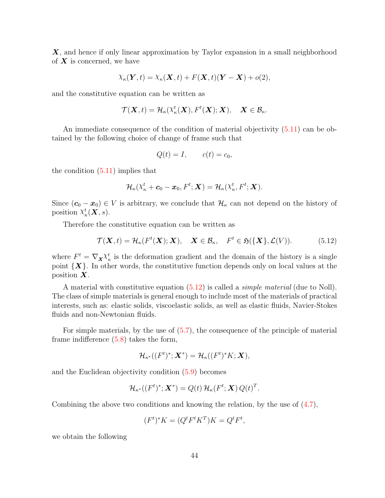X, and hence if only linear approximation by Taylor expansion in a small neighborhood of  $X$  is concerned, we have

$$
\chi_{\kappa}(\boldsymbol{Y},t) = \chi_{\kappa}(\boldsymbol{X},t) + F(\boldsymbol{X},t)(\boldsymbol{Y}-\boldsymbol{X}) + o(2),
$$

and the constitutive equation can be written as

$$
\mathcal{T}(\boldsymbol{X},t)=\mathcal{H}_{\kappa}(\mathcal{X}_{\kappa}^{t}(\boldsymbol{X}),F^{t}(\boldsymbol{X});\boldsymbol{X}),\quad \boldsymbol{X}\in\mathcal{B}_{\kappa}.
$$

An immediate consequence of the condition of material objectivity [\(5.11\)](#page-46-1) can be obtained by the following choice of change of frame such that

$$
Q(t) = I, \qquad c(t) = c_0,
$$

the condition [\(5.11\)](#page-46-1) implies that

$$
\mathcal{H}_{\kappa}(\mathbf{X}_{\kappa}^{t}+\boldsymbol{c}_{0}-\boldsymbol{x}_{0}, F^{t};\boldsymbol{X})=\mathcal{H}_{\kappa}(\mathbf{X}_{\kappa}^{t}, F^{t};\boldsymbol{X}).
$$

Since  $(c_0 - x_0) \in V$  is arbitrary, we conclude that  $\mathcal{H}_\kappa$  can not depend on the history of position  $\chi^t_{\kappa}(\boldsymbol{X},s)$ .

Therefore the constitutive equation can be written as

$$
\mathcal{T}(\mathbf{X},t) = \mathcal{H}_{\kappa}(F^t(\mathbf{X}); \mathbf{X}), \quad \mathbf{X} \in \mathcal{B}_{\kappa}, \quad F^t \in \mathfrak{H}(\{\mathbf{X}\}, \mathcal{L}(V)). \tag{5.12}
$$

where  $F^t = \nabla_{\mathbf{X}} \chi^t_{\kappa}$  is the deformation gradient and the domain of the history is a single point  $\{X\}$ . In other words, the constitutive function depends only on local values at the position  $X$ .

A material with constitutive equation  $(5.12)$  is called a *simple material* (due to Noll). The class of simple materials is general enough to include most of the materials of practical interests, such as: elastic solids, viscoelastic solids, as well as elastic fluids, Navier-Stokes fluids and non-Newtonian fluids.

For simple materials, by the use of  $(5.7)$ , the consequence of the principle of material frame indifference [\(5.8\)](#page-46-1) takes the form,

$$
\mathcal{H}_{\kappa^*}((F^t)^*; \mathbf{X}^*) = \mathcal{H}_{\kappa}((F^t)^*K; \mathbf{X}),
$$

and the Euclidean objectivity condition [\(5.9\)](#page-46-1) becomes

$$
\mathcal{H}_{\kappa^*}((F^t)^*; \mathbf{X}^*) = Q(t) \mathcal{H}_{\kappa}(F^t; \mathbf{X}) Q(t)^T.
$$

Combining the above two conditions and knowing the relation, by the use of [\(4.7\)](#page-39-0),

$$
(Ft)*K = (QtFtKT)K = QtFt,
$$

we obtain the following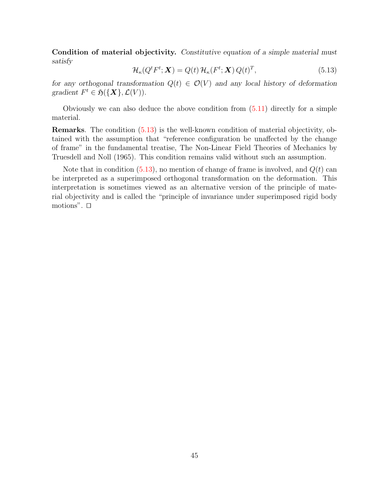Condition of material objectivity. Constitutive equation of a simple material must satisfy

$$
\mathcal{H}_{\kappa}(Q^{t}F^{t};\mathbf{X})=Q(t)\,\mathcal{H}_{\kappa}(F^{t};\mathbf{X})\,Q(t)^{T},\tag{5.13}
$$

for any orthogonal transformation  $Q(t) \in \mathcal{O}(V)$  and any local history of deformation gradient  $F^t \in \mathfrak{H}(\{X\}, \mathcal{L}(V))$ .

Obviously we can also deduce the above condition from [\(5.11\)](#page-46-1) directly for a simple material.

Remarks. The condition [\(5.13\)](#page-48-0) is the well-known condition of material objectivity, obtained with the assumption that "reference configuration be unaffected by the change of frame" in the fundamental treatise, The Non-Linear Field Theories of Mechanics by Truesdell and Noll (1965). This condition remains valid without such an assumption.

Note that in condition [\(5.13\)](#page-48-0), no mention of change of frame is involved, and  $Q(t)$  can be interpreted as a superimposed orthogonal transformation on the deformation. This interpretation is sometimes viewed as an alternative version of the principle of material objectivity and is called the "principle of invariance under superimposed rigid body motions".  $\Box$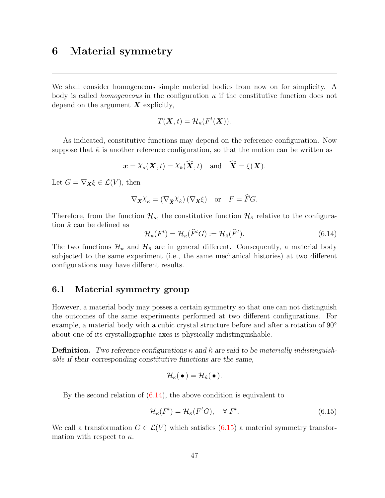# <span id="page-52-0"></span>6 Material symmetry

We shall consider homogeneous simple material bodies from now on for simplicity. A body is called *homogeneous* in the configuration  $\kappa$  if the constitutive function does not depend on the argument  $\boldsymbol{X}$  explicitly,

$$
T(\mathbf{X},t) = \mathcal{H}_{\kappa}(F^t(\mathbf{X})).
$$

As indicated, constitutive functions may depend on the reference configuration. Now suppose that  $\hat{\kappa}$  is another reference configuration, so that the motion can be written as

$$
\boldsymbol{x} = \chi_{\kappa}(\boldsymbol{X}, t) = \chi_{\hat{\kappa}}(\widehat{\boldsymbol{X}}, t)
$$
 and  $\widehat{\boldsymbol{X}} = \xi(\boldsymbol{X}).$ 

Let  $G = \nabla_{\mathbf{X}} \xi \in \mathcal{L}(V)$ , then

$$
\nabla_{\mathbf{X}} \chi_{\kappa} = (\nabla_{\widehat{\mathbf{X}}} \chi_{\widehat{\kappa}}) (\nabla_{\mathbf{X}} \xi) \quad \text{or} \quad F = \widehat{F} G.
$$

Therefore, from the function  $\mathcal{H}_{\kappa}$ , the constitutive function  $\mathcal{H}_{\hat{\kappa}}$  relative to the configuration  $\hat{\kappa}$  can be defined as

$$
\mathcal{H}_{\kappa}(F^t) = \mathcal{H}_{\kappa}(\widehat{F}^t G) := \mathcal{H}_{\hat{\kappa}}(\widehat{F}^t). \tag{6.14}
$$

The two functions  $\mathcal{H}_{\kappa}$  and  $\mathcal{H}_{\hat{\kappa}}$  are in general different. Consequently, a material body subjected to the same experiment (i.e., the same mechanical histories) at two different configurations may have different results.

# <span id="page-52-1"></span>6.1 Material symmetry group

However, a material body may posses a certain symmetry so that one can not distinguish the outcomes of the same experiments performed at two different configurations. For example, a material body with a cubic crystal structure before and after a rotation of 90° about one of its crystallographic axes is physically indistinguishable.

**Definition.** Two reference configurations  $\kappa$  and  $\hat{\kappa}$  are said to be materially indistinguishable if their corresponding constitutive functions are the same,

$$
\mathcal{H}_{\kappa}(\,\bullet\,) = \mathcal{H}_{\hat{\kappa}}(\,\bullet\,).
$$

By the second relation of  $(6.14)$ , the above condition is equivalent to

$$
\mathcal{H}_{\kappa}(F^t) = \mathcal{H}_{\kappa}(F^t G), \quad \forall \ F^t. \tag{6.15}
$$

We call a transformation  $G \in \mathcal{L}(V)$  which satisfies [\(6.15\)](#page-52-1) a material symmetry transformation with respect to  $\kappa$ .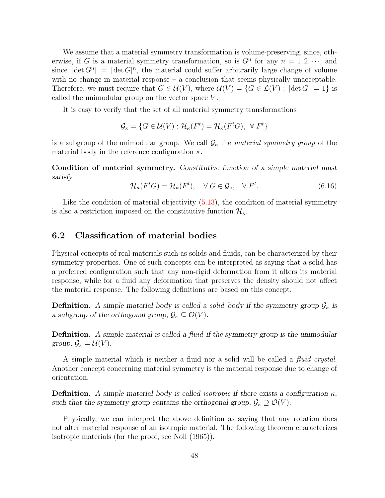We assume that a material symmetry transformation is volume-preserving, since, otherwise, if G is a material symmetry transformation, so is  $G<sup>n</sup>$  for any  $n = 1, 2, \dots$ , and since  $|\det G^n| = |\det G|^n$ , the material could suffer arbitrarily large change of volume with no change in material response – a conclusion that seems physically unacceptable. Therefore, we must require that  $G \in \mathcal{U}(V)$ , where  $\mathcal{U}(V) = \{G \in \mathcal{L}(V) : |\det G| = 1\}$  is called the unimodular group on the vector space V .

It is easy to verify that the set of all material symmetry transformations

$$
\mathcal{G}_{\kappa} = \{ G \in \mathcal{U}(V) : \mathcal{H}_{\kappa}(F^{t}) = \mathcal{H}_{\kappa}(F^{t}G), \ \forall F^{t} \}
$$

is a subgroup of the unimodular group. We call  $G_{\kappa}$  the material symmetry group of the material body in the reference configuration  $\kappa$ .

Condition of material symmetry. Constitutive function of a simple material must satisfy

$$
\mathcal{H}_{\kappa}(F^t G) = \mathcal{H}_{\kappa}(F^t), \quad \forall \ G \in \mathcal{G}_{\kappa}, \quad \forall \ F^t.
$$
\n(6.16)

Like the condition of material objectivity  $(5.13)$ , the condition of material symmetry is also a restriction imposed on the constitutive function  $\mathcal{H}_{\kappa}$ .

### 6.2 Classification of material bodies

Physical concepts of real materials such as solids and fluids, can be characterized by their symmetry properties. One of such concepts can be interpreted as saying that a solid has a preferred configuration such that any non-rigid deformation from it alters its material response, while for a fluid any deformation that preserves the density should not affect the material response. The following definitions are based on this concept.

**Definition.** A simple material body is called a solid body if the symmetry group  $\mathcal{G}_{\kappa}$  is a subgroup of the orthogonal group,  $\mathcal{G}_{\kappa} \subseteq \mathcal{O}(V)$ .

**Definition.** A simple material is called a fluid if the symmetry group is the unimodular group,  $\mathcal{G}_{\kappa} = \mathcal{U}(V)$ .

A simple material which is neither a fluid nor a solid will be called a *fluid crystal*. Another concept concerning material symmetry is the material response due to change of orientation.

**Definition.** A simple material body is called isotropic if there exists a configuration  $\kappa$ , such that the symmetry group contains the orthogonal group,  $\mathcal{G}_{\kappa} \supseteq \mathcal{O}(V)$ .

Physically, we can interpret the above definition as saying that any rotation does not alter material response of an isotropic material. The following theorem characterizes isotropic materials (for the proof, see Noll (1965)).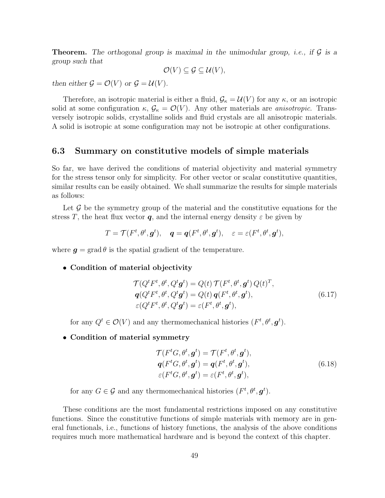**Theorem.** The orthogonal group is maximal in the unimodular group, *i.e.*, if  $\mathcal G$  is a group such that

$$
\mathcal{O}(V) \subseteq \mathcal{G} \subseteq \mathcal{U}(V),
$$

then either  $\mathcal{G} = \mathcal{O}(V)$  or  $\mathcal{G} = \mathcal{U}(V)$ .

Therefore, an isotropic material is either a fluid,  $\mathcal{G}_{\kappa} = \mathcal{U}(V)$  for any  $\kappa$ , or an isotropic solid at some configuration  $\kappa$ ,  $\mathcal{G}_{\kappa} = \mathcal{O}(V)$ . Any other materials are *anisotropic*. Transversely isotropic solids, crystalline solids and fluid crystals are all anisotropic materials. A solid is isotropic at some configuration may not be isotropic at other configurations.

### <span id="page-54-0"></span>6.3 Summary on constitutive models of simple materials

So far, we have derived the conditions of material objectivity and material symmetry for the stress tensor only for simplicity. For other vector or scalar constitutive quantities, similar results can be easily obtained. We shall summarize the results for simple materials as follows:

Let  $\mathcal G$  be the symmetry group of the material and the constitutive equations for the stress T, the heat flux vector q, and the internal energy density  $\varepsilon$  be given by

$$
T = \mathcal{T}(F^t, \theta^t, \mathbf{g}^t), \quad \mathbf{q} = \mathbf{q}(F^t, \theta^t, \mathbf{g}^t), \quad \varepsilon = \varepsilon(F^t, \theta^t, \mathbf{g}^t),
$$

where  $q = \text{grad } \theta$  is the spatial gradient of the temperature.

• Condition of material objectivity

$$
\mathcal{T}(Q^t F^t, \theta^t, Q^t \mathbf{g}^t) = Q(t) \mathcal{T}(F^t, \theta^t, \mathbf{g}^t) Q(t)^T,\n\mathbf{q}(Q^t F^t, \theta^t, Q^t \mathbf{g}^t) = Q(t) \mathbf{q}(F^t, \theta^t, \mathbf{g}^t),\n\varepsilon(Q^t F^t, \theta^t, Q^t \mathbf{g}^t) = \varepsilon(F^t, \theta^t, \mathbf{g}^t),
$$
\n(6.17)

for any  $Q^t \in \mathcal{O}(V)$  and any thermomechanical histories  $(F^t, \theta^t, \mathbf{g}^t)$ .

• Condition of material symmetry

$$
\mathcal{T}(F^tG, \theta^t, \mathbf{g}^t) = \mathcal{T}(F^t, \theta^t, \mathbf{g}^t),
$$
  
\n
$$
\mathbf{q}(F^tG, \theta^t, \mathbf{g}^t) = \mathbf{q}(F^t, \theta^t, \mathbf{g}^t),
$$
  
\n
$$
\varepsilon(F^tG, \theta^t, \mathbf{g}^t) = \varepsilon(F^t, \theta^t, \mathbf{g}^t),
$$
\n(6.18)

for any  $G \in \mathcal{G}$  and any thermomechanical histories  $(F^t, \theta^t, \mathbf{g}^t)$ .

These conditions are the most fundamental restrictions imposed on any constitutive functions. Since the constitutive functions of simple materials with memory are in general functionals, i.e., functions of history functions, the analysis of the above conditions requires much more mathematical hardware and is beyond the context of this chapter.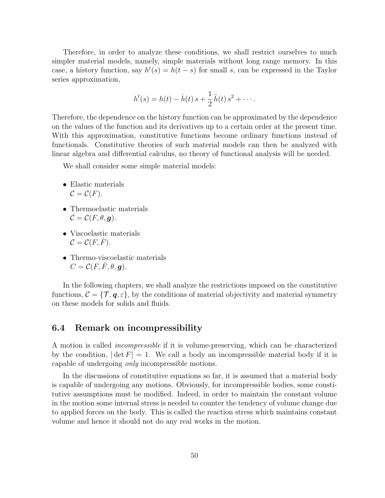Therefore, in order to analyze these conditions, we shall restrict ourselves to much simpler material models, namely, simple materials without long range memory. In this case, a history function, say  $h^t(s) = h(t-s)$  for small s, can be expressed in the Taylor series approximation,

$$
h^{t}(s) = h(t) - \dot{h}(t) s + \frac{1}{2} \ddot{h}(t) s^{2} + \cdots
$$

Therefore, the dependence on the history function can be approximated by the dependence on the values of the function and its derivatives up to a certain order at the present time. With this approximation, constitutive functions become ordinary functions instead of functionals. Constitutive theories of such material models can then be analyzed with linear algebra and differential calculus, no theory of functional analysis will be needed.

We shall consider some simple material models:

- Elastic materials  $\mathcal{C} = \mathcal{C}(F)$ .
- Thermoelastic materials  $\mathcal{C} = \mathcal{C}(F, \theta, \mathbf{q}).$
- Viscoelastic materials  $\mathcal{C} = \mathcal{C}(F, F).$
- Thermo-viscoelastic materials  $C = \mathcal{C}(F, \dot{F}, \theta, \mathbf{q}).$

In the following chapters, we shall analyze the restrictions imposed on the constitutive functions,  $\mathcal{C} = \{\mathcal{T}, \mathbf{q}, \varepsilon\}$ , by the conditions of material objectivity and material symmetry on these models for solids and fluids.

### 6.4 Remark on incompressibility

A motion is called incompressible if it is volume-preserving, which can be characterized by the condition,  $|\det F| = 1$ . We call a body an incompressible material body if it is capable of undergoing only incompressible motions.

In the discussions of constitutive equations so far, it is assumed that a material body is capable of undergoing any motions. Obviously, for incompressible bodies, some constitutive assumptions must be modified. Indeed, in order to maintain the constant volume in the motion some internal stress is needed to counter the tendency of volume change due to applied forces on the body. This is called the reaction stress which maintains constant volume and hence it should not do any real works in the motion.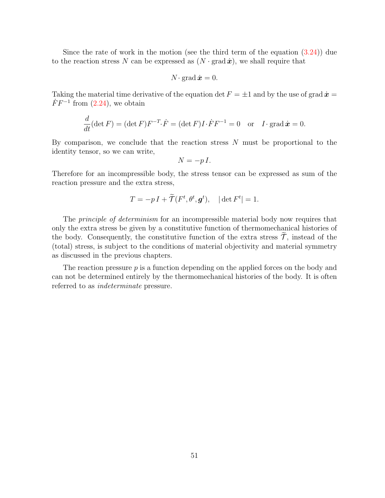Since the rate of work in the motion (see the third term of the equation [\(3.24\)](#page-30-0)) due to the reaction stress N can be expressed as  $(N \cdot \text{grad} \dot{x})$ , we shall require that

$$
N\cdot\operatorname{grad}\dot{\boldsymbol{x}}=0.
$$

Taking the material time derivative of the equation det  $F = \pm 1$  and by the use of grad  $\dot{x} =$  $\dot{F}F^{-1}$  from [\(2.24\)](#page-22-0), we obtain

$$
\frac{d}{dt}(\det F) = (\det F)F^{-T}\cdot \dot{F} = (\det F)I \cdot \dot{F}F^{-1} = 0 \text{ or } I \cdot \text{grad } \dot{x} = 0.
$$

By comparison, we conclude that the reaction stress  $N$  must be proportional to the identity tensor, so we can write,

$$
N = -pI.
$$

Therefore for an incompressible body, the stress tensor can be expressed as sum of the reaction pressure and the extra stress,

$$
T = -p I + \widetilde{\mathcal{T}}(F^t, \theta^t, \mathbf{g}^t), \quad |\det F^t| = 1.
$$

The *principle of determinism* for an incompressible material body now requires that only the extra stress be given by a constitutive function of thermomechanical histories of the body. Consequently, the constitutive function of the extra stress  $\mathcal{T}$ , instead of the (total) stress, is subject to the conditions of material objectivity and material symmetry as discussed in the previous chapters.

The reaction pressure  $p$  is a function depending on the applied forces on the body and can not be determined entirely by the thermomechanical histories of the body. It is often referred to as indeterminate pressure.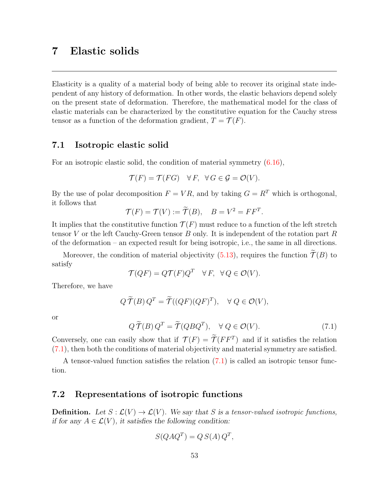# 7 Elastic solids

Elasticity is a quality of a material body of being able to recover its original state independent of any history of deformation. In other words, the elastic behaviors depend solely on the present state of deformation. Therefore, the mathematical model for the class of elastic materials can be characterized by the constitutive equation for the Cauchy stress tensor as a function of the deformation gradient,  $T = \mathcal{T}(F)$ .

# <span id="page-58-0"></span>7.1 Isotropic elastic solid

For an isotropic elastic solid, the condition of material symmetry [\(6.16\)](#page-52-1),

$$
\mathcal{T}(F) = \mathcal{T}(FG) \quad \forall F, \ \forall G \in \mathcal{G} = \mathcal{O}(V).
$$

By the use of polar decomposition  $F = VR$ , and by taking  $G = R^T$  which is orthogonal, it follows that

$$
\mathcal{T}(F) = \mathcal{T}(V) := \widetilde{\mathcal{T}}(B), \quad B = V^2 = FF^T.
$$

It implies that the constitutive function  $\mathcal{T}(F)$  must reduce to a function of the left stretch tensor V or the left Cauchy-Green tensor B only. It is independent of the rotation part R of the deformation – an expected result for being isotropic, i.e., the same in all directions.

Moreover, the condition of material objectivity [\(5.13\)](#page-48-0), requires the function  $\widetilde{\mathcal{T}}(B)$  to satisfy

$$
\mathcal{T}(QF) = Q\mathcal{T}(F)Q^T \quad \forall F, \ \forall Q \in \mathcal{O}(V).
$$

Therefore, we have

$$
Q\widetilde{\mathcal{T}}(B)Q^T = \widetilde{\mathcal{T}}((QF)(QF)^T), \quad \forall Q \in \mathcal{O}(V),
$$

or

$$
Q\widetilde{\mathcal{T}}(B)Q^T = \widetilde{\mathcal{T}}(QBQ^T), \quad \forall Q \in \mathcal{O}(V). \tag{7.1}
$$

Conversely, one can easily show that if  $\mathcal{T}(F) = \mathcal{T}(FF^T)$  and if it satisfies the relation [\(7.1\)](#page-58-0), then both the conditions of material objectivity and material symmetry are satisfied.

A tensor-valued function satisfies the relation [\(7.1\)](#page-58-0) is called an isotropic tensor function.

### <span id="page-58-1"></span>7.2 Representations of isotropic functions

**Definition.** Let  $S : \mathcal{L}(V) \to \mathcal{L}(V)$ . We say that S is a tensor-valued isotropic functions, if for any  $A \in \mathcal{L}(V)$ , it satisfies the following condition:

$$
S(QAQ^T) = Q S(A) Q^T,
$$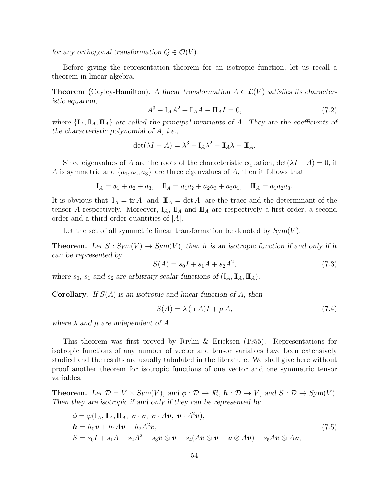for any orthogonal transformation  $Q \in \mathcal{O}(V)$ .

Before giving the representation theorem for an isotropic function, let us recall a theorem in linear algebra,

**Theorem** (Cayley-Hamilton). A linear transformation  $A \in \mathcal{L}(V)$  satisfies its characteristic equation,

$$
A^{3} - I_{A}A^{2} + I_{A}A - I_{A}I = 0,
$$
\n(7.2)

where  $\{I_A, \mathbb{I}_A, \mathbb{I}_A\}$  are called the principal invariants of A. They are the coefficients of the characteristic polynomial of A, i.e.,

$$
\det(\lambda I - A) = \lambda^3 - I_A \lambda^2 + I_A \lambda - I I_A.
$$

Since eigenvalues of A are the roots of the characteristic equation,  $\det(\lambda I - A) = 0$ , if A is symmetric and  $\{a_1, a_2, a_3\}$  are three eigenvalues of A, then it follows that

$$
I_A = a_1 + a_2 + a_3
$$
,  $I_I = a_1 a_2 + a_2 a_3 + a_3 a_1$ ,  $I_I = a_1 a_2 a_3$ .

It is obvious that  $I_A = \text{tr } A$  and  $\mathbb{I} \mathbb{I}_A = \text{det } A$  are the trace and the determinant of the tensor A respectively. Moreover,  $I_A$ ,  $I_A$  and  $I_A$  are respectively a first order, a second order and a third order quantities of  $|A|$ .

Let the set of all symmetric linear transformation be denoted by  $Sym(V)$ .

**Theorem.** Let  $S : Sym(V) \to Sym(V)$ , then it is an isotropic function if and only if it can be represented by

$$
S(A) = s_0 I + s_1 A + s_2 A^2,
$$
\n(7.3)

where  $s_0$ ,  $s_1$  and  $s_2$  are arbitrary scalar functions of  $(I_A, \mathbb{I}_A, \mathbb{I}_A)$ .

**Corollary.** If  $S(A)$  is an isotropic and linear function of A, then

$$
S(A) = \lambda (\text{tr }A)I + \mu A,\tag{7.4}
$$

where  $\lambda$  and  $\mu$  are independent of A.

This theorem was first proved by Rivlin & Ericksen (1955). Representations for isotropic functions of any number of vector and tensor variables have been extensively studied and the results are usually tabulated in the literature. We shall give here without proof another theorem for isotropic functions of one vector and one symmetric tensor variables.

**Theorem.** Let  $\mathcal{D} = V \times Sym(V)$ , and  $\phi : \mathcal{D} \to \mathbb{R}$ ,  $\mathbf{h} : \mathcal{D} \to V$ , and  $S : \mathcal{D} \to Sym(V)$ . Then they are isotropic if and only if they can be represented by

$$
\begin{aligned}\n\phi &= \varphi(\mathbf{I}_A, \mathbf{I}_A, \mathbf{I}_A, \mathbf{v} \cdot \mathbf{v}, \mathbf{v} \cdot A\mathbf{v}, \mathbf{v} \cdot A^2\mathbf{v}), \\
\mathbf{h} &= h_0 \mathbf{v} + h_1 A \mathbf{v} + h_2 A^2 \mathbf{v}, \\
S &= s_0 I + s_1 A + s_2 A^2 + s_3 \mathbf{v} \otimes \mathbf{v} + s_4 (A \mathbf{v} \otimes \mathbf{v} + \mathbf{v} \otimes A \mathbf{v}) + s_5 A \mathbf{v} \otimes A \mathbf{v},\n\end{aligned} \tag{7.5}
$$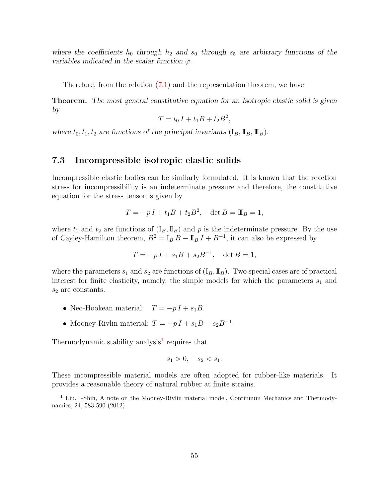where the coefficients  $h_0$  through  $h_2$  and  $s_0$  through  $s_5$  are arbitrary functions of the variables indicated in the scalar function  $\varphi$ .

Therefore, from the relation [\(7.1\)](#page-58-0) and the representation theorem, we have

Theorem. The most general constitutive equation for an Isotropic elastic solid is given by

$$
T = t_0 I + t_1 B + t_2 B^2,
$$

where  $t_0, t_1, t_2$  are functions of the principal invariants  $(I_B, \mathbb{I}_B, \mathbb{I}_B)$ .

#### 7.3 Incompressible isotropic elastic solids

Incompressible elastic bodies can be similarly formulated. It is known that the reaction stress for incompressibility is an indeterminate pressure and therefore, the constitutive equation for the stress tensor is given by

$$
T = -p I + t_1 B + t_2 B^2, \quad \det B = \mathbb{I} \mathbb{I}_B = 1,
$$

where  $t_1$  and  $t_2$  are functions of  $(I_B, \mathbb{I}_B)$  and p is the indeterminate pressure. By the use of Cayley-Hamilton theorem,  $B^2 = I_B B - I_B I + B^{-1}$ , it can also be expressed by

$$
T = -p I + s_1 B + s_2 B^{-1}, \quad \det B = 1,
$$

where the parameters  $s_1$  and  $s_2$  are functions of  $(I_B, \mathbb{I}_B)$ . Two special cases are of practical interest for finite elasticity, namely, the simple models for which the parameters  $s_1$  and  $s_2$  are constants.

- Neo-Hookean material:  $T = -p I + s_1 B$ .
- Mooney-Rivlin material:  $T = -pI + s_1B + s_2B^{-1}$ .

Thermodynamic stability analysis<sup>[1](#page-60-0)</sup> requires that

$$
s_1 > 0, \quad s_2 < s_1.
$$

These incompressible material models are often adopted for rubber-like materials. It provides a reasonable theory of natural rubber at finite strains.

<span id="page-60-0"></span><sup>&</sup>lt;sup>1</sup> Liu, I-Shih, A note on the Mooney-Rivlin material model, Continuum Mechanics and Thermodynamics, 24, 583-590 (2012)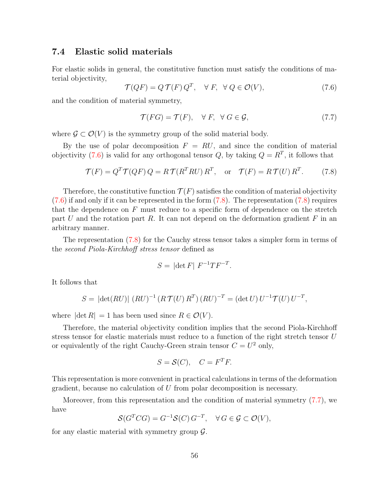# <span id="page-61-0"></span>7.4 Elastic solid materials

For elastic solids in general, the constitutive function must satisfy the conditions of material objectivity,

$$
\mathcal{T}(QF) = Q\,\mathcal{T}(F)\,Q^T, \quad \forall\ F, \quad \forall\ Q \in \mathcal{O}(V),\tag{7.6}
$$

and the condition of material symmetry,

$$
\mathcal{T}(FG) = \mathcal{T}(F), \quad \forall \ F, \ \forall \ G \in \mathcal{G}, \tag{7.7}
$$

where  $\mathcal{G} \subset \mathcal{O}(V)$  is the symmetry group of the solid material body.

By the use of polar decomposition  $F = RU$ , and since the condition of material objectivity [\(7.6\)](#page-61-0) is valid for any orthogonal tensor Q, by taking  $Q = R<sup>T</sup>$ , it follows that

$$
\mathcal{T}(F) = Q^T \mathcal{T}(QF) Q = R \mathcal{T}(R^T RU) R^T, \text{ or } \mathcal{T}(F) = R \mathcal{T}(U) R^T.
$$
 (7.8)

Therefore, the constitutive function  $\mathcal{T}(F)$  satisfies the condition of material objectivity  $(7.6)$  if and only if it can be represented in the form  $(7.8)$ . The representation  $(7.8)$  requires that the dependence on F must reduce to a specific form of dependence on the stretch part U and the rotation part R. It can not depend on the deformation gradient  $F$  in an arbitrary manner.

The representation [\(7.8\)](#page-61-0) for the Cauchy stress tensor takes a simpler form in terms of the second Piola-Kirchhoff stress tensor defined as

$$
S = |\det F| F^{-1} T F^{-T}.
$$

It follows that

$$
S = |\det(RU)| (RU)^{-1} (R\mathcal{T}(U) R^{T}) (RU)^{-T} = (\det U) U^{-1} \mathcal{T}(U) U^{-T},
$$

where  $|\det R| = 1$  has been used since  $R \in \mathcal{O}(V)$ .

Therefore, the material objectivity condition implies that the second Piola-Kirchhoff stress tensor for elastic materials must reduce to a function of the right stretch tensor U or equivalently of the right Cauchy-Green strain tensor  $C = U^2$  only,

$$
S = \mathcal{S}(C), \quad C = F^T F.
$$

This representation is more convenient in practical calculations in terms of the deformation gradient, because no calculation of U from polar decomposition is necessary.

Moreover, from this representation and the condition of material symmetry [\(7.7\)](#page-61-0), we have

$$
\mathcal{S}(G^T C G) = G^{-1} \mathcal{S}(C) G^{-T}, \quad \forall G \in \mathcal{G} \subset \mathcal{O}(V),
$$

for any elastic material with symmetry group  $\mathcal{G}$ .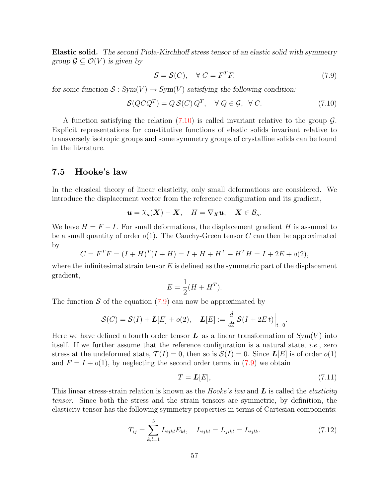Elastic solid. The second Piola-Kirchhoff stress tensor of an elastic solid with symmetry group  $\mathcal{G} \subseteq \mathcal{O}(V)$  is given by

$$
S = \mathcal{S}(C), \quad \forall \ C = F^T F,\tag{7.9}
$$

for some function  $S: Sym(V) \to Sym(V)$  satisfying the following condition:

$$
\mathcal{S}(Q C Q^T) = Q \mathcal{S}(C) Q^T, \quad \forall Q \in \mathcal{G}, \ \forall C.
$$
 (7.10)

A function satisfying the relation  $(7.10)$  is called invariant relative to the group  $\mathcal{G}$ . Explicit representations for constitutive functions of elastic solids invariant relative to transversely isotropic groups and some symmetry groups of crystalline solids can be found in the literature.

# <span id="page-62-0"></span>7.5 Hooke's law

In the classical theory of linear elasticity, only small deformations are considered. We introduce the displacement vector from the reference configuration and its gradient,

$$
\mathbf{u} = \lambda_{\kappa}(\mathbf{X}) - \mathbf{X}, \quad H = \nabla_{\mathbf{X}} \mathbf{u}, \quad \mathbf{X} \in \mathcal{B}_{\kappa}.
$$

We have  $H = F - I$ . For small deformations, the displacement gradient H is assumed to be a small quantity of order  $o(1)$ . The Cauchy-Green tensor C can then be approximated by

$$
C = FTF = (I + H)T(I + H) = I + H + HT + HTH = I + 2E + o(2),
$$

where the infinitesimal strain tensor  $E$  is defined as the symmetric part of the displacement gradient,

$$
E = \frac{1}{2}(H + H^T).
$$

The function S of the equation  $(7.9)$  can now be approximated by

$$
\mathcal{S}(C) = \mathcal{S}(I) + \mathbf{L}[E] + o(2), \quad \mathbf{L}[E] := \frac{d}{dt} \mathcal{S}(I + 2Et) \Big|_{t=0}.
$$

Here we have defined a fourth order tensor  $\bm{L}$  as a linear transformation of  $Sym(V)$  into itself. If we further assume that the reference configuration is a natural state, i.e., zero stress at the undeformed state,  $\mathcal{T}(I) = 0$ , then so is  $\mathcal{S}(I) = 0$ . Since  $\mathbf{L}[E]$  is of order  $o(1)$ and  $F = I + o(1)$ , by neglecting the second order terms in [\(7.9\)](#page-61-0) we obtain

$$
T = L[E],\tag{7.11}
$$

This linear stress-strain relation is known as the Hooke's law and  $\bm{L}$  is called the elasticity tensor. Since both the stress and the strain tensors are symmetric, by definition, the elasticity tensor has the following symmetry properties in terms of Cartesian components:

$$
T_{ij} = \sum_{k,l=1}^{3} L_{ijkl} E_{kl}, \quad L_{ijkl} = L_{jikl} = L_{ijlk}.
$$
 (7.12)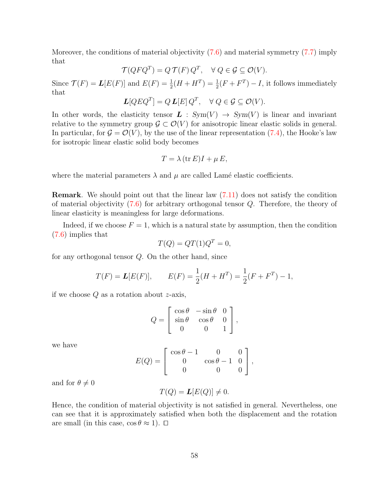Moreover, the conditions of material objectivity [\(7.6\)](#page-61-0) and material symmetry [\(7.7\)](#page-61-0) imply that

$$
\mathcal{T}(QFQ^T) = Q\,\mathcal{T}(F)\,Q^T, \quad \forall\ Q \in \mathcal{G} \subseteq \mathcal{O}(V).
$$

Since  $\mathcal{T}(F) = L[E(F)]$  and  $E(F) = \frac{1}{2}(H + H^T) = \frac{1}{2}(F + F^T) - I$ , it follows immediately that

$$
L[QEQT] = Q L[E] QT, \quad \forall Q \in \mathcal{G} \subseteq \mathcal{O}(V).
$$

In other words, the elasticity tensor  $\mathbf{L}$  :  $Sym(V) \rightarrow Sym(V)$  is linear and invariant relative to the symmetry group  $\mathcal{G} \subset \mathcal{O}(V)$  for anisotropic linear elastic solids in general. In particular, for  $\mathcal{G} = \mathcal{O}(V)$ , by the use of the linear representation [\(7.4\)](#page-58-1), the Hooke's law for isotropic linear elastic solid body becomes

$$
T = \lambda (\operatorname{tr} E)I + \mu E,
$$

where the material parameters  $\lambda$  and  $\mu$  are called Lamé elastic coefficients.

Remark. We should point out that the linear law [\(7.11\)](#page-62-0) does not satisfy the condition of material objectivity [\(7.6\)](#page-61-0) for arbitrary orthogonal tensor Q. Therefore, the theory of linear elasticity is meaningless for large deformations.

Indeed, if we choose  $F = 1$ , which is a natural state by assumption, then the condition [\(7.6\)](#page-61-0) implies that

$$
T(Q) = QT(1)Q^T = 0,
$$

for any orthogonal tensor Q. On the other hand, since

$$
T(F) = L[E(F)],
$$
  $E(F) = \frac{1}{2}(H + H^T) = \frac{1}{2}(F + F^T) - 1,$ 

if we choose  $Q$  as a rotation about  $z$ -axis,

$$
Q = \begin{bmatrix} \cos \theta & -\sin \theta & 0 \\ \sin \theta & \cos \theta & 0 \\ 0 & 0 & 1 \end{bmatrix},
$$

we have

$$
E(Q) = \begin{bmatrix} \cos \theta - 1 & 0 & 0 \\ 0 & \cos \theta - 1 & 0 \\ 0 & 0 & 0 \end{bmatrix},
$$

and for  $\theta \neq 0$ 

$$
T(Q) = L[E(Q)] \neq 0.
$$

Hence, the condition of material objectivity is not satisfied in general. Nevertheless, one can see that it is approximately satisfied when both the displacement and the rotation are small (in this case,  $\cos \theta \approx 1$ ).  $\Box$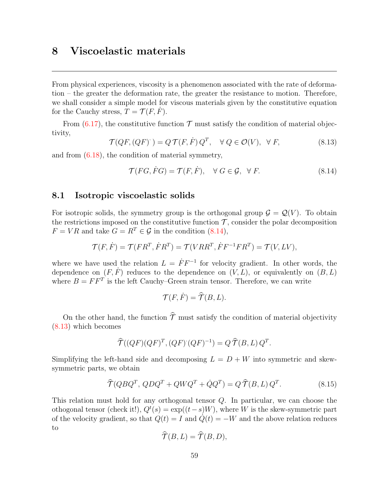# <span id="page-64-0"></span>8 Viscoelastic materials

From physical experiences, viscosity is a phenomenon associated with the rate of deformation – the greater the deformation rate, the greater the resistance to motion. Therefore, we shall consider a simple model for viscous materials given by the constitutive equation for the Cauchy stress,  $T = \mathcal{T}(F, F)$ .

From  $(6.17)$ , the constitutive function  $\mathcal T$  must satisfy the condition of material objectivity,

$$
\mathcal{T}(QF,(QF)) = Q\,\mathcal{T}(F,\dot{F})\,Q^T, \quad \forall\ Q \in \mathcal{O}(V), \ \forall\ F,
$$
\n
$$
(8.13)
$$

and from [\(6.18\)](#page-54-0), the condition of material symmetry,

$$
\mathcal{T}(FG, FG) = \mathcal{T}(F, \dot{F}), \quad \forall \ G \in \mathcal{G}, \ \forall \ F.
$$
\n
$$
(8.14)
$$

#### <span id="page-64-1"></span>8.1 Isotropic viscoelastic solids

For isotropic solids, the symmetry group is the orthogonal group  $\mathcal{G} = \mathcal{Q}(V)$ . To obtain the restrictions imposed on the constitutive function  $\mathcal T$ , consider the polar decomposition  $F = VR$  and take  $G = R^T \in \mathcal{G}$  in the condition [\(8.14\)](#page-64-0),

$$
\mathcal{T}(F,\dot{F}) = \mathcal{T}(F R^T, \dot{F} R^T) = \mathcal{T}(V R R^T, \dot{F} F^{-1} F R^T) = \mathcal{T}(V, LV),
$$

where we have used the relation  $L = \dot{F} F^{-1}$  for velocity gradient. In other words, the dependence on  $(F, \dot{F})$  reduces to the dependence on  $(V, L)$ , or equivalently on  $(B, L)$ where  $B = FF^T$  is the left Cauchy–Green strain tensor. Therefore, we can write

$$
\mathcal{T}(F,\dot{F})=\widehat{\mathcal{T}}(B,L).
$$

On the other hand, the function  $\hat{\mathcal{T}}$  must satisfy the condition of material objectivity [\(8.13\)](#page-64-0) which becomes

$$
\widehat{\mathcal{T}}((QF)(QF)^{T}, (QF)(QF)^{-1}) = Q \widehat{\mathcal{T}}(B, L) Q^{T}.
$$

Simplifying the left-hand side and decomposing  $L = D + W$  into symmetric and skewsymmetric parts, we obtain

$$
\widehat{\mathcal{T}}(QBQ^T, QDQ^T + QWQ^T + \dot{Q}Q^T) = Q\,\widehat{\mathcal{T}}(B, L)\,Q^T. \tag{8.15}
$$

This relation must hold for any orthogonal tensor Q. In particular, we can choose the othogonal tensor (check it!),  $Q^t(s) = \exp((t-s)W)$ , where W is the skew-symmetric part of the velocity gradient, so that  $Q(t) = I$  and  $Q(t) = -W$  and the above relation reduces to

$$
\widehat{\mathcal{T}}(B,L)=\widehat{\mathcal{T}}(B,D),
$$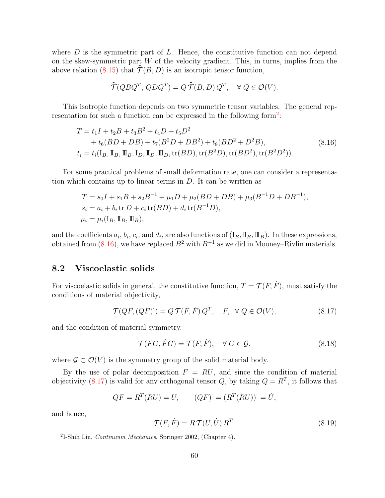where  $D$  is the symmetric part of  $L$ . Hence, the constitutive function can not depend on the skew-symmetric part  $W$  of the velocity gradient. This, in turns, implies from the above relation [\(8.15\)](#page-64-1) that  $\hat{\mathcal{T}}(B, D)$  is an isotropic tensor function,

$$
\widehat{\mathcal{T}}(QBQ^T, QDQ^T) = Q \widehat{\mathcal{T}}(B, D) Q^T, \quad \forall Q \in \mathcal{O}(V).
$$

This isotropic function depends on two symmetric tensor variables. The general rep-resentation for such a function can be expressed in the following form<sup>[2](#page-65-0)</sup>:

$$
T = t_1 I + t_2 B + t_3 B^2 + t_4 D + t_5 D^2
$$
  
+  $t_6 (BD + DB) + t_7 (B^2 D + DB^2) + t_8 (BD^2 + D^2 B)$ , (8.16)  
 $t_i = t_i (I_B, \mathbb{I}_B, \mathbb{I}_B, \mathbb{I}_D, \mathbb{I}_D, \mathbb{I}_D, \text{tr}(BD), \text{tr}(B^2 D), \text{tr}(BD^2), \text{tr}(B^2 D^2)).$ 

For some practical problems of small deformation rate, one can consider a representation which contains up to linear terms in D. It can be written as

$$
T = s_0 I + s_1 B + s_2 B^{-1} + \mu_1 D + \mu_2 (BD + DB) + \mu_3 (B^{-1}D + DB^{-1}),
$$
  
\n
$$
s_i = a_i + b_i \text{ tr } D + c_i \text{ tr}(BD) + d_i \text{ tr}(B^{-1}D),
$$
  
\n
$$
\mu_i = \mu_i (I_B, \mathbb{I}_B, \mathbb{II}_B),
$$

and the coefficients  $a_i, b_i, c_i$ , and  $d_i$ , are also functions of  $(I_B, \mathbb{I}_B, \mathbb{I}_B)$ . In these expressions, obtained from [\(8.16\)](#page-64-1), we have replaced  $B^2$  with  $B^{-1}$  as we did in Mooney–Rivlin materials.

### <span id="page-65-1"></span>8.2 Viscoelastic solids

For viscoelastic solids in general, the constitutive function,  $T = \mathcal{T}(F, \dot{F})$ , must satisfy the conditions of material objectivity,

$$
\mathcal{T}(QF,(QF)) = Q\,\mathcal{T}(F,\dot{F})\,Q^T,\quad F,\ \forall\ Q\in\mathcal{O}(V),\tag{8.17}
$$

and the condition of material symmetry,

$$
\mathcal{T}(FG, FG) = \mathcal{T}(F, \dot{F}), \quad \forall \ G \in \mathcal{G}, \tag{8.18}
$$

where  $\mathcal{G} \subset \mathcal{O}(V)$  is the symmetry group of the solid material body.

By the use of polar decomposition  $F = RU$ , and since the condition of material objectivity [\(8.17\)](#page-65-1) is valid for any orthogonal tensor Q, by taking  $Q = R<sup>T</sup>$ , it follows that

$$
QF = RT(RU) = U, \qquad (QF) = (RT(RU)) = U,
$$

and hence,

$$
\mathcal{T}(F,\dot{F}) = R \mathcal{T}(U,\dot{U}) R^T.
$$
\n(8.19)

<span id="page-65-0"></span>2 I-Shih Liu, Continuum Mechanics, Springer 2002, (Chapter 4).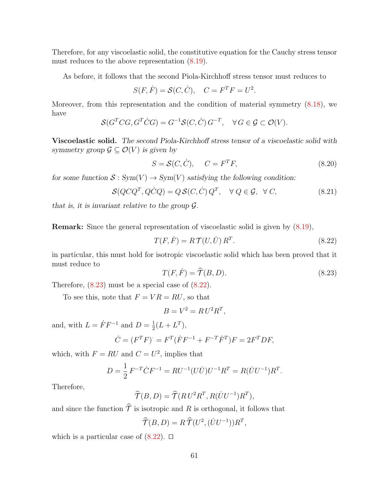Therefore, for any viscoelastic solid, the constitutive equation for the Cauchy stress tensor must reduces to the above representation  $(8.19)$ .

As before, it follows that the second Piola-Kirchhoff stress tensor must reduces to

$$
S(F, \dot{F}) = \mathcal{S}(C, \dot{C}), \quad C = F^T F = U^2.
$$

Moreover, from this representation and the condition of material symmetry [\(8.18\)](#page-65-1), we have

$$
\mathcal{S}(G^T C G, G^T C G) = G^{-1} \mathcal{S}(C, \dot{C}) G^{-T}, \quad \forall G \in \mathcal{G} \subset \mathcal{O}(V).
$$

Viscoelastic solid. The second Piola-Kirchhoff stress tensor of a viscoelastic solid with symmetry group  $\mathcal{G} \subseteq \mathcal{O}(V)$  is given by

$$
S = \mathcal{S}(C, \dot{C}), \qquad C = F^T F,\tag{8.20}
$$

for some function  $S: Sym(V) \to Sym(V)$  satisfying the following condition:

$$
\mathcal{S}(Q C Q^T, Q \dot{C} Q) = Q \mathcal{S}(C, \dot{C}) Q^T, \quad \forall Q \in \mathcal{G}, \quad \forall C,
$$
\n(8.21)

that is, it is invariant relative to the group  $\mathcal{G}$ .

Remark: Since the general representation of viscoelastic solid is given by [\(8.19\)](#page-65-1),

$$
T(F, \dot{F}) = R \mathcal{T}(U, \dot{U}) R^T.
$$
\n(8.22)

in particular, this must hold for isotropic viscoelastic solid which has been proved that it must reduce to

$$
T(F, \dot{F}) = \hat{\mathcal{T}}(B, D). \tag{8.23}
$$

Therefore,  $(8.23)$  must be a special case of  $(8.22)$ .

To see this, note that  $F = VR = RU$ , so that

$$
B = V^2 = R U^2 R^T,
$$

and, with  $L = \dot{F} F^{-1}$  and  $D = \frac{1}{2}$  $\frac{1}{2}(L + L^{T}),$ 

$$
\dot{C} = (F^T F) = F^T (\dot{F} F^{-1} + F^{-T} \dot{F}^T) F = 2F^T DF,
$$

which, with  $F = RU$  and  $C = U^2$ , implies that

$$
D = \frac{1}{2} F^{-T} \dot{C} F^{-1} = R U^{-1} (U \dot{U}) U^{-1} R^T = R (\dot{U} U^{-1}) R^T.
$$

Therefore,

$$
\widehat{\mathcal{T}}(B,D) = \widehat{\mathcal{T}}(RU^2R^T, R(\dot{U}U^{-1})R^T),
$$

and since the function  $\hat{\mathcal{T}}$  is isotropic and R is orthogonal, it follows that

$$
\widehat{\mathcal{T}}(B,D) = R \,\widehat{\mathcal{T}}(U^2, (\dot{U}U^{-1}))R^T,
$$

which is a particular case of  $(8.22)$ .  $\Box$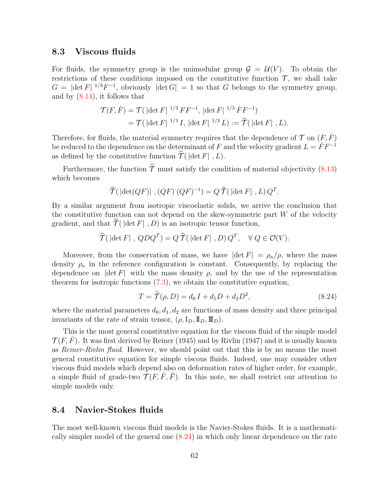### <span id="page-67-0"></span>8.3 Viscous fluids

For fluids, the symmetry group is the unimodular group  $\mathcal{G} = \mathcal{U}(V)$ . To obtain the restrictions of these conditions imposed on the constitutive function  $\mathcal{T}$ , we shall take  $G = |\det F|^{1/3} F^{-1}$ , obviously  $|\det G| = 1$  so that G belongs to the symmetry group, and by  $(8.14)$ , it follows that

$$
\mathcal{T}(F,\dot{F}) = \mathcal{T}(|\det F|^{1/3} FF^{-1}, |\det F|^{1/3} \dot{F}F^{-1})
$$
  
=  $\mathcal{T}(|\det F|^{1/3} I, |\det F|^{1/3} L) := \hat{\mathcal{T}}(|\det F|, L).$ 

Therefore, for fluids, the material symmetry requires that the dependence of  $\mathcal T$  on  $(F, \dot F)$ be reduced to the dependence on the determinant of F and the velocity gradient  $L = \dot{F} F^{-1}$ as defined by the constitutive function  $\hat{\mathcal{T}}(|\det F|, L)$ .

Furthermore, the function  $\hat{\tau}$  must satisfy the condition of material objectivity [\(8.13\)](#page-64-0) which becomes

$$
\widehat{\mathcal{T}}(\left|\det(QF)\right|, (QF) (QF)^{-1}) = Q \widehat{\mathcal{T}}(\left|\det F\right|, L) Q^{T}.
$$

By a similar argument from isotropic viscoelastic solids, we arrive the conclusion that the constitutive function can not depend on the skew-symmetric part  $W$  of the velocity gradient, and that  $\hat{\mathcal{T}}(\det F |, D)$  is an isotropic tensor function,

$$
\widehat{\mathcal{T}}(\left|\det F\right|, QDQ^T) = Q \widehat{\mathcal{T}}(\left|\det F\right|, D) Q^T, \quad \forall Q \in \mathcal{O}(V).
$$

Moreover, from the conservation of mass, we have  $|\det F| = \rho_{\kappa}/\rho$ , where the mass density  $\rho_{\kappa}$  in the reference configuration is constant. Consequently, by replacing the dependence on  $|\det F|$  with the mass density  $\rho$ , and by the use of the representation theorem for isotropic functions [\(7.3\)](#page-58-1), we obtain the constitutive equation,

$$
T = \widetilde{\mathcal{T}}(\rho, D) = d_0 I + d_1 D + d_2 D^2,
$$
\n(8.24)

where the material parameters  $d_0, d_1, d_2$  are functions of mass density and three principal invariants of the rate of strain tensor,  $(\rho, I_D, \mathbb{I}_D, \mathbb{I}_D)$ .

This is the most general constitutive equation for the viscous fluid of the simple model  $\mathcal{T}(F, F)$ . It was first derived by Reiner (1945) and by Rivlin (1947) and it is usually known as Reiner-Rivlin fluid. However, we should point out that this is by no means the most general constitutive equation for simple viscous fluids. Indeed, one may consider other viscous fluid models which depend also on deformation rates of higher order, for example, a simple fluid of grade-two  $\mathcal{T}(F, \dot{F}, \ddot{F})$ . In this note, we shall restrict our attention to simple models only.

# <span id="page-67-1"></span>8.4 Navier-Stokes fluids

The most well-known viscous fluid models is the Navier-Stokes fluids. It is a mathematically simpler model of the general one [\(8.24\)](#page-67-0) in which only linear dependence on the rate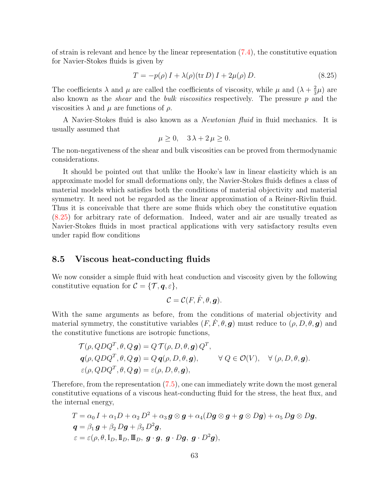of strain is relevant and hence by the linear representation [\(7.4\)](#page-58-1), the constitutive equation for Navier-Stokes fluids is given by

$$
T = -p(\rho) I + \lambda(\rho)(\text{tr } D) I + 2\mu(\rho) D. \tag{8.25}
$$

The coefficients  $\lambda$  and  $\mu$  are called the coefficients of viscosity, while  $\mu$  and  $(\lambda + \frac{2}{3})$  $\frac{2}{3}\mu$ ) are also known as the *shear* and the *bulk viscosities* respectively. The pressure  $p$  and the viscosities  $\lambda$  and  $\mu$  are functions of  $\rho$ .

A Navier-Stokes fluid is also known as a Newtonian fluid in fluid mechanics. It is usually assumed that

$$
\mu \ge 0, \quad 3\lambda + 2\,\mu \ge 0.
$$

The non-negativeness of the shear and bulk viscosities can be proved from thermodynamic considerations.

It should be pointed out that unlike the Hooke's law in linear elasticity which is an approximate model for small deformations only, the Navier-Stokes fluids defines a class of material models which satisfies both the conditions of material objectivity and material symmetry. It need not be regarded as the linear approximation of a Reiner-Rivlin fluid. Thus it is conceivable that there are some fluids which obey the constitutive equation [\(8.25\)](#page-67-1) for arbitrary rate of deformation. Indeed, water and air are usually treated as Navier-Stokes fluids in most practical applications with very satisfactory results even under rapid flow conditions

# 8.5 Viscous heat-conducting fluids

We now consider a simple fluid with heat conduction and viscosity given by the following constitutive equation for  $\mathcal{C} = \{ \mathcal{T}, \mathbf{q}, \varepsilon \},\$ 

$$
\mathcal{C}=\mathcal{C}(F,\dot{F},\theta,\boldsymbol{g}).
$$

With the same arguments as before, from the conditions of material objectivity and material symmetry, the constitutive variables  $(F, \dot{F}, \theta, \mathbf{g})$  must reduce to  $(\rho, D, \theta, \mathbf{g})$  and the constitutive functions are isotropic functions,

$$
\mathcal{T}(\rho, QDQ^T, \theta, Q \mathbf{g}) = Q \mathcal{T}(\rho, D, \theta, \mathbf{g}) Q^T,
$$
  
\n
$$
\mathbf{q}(\rho, QDQ^T, \theta, Q \mathbf{g}) = Q \mathbf{q}(\rho, D, \theta, \mathbf{g}), \qquad \forall Q \in \mathcal{O}(V), \quad \forall (\rho, D, \theta, \mathbf{g}).
$$
  
\n
$$
\varepsilon(\rho, QDQ^T, \theta, Q \mathbf{g}) = \varepsilon(\rho, D, \theta, \mathbf{g}),
$$

Therefore, from the representation [\(7.5\)](#page-58-1), one can immediately write down the most general constitutive equations of a viscous heat-conducting fluid for the stress, the heat flux, and the internal energy,

$$
T = \alpha_0 I + \alpha_1 D + \alpha_2 D^2 + \alpha_3 g \otimes g + \alpha_4 (Dg \otimes g + g \otimes Dg) + \alpha_5 Dg \otimes Dg,
$$
  
\n
$$
q = \beta_1 g + \beta_2 Dg + \beta_3 D^2g,
$$
  
\n
$$
\varepsilon = \varepsilon(\rho, \theta, I_D, \mathbb{I}_D, \mathbb{I}_D, g \cdot g, g \cdot Dg, g \cdot D^2g),
$$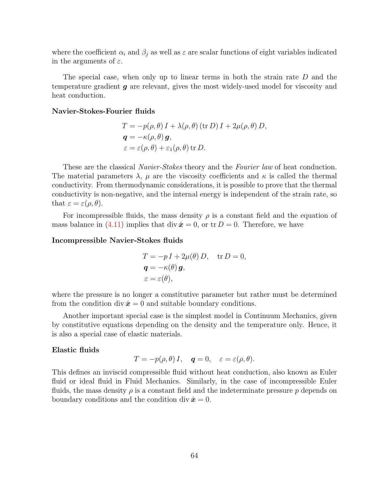where the coefficient  $\alpha_i$  and  $\beta_j$  as well as  $\varepsilon$  are scalar functions of eight variables indicated in the arguments of  $\varepsilon$ .

The special case, when only up to linear terms in both the strain rate D and the temperature gradient g are relevant, gives the most widely-used model for viscosity and heat conduction.

#### Navier-Stokes-Fourier fluids

$$
T = -p(\rho, \theta) I + \lambda(\rho, \theta) \text{ (tr } D) I + 2\mu(\rho, \theta) D,
$$
  

$$
\mathbf{q} = -\kappa(\rho, \theta) \mathbf{g},
$$
  

$$
\varepsilon = \varepsilon(\rho, \theta) + \varepsilon_1(\rho, \theta) \text{ tr } D.
$$

These are the classical *Navier-Stokes* theory and the *Fourier law* of heat conduction. The material parameters  $\lambda$ ,  $\mu$  are the viscosity coefficients and  $\kappa$  is called the thermal conductivity. From thermodynamic considerations, it is possible to prove that the thermal conductivity is non-negative, and the internal energy is independent of the strain rate, so that  $\varepsilon = \varepsilon(\rho, \theta)$ .

For incompressible fluids, the mass density  $\rho$  is a constant field and the equation of mass balance in [\(4.11\)](#page-41-0) implies that div  $\dot{x} = 0$ , or tr  $D = 0$ . Therefore, we have

#### Incompressible Navier-Stokes fluids

$$
T = -p I + 2\mu(\theta) D, \text{ tr } D = 0,
$$
  

$$
\mathbf{q} = -\kappa(\theta) \mathbf{g},
$$
  

$$
\varepsilon = \varepsilon(\theta),
$$

where the pressure is no longer a constitutive parameter but rather must be determined from the condition div  $\dot{x} = 0$  and suitable boundary conditions.

Another important special case is the simplest model in Continuum Mechanics, given by constitutive equations depending on the density and the temperature only. Hence, it is also a special case of elastic materials.

#### Elastic fluids

$$
T = -p(\rho, \theta) I, \quad \mathbf{q} = 0, \quad \varepsilon = \varepsilon(\rho, \theta).
$$

This defines an inviscid compressible fluid without heat conduction, also known as Euler fluid or ideal fluid in Fluid Mechanics. Similarly, in the case of incompressible Euler fluids, the mass density  $\rho$  is a constant field and the indeterminate pressure  $p$  depends on boundary conditions and the condition div  $\dot{x} = 0$ .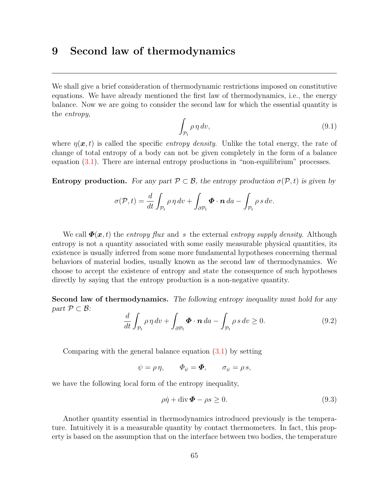# <span id="page-70-0"></span>9 Second law of thermodynamics

We shall give a brief consideration of thermodynamic restrictions imposed on constitutive equations. We have already mentioned the first law of thermodynamics, i.e., the energy balance. Now we are going to consider the second law for which the essential quantity is the *entropy*,

$$
\int_{\mathcal{P}_t} \rho \, \eta \, dv,\tag{9.1}
$$

where  $\eta(x, t)$  is called the specific *entropy density*. Unlike the total energy, the rate of change of total entropy of a body can not be given completely in the form of a balance equation [\(3.1\)](#page-26-0). There are internal entropy productions in "non-equilibrium" processes.

**Entropy production.** For any part  $\mathcal{P} \subset \mathcal{B}$ , the entropy production  $\sigma(\mathcal{P}, t)$  is given by

$$
\sigma(\mathcal{P},t) = \frac{d}{dt} \int_{\mathcal{P}_t} \rho \, \eta \, dv + \int_{\partial \mathcal{P}_t} \boldsymbol{\Phi} \cdot \boldsymbol{n} \, da - \int_{\mathcal{P}_t} \rho \, s \, dv.
$$

We call  $\Phi(x, t)$  the entropy flux and s the external entropy supply density. Although entropy is not a quantity associated with some easily measurable physical quantities, its existence is usually inferred from some more fundamental hypotheses concerning thermal behaviors of material bodies, usually known as the second law of thermodynamics. We choose to accept the existence of entropy and state the consequence of such hypotheses directly by saying that the entropy production is a non-negative quantity.

Second law of thermodynamics. The following entropy inequality must hold for any part  $\mathcal{P} \subset \mathcal{B}$ :

$$
\frac{d}{dt} \int_{\mathcal{P}_t} \rho \, \eta \, dv + \int_{\partial \mathcal{P}_t} \boldsymbol{\Phi} \cdot \boldsymbol{n} \, da - \int_{\mathcal{P}_t} \rho \, s \, dv \ge 0. \tag{9.2}
$$

Comparing with the general balance equation  $(3.1)$  by setting

 $\psi = \rho \eta, \qquad \Phi_{\psi} = \mathbf{\Phi}, \qquad \sigma_{\psi} = \rho s,$ 

we have the following local form of the entropy inequality,

$$
\rho \dot{\eta} + \text{div} \,\mathbf{\Phi} - \rho s \ge 0. \tag{9.3}
$$

Another quantity essential in thermodynamics introduced previously is the temperature. Intuitively it is a measurable quantity by contact thermometers. In fact, this property is based on the assumption that on the interface between two bodies, the temperature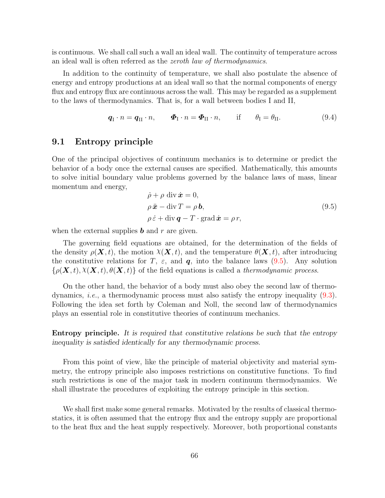is continuous. We shall call such a wall an ideal wall. The continuity of temperature across an ideal wall is often referred as the zeroth law of thermodynamics.

In addition to the continuity of temperature, we shall also postulate the absence of energy and entropy productions at an ideal wall so that the normal components of energy flux and entropy flux are continuous across the wall. This may be regarded as a supplement to the laws of thermodynamics. That is, for a wall between bodies I and II,

$$
\boldsymbol{q}_{\mathrm{I}} \cdot n = \boldsymbol{q}_{\mathrm{II}} \cdot n, \qquad \boldsymbol{\Phi}_{\mathrm{I}} \cdot n = \boldsymbol{\Phi}_{\mathrm{II}} \cdot n, \qquad \text{if} \qquad \theta_{\mathrm{I}} = \theta_{\mathrm{II}}. \tag{9.4}
$$

# <span id="page-71-0"></span>9.1 Entropy principle

One of the principal objectives of continuum mechanics is to determine or predict the behavior of a body once the external causes are specified. Mathematically, this amounts to solve initial boundary value problems governed by the balance laws of mass, linear momentum and energy,

$$
\dot{\rho} + \rho \operatorname{div} \dot{\mathbf{x}} = 0,\n\rho \ddot{\mathbf{x}} - \operatorname{div} T = \rho \mathbf{b},\n\rho \dot{\varepsilon} + \operatorname{div} \mathbf{q} - T \cdot \operatorname{grad} \dot{\mathbf{x}} = \rho r,
$$
\n(9.5)

when the external supplies  $\boldsymbol{b}$  and  $\boldsymbol{r}$  are given.

The governing field equations are obtained, for the determination of the fields of the density  $\rho(\mathbf{X}, t)$ , the motion  $\chi(\mathbf{X}, t)$ , and the temperature  $\theta(\mathbf{X}, t)$ , after introducing the constitutive relations for T,  $\varepsilon$ , and  $q$ , into the balance laws [\(9.5\)](#page-71-0). Any solution  $\{\rho(\mathbf{X},t), \chi(\mathbf{X},t), \theta(\mathbf{X},t)\}\$  of the field equations is called a thermodynamic process.

On the other hand, the behavior of a body must also obey the second law of thermodynamics, i.e., a thermodynamic process must also satisfy the entropy inequality [\(9.3\)](#page-70-0). Following the idea set forth by Coleman and Noll, the second law of thermodynamics plays an essential role in constitutive theories of continuum mechanics.

Entropy principle. It is required that constitutive relations be such that the entropy inequality is satisfied identically for any thermodynamic process.

From this point of view, like the principle of material objectivity and material symmetry, the entropy principle also imposes restrictions on constitutive functions. To find such restrictions is one of the major task in modern continuum thermodynamics. We shall illustrate the procedures of exploiting the entropy principle in this section.

We shall first make some general remarks. Motivated by the results of classical thermostatics, it is often assumed that the entropy flux and the entropy supply are proportional to the heat flux and the heat supply respectively. Moreover, both proportional constants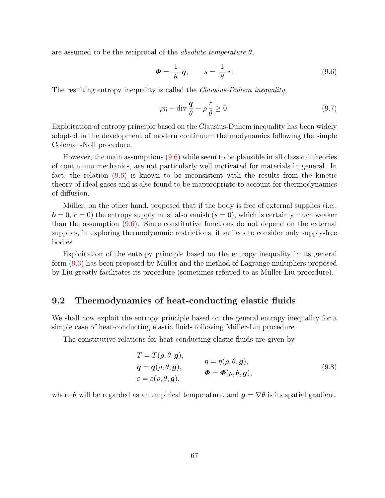are assumed to be the reciprocal of the *absolute temperature*  $\theta$ ,

$$
\Phi = \frac{1}{\theta} \, \mathbf{q}, \qquad s = \frac{1}{\theta} \, r. \tag{9.6}
$$

The resulting entropy inequality is called the Clausius-Duhem inequality,

$$
\rho \dot{\eta} + \text{div} \frac{\mathbf{q}}{\theta} - \rho \frac{r}{\theta} \ge 0. \tag{9.7}
$$

Exploitation of entropy principle based on the Clausius-Duhem inequality has been widely adopted in the development of modern continuum thermodynamics following the simple Coleman-Noll procedure.

However, the main assumptions  $(9.6)$  while seem to be plausible in all classical theories of continuum mechanics, are not particularly well motivated for materials in general. In fact, the relation [\(9.6\)](#page-71-0) is known to be inconsistent with the results from the kinetic theory of ideal gases and is also found to be inappropriate to account for thermodynamics of diffusion.

Müller, on the other hand, proposed that if the body is free of external supplies (i.e.,  $\mathbf{b} = 0, r = 0$ ) the entropy supply must also vanish  $(s = 0)$ , which is certainly much weaker than the assumption [\(9.6\)](#page-71-0). Since constitutive functions do not depend on the external supplies, in exploring thermodynamic restrictions, it suffices to consider only supply-free bodies.

Exploitation of the entropy principle based on the entropy inequality in its general form  $(9.3)$  has been proposed by Müller and the method of Lagrange multipliers proposed by Liu greatly facilitates its procedure (sometimes referred to as Müller-Liu procedure).

### <span id="page-72-0"></span>9.2 Thermodynamics of heat-conducting elastic fluids

We shall now exploit the entropy principle based on the general entropy inequality for a simple case of heat-conducting elastic fluids following Müller-Liu procedure.

The constitutive relations for heat-conducting elastic fluids are given by

$$
T = T(\rho, \theta, \mathbf{g}),
$$
  
\n
$$
\mathbf{q} = \mathbf{q}(\rho, \theta, \mathbf{g}),
$$
  
\n
$$
\varepsilon = \varepsilon(\rho, \theta, \mathbf{g}),
$$
  
\n
$$
\mathbf{\Phi} = \mathbf{\Phi}(\rho, \theta, \mathbf{g}),
$$
  
\n
$$
\mathbf{\Phi} = \mathbf{\Phi}(\rho, \theta, \mathbf{g}),
$$
  
\n(9.8)

where  $\theta$  will be regarded as an empirical temperature, and  $\mathbf{q} = \nabla \theta$  is its spatial gradient.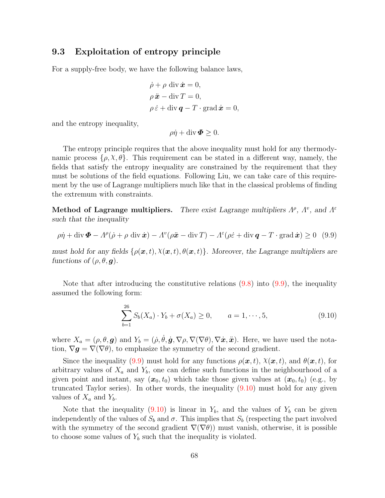## <span id="page-73-0"></span>9.3 Exploitation of entropy principle

For a supply-free body, we have the following balance laws,

$$
\dot{\rho} + \rho \operatorname{div} \dot{\mathbf{x}} = 0,
$$
  
\n
$$
\rho \ddot{\mathbf{x}} - \operatorname{div} T = 0,
$$
  
\n
$$
\rho \dot{\varepsilon} + \operatorname{div} \mathbf{q} - T \cdot \operatorname{grad} \dot{\mathbf{x}} = 0,
$$

and the entropy inequality,

 $\rho \dot{\eta} + \text{div} \, \boldsymbol{\Phi} \geq 0.$ 

The entropy principle requires that the above inequality must hold for any thermodynamic process  $\{\rho, \chi, \theta\}$ . This requirement can be stated in a different way, namely, the fields that satisfy the entropy inequality are constrained by the requirement that they must be solutions of the field equations. Following Liu, we can take care of this requirement by the use of Lagrange multipliers much like that in the classical problems of finding the extremum with constraints.

Method of Lagrange multipliers. There exist Lagrange multipliers  $\Lambda^{\rho}$ ,  $\Lambda^{\nu}$ , and  $\Lambda^{\varepsilon}$ such that the inequality

$$
\rho \dot{\eta} + \text{div } \Phi - A^{\rho} (\dot{\rho} + \rho \text{ div } \dot{x}) - A^{\nu} (\rho \ddot{x} - \text{div } T) - A^{\varepsilon} (\rho \dot{\varepsilon} + \text{div } \mathbf{q} - T \cdot \text{grad } \dot{x}) \ge 0 \quad (9.9)
$$

must hold for any fields  $\{\rho(\bm{x},t), \lambda(\bm{x},t), \theta(\bm{x},t)\}\$ . Moreover, the Lagrange multipliers are functions of  $(\rho, \theta, \mathbf{g})$ .

Note that after introducing the constitutive relations  $(9.8)$  into  $(9.9)$ , the inequality assumed the following form:

$$
\sum_{b=1}^{26} S_b(X_a) \cdot Y_b + \sigma(X_a) \ge 0, \qquad a = 1, \cdots, 5,
$$
\n(9.10)

where  $X_a = (\rho, \theta, \mathbf{g})$  and  $Y_b = (\dot{\rho}, \dot{\theta}, \dot{\mathbf{g}}, \nabla \rho, \nabla(\nabla \theta), \nabla \dot{\mathbf{x}}, \ddot{\mathbf{x}})$ . Here, we have used the notation,  $\nabla g = \nabla(\nabla \theta)$ , to emphasize the symmetry of the second gradient.

Since the inequality [\(9.9\)](#page-73-0) must hold for any functions  $\rho(\mathbf{x}, t)$ ,  $\chi(\mathbf{x}, t)$ , and  $\theta(\mathbf{x}, t)$ , for arbitrary values of  $X_a$  and  $Y_b$ , one can define such functions in the neighbourhood of a given point and instant, say  $(x_0, t_0)$  which take those given values at  $(x_0, t_0)$  (e.g., by truncated Taylor series). In other words, the inequality [\(9.10\)](#page-73-0) must hold for any given values of  $X_a$  and  $Y_b$ .

Note that the inequality [\(9.10\)](#page-73-0) is linear in  $Y_b$ , and the values of  $Y_b$  can be given independently of the values of  $S_b$  and  $\sigma$ . This implies that  $S_b$  (respecting the part involved with the symmetry of the second gradient  $\nabla(\nabla\theta)$  must vanish, otherwise, it is possible to choose some values of  $Y_b$  such that the inequality is violated.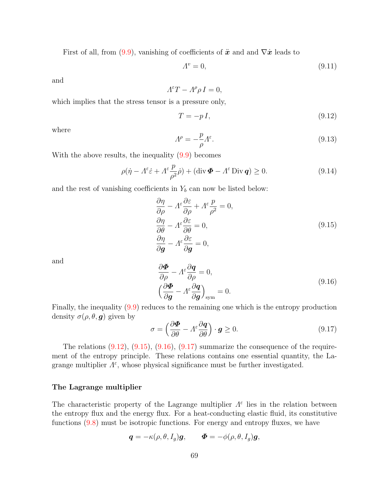First of all, from [\(9.9\)](#page-73-0), vanishing of coefficients of  $\ddot{x}$  and and  $\nabla \dot{x}$  leads to

$$
A^v = 0,\t\t(9.11)
$$

and

$$
A^{\varepsilon}T - A^{\rho}\rho I = 0,
$$

which implies that the stress tensor is a pressure only,

$$
T = -pI,\t\t(9.12)
$$

where

$$
\Lambda^{\rho} = -\frac{p}{\rho} \Lambda^{\varepsilon}.
$$
\n(9.13)

With the above results, the inequality  $(9.9)$  becomes

$$
\rho(\dot{\eta} - A^{\varepsilon} \dot{\varepsilon} + A^{\varepsilon} \frac{p}{\rho^2} \dot{\rho}) + (\text{div } \Phi - A^{\varepsilon} \text{Div } \mathbf{q}) \ge 0. \tag{9.14}
$$

and the rest of vanishing coefficients in  $Y_b$  can now be listed below:

$$
\frac{\partial \eta}{\partial \rho} - A^{\varepsilon} \frac{\partial \varepsilon}{\partial \rho} + A^{\varepsilon} \frac{p}{\rho^2} = 0,
$$
  
\n
$$
\frac{\partial \eta}{\partial \theta} - A^{\varepsilon} \frac{\partial \varepsilon}{\partial \theta} = 0,
$$
  
\n
$$
\frac{\partial \eta}{\partial \mathbf{g}} - A^{\varepsilon} \frac{\partial \varepsilon}{\partial \mathbf{g}} = 0,
$$
\n(9.15)

and

$$
\frac{\partial \Phi}{\partial \rho} - A^{\varepsilon} \frac{\partial q}{\partial \rho} = 0,
$$
\n
$$
\left(\frac{\partial \Phi}{\partial g} - A^{\varepsilon} \frac{\partial q}{\partial g}\right)_{\text{sym}} = 0.
$$
\n(9.16)

Finally, the inequality [\(9.9\)](#page-73-0) reduces to the remaining one which is the entropy production density  $\sigma(\rho, \theta, g)$  given by

$$
\sigma = \left(\frac{\partial \Phi}{\partial \theta} - A^{\varepsilon} \frac{\partial q}{\partial \theta}\right) \cdot \boldsymbol{g} \ge 0. \tag{9.17}
$$

The relations  $(9.12)$ ,  $(9.15)$ ,  $(9.16)$ ,  $(9.17)$  summarize the consequence of the requirement of the entropy principle. These relations contains one essential quantity, the Lagrange multiplier  $\Lambda^{\varepsilon}$ , whose physical significance must be further investigated.

#### <span id="page-74-0"></span>The Lagrange multiplier

The characteristic property of the Lagrange multiplier  $\Lambda^{\varepsilon}$  lies in the relation between the entropy flux and the energy flux. For a heat-conducting elastic fluid, its constitutive functions [\(9.8\)](#page-72-0) must be isotropic functions. For energy and entropy fluxes, we have

$$
\bm{q}=-\kappa(\rho,\theta,I_g)\bm{g},\qquad \bm{\varPhi}=-\phi(\rho,\theta,I_g)\bm{g},
$$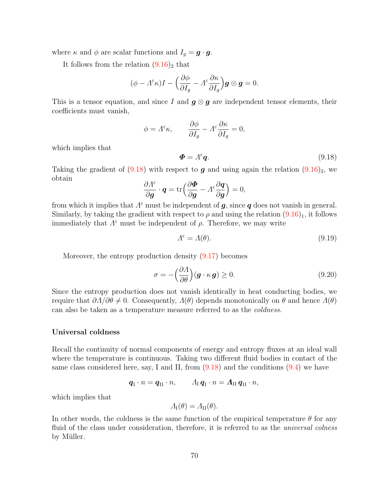where  $\kappa$  and  $\phi$  are scalar functions and  $I_g = \mathbf{g} \cdot \mathbf{g}$ .

It follows from the relation  $(9.16)_2$  that

$$
(\phi - \Lambda^{\varepsilon} \kappa)I - \left(\frac{\partial \phi}{\partial I_g} - \Lambda^{\varepsilon} \frac{\partial \kappa}{\partial I_g}\right) \mathbf{g} \otimes \mathbf{g} = 0.
$$

This is a tensor equation, and since I and  $g \otimes g$  are independent tensor elements, their coefficients must vanish,

$$
\phi = \Lambda^{\varepsilon} \kappa, \qquad \frac{\partial \phi}{\partial I_g} - \Lambda^{\varepsilon} \frac{\partial \kappa}{\partial I_g} = 0,
$$
  

$$
\Phi = \Lambda^{\varepsilon} q.
$$
 (9.18)

which implies that

Taking the gradient of [\(9.18\)](#page-74-0) with respect to **g** and using again the relation  $(9.16)_2$ , we obtain

$$
\frac{\partial \Lambda^{\varepsilon}}{\partial \boldsymbol{g}} \cdot \boldsymbol{q} = \text{tr}\Big(\frac{\partial \boldsymbol{\Phi}}{\partial \boldsymbol{g}} - \Lambda^{\varepsilon} \frac{\partial \boldsymbol{q}}{\partial \boldsymbol{g}}\Big) = 0,
$$

from which it implies that  $\Lambda^{\varepsilon}$  must be independent of  $g$ , since  $q$  does not vanish in general. Similarly, by taking the gradient with respect to  $\rho$  and using the relation  $(9.16)_1$ , it follows immediately that  $\Lambda^{\varepsilon}$  must be independent of  $\rho$ . Therefore, we may write

$$
\Lambda^{\varepsilon} = \Lambda(\theta). \tag{9.19}
$$

Moreover, the entropy production density [\(9.17\)](#page-73-0) becomes

$$
\sigma = -\left(\frac{\partial \Lambda}{\partial \theta}\right)(\boldsymbol{g} \cdot \kappa \, \boldsymbol{g}) \ge 0. \tag{9.20}
$$

Since the entropy production does not vanish identically in heat conducting bodies, we require that  $\partial \Lambda / \partial \theta \neq 0$ . Consequently,  $\Lambda(\theta)$  depends monotonically on  $\theta$  and hence  $\Lambda(\theta)$ can also be taken as a temperature measure referred to as the coldness.

#### Universal coldness

Recall the continuity of normal components of energy and entropy fluxes at an ideal wall where the temperature is continuous. Taking two different fluid bodies in contact of the same class considered here, say, I and II, from  $(9.18)$  and the conditions  $(9.4)$  we have

$$
\boldsymbol{q}_{\mathrm{I}}\cdot n = \boldsymbol{q}_{\mathrm{II}}\cdot n, \qquad \varLambda_{\mathrm{I}}\,\boldsymbol{q}_{\mathrm{I}}\cdot n = \boldsymbol{\varLambda}_{\mathrm{II}}\,\boldsymbol{q}_{\mathrm{II}}\cdot n,
$$

which implies that

$$
\Lambda_{\mathrm{I}}(\theta) = \Lambda_{\mathrm{II}}(\theta).
$$

In other words, the coldness is the same function of the empirical temperature  $\theta$  for any fluid of the class under consideration, therefore, it is referred to as the *universal colness* by Müller.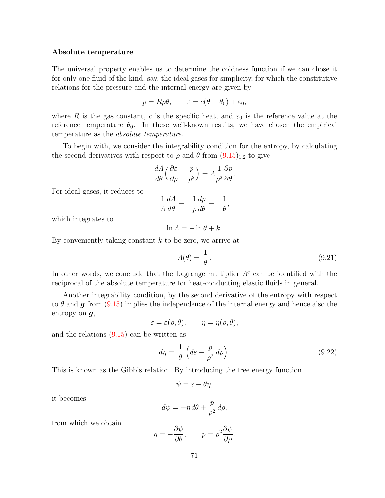#### <span id="page-76-0"></span>Absolute temperature

The universal property enables us to determine the coldness function if we can chose it for only one fluid of the kind, say, the ideal gases for simplicity, for which the constitutive relations for the pressure and the internal energy are given by

$$
p = R\rho\theta, \qquad \varepsilon = c(\theta - \theta_0) + \varepsilon_0,
$$

where R is the gas constant, c is the specific heat, and  $\varepsilon_0$  is the reference value at the reference temperature  $\theta_0$ . In these well-known results, we have chosen the empirical temperature as the absolute temperature.

To begin with, we consider the integrability condition for the entropy, by calculating the second derivatives with respect to  $\rho$  and  $\theta$  from  $(9.15)_{1,2}$  to give

$$
\frac{d\Lambda}{d\theta} \left( \frac{\partial \varepsilon}{\partial \rho} - \frac{p}{\rho^2} \right) = \Lambda \frac{1}{\rho^2} \frac{\partial p}{\partial \theta}.
$$

For ideal gases, it reduces to

$$
\frac{1}{\Lambda} \frac{d\Lambda}{d\theta} = -\frac{1}{p} \frac{dp}{d\theta} = -\frac{1}{\theta},
$$

which integrates to

$$
\ln A = -\ln \theta + k.
$$

By conveniently taking constant  $k$  to be zero, we arrive at

$$
\Lambda(\theta) = \frac{1}{\theta}.\tag{9.21}
$$

In other words, we conclude that the Lagrange multiplier  $\Lambda^{\varepsilon}$  can be identified with the reciprocal of the absolute temperature for heat-conducting elastic fluids in general.

Another integrability condition, by the second derivative of the entropy with respect to  $\theta$  and  $\boldsymbol{g}$  from [\(9.15\)](#page-73-0) implies the independence of the internal energy and hence also the entropy on  $q$ ,

$$
\varepsilon = \varepsilon(\rho, \theta), \qquad \eta = \eta(\rho, \theta),
$$

and the relations [\(9.15\)](#page-73-0) can be written as

$$
d\eta = \frac{1}{\theta} \left( d\varepsilon - \frac{p}{\rho^2} d\rho \right).
$$
 (9.22)

This is known as the Gibb's relation. By introducing the free energy function

$$
\psi = \varepsilon - \theta \eta,
$$

it becomes

$$
d\psi = -\eta \, d\theta + \frac{p}{\rho^2} \, d\rho,
$$

from which we obtain

$$
\eta = -\frac{\partial \psi}{\partial \theta}, \qquad p = \rho^2 \frac{\partial \psi}{\partial \rho}.
$$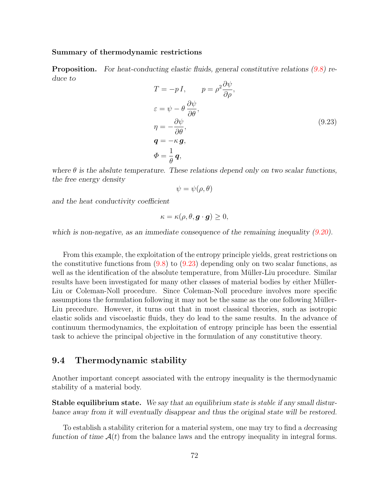#### <span id="page-77-0"></span>Summary of thermodynamic restrictions

Proposition. For heat-conducting elastic fluids, general constitutive relations [\(9.8\)](#page-72-0) reduce to  $\Omega_{\nu}$ 

$$
T = -p I, \t p = \rho^2 \frac{\partial \psi}{\partial \rho},
$$
  
\n
$$
\varepsilon = \psi - \theta \frac{\partial \psi}{\partial \theta},
$$
  
\n
$$
\eta = -\frac{\partial \psi}{\partial \theta},
$$
  
\n
$$
\mathbf{q} = -\kappa \mathbf{g},
$$
  
\n
$$
\Phi = \frac{1}{\theta} \mathbf{q},
$$
  
\n(9.23)

where  $\theta$  is the abslute temperature. These relations depend only on two scalar functions, the free energy density

$$
\psi = \psi(\rho, \theta)
$$

and the heat conductivity coefficient

$$
\kappa = \kappa(\rho, \theta, \boldsymbol{g} \cdot \boldsymbol{g}) \ge 0,
$$

which is non-negative, as an immediate consequence of the remaining inequality  $(9.20)$ .

From this example, the exploitation of the entropy principle yields, great restrictions on the constitutive functions from  $(9.8)$  to  $(9.23)$  depending only on two scalar functions, as well as the identification of the absolute temperature, from Müller-Liu procedure. Similar results have been investigated for many other classes of material bodies by either Müller-Liu or Coleman-Noll procedure. Since Coleman-Noll procedure involves more specific assumptions the formulation following it may not be the same as the one following M¨uller-Liu precedure. However, it turns out that in most classical theories, such as isotropic elastic solids and viscoelastic fluids, they do lead to the same results. In the advance of continuum thermodynamics, the exploitation of entropy principle has been the essential task to achieve the principal objective in the formulation of any constitutive theory.

## <span id="page-77-1"></span>9.4 Thermodynamic stability

Another important concept associated with the entropy inequality is the thermodynamic stability of a material body.

Stable equilibrium state. We say that an equilibrium state is stable if any small disturbance away from it will eventually disappear and thus the original state will be restored.

To establish a stability criterion for a material system, one may try to find a decreasing function of time  $A(t)$  from the balance laws and the entropy inequality in integral forms.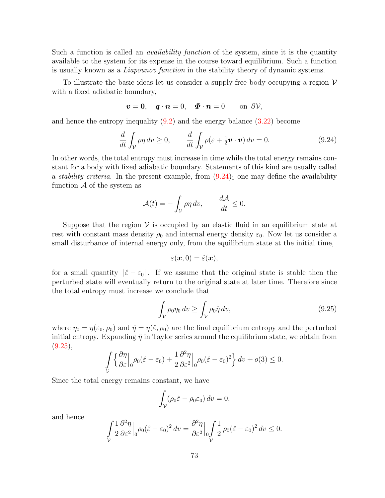Such a function is called an *availability function* of the system, since it is the quantity available to the system for its expense in the course toward equilibrium. Such a function is usually known as a Liapounov function in the stability theory of dynamic systems.

To illustrate the basic ideas let us consider a supply-free body occupying a region  $\mathcal V$ with a fixed adiabatic boundary,

$$
\boldsymbol{v}=\boldsymbol{0},\quad \boldsymbol{q}\cdot\boldsymbol{n}=0,\quad \boldsymbol{\Phi}\cdot\boldsymbol{n}=0\qquad\text{on }\partial\mathcal{V},
$$

and hence the entropy inequality [\(9.2\)](#page-70-0) and the energy balance [\(3.22\)](#page-30-0) become

$$
\frac{d}{dt} \int_{\mathcal{V}} \rho \eta \, dv \ge 0, \qquad \frac{d}{dt} \int_{\mathcal{V}} \rho(\varepsilon + \frac{1}{2} \boldsymbol{v} \cdot \boldsymbol{v}) \, dv = 0. \tag{9.24}
$$

In other words, the total entropy must increase in time while the total energy remains constant for a body with fixed adiabatic boundary. Statements of this kind are usually called a *stability criteria*. In the present example, from  $(9.24)$  one may define the availability function  $\mathcal A$  of the system as

$$
\mathcal{A}(t) = -\int_{\mathcal{V}} \rho \eta \, dv, \qquad \frac{d\mathcal{A}}{dt} \le 0.
$$

Suppose that the region  $\mathcal V$  is occupied by an elastic fluid in an equilibrium state at rest with constant mass density  $\rho_0$  and internal energy density  $\varepsilon_0$ . Now let us consider a small disturbance of internal energy only, from the equilibrium state at the initial time,

$$
\varepsilon(\boldsymbol{x},0)=\hat{\varepsilon}(\boldsymbol{x}),
$$

for a small quantity  $|\hat{\varepsilon} - \varepsilon_0|$ . If we assume that the original state is stable then the perturbed state will eventually return to the original state at later time. Therefore since the total entropy must increase we conclude that

$$
\int_{\mathcal{V}} \rho_0 \eta_0 \, dv \ge \int_{\mathcal{V}} \rho_0 \hat{\eta} \, dv,\tag{9.25}
$$

where  $\eta_0 = \eta(\varepsilon_0, \rho_0)$  and  $\hat{\eta} = \eta(\hat{\varepsilon}, \rho_0)$  are the final equilibrium entropy and the perturbed initial entropy. Expanding  $\hat{\eta}$  in Taylor series around the equilibrium state, we obtain from  $(9.25),$  $(9.25),$ 

$$
\int_{\mathcal{V}} \left\{ \frac{\partial \eta}{\partial \varepsilon} \Big|_0 \rho_0(\hat{\varepsilon} - \varepsilon_0) + \frac{1}{2} \frac{\partial^2 \eta}{\partial \varepsilon^2} \Big|_0 \rho_0(\hat{\varepsilon} - \varepsilon_0)^2 \right\} dv + o(3) \le 0.
$$

Since the total energy remains constant, we have

$$
\int_{\mathcal{V}} (\rho_0 \hat{\varepsilon} - \rho_0 \varepsilon_0) dv = 0,
$$

and hence

$$
\int\limits_{\mathcal{V}}\frac{1}{2}\frac{\partial^2\eta}{\partial\varepsilon^2}\Big|_0\rho_0(\hat{\varepsilon}-\varepsilon_0)^2\,dv=\frac{\partial^2\eta}{\partial\varepsilon^2}\Big|_0\int\limits_{\mathcal{V}}\frac{1}{2}\,\rho_0(\hat{\varepsilon}-\varepsilon_0)^2\,dv\leq 0.
$$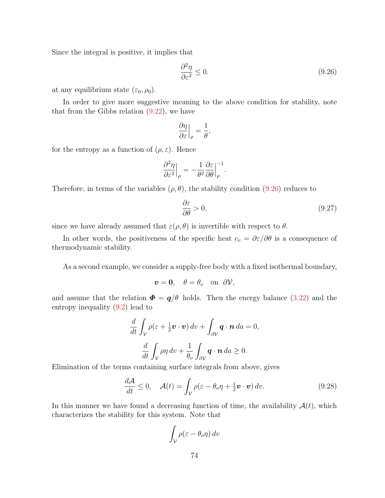Since the integral is positive, it implies that

$$
\frac{\partial^2 \eta}{\partial \varepsilon^2} \le 0. \tag{9.26}
$$

at any equilibrium state  $(\varepsilon_0, \rho_0)$ .

In order to give more suggestive meaning to the above condition for stability, note that from the Gibbs relation  $(9.22)$ , we have

$$
\left.\frac{\partial \eta}{\partial \varepsilon}\right|_{\rho} = \frac{1}{\theta},
$$

for the entropy as a function of  $(\rho, \varepsilon)$ . Hence

$$
\frac{\partial^2 \eta}{\partial \varepsilon^2}\Big|_\rho = -\frac{1}{\theta^2}\frac{\partial \varepsilon}{\partial \theta}\Big|_\rho^{-1}.
$$

Therefore, in terms of the variables  $(\rho, \theta)$ , the stability condition [\(9.26\)](#page-77-1) reduces to

$$
\frac{\partial \varepsilon}{\partial \theta} > 0,\tag{9.27}
$$

since we have already assumed that  $\varepsilon(\rho, \theta)$  is invertible with respect to  $\theta$ .

In other words, the positiveness of the specific heat  $c_v = \partial \varepsilon / \partial \theta$  is a consequence of thermodynamic stability.

As a second example, we consider a supply-free body with a fixed isothermal boundary,

$$
\boldsymbol{v}=\mathbf{0},\quad \theta=\theta_o\quad\text{on}\ \partial\mathcal{V},
$$

and assume that the relation  $\Phi = q/\theta$  holds. Then the energy balance [\(3.22\)](#page-30-0) and the entropy inequality [\(9.2\)](#page-70-0) lead to

$$
\frac{d}{dt} \int_{\mathcal{V}} \rho(\varepsilon + \frac{1}{2} \boldsymbol{v} \cdot \boldsymbol{v}) dv + \int_{\partial \mathcal{V}} \boldsymbol{q} \cdot \boldsymbol{n} da = 0,
$$
  

$$
\frac{d}{dt} \int_{\mathcal{V}} \rho \eta dv + \frac{1}{\theta_o} \int_{\partial \mathcal{V}} \boldsymbol{q} \cdot \boldsymbol{n} da \ge 0.
$$

Elimination of the terms containing surface integrals from above, gives

$$
\frac{d\mathcal{A}}{dt} \leq 0, \quad \mathcal{A}(t) = \int_{\mathcal{V}} \rho(\varepsilon - \theta_o \eta + \frac{1}{2} \boldsymbol{v} \cdot \boldsymbol{v}) \, dv. \tag{9.28}
$$

In this manner we have found a decreasing function of time, the availability  $A(t)$ , which characterizes the stability for this system. Note that

$$
\int_{\mathcal{V}} \rho(\varepsilon - \theta_o \eta) \, dv
$$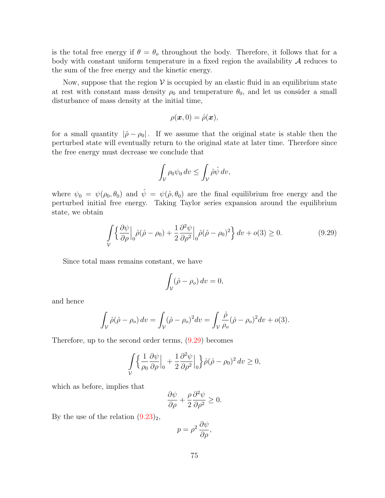is the total free energy if  $\theta = \theta_0$  throughout the body. Therefore, it follows that for a body with constant uniform temperature in a fixed region the availability  $A$  reduces to the sum of the free energy and the kinetic energy.

Now, suppose that the region  $V$  is occupied by an elastic fluid in an equilibrium state at rest with constant mass density  $\rho_0$  and temperature  $\theta_0$ , and let us consider a small disturbance of mass density at the initial time,

$$
\rho(\boldsymbol{x},0)=\hat{\rho}(\boldsymbol{x}),
$$

for a small quantity  $|\hat{\rho} - \rho_0|$ . If we assume that the original state is stable then the perturbed state will eventually return to the original state at later time. Therefore since the free energy must decrease we conclude that

$$
\int_{\mathcal{V}} \rho_0 \psi_0 \, dv \le \int_{\mathcal{V}} \hat{\rho} \hat{\psi} \, dv,
$$

where  $\psi_0 = \psi(\rho_0, \theta_0)$  and  $\hat{\psi} = \psi(\hat{\rho}, \theta_0)$  are the final equilibrium free energy and the perturbed initial free energy. Taking Taylor series expansion around the equilibrium state, we obtain

$$
\int_{V} \left\{ \frac{\partial \psi}{\partial \rho} \Big|_{0} \hat{\rho}(\hat{\rho} - \rho_{0}) + \frac{1}{2} \frac{\partial^{2} \psi}{\partial \rho^{2}} \Big|_{0} \hat{\rho}(\hat{\rho} - \rho_{0})^{2} \right\} dv + o(3) \ge 0.
$$
\n(9.29)

Since total mass remains constant, we have

$$
\int_{\mathcal{V}} (\hat{\rho} - \rho_o) dv = 0,
$$

and hence

$$
\int_{\mathcal{V}} \hat{\rho}(\hat{\rho} - \rho_o) dv = \int_{\mathcal{V}} (\hat{\rho} - \rho_o)^2 dv = \int_{\mathcal{V}} \frac{\hat{\rho}}{\rho_o} (\hat{\rho} - \rho_o)^2 dv + o(3).
$$

Therefore, up to the second order terms, [\(9.29\)](#page-77-1) becomes

$$
\int_{\mathcal{V}} \left\{ \frac{1}{\rho_0} \frac{\partial \psi}{\partial \rho} \Big|_{0} + \frac{1}{2} \frac{\partial^2 \psi}{\partial \rho^2} \Big|_{0} \right\} \hat{\rho} (\hat{\rho} - \rho_0)^2 dv \ge 0,
$$

which as before, implies that

$$
\frac{\partial \psi}{\partial \rho} + \frac{\rho}{2} \frac{\partial^2 \psi}{\partial \rho^2} \ge 0.
$$

By the use of the relation  $(9.23)_2$ ,

$$
p = \rho^2 \, \frac{\partial \psi}{\partial \rho},
$$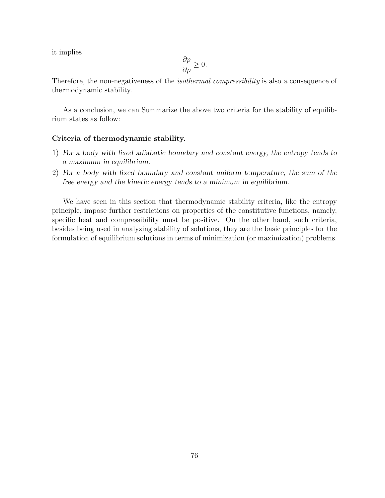it implies

$$
\frac{\partial p}{\partial \rho} \ge 0.
$$

Therefore, the non-negativeness of the *isothermal compressibility* is also a consequence of thermodynamic stability.

As a conclusion, we can Summarize the above two criteria for the stability of equilibrium states as follow:

#### Criteria of thermodynamic stability.

- 1) For a body with fixed adiabatic boundary and constant energy, the entropy tends to a maximum in equilibrium.
- 2) For a body with fixed boundary and constant uniform temperature, the sum of the free energy and the kinetic energy tends to a minimum in equilibrium.

We have seen in this section that thermodynamic stability criteria, like the entropy principle, impose further restrictions on properties of the constitutive functions, namely, specific heat and compressibility must be positive. On the other hand, such criteria, besides being used in analyzing stability of solutions, they are the basic principles for the formulation of equilibrium solutions in terms of minimization (or maximization) problems.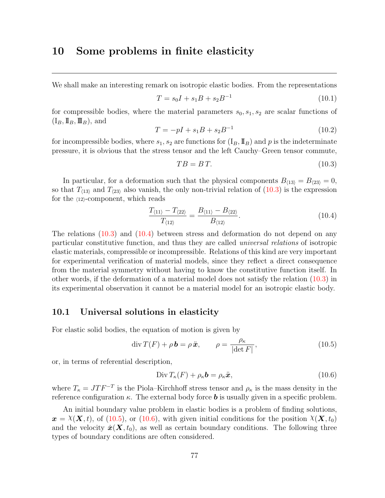# <span id="page-82-0"></span>10 Some problems in finite elasticity

We shall make an interesting remark on isotropic elastic bodies. From the representations

$$
T = s_0 I + s_1 B + s_2 B^{-1}
$$
\n(10.1)

for compressible bodies, where the material parameters  $s_0, s_1, s_2$  are scalar functions of  $(I_B, II_B, III_B)$ , and

$$
T = -pI + s_1B + s_2B^{-1}
$$
\n(10.2)

for incompressible bodies, where  $s_1, s_2$  are functions for  $(I_B, \mathbb{I}_B)$  and p is the indeterminate pressure, it is obvious that the stress tensor and the left Cauchy–Green tensor commute,

$$
TB = BT.\tag{10.3}
$$

In particular, for a deformation such that the physical components  $B_{(13)} = B_{(23)} = 0$ , so that  $T_{(13)}$  and  $T_{(23)}$  also vanish, the only non-trivial relation of [\(10.3\)](#page-82-0) is the expression for the  $\langle 12 \rangle$ -component, which reads

$$
\frac{T_{\langle 11\rangle} - T_{\langle 22\rangle}}{T_{\langle 12\rangle}} = \frac{B_{\langle 11\rangle} - B_{\langle 22\rangle}}{B_{\langle 12\rangle}}.
$$
\n(10.4)

The relations [\(10.3\)](#page-82-0) and [\(10.4\)](#page-82-0) between stress and deformation do not depend on any particular constitutive function, and thus they are called universal relations of isotropic elastic materials, compressible or incompressible. Relations of this kind are very important for experimental verification of material models, since they reflect a direct consequence from the material symmetry without having to know the constitutive function itself. In other words, if the deformation of a material model does not satisfy the relation [\(10.3\)](#page-82-0) in its experimental observation it cannot be a material model for an isotropic elastic body.

#### <span id="page-82-1"></span>10.1 Universal solutions in elasticity

For elastic solid bodies, the equation of motion is given by

$$
\operatorname{div} T(F) + \rho \mathbf{b} = \rho \ddot{\mathbf{x}}, \qquad \rho = \frac{\rho_{\kappa}}{|\det F|}, \qquad (10.5)
$$

or, in terms of referential description,

$$
\text{Div}\, T_{\kappa}(F) + \rho_{\kappa} \mathbf{b} = \rho_{\kappa} \ddot{\mathbf{x}},\tag{10.6}
$$

where  $T_{\kappa} = J T F^{-T}$  is the Piola–Kirchhoff stress tensor and  $\rho_{\kappa}$  is the mass density in the reference configuration  $\kappa$ . The external body force **b** is usually given in a specific problem.

An initial boundary value problem in elastic bodies is a problem of finding solutions,  $x = \chi(X, t)$ , of [\(10.5\)](#page-82-1), or [\(10.6\)](#page-82-1), with given initial conditions for the position  $\chi(X, t_0)$ and the velocity  $\dot{x}(X,t_0)$ , as well as certain boundary conditions. The following three types of boundary conditions are often considered.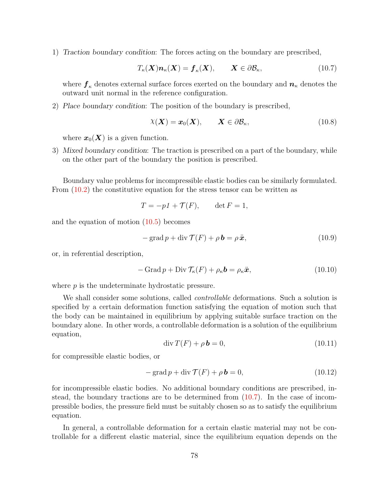<span id="page-83-0"></span>1) Traction boundary condition: The forces acting on the boundary are prescribed,

$$
T_{\kappa}(\boldsymbol{X})\boldsymbol{n}_{\kappa}(\boldsymbol{X}) = \boldsymbol{f}_{\kappa}(\boldsymbol{X}), \qquad \boldsymbol{X} \in \partial \mathcal{B}_{\kappa}, \tag{10.7}
$$

where  $f_{\kappa}$  denotes external surface forces exerted on the boundary and  $n_{\kappa}$  denotes the outward unit normal in the reference configuration.

2) Place boundary condition: The position of the boundary is prescribed,

$$
\chi(\mathbf{X}) = \mathbf{x}_0(\mathbf{X}), \qquad \mathbf{X} \in \partial \mathcal{B}_{\kappa}, \tag{10.8}
$$

where  $x_0(X)$  is a given function.

<span id="page-83-1"></span>3) Mixed boundary condition: The traction is prescribed on a part of the boundary, while on the other part of the boundary the position is prescribed.

Boundary value problems for incompressible elastic bodies can be similarly formulated. From [\(10.2\)](#page-82-0) the constitutive equation for the stress tensor can be written as

$$
T = -p1 + \mathcal{T}(F), \qquad \det F = 1,
$$

and the equation of motion [\(10.5\)](#page-82-1) becomes

$$
-\operatorname{grad} p + \operatorname{div} \mathcal{T}(F) + \rho \mathbf{b} = \rho \dot{\mathbf{x}},\tag{10.9}
$$

or, in referential description,

$$
-\operatorname{Grad} p + \operatorname{Div} \mathcal{T}_{\kappa}(F) + \rho_{\kappa} \mathbf{b} = \rho_{\kappa} \ddot{\mathbf{x}},\tag{10.10}
$$

where  $p$  is the undeterminate hydrostatic pressure.

We shall consider some solutions, called *controllable* deformations. Such a solution is specified by a certain deformation function satisfying the equation of motion such that the body can be maintained in equilibrium by applying suitable surface traction on the boundary alone. In other words, a controllable deformation is a solution of the equilibrium equation,

$$
\operatorname{div} T(F) + \rho \mathbf{b} = 0,\tag{10.11}
$$

for compressible elastic bodies, or

$$
-\operatorname{grad} p + \operatorname{div} \mathcal{T}(F) + \rho \mathbf{b} = 0, \qquad (10.12)
$$

for incompressible elastic bodies. No additional boundary conditions are prescribed, instead, the boundary tractions are to be determined from [\(10.7\)](#page-83-0). In the case of incompressible bodies, the pressure field must be suitably chosen so as to satisfy the equilibrium equation.

In general, a controllable deformation for a certain elastic material may not be controllable for a different elastic material, since the equilibrium equation depends on the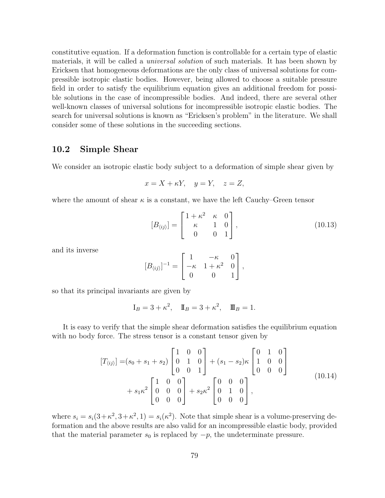constitutive equation. If a deformation function is controllable for a certain type of elastic materials, it will be called a *universal solution* of such materials. It has been shown by Ericksen that homogeneous deformations are the only class of universal solutions for compressible isotropic elastic bodies. However, being allowed to choose a suitable pressure field in order to satisfy the equilibrium equation gives an additional freedom for possible solutions in the case of incompressible bodies. And indeed, there are several other well-known classes of universal solutions for incompressible isotropic elastic bodies. The search for universal solutions is known as "Ericksen's problem" in the literature. We shall consider some of these solutions in the succeeding sections.

## <span id="page-84-0"></span>10.2 Simple Shear

We consider an isotropic elastic body subject to a deformation of simple shear given by

$$
x = X + \kappa Y, \quad y = Y, \quad z = Z,
$$

where the amount of shear  $\kappa$  is a constant, we have the left Cauchy–Green tensor

$$
[B_{\langle ij \rangle}] = \begin{bmatrix} 1 + \kappa^2 & \kappa & 0 \\ \kappa & 1 & 0 \\ 0 & 0 & 1 \end{bmatrix},
$$
 (10.13)

and its inverse

$$
[B_{\langle ij \rangle}]^{-1} = \begin{bmatrix} 1 & -\kappa & 0 \\ -\kappa & 1 + \kappa^2 & 0 \\ 0 & 0 & 1 \end{bmatrix},
$$

so that its principal invariants are given by

$$
I_B = 3 + \kappa^2
$$
,  $I\!I_B = 3 + \kappa^2$ ,  $I\!I\!I_B = 1$ .

It is easy to verify that the simple shear deformation satisfies the equilibrium equation with no body force. The stress tensor is a constant tensor given by

$$
[T_{\langle ij\rangle}] = (s_0 + s_1 + s_2) \begin{bmatrix} 1 & 0 & 0 \\ 0 & 1 & 0 \\ 0 & 0 & 1 \end{bmatrix} + (s_1 - s_2)\kappa \begin{bmatrix} 0 & 1 & 0 \\ 1 & 0 & 0 \\ 0 & 0 & 0 \end{bmatrix}
$$
  
+  $s_1\kappa^2 \begin{bmatrix} 1 & 0 & 0 \\ 0 & 0 & 0 \\ 0 & 0 & 0 \end{bmatrix} + s_2\kappa^2 \begin{bmatrix} 0 & 0 & 0 \\ 0 & 1 & 0 \\ 0 & 0 & 0 \end{bmatrix}$ , (10.14)

where  $s_i = s_i(3 + \kappa^2, 3 + \kappa^2, 1) = s_i(\kappa^2)$ . Note that simple shear is a volume-preserving deformation and the above results are also valid for an incompressible elastic body, provided that the material parameter  $s_0$  is replaced by  $-p$ , the undeterminate pressure.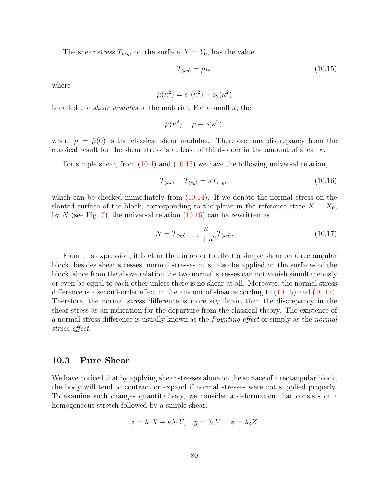The shear stress  $T_{\langle xy \rangle}$  on the surface,  $Y = Y_0$ , has the value

$$
T_{\langle xy \rangle} = \hat{\mu}\kappa, \tag{10.15}
$$

where

$$
\hat{\mu}(\kappa^2) = s_1(\kappa^2) - s_2(\kappa^2)
$$

is called the *shear modulus* of the material. For a small  $\kappa$ , then

$$
\hat{\mu}(\kappa^2) = \mu + o(\kappa^2),
$$

where  $\mu = \hat{\mu}(0)$  is the classical shear modulus. Therefore, any discrepancy from the classical result for the shear stress is at least of third-order in the amount of shear  $\kappa$ .

For simple shear, from [\(10.4\)](#page-82-0) and [\(10.13\)](#page-84-0) we have the following universal relation,

$$
T_{\langle xx \rangle} - T_{\langle yy \rangle} = \kappa T_{\langle xy \rangle},\tag{10.16}
$$

which can be checked immediately from  $(10.14)$ . If we denote the normal stress on the slanted surface of the block, corresponding to the plane in the reference state  $X = X_0$ , by N (see Fig. [7\)](#page-86-0), the universal relation  $(10.16)$  can be rewritten as

$$
N = T_{\langle yy \rangle} - \frac{\kappa}{1 + \kappa^2} T_{\langle xy \rangle}.
$$
\n(10.17)

From this expression, it is clear that in order to effect a simple shear on a rectangular block, besides shear stresses, normal stresses must also be applied on the surfaces of the block, since from the above relation the two normal stresses can not vanish simultaneously or even be equal to each other unless there is no shear at all. Moreover, the normal stress difference is a second-order effect in the amount of shear according to [\(10.15\)](#page-84-0) and [\(10.17\)](#page-84-0). Therefore, the normal stress difference is more significant than the discrepancy in the shear stress as an indication for the departure from the classical theory. The existence of a normal stress difference is usually known as the Poynting effect or simply as the normal stress effect.

# <span id="page-85-0"></span>10.3 Pure Shear

We have noticed that by applying shear stresses alone on the surface of a rectangular block, the body will tend to contract or expand if normal stresses were not supplied properly. To examine such changes quantitatively, we consider a deformation that consists of a homogeneous stretch followed by a simple shear,

$$
x = \lambda_1 X + \kappa \lambda_2 Y, \quad y = \lambda_2 Y, \quad z = \lambda_3 Z.
$$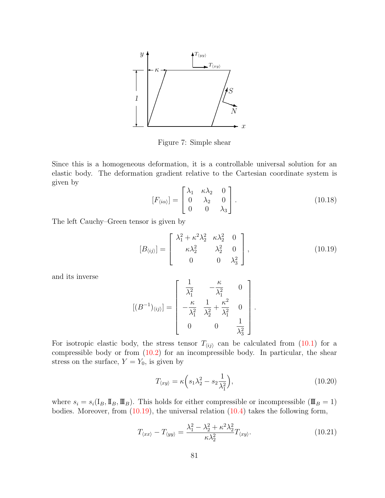

<span id="page-86-0"></span>Figure 7: Simple shear

Since this is a homogeneous deformation, it is a controllable universal solution for an elastic body. The deformation gradient relative to the Cartesian coordinate system is given by

$$
[F_{\langle i\alpha\rangle}] = \begin{bmatrix} \lambda_1 & \kappa\lambda_2 & 0 \\ 0 & \lambda_2 & 0 \\ 0 & 0 & \lambda_3 \end{bmatrix} . \tag{10.18}
$$

The left Cauchy–Green tensor is given by

$$
[B_{\langle ij\rangle}] = \begin{bmatrix} \lambda_1^2 + \kappa^2 \lambda_2^2 & \kappa \lambda_2^2 & 0 \\ \kappa \lambda_2^2 & \lambda_2^2 & 0 \\ 0 & 0 & \lambda_3^2 \end{bmatrix},
$$
(10.19)

and its inverse

$$
[(B^{-1})_{\langle ij\rangle}] = \begin{bmatrix} \frac{1}{\lambda_1^2} & -\frac{\kappa}{\lambda_1^2} & 0\\ -\frac{\kappa}{\lambda_1^2} & \frac{1}{\lambda_2^2} + \frac{\kappa^2}{\lambda_1^2} & 0\\ 0 & 0 & \frac{1}{\lambda_3^2} \end{bmatrix}.
$$

For isotropic elastic body, the stress tensor  $T_{\langle ij \rangle}$  can be calculated from [\(10.1\)](#page-82-0) for a compressible body or from [\(10.2\)](#page-82-0) for an incompressible body. In particular, the shear stress on the surface,  $Y = Y_0$ , is given by

$$
T_{\langle xy \rangle} = \kappa \left( s_1 \lambda_2^2 - s_2 \frac{1}{\lambda_1^2} \right),\tag{10.20}
$$

where  $s_i = s_i(I_B, \mathbb{I}_B, \mathbb{I}_B)$ . This holds for either compressible or incompressible  $(\mathbb{I}\mathbb{I}_B = 1)$ bodies. Moreover, from  $(10.19)$ , the universal relation  $(10.4)$  takes the following form,

$$
T_{\langle xx \rangle} - T_{\langle yy \rangle} = \frac{\lambda_1^2 - \lambda_2^2 + \kappa^2 \lambda_2^2}{\kappa \lambda_2^2} T_{\langle xy \rangle}.
$$
 (10.21)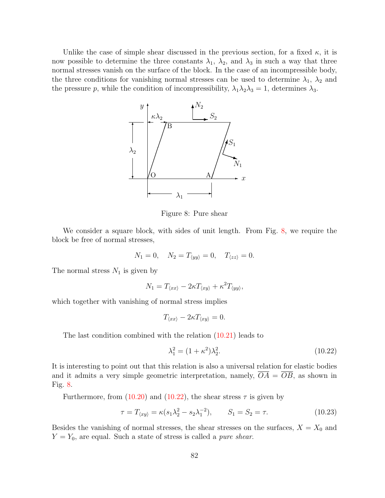Unlike the case of simple shear discussed in the previous section, for a fixed  $\kappa$ , it is now possible to determine the three constants  $\lambda_1$ ,  $\lambda_2$ , and  $\lambda_3$  in such a way that three normal stresses vanish on the surface of the block. In the case of an incompressible body, the three conditions for vanishing normal stresses can be used to determine  $\lambda_1$ ,  $\lambda_2$  and the pressure p, while the condition of incompressibility,  $\lambda_1 \lambda_2 \lambda_3 = 1$ , determines  $\lambda_3$ .



<span id="page-87-0"></span>Figure 8: Pure shear

We consider a square block, with sides of unit length. From Fig. [8,](#page-87-0) we require the block be free of normal stresses,

$$
N_1 = 0
$$
,  $N_2 = T_{\langle yy \rangle} = 0$ ,  $T_{\langle zz \rangle} = 0$ .

The normal stress  $N_1$  is given by

$$
N_1 = T_{\langle xx \rangle} - 2\kappa T_{\langle xy \rangle} + \kappa^2 T_{\langle yy \rangle},
$$

which together with vanishing of normal stress implies

$$
T_{\langle xx \rangle} - 2\kappa T_{\langle xy \rangle} = 0.
$$

The last condition combined with the relation [\(10.21\)](#page-85-0) leads to

$$
\lambda_1^2 = (1 + \kappa^2)\lambda_2^2.
$$
 (10.22)

It is interesting to point out that this relation is also a universal relation for elastic bodies and it admits a very simple geometric interpretation, namely,  $\overline{OA} = \overline{OB}$ , as shown in Fig. [8.](#page-87-0)

Furthermore, from  $(10.20)$  and  $(10.22)$ , the shear stress  $\tau$  is given by

$$
\tau = T_{\langle xy \rangle} = \kappa (s_1 \lambda_2^2 - s_2 \lambda_1^{-2}), \qquad S_1 = S_2 = \tau.
$$
 (10.23)

Besides the vanishing of normal stresses, the shear stresses on the surfaces,  $X = X_0$  and  $Y = Y_0$ , are equal. Such a state of stress is called a *pure shear*.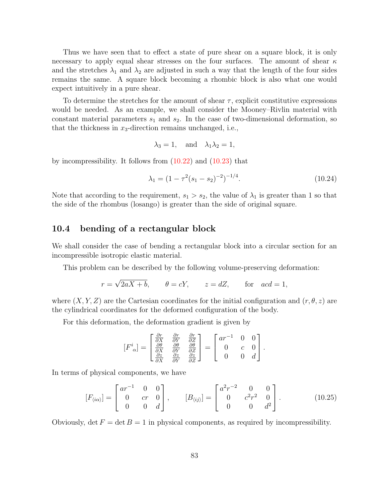Thus we have seen that to effect a state of pure shear on a square block, it is only necessary to apply equal shear stresses on the four surfaces. The amount of shear  $\kappa$ and the stretches  $\lambda_1$  and  $\lambda_2$  are adjusted in such a way that the length of the four sides remains the same. A square block becoming a rhombic block is also what one would expect intuitively in a pure shear.

To determine the stretches for the amount of shear  $\tau$ , explicit constitutive expressions would be needed. As an example, we shall consider the Mooney–Rivlin material with constant material parameters  $s_1$  and  $s_2$ . In the case of two-dimensional deformation, so that the thickness in  $x_3$ -direction remains unchanged, i.e.,

$$
\lambda_3 = 1
$$
, and  $\lambda_1 \lambda_2 = 1$ ,

by incompressibility. It follows from  $(10.22)$  and  $(10.23)$  that

$$
\lambda_1 = (1 - \tau^2 (s_1 - s_2)^{-2})^{-1/4}.
$$
\n(10.24)

Note that according to the requirement,  $s_1 > s_2$ , the value of  $\lambda_1$  is greater than 1 so that the side of the rhombus (losango) is greater than the side of original square.

### <span id="page-88-0"></span>10.4 bending of a rectangular block

We shall consider the case of bending a rectangular block into a circular section for an incompressible isotropic elastic material.

This problem can be described by the following volume-preserving deformation:

$$
r = \sqrt{2aX + b}
$$
,  $\theta = cY$ ,  $z = dZ$ , for  $acd = 1$ ,

where  $(X, Y, Z)$  are the Cartesian coordinates for the initial configuration and  $(r, \theta, z)$  are the cylindrical coordinates for the deformed configuration of the body.

For this deformation, the deformation gradient is given by

$$
[F^i_{\alpha}] = \begin{bmatrix} \frac{\partial r}{\partial X} & \frac{\partial r}{\partial Y} & \frac{\partial r}{\partial Z} \\ \frac{\partial \theta}{\partial X} & \frac{\partial \theta}{\partial Y} & \frac{\partial \theta}{\partial Z} \\ \frac{\partial z}{\partial X} & \frac{\partial z}{\partial Y} & \frac{\partial z}{\partial Z} \end{bmatrix} = \begin{bmatrix} ar^{-1} & 0 & 0 \\ 0 & c & 0 \\ 0 & 0 & d \end{bmatrix}.
$$

In terms of physical components, we have

$$
[F_{\langle i\alpha\rangle}] = \begin{bmatrix} ar^{-1} & 0 & 0 \\ 0 & cr & 0 \\ 0 & 0 & d \end{bmatrix}, \qquad [B_{\langle i j\rangle}] = \begin{bmatrix} a^2r^{-2} & 0 & 0 \\ 0 & c^2r^2 & 0 \\ 0 & 0 & d^2 \end{bmatrix}.
$$
 (10.25)

Obviously, det  $F = \det B = 1$  in physical components, as required by incompressibility.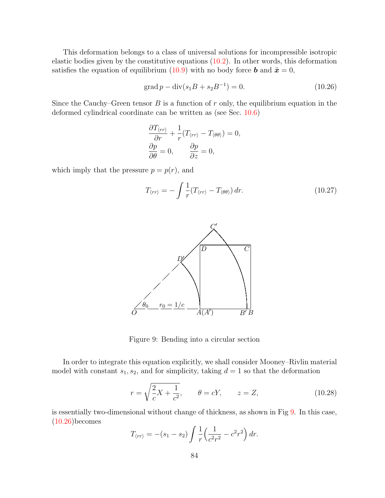This deformation belongs to a class of universal solutions for incompressible isotropic elastic bodies given by the constitutive equations [\(10.2\)](#page-82-0). In other words, this deformation satisfies the equation of equilibrium [\(10.9\)](#page-83-1) with no body force **b** and  $\ddot{\mathbf{x}} = 0$ ,

$$
\operatorname{grad} p - \operatorname{div}(s_1 B + s_2 B^{-1}) = 0. \tag{10.26}
$$

Since the Cauchy–Green tensor  $B$  is a function of  $r$  only, the equilibrium equation in the deformed cylindrical coordinate can be written as (see Sec. [10.6\)](#page-92-0)

$$
\frac{\partial T_{\langle rr \rangle}}{\partial r} + \frac{1}{r} (T_{\langle rr \rangle} - T_{\langle \theta \theta \rangle}) = 0,
$$
  

$$
\frac{\partial p}{\partial \theta} = 0, \qquad \frac{\partial p}{\partial z} = 0,
$$

which imply that the pressure  $p = p(r)$ , and

$$
T_{\langle rr \rangle} = -\int \frac{1}{r} (T_{\langle rr \rangle} - T_{\langle \theta \theta \rangle}) dr. \tag{10.27}
$$



<span id="page-89-0"></span>Figure 9: Bending into a circular section

In order to integrate this equation explicitly, we shall consider Mooney–Rivlin material model with constant  $s_1, s_2$ , and for simplicity, taking  $d = 1$  so that the deformation

$$
r = \sqrt{\frac{2}{c}X + \frac{1}{c^2}}, \qquad \theta = cY, \qquad z = Z,
$$
 (10.28)

is essentially two-dimensional without change of thickness, as shown in Fig [9.](#page-89-0) In this case,  $(10.26)$ becomes

$$
T_{\langle rr \rangle} = -(s_1 - s_2) \int \frac{1}{r} \left( \frac{1}{c^2 r^2} - c^2 r^2 \right) dr.
$$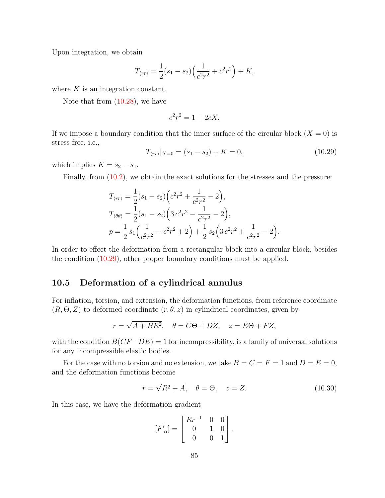Upon integration, we obtain

$$
T_{\langle rr \rangle} = \frac{1}{2}(s_1 - s_2) \left( \frac{1}{c^2 r^2} + c^2 r^2 \right) + K,
$$

where  $K$  is an integration constant.

Note that from [\(10.28\)](#page-89-0), we have

$$
c^2r^2 = 1 + 2cX.
$$

If we impose a boundary condition that the inner surface of the circular block  $(X = 0)$  is stress free, i.e.,

$$
T_{\langle rr \rangle}|_{X=0} = (s_1 - s_2) + K = 0,\tag{10.29}
$$

which implies  $K = s_2 - s_1$ .

Finally, from  $(10.2)$ , we obtain the exact solutions for the stresses and the pressure:

$$
T_{\langle rr \rangle} = \frac{1}{2}(s_1 - s_2) \left(c^2 r^2 + \frac{1}{c^2 r^2} - 2\right),
$$
  
\n
$$
T_{\langle \theta \theta \rangle} = \frac{1}{2}(s_1 - s_2) \left(3 c^2 r^2 - \frac{1}{c^2 r^2} - 2\right),
$$
  
\n
$$
p = \frac{1}{2} s_1 \left(\frac{1}{c^2 r^2} - c^2 r^2 + 2\right) + \frac{1}{2} s_2 \left(3 c^2 r^2 + \frac{1}{c^2 r^2} - 2\right).
$$

In order to effect the deformation from a rectangular block into a circular block, besides the condition [\(10.29\)](#page-89-0), other proper boundary conditions must be applied.

# <span id="page-90-0"></span>10.5 Deformation of a cylindrical annulus

For inflation, torsion, and extension, the deformation functions, from reference coordinate  $(R, \Theta, Z)$  to deformed coordinate  $(r, \theta, z)$  in cylindrical coordinates, given by

$$
r = \sqrt{A + BR^2}, \quad \theta = C\Theta + DZ, \quad z = E\Theta + FZ,
$$

with the condition  $B(CF - DE) = 1$  for incompressibility, is a family of universal solutions for any incompressible elastic bodies.

For the case with no torsion and no extension, we take  $B = C = F = 1$  and  $D = E = 0$ , and the deformation functions become

$$
r = \sqrt{R^2 + A}, \quad \theta = \Theta, \quad z = Z.
$$
 (10.30)

In this case, we have the deformation gradient

$$
[F^i_{\ \alpha}] = \begin{bmatrix} R r^{-1} & 0 & 0 \\ 0 & 1 & 0 \\ 0 & 0 & 1 \end{bmatrix}.
$$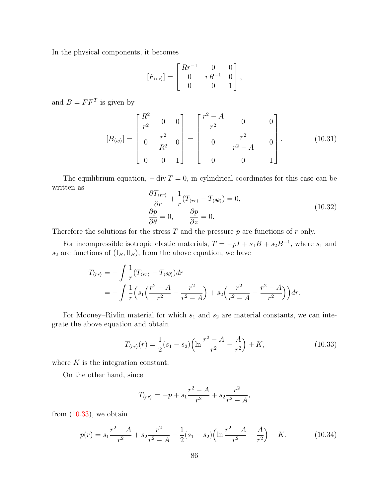In the physical components, it becomes

$$
[F_{\langle i\alpha\rangle}] = \begin{bmatrix} Rr^{-1} & 0 & 0 \\ 0 & rR^{-1} & 0 \\ 0 & 0 & 1 \end{bmatrix},
$$

and  $B = FF^T$  is given by

$$
[B_{\langle ij\rangle}] = \begin{bmatrix} \frac{R^2}{r^2} & 0 & 0 \\ 0 & \frac{r^2}{R^2} & 0 \\ 0 & 0 & 1 \end{bmatrix} = \begin{bmatrix} \frac{r^2 - A}{r^2} & 0 & 0 \\ 0 & \frac{r^2}{r^2 - A} & 0 \\ 0 & 0 & 1 \end{bmatrix}.
$$
 (10.31)

The equilibrium equation,  $-\text{div } T = 0$ , in cylindrical coordinates for this case can be written as

$$
\frac{\partial T_{\langle rr \rangle}}{\partial r} + \frac{1}{r} (T_{\langle rr \rangle} - T_{\langle \theta \theta \rangle}) = 0, \n\frac{\partial p}{\partial \theta} = 0, \qquad \frac{\partial p}{\partial z} = 0.
$$
\n(10.32)

Therefore the solutions for the stress  $T$  and the pressure  $p$  are functions of  $r$  only.

For incompressible isotropic elastic materials,  $T = -pI + s_1B + s_2B^{-1}$ , where  $s_1$  and  $s_2$  are functions of  $(I_B, I_B)$ , from the above equation, we have

$$
T_{\langle rr \rangle} = -\int \frac{1}{r} (T_{\langle rr \rangle} - T_{\langle \theta \theta \rangle}) dr
$$
  
=  $-\int \frac{1}{r} \Big( s_1 \Big( \frac{r^2 - A}{r^2} - \frac{r^2}{r^2 - A} \Big) + s_2 \Big( \frac{r^2}{r^2 - A} - \frac{r^2 - A}{r^2} \Big) \Big) dr.$ 

For Mooney–Rivlin material for which  $s_1$  and  $s_2$  are material constants, we can integrate the above equation and obtain

$$
T_{\langle rr \rangle}(r) = \frac{1}{2}(s_1 - s_2) \left( \ln \frac{r^2 - A}{r^2} - \frac{A}{r^2} \right) + K,\tag{10.33}
$$

where  $K$  is the integration constant.

On the other hand, since

$$
T_{\langle rr \rangle} = -p + s_1 \frac{r^2 - A}{r^2} + s_2 \frac{r^2}{r^2 - A},
$$

from  $(10.33)$ , we obtain

$$
p(r) = s_1 \frac{r^2 - A}{r^2} + s_2 \frac{r^2}{r^2 - A} - \frac{1}{2} (s_1 - s_2) \left( \ln \frac{r^2 - A}{r^2} - \frac{A}{r^2} \right) - K. \tag{10.34}
$$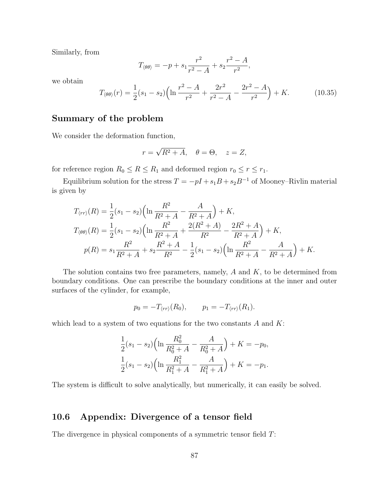Similarly, from

$$
T_{\langle \theta \theta \rangle} = -p + s_1 \frac{r^2}{r^2 - A} + s_2 \frac{r^2 - A}{r^2},
$$

we obtain

$$
T_{\langle\theta\theta\rangle}(r) = \frac{1}{2}(s_1 - s_2) \left( \ln \frac{r^2 - A}{r^2} + \frac{2r^2}{r^2 - A} - \frac{2r^2 - A}{r^2} \right) + K. \tag{10.35}
$$

# Summary of the problem

We consider the deformation function,

$$
r = \sqrt{R^2 + A}, \quad \theta = \Theta, \quad z = Z,
$$

for reference region  $R_0 \le R \le R_1$  and deformed region  $r_0 \le r \le r_1$ .

Equilibrium solution for the stress  $T = -pI + s_1B + s_2B^{-1}$  of Mooney–Rivlin material is given by

$$
T_{\langle rr \rangle}(R) = \frac{1}{2}(s_1 - s_2) \left( \ln \frac{R^2}{R^2 + A} - \frac{A}{R^2 + A} \right) + K,
$$
  
\n
$$
T_{\langle \theta \theta \rangle}(R) = \frac{1}{2}(s_1 - s_2) \left( \ln \frac{R^2}{R^2 + A} + \frac{2(R^2 + A)}{R^2} - \frac{2R^2 + A}{R^2 + A} \right) + K,
$$
  
\n
$$
p(R) = s_1 \frac{R^2}{R^2 + A} + s_2 \frac{R^2 + A}{R^2} - \frac{1}{2}(s_1 - s_2) \left( \ln \frac{R^2}{R^2 + A} - \frac{A}{R^2 + A} \right) + K.
$$

The solution contains two free parameters, namely,  $A$  and  $K$ , to be determined from boundary conditions. One can prescribe the boundary conditions at the inner and outer surfaces of the cylinder, for example,

$$
p_0 = -T_{\langle rr \rangle}(R_0), \qquad p_1 = -T_{\langle rr \rangle}(R_1).
$$

which lead to a system of two equations for the two constants  $A$  and  $K$ :

$$
\frac{1}{2}(s_1 - s_2) \left( \ln \frac{R_0^2}{R_0^2 + A} - \frac{A}{R_0^2 + A} \right) + K = -p_0,
$$
  

$$
\frac{1}{2}(s_1 - s_2) \left( \ln \frac{R_1^2}{R_1^2 + A} - \frac{A}{R_1^2 + A} \right) + K = -p_1.
$$

The system is difficult to solve analytically, but numerically, it can easily be solved.

# <span id="page-92-0"></span>10.6 Appendix: Divergence of a tensor field

The divergence in physical components of a symmetric tensor field T: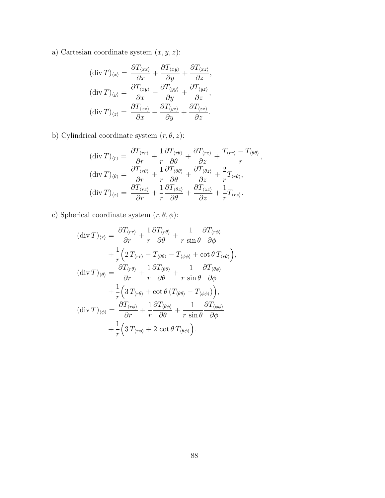a) Cartesian coordinate system  $\left(x,y,z\right)$  :

$$
(\text{div } T)_{\langle x \rangle} = \frac{\partial T_{\langle xx \rangle}}{\partial x} + \frac{\partial T_{\langle xy \rangle}}{\partial y} + \frac{\partial T_{\langle xz \rangle}}{\partial z},
$$

$$
(\text{div } T)_{\langle y \rangle} = \frac{\partial T_{\langle xy \rangle}}{\partial x} + \frac{\partial T_{\langle yy \rangle}}{\partial y} + \frac{\partial T_{\langle yz \rangle}}{\partial z},
$$

$$
(\text{div } T)_{\langle z \rangle} = \frac{\partial T_{\langle xz \rangle}}{\partial x} + \frac{\partial T_{\langle yz \rangle}}{\partial y} + \frac{\partial T_{\langle zz \rangle}}{\partial z}.
$$

b) Cylindrical coordinate system  $(r, \theta, z)$ :

$$
(\text{div } T)_{\langle r \rangle} = \frac{\partial T_{\langle rr \rangle}}{\partial r} + \frac{1}{r} \frac{\partial T_{\langle r\theta \rangle}}{\partial \theta} + \frac{\partial T_{\langle rz \rangle}}{\partial z} + \frac{T_{\langle rr \rangle} - T_{\langle \theta\theta \rangle}}{r},
$$

$$
(\text{div } T)_{\langle \theta \rangle} = \frac{\partial T_{\langle r\theta \rangle}}{\partial r} + \frac{1}{r} \frac{\partial T_{\langle \theta\theta \rangle}}{\partial \theta} + \frac{\partial T_{\langle \theta z \rangle}}{\partial z} + \frac{2}{r} T_{\langle r\theta \rangle},
$$

$$
(\text{div } T)_{\langle z \rangle} = \frac{\partial T_{\langle rz \rangle}}{\partial r} + \frac{1}{r} \frac{\partial T_{\langle \theta z \rangle}}{\partial \theta} + \frac{\partial T_{\langle zz \rangle}}{\partial z} + \frac{1}{r} T_{\langle rz \rangle}.
$$

c) Spherical coordinate system  $(r, \theta, \phi)$ :

$$
(\operatorname{div} T)_{\langle r\rangle} = \frac{\partial T_{\langle r r\rangle}}{\partial r} + \frac{1}{r} \frac{\partial T_{\langle r \theta \rangle}}{\partial \theta} + \frac{1}{r \sin \theta} \frac{\partial T_{\langle r \phi \rangle}}{\partial \phi} + \frac{1}{r} \Big( 2 T_{\langle r r\rangle} - T_{\langle \theta \theta \rangle} - T_{\langle \phi \phi \rangle} + \cot \theta T_{\langle r \theta \rangle} \Big),
$$
  
\n
$$
(\operatorname{div} T)_{\langle \theta \rangle} = \frac{\partial T_{\langle r \theta \rangle}}{\partial r} + \frac{1}{r} \frac{\partial T_{\langle \theta \theta \rangle}}{\partial \theta} + \frac{1}{r \sin \theta} \frac{\partial T_{\langle \theta \phi \rangle}}{\partial \phi} + \frac{1}{r} \Big( 3 T_{\langle r \theta \rangle} + \cot \theta (T_{\langle \theta \theta \rangle} - T_{\langle \phi \phi \rangle}) \Big),
$$
  
\n
$$
(\operatorname{div} T)_{\langle \phi \rangle} = \frac{\partial T_{\langle r \phi \rangle}}{\partial r} + \frac{1}{r} \frac{\partial T_{\langle \theta \phi \rangle}}{\partial \theta} + \frac{1}{r \sin \theta} \frac{\partial T_{\langle \phi \phi \rangle}}{\partial \phi} + \frac{1}{r} \Big( 3 T_{\langle r \phi \rangle} + 2 \cot \theta T_{\langle \theta \phi \rangle} \Big).
$$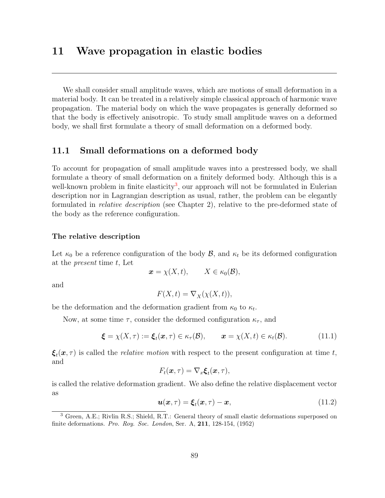# 11 Wave propagation in elastic bodies

We shall consider small amplitude waves, which are motions of small deformation in a material body. It can be treated in a relatively simple classical approach of harmonic wave propagation. The material body on which the wave propagates is generally deformed so that the body is effectively anisotropic. To study small amplitude waves on a deformed body, we shall first formulate a theory of small deformation on a deformed body.

## 11.1 Small deformations on a deformed body

To account for propagation of small amplitude waves into a prestressed body, we shall formulate a theory of small deformation on a finitely deformed body. Although this is a well-known problem in finite elasticity<sup>[3](#page-94-0)</sup>, our approach will not be formulated in Eulerian description nor in Lagrangian description as usual, rather, the problem can be elegantly formulated in relative description (see Chapter 2), relative to the pre-deformed state of the body as the reference configuration.

#### <span id="page-94-1"></span>The relative description

Let  $\kappa_0$  be a reference configuration of the body  $\mathcal{B}$ , and  $\kappa_t$  be its deformed configuration at the present time t, Let

$$
\boldsymbol{x} = \chi(X, t), \qquad X \in \kappa_0(\mathcal{B}),
$$

and

$$
F(X,t) = \nabla_X(\chi(X,t)),
$$

be the deformation and the deformation gradient from  $\kappa_0$  to  $\kappa_t$ .

Now, at some time  $\tau$ , consider the deformed configuration  $\kappa_{\tau}$ , and

$$
\boldsymbol{\xi} = \chi(X,\tau) := \boldsymbol{\xi}_t(\boldsymbol{x},\tau) \in \kappa_\tau(\mathcal{B}), \qquad \boldsymbol{x} = \chi(X,t) \in \kappa_t(\mathcal{B}). \tag{11.1}
$$

 $\xi_t(x, \tau)$  is called the *relative motion* with respect to the present configuration at time t, and

$$
F_t(\boldsymbol{x},\tau) = \nabla_x \boldsymbol{\xi}_t(\boldsymbol{x},\tau),
$$

is called the relative deformation gradient. We also define the relative displacement vector as

$$
\boldsymbol{u}(\boldsymbol{x},\tau) = \boldsymbol{\xi}_t(\boldsymbol{x},\tau) - \boldsymbol{x},\tag{11.2}
$$

<span id="page-94-0"></span><sup>3</sup> Green, A.E.; Rivlin R.S.; Shield, R.T.: General theory of small elastic deformations superposed on finite deformations. Pro. Roy. Soc. London, Ser. A, 211, 128-154, (1952)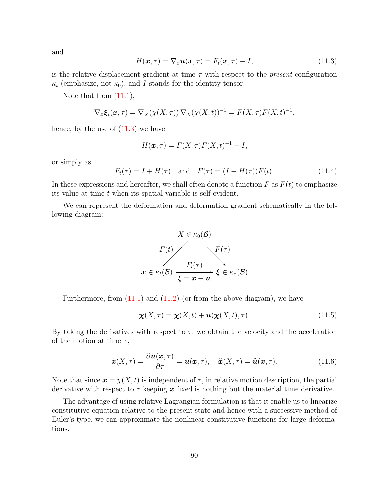and

$$
H(\boldsymbol{x},\tau) = \nabla_x \boldsymbol{u}(\boldsymbol{x},\tau) = F_t(\boldsymbol{x},\tau) - I,\tag{11.3}
$$

is the relative displacement gradient at time  $\tau$  with respect to the *present* configuration  $\kappa_t$  (emphasize, not  $\kappa_0$ ), and I stands for the identity tensor.

Note that from  $(11.1)$ ,

$$
\nabla_x \boldsymbol{\xi}_t(\boldsymbol{x}, \tau) = \nabla_X(\chi(X, \tau)) \nabla_X(\chi(X, t))^{-1} = F(X, \tau) F(X, t)^{-1},
$$

hence, by the use of  $(11.3)$  we have

$$
H(\boldsymbol{x},\tau) = F(X,\tau)F(X,t)^{-1} - I,
$$

or simply as

$$
F_t(\tau) = I + H(\tau)
$$
 and  $F(\tau) = (I + H(\tau))F(t)$ . (11.4)

In these expressions and hereafter, we shall often denote a function  $F$  as  $F(t)$  to emphasize its value at time t when its spatial variable is self-evident.

We can represent the deformation and deformation gradient schematically in the following diagram:



Furthermore, from  $(11.1)$  and  $(11.2)$  (or from the above diagram), we have

$$
\chi(X,\tau) = \chi(X,t) + \boldsymbol{u}(\chi(X,t),\tau). \tag{11.5}
$$

By taking the derivatives with respect to  $\tau$ , we obtain the velocity and the acceleration of the motion at time  $\tau$ ,

$$
\dot{\boldsymbol{x}}(X,\tau) = \frac{\partial \boldsymbol{u}(\boldsymbol{x},\tau)}{\partial \tau} = \dot{\boldsymbol{u}}(\boldsymbol{x},\tau), \quad \ddot{\boldsymbol{x}}(X,\tau) = \ddot{\boldsymbol{u}}(\boldsymbol{x},\tau). \tag{11.6}
$$

Note that since  $\mathbf{x} = \chi(X, t)$  is independent of  $\tau$ , in relative motion description, the partial derivative with respect to  $\tau$  keeping x fixed is nothing but the material time derivative.

The advantage of using relative Lagrangian formulation is that it enable us to linearize constitutive equation relative to the present state and hence with a successive method of Euler's type, we can approximate the nonlinear constitutive functions for large deformations.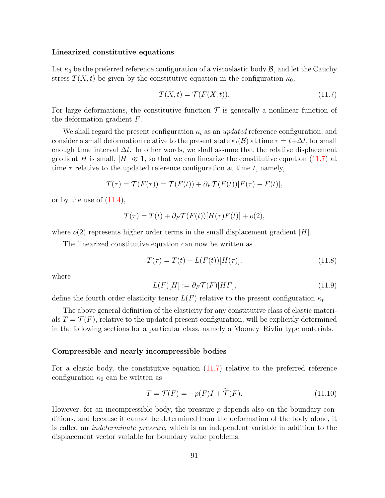#### <span id="page-96-0"></span>Linearized constitutive equations

Let  $\kappa_0$  be the preferred reference configuration of a viscoelastic body  $\mathcal{B}$ , and let the Cauchy stress  $T(X, t)$  be given by the constitutive equation in the configuration  $\kappa_0$ ,

$$
T(X,t) = \mathcal{T}(F(X,t)).
$$
\n<sup>(11.7)</sup>

For large deformations, the constitutive function  $\mathcal T$  is generally a nonlinear function of the deformation gradient F.

We shall regard the present configuration  $\kappa_t$  as an updated reference configuration, and consider a small deformation relative to the present state  $\kappa_t(\mathcal{B})$  at time  $\tau = t + \Delta t$ , for small enough time interval  $\Delta t$ . In other words, we shall assume that the relative displacement gradient H is small,  $|H| \ll 1$ , so that we can linearize the constitutive equation [\(11.7\)](#page-96-0) at time  $\tau$  relative to the updated reference configuration at time t, namely,

$$
T(\tau) = \mathcal{T}(F(\tau)) = \mathcal{T}(F(t)) + \partial_F \mathcal{T}(F(t))[F(\tau) - F(t)],
$$

or by the use of  $(11.4)$ ,

$$
T(\tau) = T(t) + \partial_F \mathcal{T}(F(t))[H(\tau)F(t)] + o(2),
$$

where  $o(2)$  represents higher order terms in the small displacement gradient  $|H|$ .

The linearized constitutive equation can now be written as

$$
T(\tau) = T(t) + L(F(t))[H(\tau)],
$$
\n(11.8)

where

$$
L(F)[H] := \partial_F \mathcal{T}(F)[HF],\tag{11.9}
$$

define the fourth order elasticity tensor  $L(F)$  relative to the present configuration  $\kappa_t$ .

The above general definition of the elasticity for any constitutive class of elastic materials  $T = \mathcal{T}(F)$ , relative to the updated present configuration, will be explicitly determined in the following sections for a particular class, namely a Mooney–Rivlin type materials.

#### <span id="page-96-1"></span>Compressible and nearly incompressible bodies

For a elastic body, the constitutive equation [\(11.7\)](#page-96-0) relative to the preferred reference configuration  $\kappa_0$  can be written as

$$
T = \mathcal{T}(F) = -p(F)I + \widetilde{\mathcal{T}}(F). \tag{11.10}
$$

However, for an incompressible body, the pressure  $p$  depends also on the boundary conditions, and because it cannot be determined from the deformation of the body alone, it is called an indeterminate pressure, which is an independent variable in addition to the displacement vector variable for boundary value problems.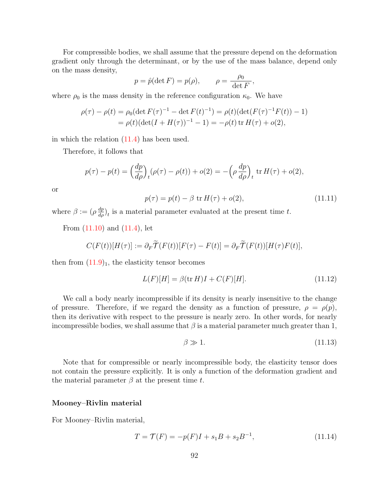For compressible bodies, we shall assume that the pressure depend on the deformation gradient only through the determinant, or by the use of the mass balance, depend only on the mass density,

$$
p = \hat{p}(\det F) = p(\rho), \qquad \rho = \frac{\rho_0}{\det F},
$$

where  $\rho_0$  is the mass density in the reference configuration  $\kappa_0$ . We have

$$
\rho(\tau) - \rho(t) = \rho_0 (\det F(\tau)^{-1} - \det F(t)^{-1}) = \rho(t) (\det (F(\tau)^{-1}F(t)) - 1)
$$
  
= 
$$
\rho(t) (\det (I + H(\tau))^{-1} - 1) = -\rho(t) \operatorname{tr} H(\tau) + o(2),
$$

in which the relation  $(11.4)$  has been used.

Therefore, it follows that

$$
p(\tau) - p(t) = \left(\frac{dp}{d\rho}\right)_t (\rho(\tau) - \rho(t)) + o(2) = -\left(\rho \frac{dp}{d\rho}\right)_t \text{ tr } H(\tau) + o(2),
$$

or

$$
p(\tau) = p(t) - \beta \text{ tr } H(\tau) + o(2), \qquad (11.11)
$$

where  $\beta := (\rho \frac{dp}{d\rho})_t$  is a material parameter evaluated at the present time t.

From  $(11.10)$  and  $(11.4)$ , let

$$
C(F(t))[H(\tau)]:= \partial_F \widetilde{\mathcal{T}}(F(t))[F(\tau)-F(t)]= \partial_F \widetilde{\mathcal{T}}(F(t))[H(\tau)F(t)],
$$

then from  $(11.9)<sub>1</sub>$ , the elasticity tensor becomes

$$
L(F)[H] = \beta(\text{tr } H)I + C(F)[H].
$$
\n(11.12)

We call a body nearly incompressible if its density is nearly insensitive to the change of pressure. Therefore, if we regard the density as a function of pressure,  $\rho = \rho(p)$ , then its derivative with respect to the pressure is nearly zero. In other words, for nearly incompressible bodies, we shall assume that  $\beta$  is a material parameter much greater than 1,

$$
\beta \gg 1. \tag{11.13}
$$

Note that for compressible or nearly incompressible body, the elasticity tensor does not contain the pressure explicitly. It is only a function of the deformation gradient and the material parameter  $\beta$  at the present time t.

#### <span id="page-97-0"></span>Mooney–Rivlin material

For Mooney–Rivlin material,

$$
T = \mathcal{T}(F) = -p(F)I + s_1B + s_2B^{-1},\tag{11.14}
$$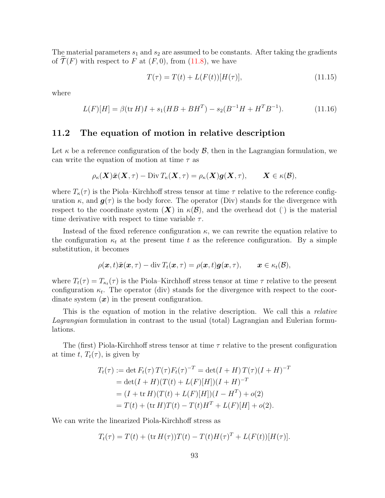The material parameters  $s_1$  and  $s_2$  are assumed to be constants. After taking the gradients of  $\mathcal{T}(F)$  with respect to F at  $(F, 0)$ , from  $(11.8)$ , we have

$$
T(\tau) = T(t) + L(F(t))[H(\tau)],
$$
\n(11.15)

where

$$
L(F)[H] = \beta(\text{tr } H)I + s_1(HB + BH^T) - s_2(B^{-1}H + H^T B^{-1}).
$$
\n(11.16)

### <span id="page-98-0"></span>11.2 The equation of motion in relative description

Let  $\kappa$  be a reference configuration of the body  $\mathcal{B}$ , then in the Lagrangian formulation, we can write the equation of motion at time  $\tau$  as

$$
\rho_{\kappa}(\boldsymbol{X})\ddot{\boldsymbol{x}}(\boldsymbol{X},\tau)-\text{Div}\, T_{\kappa}(\boldsymbol{X},\tau)=\rho_{\kappa}(\boldsymbol{X})\boldsymbol{g}(\boldsymbol{X},\tau),\qquad \boldsymbol{X}\in\kappa(\mathcal{B}),
$$

where  $T_{\kappa}(\tau)$  is the Piola–Kirchhoff stress tensor at time  $\tau$  relative to the reference configuration  $\kappa$ , and  $g(\tau)$  is the body force. The operator (Div) stands for the divergence with respect to the coordinate system  $(X)$  in  $\kappa(\mathcal{B})$ , and the overhead dot () is the material time derivative with respect to time variable  $\tau$ .

Instead of the fixed reference configuration  $\kappa$ , we can rewrite the equation relative to the configuration  $\kappa_t$  at the present time t as the reference configuration. By a simple substitution, it becomes

$$
\rho(\boldsymbol{x},t)\ddot{\boldsymbol{x}}(\boldsymbol{x},\tau)-{\rm div}\,T_t(\boldsymbol{x},\tau)=\rho(\boldsymbol{x},t)\boldsymbol{g}(\boldsymbol{x},\tau),\qquad \boldsymbol{x}\in\kappa_t(\mathcal{B}),
$$

where  $T_t(\tau) = T_{\kappa_t}(\tau)$  is the Piola–Kirchhoff stress tensor at time  $\tau$  relative to the present configuration  $\kappa_t$ . The operator (div) stands for the divergence with respect to the coordinate system  $(x)$  in the present configuration.

This is the equation of motion in the relative description. We call this a relative Lagrangian formulation in contrast to the usual (total) Lagrangian and Eulerian formulations.

The (first) Piola-Kirchhoff stress tensor at time  $\tau$  relative to the present configuration at time t,  $T_t(\tau)$ , is given by

$$
T_t(\tau) := \det F_t(\tau) T(\tau) F_t(\tau)^{-T} = \det(I + H) T(\tau) (I + H)^{-T}
$$
  
= 
$$
\det(I + H) (T(t) + L(F)[H])(I + H)^{-T}
$$
  
= 
$$
(I + \operatorname{tr} H) (T(t) + L(F)[H])(I - H^T) + o(2)
$$
  
= 
$$
T(t) + (\operatorname{tr} H) T(t) - T(t) H^T + L(F)[H] + o(2).
$$

We can write the linearized Piola-Kirchhoff stress as

$$
T_t(\tau) = T(t) + (\text{tr } H(\tau))T(t) - T(t)H(\tau)^T + L(F(t))[H(\tau)].
$$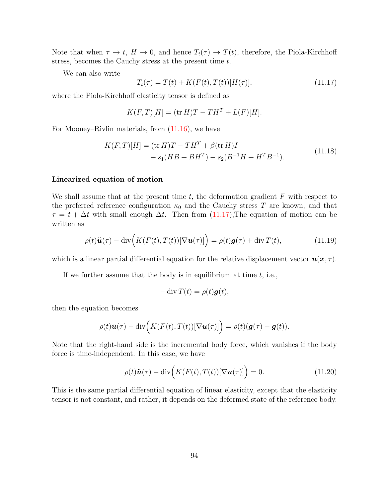Note that when  $\tau \to t$ ,  $H \to 0$ , and hence  $T_t(\tau) \to T(t)$ , therefore, the Piola-Kirchhoff stress, becomes the Cauchy stress at the present time t.

We can also write

$$
T_t(\tau) = T(t) + K(F(t), T(t))[H(\tau)],
$$
\n(11.17)

where the Piola-Kirchhoff elasticity tensor is defined as

$$
K(F,T)[H] = (\text{tr } H)T - TH^T + L(F)[H].
$$

For Mooney–Rivlin materials, from [\(11.16\)](#page-97-0), we have

$$
K(F,T)[H] = (\text{tr } H)T - TH^T + \beta(\text{tr } H)I
$$
  
+  $s_1(HB + BH^T) - s_2(B^{-1}H + H^TB^{-1}).$  (11.18)

#### <span id="page-99-0"></span>Linearized equation of motion

We shall assume that at the present time  $t$ , the deformation gradient  $F$  with respect to the preferred reference configuration  $\kappa_0$  and the Cauchy stress T are known, and that  $\tau = t + \Delta t$  with small enough  $\Delta t$ . Then from [\(11.17\)](#page-98-0), The equation of motion can be written as

$$
\rho(t)\ddot{\boldsymbol{u}}(\tau) - \operatorname{div}\Big(K(F(t),T(t))[\nabla \boldsymbol{u}(\tau)]\Big) = \rho(t)\boldsymbol{g}(\tau) + \operatorname{div} T(t),\tag{11.19}
$$

which is a linear partial differential equation for the relative displacement vector  $u(x, \tau)$ .

If we further assume that the body is in equilibrium at time  $t$ , i.e.,

$$
-\operatorname{div} T(t) = \rho(t)\mathbf{g}(t),
$$

then the equation becomes

$$
\rho(t)\ddot{\boldsymbol{u}}(\tau) - \mathrm{div}\Big(K(F(t),T(t))[\nabla \boldsymbol{u}(\tau)]\Big) = \rho(t)(\boldsymbol{g}(\tau) - \boldsymbol{g}(t)).
$$

Note that the right-hand side is the incremental body force, which vanishes if the body force is time-independent. In this case, we have

$$
\rho(t)\ddot{\boldsymbol{u}}(\tau) - \text{div}\Big(K(F(t), T(t))[\nabla \boldsymbol{u}(\tau)]\Big) = 0.
$$
\n(11.20)

This is the same partial differential equation of linear elasticity, except that the elasticity tensor is not constant, and rather, it depends on the deformed state of the reference body.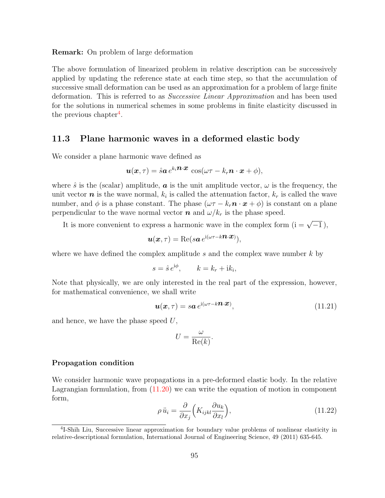Remark: On problem of large deformation

The above formulation of linearized problem in relative description can be successively applied by updating the reference state at each time step, so that the accumulation of successive small deformation can be used as an approximation for a problem of large finite deformation. This is referred to as Successive Linear Approximation and has been used for the solutions in numerical schemes in some problems in finite elasticity discussed in the previous chapter<sup>[4](#page-100-0)</sup>.

## <span id="page-100-1"></span>11.3 Plane harmonic waves in a deformed elastic body

We consider a plane harmonic wave defined as

$$
\boldsymbol{u}(\boldsymbol{x},\tau) = \hat{s} \boldsymbol{a} \, e^{k_i \boldsymbol{n} \cdot \boldsymbol{x}} \, \cos(\omega \tau - k_r \boldsymbol{n} \cdot \boldsymbol{x} + \phi),
$$

where  $\hat{s}$  is the (scalar) amplitude,  $\boldsymbol{a}$  is the unit amplitude vector,  $\omega$  is the frequency, the unit vector  $\boldsymbol{n}$  is the wave normal,  $k_i$  is called the attenuation factor,  $k_r$  is called the wave number, and  $\phi$  is a phase constant. The phase  $(\omega \tau - k_r \mathbf{n} \cdot \mathbf{x} + \phi)$  is constant on a plane perpendicular to the wave normal vector **n** and  $\omega/k_r$  is the phase speed.

It is more convenient to express a harmonic wave in the complex form  $(i = \sqrt{-1})$ ,

$$
\boldsymbol{u}(\boldsymbol{x},\tau) = \text{Re}(s\boldsymbol{a} e^{i(\omega\tau - k\boldsymbol{n}\cdot\boldsymbol{x})}),
$$

where we have defined the complex amplitude  $s$  and the complex wave number  $k$  by

$$
s = \hat{s} e^{i\phi}, \qquad k = k_r + i k_i,
$$

Note that physically, we are only interested in the real part of the expression, however, for mathematical convenience, we shall write

$$
\mathbf{u}(\mathbf{x},\tau) = s\mathbf{a} e^{\mathrm{i}(\omega\tau - k\mathbf{n}\cdot\mathbf{x})},\tag{11.21}
$$

and hence, we have the phase speed  $U$ ,

$$
U = \frac{\omega}{\text{Re}(k)}.
$$

#### <span id="page-100-2"></span>Propagation condition

We consider harmonic wave propagations in a pre-deformed elastic body. In the relative Lagrangian formulation, from [\(11.20\)](#page-99-0) we can write the equation of motion in component form,

$$
\rho \ddot{u}_i = \frac{\partial}{\partial x_j} \left( K_{ijkl} \frac{\partial u_k}{\partial x_l} \right),\tag{11.22}
$$

<span id="page-100-0"></span><sup>&</sup>lt;sup>4</sup>I-Shih Liu, Successive linear approximation for boundary value problems of nonlinear elasticity in relative-descriptional formulation, International Journal of Engineering Science, 49 (2011) 635-645.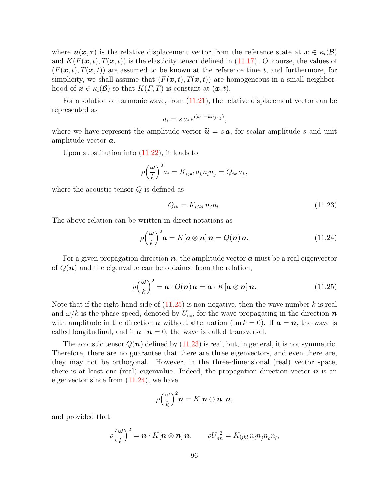where  $u(x, \tau)$  is the relative displacement vector from the reference state at  $x \in \kappa_t(\mathcal{B})$ and  $K(F(\mathbf{x}, t), T(\mathbf{x}, t))$  is the elasticity tensor defined in [\(11.17\)](#page-98-0). Of course, the values of  $(F(\mathbf{x}, t), T(\mathbf{x}, t))$  are assumed to be known at the reference time t, and furthermore, for simplicity, we shall assume that  $(F(\mathbf{x}, t), T(\mathbf{x}, t))$  are homogeneous in a small neighborhood of  $x \in \kappa_t(\mathcal{B})$  so that  $K(F,T)$  is constant at  $(x, t)$ .

For a solution of harmonic wave, from [\(11.21\)](#page-100-1), the relative displacement vector can be represented as

$$
u_i = s a_i e^{i(\omega \tau - k n_j x_j)},
$$

where we have represent the amplitude vector  $\tilde{\mathbf{u}} = s \mathbf{a}$ , for scalar amplitude s and unit amplitude vector a.

Upon substitution into [\(11.22\)](#page-100-2), it leads to

$$
\rho\left(\frac{\omega}{k}\right)^2 a_i = K_{ijkl} a_k n_l n_j = Q_{ik} a_k,
$$

where the acoustic tensor  $Q$  is defined as

$$
Q_{ik} = K_{ijkl} n_j n_l. \tag{11.23}
$$

The above relation can be written in direct notations as

$$
\rho\left(\frac{\omega}{k}\right)^2 \mathbf{a} = K[\mathbf{a} \otimes \mathbf{n}] \mathbf{n} = Q(\mathbf{n}) \mathbf{a}.
$$
 (11.24)

For a given propagation direction  $n$ , the amplitude vector  $\boldsymbol{a}$  must be a real eigenvector of  $Q(n)$  and the eigenvalue can be obtained from the relation,

$$
\rho\left(\frac{\omega}{k}\right)^2 = \boldsymbol{a} \cdot Q(\boldsymbol{n}) \, \boldsymbol{a} = \boldsymbol{a} \cdot K[\boldsymbol{a} \otimes \boldsymbol{n}] \, \boldsymbol{n}.\tag{11.25}
$$

Note that if the right-hand side of  $(11.25)$  is non-negative, then the wave number k is real and  $\omega/k$  is the phase speed, denoted by  $U_{\text{na}}$ , for the wave propagating in the direction n with amplitude in the direction **a** without attenuation (Im  $k = 0$ ). If  $a = n$ , the wave is called longitudinal, and if  $\mathbf{a} \cdot \mathbf{n} = 0$ , the wave is called transversal.

The acoustic tensor  $Q(n)$  defined by [\(11.23\)](#page-100-2) is real, but, in general, it is not symmetric. Therefore, there are no guarantee that there are three eigenvectors, and even there are, they may not be orthogonal. However, in the three-dimensional (real) vector space, there is at least one (real) eigenvalue. Indeed, the propagation direction vector  $\boldsymbol{n}$  is an eigenvector since from [\(11.24\)](#page-100-2), we have

$$
\rho\left(\frac{\omega}{k}\right)^2\mathbf{n}=K[\mathbf{n}\otimes\mathbf{n}]\,\mathbf{n},
$$

and provided that

$$
\rho\left(\frac{\omega}{k}\right)^2 = \boldsymbol{n} \cdot K[\boldsymbol{n} \otimes \boldsymbol{n}] \, \boldsymbol{n}, \qquad \rho U_{nn}^2 = K_{ijkl} \, n_i n_j n_k n_l,
$$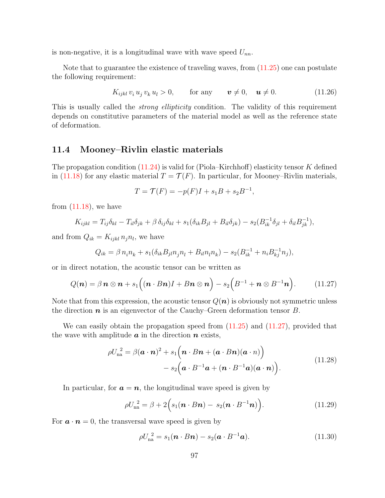is non-negative, it is a longitudinal wave with wave speed  $U_{nn}$ .

Note that to guarantee the existence of traveling waves, from [\(11.25\)](#page-100-2) one can postulate the following requirement:

$$
K_{ijkl} v_i u_j v_k u_l > 0, \qquad \text{for any} \qquad \mathbf{v} \neq 0, \quad \mathbf{u} \neq 0. \tag{11.26}
$$

This is usually called the *strong ellipticity* condition. The validity of this requirement depends on constitutive parameters of the material model as well as the reference state of deformation.

## <span id="page-102-0"></span>11.4 Mooney–Rivlin elastic materials

The propagation condition  $(11.24)$  is valid for (Piola–Kirchhoff) elasticity tensor K defined in [\(11.18\)](#page-98-0) for any elastic material  $T = \mathcal{T}(F)$ . In particular, for Mooney–Rivlin materials,

$$
T = \mathcal{T}(F) = -p(F)I + s_1B + s_2B^{-1},
$$

from  $(11.18)$ , we have

$$
K_{ijkl} = T_{ij}\delta_{kl} - T_{il}\delta_{jk} + \beta \delta_{ij}\delta_{kl} + s_1(\delta_{ik}B_{jl} + B_{il}\delta_{jk}) - s_2(B_{ik}^{-1}\delta_{jl} + \delta_{il}B_{jk}^{-1}),
$$

and from  $Q_{ik} = K_{ijkl} n_j n_l$ , we have

$$
Q_{ik} = \beta n_i n_k + s_1(\delta_{ik} B_{jl} n_j n_l + B_{il} n_l n_k) - s_2(B_{ik}^{-1} + n_i B_{kj}^{-1} n_j),
$$

or in direct notation, the acoustic tensor can be written as

$$
Q(\boldsymbol{n}) = \beta \, \boldsymbol{n} \otimes \boldsymbol{n} + s_1 \Big( (\boldsymbol{n} \cdot \boldsymbol{B} \boldsymbol{n}) \boldsymbol{I} + \boldsymbol{B} \boldsymbol{n} \otimes \boldsymbol{n} \Big) - s_2 \Big( \boldsymbol{B}^{-1} + \boldsymbol{n} \otimes \boldsymbol{B}^{-1} \boldsymbol{n} \Big). \tag{11.27}
$$

Note that from this expression, the acoustic tensor  $Q(n)$  is obviously not symmetric unless the direction  $n$  is an eigenvector of the Cauchy–Green deformation tensor  $B$ .

We can easily obtain the propagation speed from  $(11.25)$  and  $(11.27)$ , provided that the wave with amplitude  $\boldsymbol{a}$  in the direction  $\boldsymbol{n}$  exists,

$$
\rho U_{na}^{2} = \beta (\boldsymbol{a} \cdot \boldsymbol{n})^{2} + s_{1} (\boldsymbol{n} \cdot \boldsymbol{B} \boldsymbol{n} + (\boldsymbol{a} \cdot \boldsymbol{B} \boldsymbol{n}) (\boldsymbol{a} \cdot \boldsymbol{n})) - s_{2} (\boldsymbol{a} \cdot \boldsymbol{B}^{-1} \boldsymbol{a} + (\boldsymbol{n} \cdot \boldsymbol{B}^{-1} \boldsymbol{a}) (\boldsymbol{a} \cdot \boldsymbol{n}))
$$
\n(11.28)

In particular, for  $a = n$ , the longitudinal wave speed is given by

$$
\rho U_{nn}^2 = \beta + 2\Big(s_1(\boldsymbol{n} \cdot \boldsymbol{B}\boldsymbol{n}) - s_2(\boldsymbol{n} \cdot \boldsymbol{B}^{-1}\boldsymbol{n})\Big). \tag{11.29}
$$

For  $\mathbf{a} \cdot \mathbf{n} = 0$ , the transversal wave speed is given by

$$
\rho U_{\text{na}}^2 = s_1(\boldsymbol{n} \cdot \boldsymbol{B} \boldsymbol{n}) - s_2(\boldsymbol{a} \cdot \boldsymbol{B}^{-1} \boldsymbol{a}). \tag{11.30}
$$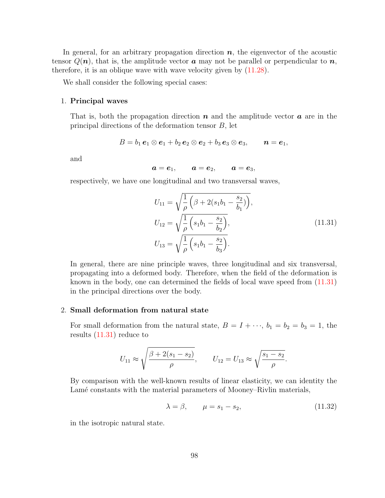In general, for an arbitrary propagation direction  $n$ , the eigenvector of the acoustic tensor  $Q(n)$ , that is, the amplitude vector **a** may not be parallel or perpendicular to **n**, therefore, it is an oblique wave with wave velocity given by [\(11.28\)](#page-102-0).

We shall consider the following special cases:

#### <span id="page-103-0"></span>1. Principal waves

That is, both the propagation direction  $n$  and the amplitude vector  $\boldsymbol{a}$  are in the principal directions of the deformation tensor  $B$ , let

$$
B=b_1\,\mathbf{e}_1\otimes\mathbf{e}_1+b_2\,\mathbf{e}_2\otimes\mathbf{e}_2+b_3\,\mathbf{e}_3\otimes\mathbf{e}_3,\qquad\mathbf{n}=\mathbf{e}_1,
$$

and

$$
\boldsymbol{a}=\boldsymbol{e}_1,\qquad \boldsymbol{a}=\boldsymbol{e}_2,\qquad \boldsymbol{a}=\boldsymbol{e}_3,
$$

respectively, we have one longitudinal and two transversal waves,

$$
U_{11} = \sqrt{\frac{1}{\rho} \left( \beta + 2(s_1 b_1 - \frac{s_2}{b_1}) \right)},
$$
  
\n
$$
U_{12} = \sqrt{\frac{1}{\rho} \left( s_1 b_1 - \frac{s_2}{b_2} \right)},
$$
  
\n
$$
U_{13} = \sqrt{\frac{1}{\rho} \left( s_1 b_1 - \frac{s_2}{b_3} \right)}.
$$
\n(11.31)

In general, there are nine principle waves, three longitudinal and six transversal, propagating into a deformed body. Therefore, when the field of the deformation is known in the body, one can determined the fields of local wave speed from [\(11.31\)](#page-103-0) in the principal directions over the body.

#### 2. Small deformation from natural state

For small deformation from the natural state,  $B = I + \cdots$ ,  $b_1 = b_2 = b_3 = 1$ , the results [\(11.31\)](#page-103-0) reduce to

$$
U_{11} \approx \sqrt{\frac{\beta + 2(s_1 - s_2)}{\rho}}, \qquad U_{12} = U_{13} \approx \sqrt{\frac{s_1 - s_2}{\rho}}.
$$

By comparison with the well-known results of linear elasticity, we can identity the Lamé constants with the material parameters of Mooney–Rivlin materials,

$$
\lambda = \beta, \qquad \mu = s_1 - s_2,\tag{11.32}
$$

in the isotropic natural state.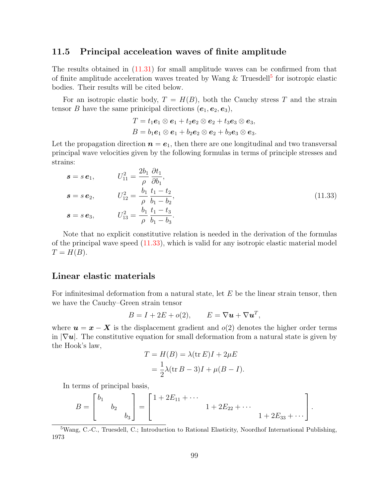### <span id="page-104-1"></span>11.5 Principal acceleation waves of finite amplitude

The results obtained in [\(11.31\)](#page-103-0) for small amplitude waves can be confirmed from that of finite amplitude acceleration waves treated by Wang & Truesdell<sup>[5](#page-104-0)</sup> for isotropic elastic bodies. Their results will be cited below.

For an isotropic elastic body,  $T = H(B)$ , both the Cauchy stress T and the strain tensor B have the same prinicipal directions  $(e_1, e_2, e_3)$ ,

$$
T = t_1e_1 \otimes e_1 + t_2e_2 \otimes e_2 + t_3e_3 \otimes e_3,
$$
  
\n
$$
B = b_1e_1 \otimes e_1 + b_2e_2 \otimes e_2 + b_3e_3 \otimes e_3.
$$

Let the propagation direction  $n = e_1$ , then there are one longitudinal and two transversal principal wave velocities given by the following formulas in terms of principle stresses and strains:

$$
s = s e_1, \t U_{11}^2 = \frac{2b_1}{\rho} \frac{\partial t_1}{\partial b_1},
$$
  
\n
$$
s = s e_2, \t U_{12}^2 = \frac{b_1}{\rho} \frac{t_1 - t_2}{b_1 - b_2},
$$
  
\n
$$
s = s e_3, \t U_{13}^2 = \frac{b_1}{\rho} \frac{t_1 - t_3}{b_1 - b_3}.
$$
\n(11.33)

Note that no explicit constitutive relation is needed in the derivation of the formulas of the principal wave speed [\(11.33\)](#page-104-1), which is valid for any isotropic elastic material model  $T = H(B).$ 

### Linear elastic materials

For infinitesimal deformation from a natural state, let  $E$  be the linear strain tensor, then we have the Cauchy–Green strain tensor

$$
B = I + 2E + o(2), \qquad E = \nabla u + \nabla u^T,
$$

where  $u = x - X$  is the displacement gradient and  $o(2)$  denotes the higher order terms in  $|\nabla u|$ . The constitutive equation for small deformation from a natural state is given by the Hook's law,

$$
T = H(B) = \lambda(\text{tr } E)I + 2\mu E
$$
  
=  $\frac{1}{2}\lambda(\text{tr } B - 3)I + \mu(B - I).$ 

In terms of principal basis,

$$
B = \begin{bmatrix} b_1 & & \\ & b_2 & \\ & & b_3 \end{bmatrix} = \begin{bmatrix} 1 + 2E_{11} + \cdots & \\ & & 1 + 2E_{22} + \cdots \\ & & & 1 + 2E_{33} + \cdots \end{bmatrix}.
$$

<span id="page-104-0"></span><sup>5</sup>Wang, C.-C., Truesdell, C.; Introduction to Rational Elasticity, Noordhof International Publishing, 1973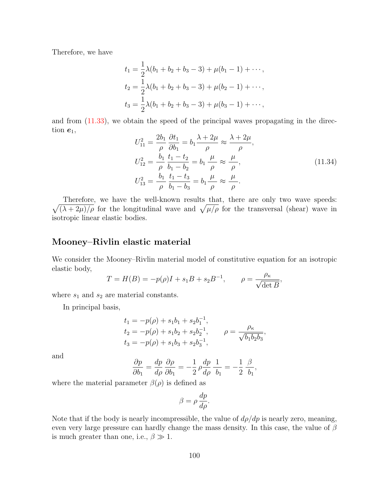Therefore, we have

$$
t_1 = \frac{1}{2}\lambda(b_1 + b_2 + b_3 - 3) + \mu(b_1 - 1) + \cdots,
$$
  
\n
$$
t_2 = \frac{1}{2}\lambda(b_1 + b_2 + b_3 - 3) + \mu(b_2 - 1) + \cdots,
$$
  
\n
$$
t_3 = \frac{1}{2}\lambda(b_1 + b_2 + b_3 - 3) + \mu(b_3 - 1) + \cdots,
$$

and from [\(11.33\)](#page-104-1), we obtain the speed of the principal waves propagating in the direction  $e_1$ ,

$$
U_{11}^{2} = \frac{2b_{1}}{\rho} \frac{\partial t_{1}}{\partial b_{1}} = b_{1} \frac{\lambda + 2\mu}{\rho} \approx \frac{\lambda + 2\mu}{\rho},
$$
  
\n
$$
U_{12}^{2} = \frac{b_{1}}{\rho} \frac{t_{1} - t_{2}}{b_{1} - b_{2}} = b_{1} \frac{\mu}{\rho} \approx \frac{\mu}{\rho},
$$
  
\n
$$
U_{13}^{2} = \frac{b_{1}}{\rho} \frac{t_{1} - t_{3}}{b_{1} - b_{3}} = b_{1} \frac{\mu}{\rho} \approx \frac{\mu}{\rho}.
$$
\n(11.34)

 $\sqrt{(\lambda+2\mu)/\rho}$  for the longitudinal wave and  $\sqrt{\mu/\rho}$  for the transversal (shear) wave in Therefore, we have the well-known results that, there are only two wave speeds: isotropic linear elastic bodies.

## Mooney–Rivlin elastic material

We consider the Mooney–Rivlin material model of constitutive equation for an isotropic elastic body,

$$
T = H(B) = -p(\rho)I + s_1B + s_2B^{-1}, \qquad \rho = \frac{\rho_{\kappa}}{\sqrt{\det B}},
$$

where  $s_1$  and  $s_2$  are material constants.

In principal basis,

$$
t_1 = -p(\rho) + s_1b_1 + s_2b_1^{-1},
$$
  
\n
$$
t_2 = -p(\rho) + s_1b_2 + s_2b_2^{-1},
$$
  
\n
$$
t_3 = -p(\rho) + s_1b_3 + s_2b_3^{-1},
$$
  
\n
$$
\rho = \frac{\rho_\kappa}{\sqrt{b_1b_2b_3}},
$$

and

$$
\frac{\partial p}{\partial b_1}=\frac{dp}{d\rho}\,\frac{\partial\rho}{\partial b_1}=-\frac{1}{2}\,\rho\frac{dp}{d\rho}\,\frac{1}{b_1}=-\frac{1}{2}\,\frac{\beta}{b_1},
$$

where the material parameter  $\beta(\rho)$  is defined as

$$
\beta = \rho \frac{dp}{d\rho}.
$$

Note that if the body is nearly incompressible, the value of  $d\rho/dp$  is nearly zero, meaning, even very large pressure can hardly change the mass density. In this case, the value of  $\beta$ is much greater than one, i.e.,  $\beta \gg 1$ .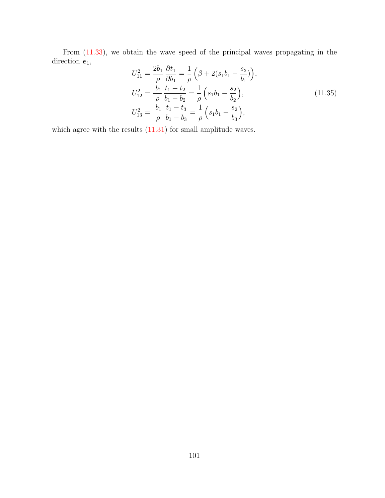From [\(11.33\)](#page-104-1), we obtain the wave speed of the principal waves propagating in the direction  $e_1$ ,  $\overline{1}$ 

$$
U_{11}^{2} = \frac{2b_{1}}{\rho} \frac{\partial t_{1}}{\partial b_{1}} = \frac{1}{\rho} \left( \beta + 2(s_{1}b_{1} - \frac{s_{2}}{b_{1}}) \right),
$$
  
\n
$$
U_{12}^{2} = \frac{b_{1}}{\rho} \frac{t_{1} - t_{2}}{b_{1} - b_{2}} = \frac{1}{\rho} \left( s_{1}b_{1} - \frac{s_{2}}{b_{2}} \right),
$$
  
\n
$$
U_{13}^{2} = \frac{b_{1}}{\rho} \frac{t_{1} - t_{3}}{b_{1} - b_{3}} = \frac{1}{\rho} \left( s_{1}b_{1} - \frac{s_{2}}{b_{3}} \right),
$$
\n(11.35)

which agree with the results  $(11.31)$  for small amplitude waves.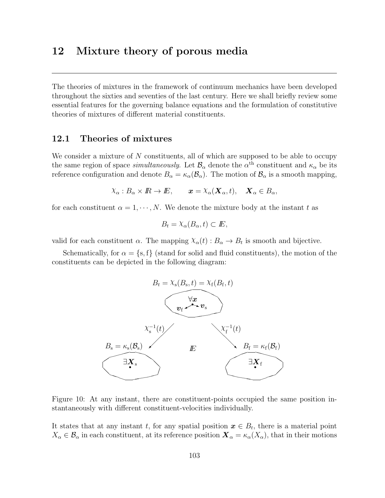# 12 Mixture theory of porous media

The theories of mixtures in the framework of continuum mechanics have been developed throughout the sixties and seventies of the last century. Here we shall briefly review some essential features for the governing balance equations and the formulation of constitutive theories of mixtures of different material constituents.

## 12.1 Theories of mixtures

We consider a mixture of  $N$  constituents, all of which are supposed to be able to occupy the same region of space *simultaneously*. Let  $\mathcal{B}_{\alpha}$  denote the  $\alpha^{\text{th}}$  constituent and  $\kappa_{\alpha}$  be its reference configuration and denote  $B_{\alpha} = \kappa_{\alpha}(\mathcal{B}_{\alpha})$ . The motion of  $\mathcal{B}_{\alpha}$  is a smooth mapping,

$$
\chi_{\alpha}: B_{\alpha} \times I\!\!R \to I\!\!E, \qquad \boldsymbol{x} = \chi_{\alpha}(\boldsymbol{X}_{\alpha}, t), \quad \boldsymbol{X}_{\alpha} \in B_{\alpha},
$$

for each constituent  $\alpha = 1, \dots, N$ . We denote the mixture body at the instant t as

$$
B_t = \lambda_\alpha(B_\alpha, t) \subset I\!\!E,
$$

valid for each constituent  $\alpha$ . The mapping  $\chi_{\alpha}(t) : B_{\alpha} \to B_{t}$  is smooth and bijective.

Schematically, for  $\alpha = \{s, f\}$  (stand for solid and fluid constituents), the motion of the constituents can be depicted in the following diagram:



Figure 10: At any instant, there are constituent-points occupied the same position instantaneously with different constituent-velocities individually.

It states that at any instant t, for any spatial position  $x \in B_t$ , there is a material point  $X_\alpha \in \mathcal{B}_\alpha$  in each constituent, at its reference position  $\mathbf{X}_\alpha = \kappa_\alpha(X_\alpha)$ , that in their motions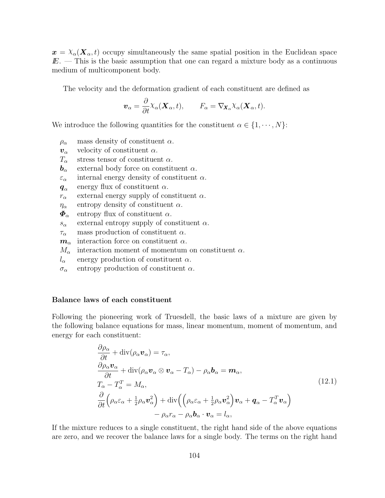$x = \chi_{\alpha}(X_{\alpha}, t)$  occupy simultaneously the same spatial position in the Euclidean space  $E.$  — This is the basic assumption that one can regard a mixture body as a continuous medium of multicomponent body.

The velocity and the deformation gradient of each constituent are defined as

$$
\boldsymbol{v}_{\alpha} = \frac{\partial}{\partial t} \chi_{\alpha}(\boldsymbol{X}_{\alpha}, t), \qquad F_{\alpha} = \nabla_{\boldsymbol{X}_{\alpha}} \chi_{\alpha}(\boldsymbol{X}_{\alpha}, t).
$$

We introduce the following quantities for the constituent  $\alpha \in \{1, \dots, N\}$ :

- $\rho_{\alpha}$  mass density of constituent  $\alpha$ .
- $v_{\alpha}$  velocity of constituent  $\alpha$ .
- $T_{\alpha}$  stress tensor of constituent  $\alpha$ .
- $\mathbf{b}_{\alpha}$  external body force on constituent  $\alpha$ .
- $\varepsilon_{\alpha}$  internal energy density of constituent  $\alpha$ .
- $\bm{q}_{\alpha}$ energy flux of constituent  $\alpha$ .
- $r_{\alpha}$  external energy supply of constituent  $\alpha$ .
- $\eta_{\alpha}$  entropy density of constituent  $\alpha$ .
- $\Phi_{\alpha}$  entropy flux of constituent  $\alpha$ .
- $s_{\alpha}$  external entropy supply of constituent  $\alpha$ .
- $\tau_{\alpha}$  mass production of constituent  $\alpha$ .
- $m_{\alpha}$  interaction force on constituent  $\alpha$ .
- $M_{\alpha}$  interaction moment of momentum on constituent  $\alpha$ .
- $l_{\alpha}$  energy production of constituent  $\alpha$ .
- $\sigma_{\alpha}$  entropy production of constituent  $\alpha$ .

#### <span id="page-109-0"></span>Balance laws of each constituent

Following the pioneering work of Truesdell, the basic laws of a mixture are given by the following balance equations for mass, linear momentum, moment of momentum, and energy for each constituent:

$$
\frac{\partial \rho_{\alpha}}{\partial t} + \text{div}(\rho_{\alpha} \mathbf{v}_{\alpha}) = \tau_{\alpha},
$$
\n
$$
\frac{\partial \rho_{\alpha} \mathbf{v}_{\alpha}}{\partial t} + \text{div}(\rho_{\alpha} \mathbf{v}_{\alpha} \otimes \mathbf{v}_{\alpha} - T_{\alpha}) - \rho_{\alpha} \mathbf{b}_{\alpha} = \mathbf{m}_{\alpha},
$$
\n
$$
T_{\alpha} - T_{\alpha}^{T} = M_{\alpha},
$$
\n
$$
\frac{\partial}{\partial t} \left( \rho_{\alpha} \varepsilon_{\alpha} + \frac{1}{2} \rho_{\alpha} \mathbf{v}_{\alpha}^{2} \right) + \text{div} \left( \left( \rho_{\alpha} \varepsilon_{\alpha} + \frac{1}{2} \rho_{\alpha} \mathbf{v}_{\alpha}^{2} \right) \mathbf{v}_{\alpha} + \mathbf{q}_{\alpha} - T_{\alpha}^{T} \mathbf{v}_{\alpha} \right)
$$
\n
$$
- \rho_{\alpha} r_{\alpha} - \rho_{\alpha} \mathbf{b}_{\alpha} \cdot \mathbf{v}_{\alpha} = l_{\alpha},
$$
\n(12.1)

If the mixture reduces to a single constituent, the right hand side of the above equations are zero, and we recover the balance laws for a single body. The terms on the right hand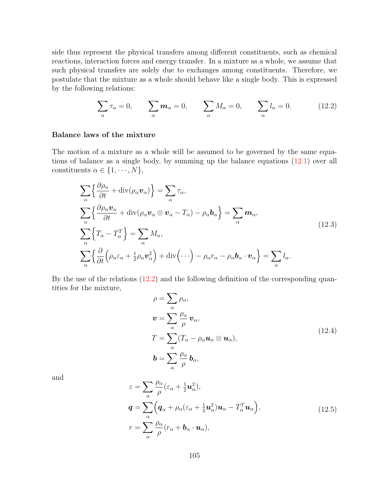side thus represent the physical transfers among different constituents, such as chemical reactions, interaction forces and energy transfer. In a mixture as a whole, we assume that such physical transfers are solely due to exchanges among constituents. Therefore, we postulate that the mixture as a whole should behave like a single body. This is expressed by the following relations:

$$
\sum_{\alpha} \tau_{\alpha} = 0, \qquad \sum_{\alpha} \mathbf{m}_{\alpha} = 0, \qquad \sum_{\alpha} M_{\alpha} = 0, \qquad \sum_{\alpha} l_{\alpha} = 0. \tag{12.2}
$$

### <span id="page-110-0"></span>Balance laws of the mixture

The motion of a mixture as a whole will be assumed to be governed by the same equations of balance as a single body, by summing up the balance equations [\(12.1\)](#page-109-0) over all constituents  $\alpha \in \{1, \cdots, N\},\$ 

$$
\sum_{\alpha} \left\{ \frac{\partial \rho_{\alpha}}{\partial t} + \text{div}(\rho_{\alpha} \mathbf{v}_{\alpha}) \right\} = \sum_{\alpha} \tau_{\alpha},
$$
\n
$$
\sum_{\alpha} \left\{ \frac{\partial \rho_{\alpha} \mathbf{v}_{\alpha}}{\partial t} + \text{div}(\rho_{\alpha} \mathbf{v}_{\alpha} \otimes \mathbf{v}_{\alpha} - T_{\alpha}) - \rho_{\alpha} \mathbf{b}_{\alpha} \right\} = \sum_{\alpha} \mathbf{m}_{\alpha},
$$
\n
$$
\sum_{\alpha} \left\{ T_{\alpha} - T_{\alpha}^{T} \right\} = \sum_{\alpha} M_{\alpha},
$$
\n
$$
\sum_{\alpha} \left\{ \frac{\partial}{\partial t} \left( \rho_{\alpha} \varepsilon_{\alpha} + \frac{1}{2} \rho_{\alpha} \mathbf{v}_{\alpha}^{2} \right) + \text{div} \left( \cdots \right) - \rho_{\alpha} r_{\alpha} - \rho_{\alpha} \mathbf{b}_{\alpha} \cdot \mathbf{v}_{\alpha} \right\} = \sum_{\alpha} l_{\alpha}.
$$
\n(12.3)

By the use of the relations [\(12.2\)](#page-109-0) and the following definition of the corresponding quantities for the mixture,

$$
\rho = \sum_{\alpha} \rho_{\alpha},
$$
  
\n
$$
\mathbf{v} = \sum_{\alpha} \frac{\rho_{\alpha}}{\rho} \mathbf{v}_{\alpha},
$$
  
\n
$$
T = \sum_{\alpha} (T_{\alpha} - \rho_{\alpha} \mathbf{u}_{\alpha} \otimes \mathbf{u}_{\alpha}),
$$
  
\n
$$
\mathbf{b} = \sum_{\alpha} \frac{\rho_{\alpha}}{\rho} \mathbf{b}_{\alpha},
$$
\n(12.4)

and

$$
\varepsilon = \sum_{\alpha} \frac{\rho_{\alpha}}{\rho} (\varepsilon_{\alpha} + \frac{1}{2} \boldsymbol{u}_{\alpha}^{2}),
$$
  
\n
$$
\boldsymbol{q} = \sum_{\alpha} \left( \boldsymbol{q}_{\alpha} + \rho_{\alpha} (\varepsilon_{\alpha} + \frac{1}{2} \boldsymbol{u}_{\alpha}^{2}) \boldsymbol{u}_{\alpha} - T_{\alpha}^{T} \boldsymbol{u}_{\alpha} \right),
$$
  
\n
$$
r = \sum_{\alpha} \frac{\rho_{\alpha}}{\rho} (r_{\alpha} + \boldsymbol{b}_{\alpha} \cdot \boldsymbol{u}_{\alpha}),
$$
\n(12.5)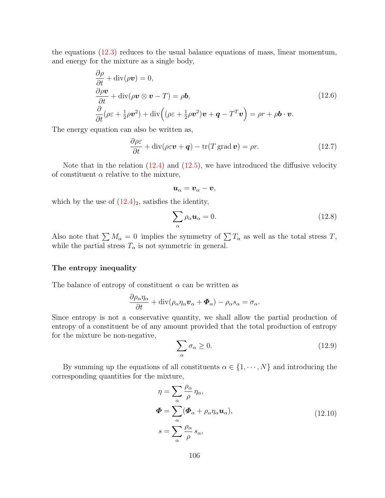the equations [\(12.3\)](#page-110-0) reduces to the usual balance equations of mass, linear momentum, and energy for the mixture as a single body,

$$
\frac{\partial \rho}{\partial t} + \text{div}(\rho \mathbf{v}) = 0,\n\frac{\partial \rho \mathbf{v}}{\partial t} + \text{div}(\rho \mathbf{v} \otimes \mathbf{v} - T) = \rho \mathbf{b},\n\frac{\partial}{\partial t}(\rho \varepsilon + \frac{1}{2}\rho \mathbf{v}^2) + \text{div}\left((\rho \varepsilon + \frac{1}{2}\rho \mathbf{v}^2)\mathbf{v} + \mathbf{q} - T^T \mathbf{v}\right) = \rho r + \rho \mathbf{b} \cdot \mathbf{v}.
$$
\n(12.6)

The energy equation can also be written as,

$$
\frac{\partial \rho \varepsilon}{\partial t} + \text{div}(\rho \varepsilon \boldsymbol{v} + \boldsymbol{q}) - \text{tr}(T \operatorname{grad} \boldsymbol{v}) = \rho r. \tag{12.7}
$$

Note that in the relation  $(12.4)$  and  $(12.5)$ , we have introduced the diffusive velocity of constituent  $\alpha$  relative to the mixture,

$$
\boldsymbol{u}_{\alpha}=\boldsymbol{v}_{\alpha}-\boldsymbol{v},
$$

which by the use of  $(12.4)_2$ , satisfies the identity,

$$
\sum_{\alpha} \rho_{\alpha} \mathbf{u}_{\alpha} = 0. \tag{12.8}
$$

Also note that  $\sum M_{\alpha} = 0$  implies the symmetry of  $\sum T_{\alpha}$  as well as the total stress T, while the partial stress  $T_{\alpha}$  is not symmetric in general.

## <span id="page-111-0"></span>The entropy inequality

The balance of entropy of constituent  $\alpha$  can be written as

$$
\frac{\partial \rho_{\alpha} \eta_{\alpha}}{\partial t} + \operatorname{div}(\rho_{\alpha} \eta_{\alpha} \boldsymbol{v}_{\alpha} + \boldsymbol{\Phi}_{\alpha}) - \rho_{\alpha} s_{\alpha} = \sigma_{\alpha}.
$$

Since entropy is not a conservative quantity, we shall allow the partial production of entropy of a constituent be of any amount provided that the total production of entropy for the mixture be non-negative,

$$
\sum_{\alpha} \sigma_{\alpha} \ge 0. \tag{12.9}
$$

By summing up the equations of all constituents  $\alpha \in \{1, \dots, N\}$  and introducing the corresponding quantities for the mixture,

$$
\eta = \sum_{\alpha} \frac{\rho_{\alpha}}{\rho} \eta_{\alpha},
$$
  

$$
\Phi = \sum_{\alpha} (\Phi_{\alpha} + \rho_{\alpha} \eta_{\alpha} \mathbf{u}_{\alpha}),
$$
  

$$
s = \sum_{\alpha} \frac{\rho_{\alpha}}{\rho} s_{\alpha},
$$
 (12.10)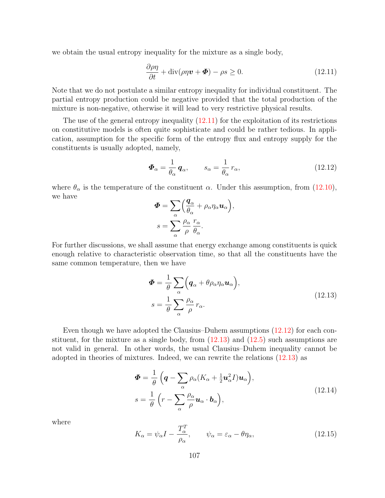we obtain the usual entropy inequality for the mixture as a single body,

$$
\frac{\partial \rho \eta}{\partial t} + \text{div}(\rho \eta \boldsymbol{v} + \boldsymbol{\Phi}) - \rho s \ge 0. \qquad (12.11)
$$

Note that we do not postulate a similar entropy inequality for individual constituent. The partial entropy production could be negative provided that the total production of the mixture is non-negative, otherwise it will lead to very restrictive physical results.

The use of the general entropy inequality [\(12.11\)](#page-111-0) for the exploitation of its restrictions on constitutive models is often quite sophisticate and could be rather tedious. In application, assumption for the specific form of the entropy flux and entropy supply for the constituents is usually adopted, namely,

$$
\boldsymbol{\Phi}_{\alpha} = \frac{1}{\theta_{\alpha}} \, \boldsymbol{q}_{\alpha}, \qquad s_{\alpha} = \frac{1}{\theta_{\alpha}} \, r_{\alpha}, \tag{12.12}
$$

where  $\theta_{\alpha}$  is the temperature of the constituent  $\alpha$ . Under this assumption, from [\(12.10\)](#page-111-0), we have

$$
\Phi = \sum_{\alpha} \left( \frac{q_{\alpha}}{\theta_{\alpha}} + \rho_{\alpha} \eta_{\alpha} \mathbf{u}_{\alpha} \right),
$$

$$
s = \sum_{\alpha} \frac{\rho_{\alpha}}{\rho} \frac{r_{\alpha}}{\theta_{\alpha}}.
$$

For further discussions, we shall assume that energy exchange among constituents is quick enough relative to characteristic observation time, so that all the constituents have the same common temperature, then we have

$$
\Phi = \frac{1}{\theta} \sum_{\alpha} \left( \boldsymbol{q}_{\alpha} + \theta \rho_{\alpha} \eta_{\alpha} \boldsymbol{u}_{\alpha} \right),
$$
  

$$
s = \frac{1}{\theta} \sum_{\alpha} \frac{\rho_{\alpha}}{\rho} r_{\alpha}.
$$
 (12.13)

Even though we have adopted the Clausius–Duhem assumptions [\(12.12\)](#page-111-0) for each constituent, for the mixture as a single body, from  $(12.13)$  and  $(12.5)$  such assumptions are not valid in general. In other words, the usual Clausius–Duhem inequality cannot be adopted in theories of mixtures. Indeed, we can rewrite the relations [\(12.13\)](#page-111-0) as

$$
\Phi = \frac{1}{\theta} \left( \mathbf{q} - \sum_{\alpha} \rho_{\alpha} (K_{\alpha} + \frac{1}{2} \mathbf{u}_{\alpha}^2 I) \mathbf{u}_{\alpha} \right),
$$
  

$$
s = \frac{1}{\theta} \left( r - \sum_{\alpha} \frac{\rho_{\alpha}}{\rho} \mathbf{u}_{\alpha} \cdot \mathbf{b}_{\alpha} \right),
$$
 (12.14)

where

$$
K_{\alpha} = \psi_{\alpha}I - \frac{T_{\alpha}^{T}}{\rho_{\alpha}}, \qquad \psi_{\alpha} = \varepsilon_{\alpha} - \theta \eta_{\alpha}, \qquad (12.15)
$$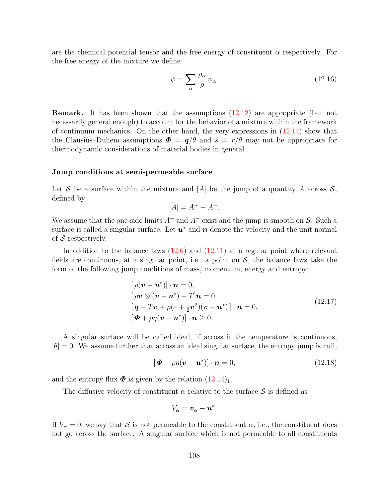are the chemical potential tensor and the free energy of constituent  $\alpha$  respectively. For the free energy of the mixture we define

$$
\psi = \sum_{\alpha} \frac{\rho_{\alpha}}{\rho} \psi_{\alpha}.
$$
\n(12.16)

Remark. It has been shown that the assumptions [\(12.12\)](#page-111-0) are appropriate (but not necessarily general enough) to account for the behavior of a mixture within the framework of continuum mechanics. On the other hand, the very expressions in  $(12.14)$  show that the Clausius–Duhem assumptions  $\mathbf{\Phi} = \mathbf{q}/\theta$  and  $s = r/\theta$  may not be appropriate for thermodynamic considerations of material bodies in general.

#### <span id="page-113-0"></span>Jump conditions at semi-permeable surface

Let S be a surface within the mixture and [A] be the jump of a quantity A across  $S$ , defined by

$$
[A] = A^+ - A^-.
$$

We assume that the one-side limits  $A^+$  and  $A^-$  exist and the jump is smooth on S. Such a surface is called a singular surface. Let  $u^*$  and  $n$  denote the velocity and the unit normal of  $S$  respectively.

In addition to the balance laws  $(12.6)$  and  $(12.11)$  at a regular point where relevant fields are continuous, at a singular point, i.e., a point on  $S$ , the balance laws take the form of the following jump conditions of mass, momentum, energy and entropy:

$$
[\rho(\mathbf{v} - \mathbf{u}^*)] \cdot \mathbf{n} = 0,
$$
  
\n
$$
[\rho \mathbf{v} \otimes (\mathbf{v} - \mathbf{u}^*) - T] \mathbf{n} = 0,
$$
  
\n
$$
[\mathbf{q} - T\mathbf{v} + \rho(\varepsilon + \frac{1}{2}\mathbf{v}^2)(\mathbf{v} - \mathbf{u}^*)] \cdot \mathbf{n} = 0,
$$
  
\n
$$
[\mathbf{\Phi} + \rho \eta(\mathbf{v} - \mathbf{u}^*)] \cdot \mathbf{n} \ge 0.
$$
\n(12.17)

A singular surface will be called ideal, if across it the temperature is continuous,  $[\theta] = 0$ . We assume further that across an ideal singular surface, the entropy jump is null,

$$
[\boldsymbol{\Phi} + \rho \eta (\boldsymbol{v} - \boldsymbol{u}^*)] \cdot \boldsymbol{n} = 0, \qquad (12.18)
$$

and the entropy flux  $\Phi$  is given by the relation  $(12.14)_1$ .

The diffusive velocity of constituent  $\alpha$  relative to the surface S is defined as

$$
V_{\alpha}=\boldsymbol{v}_{\alpha}-\boldsymbol{u}^*.
$$

If  $V_\alpha = 0$ , we say that S is not permeable to the constituent  $\alpha$ , i.e., the constituent does not go across the surface. A singular surface which is not permeable to all constituents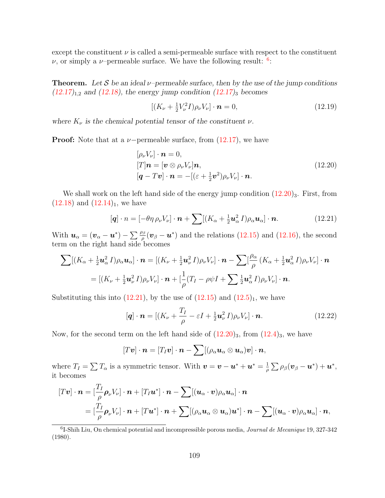except the constituent  $\nu$  is called a semi-permeable surface with respect to the constituent  $\nu$ , or simply a  $\nu$ -permeable surface. We have the following result: <sup>[6](#page-114-0)</sup>:

**Theorem.** Let S be an ideal  $\nu$ -permeable surface, then by the use of the jump conditions  $(12.17)_{1,2}$  $(12.17)_{1,2}$  and  $(12.18)$ , the energy jump condition  $(12.17)_{3}$  becomes

$$
[(K_{\nu} + \frac{1}{2}V_{\nu}^{2}I)\rho_{\nu}V_{\nu}] \cdot \boldsymbol{n} = 0, \qquad (12.19)
$$

where  $K_{\nu}$  is the chemical potential tensor of the constituent  $\nu$ .

**Proof:** Note that at a  $\nu$ -permeable surface, from  $(12.17)$ , we have

$$
[\rho_{\nu}V_{\nu}]\cdot \boldsymbol{n} = 0,
$$
  
\n
$$
[T]\boldsymbol{n} = [\boldsymbol{v} \otimes \rho_{\nu}V_{\nu}]\boldsymbol{n},
$$
  
\n
$$
[\boldsymbol{q} - T\boldsymbol{v}]\cdot \boldsymbol{n} = -[(\varepsilon + \frac{1}{2}\boldsymbol{v}^2)\rho_{\nu}V_{\nu}]\cdot \boldsymbol{n}.
$$
\n(12.20)

We shall work on the left hand side of the energy jump condition  $(12.20)_3$ . First, from  $(12.18)$  and  $(12.14)<sub>1</sub>$ , we have

$$
[\boldsymbol{q}] \cdot n = [-\theta \eta \, \rho_{\nu} V_{\nu}] \cdot \boldsymbol{n} + \sum [(K_{\alpha} + \frac{1}{2} \boldsymbol{u}_{\alpha}^2 \, I) \rho_{\alpha} \boldsymbol{u}_{\alpha}] \cdot \boldsymbol{n}. \tag{12.21}
$$

With  $u_{\alpha} = (v_{\alpha} - u^*) - \sum \frac{\rho_{\beta}}{\rho} (v_{\beta} - u^*)$  and the relations [\(12.15\)](#page-111-0) and [\(12.16\)](#page-111-0), the second term on the right hand side becomes

$$
\sum [(K_{\alpha} + \frac{1}{2}u_{\alpha}^2 I)\rho_{\alpha}u_{\alpha}] \cdot \boldsymbol{n} = [(K_{\nu} + \frac{1}{2}u_{\nu}^2 I)\rho_{\nu}V_{\nu}] \cdot \boldsymbol{n} - \sum [\frac{\rho_{\alpha}}{\rho} (K_{\alpha} + \frac{1}{2}u_{\alpha}^2 I)\rho_{\nu}V_{\nu}] \cdot \boldsymbol{n}
$$
  
= [(K\_{\nu} + \frac{1}{2}u\_{\nu}^2 I)\rho\_{\nu}V\_{\nu}] \cdot \boldsymbol{n} + [\frac{1}{\rho}(T\_I - \rho\psi I + \sum \frac{1}{2}u\_{\alpha}^2 I)\rho\_{\nu}V\_{\nu}] \cdot \boldsymbol{n}.

Substituting this into  $(12.21)$ , by the use of  $(12.15)$  and  $(12.5)_1$ , we have

$$
[\boldsymbol{q}] \cdot \boldsymbol{n} = [(K_{\nu} + \frac{T_I}{\rho} - \varepsilon I + \frac{1}{2} \boldsymbol{u}_{\nu}^2 I)\rho_{\nu} V_{\nu}] \cdot \boldsymbol{n}.
$$
 (12.22)

Now, for the second term on the left hand side of  $(12.20)_3$ , from  $(12.4)_3$ , we have

$$
[T\boldsymbol{v}]\cdot\boldsymbol{n}=[T_I\boldsymbol{v}]\cdot\boldsymbol{n}-\sum[(\rho_\alpha\boldsymbol{u}_\alpha\otimes\boldsymbol{u}_\alpha)\boldsymbol{v}]\cdot\boldsymbol{n},
$$

where  $T_I = \sum T_\alpha$  is a symmetric tensor. With  $\mathbf{v} = \mathbf{v} - \mathbf{u}^* + \mathbf{u}^* = \frac{1}{\alpha}$  $\frac{1}{\rho}\sum \rho_\beta (\boldsymbol{v}_\beta - \boldsymbol{u}^*) + \boldsymbol{u}^*,$ it becomes

$$
[T\boldsymbol{v}] \cdot \boldsymbol{n} = [\frac{T_I}{\rho} \boldsymbol{\rho}_{\nu} V_{\nu}] \cdot \boldsymbol{n} + [T_I \boldsymbol{u}^*] \cdot \boldsymbol{n} - \sum [(\boldsymbol{u}_{\alpha} \cdot \boldsymbol{v}) \rho_{\alpha} \boldsymbol{u}_{\alpha}] \cdot \boldsymbol{n}
$$
  
=  $[\frac{T_I}{\rho} \boldsymbol{\rho}_{\nu} V_{\nu}] \cdot \boldsymbol{n} + [T \boldsymbol{u}^*] \cdot \boldsymbol{n} + \sum [(\rho_{\alpha} \boldsymbol{u}_{\alpha} \otimes \boldsymbol{u}_{\alpha}) \boldsymbol{u}^*] \cdot \boldsymbol{n} - \sum [(\boldsymbol{u}_{\alpha} \cdot \boldsymbol{v}) \rho_{\alpha} \boldsymbol{u}_{\alpha}] \cdot \boldsymbol{n},$ 

<span id="page-114-0"></span><sup>6</sup>I-Shih Liu, On chemical potential and incompressible porous media, Journal de Mecanique 19, 327-342 (1980).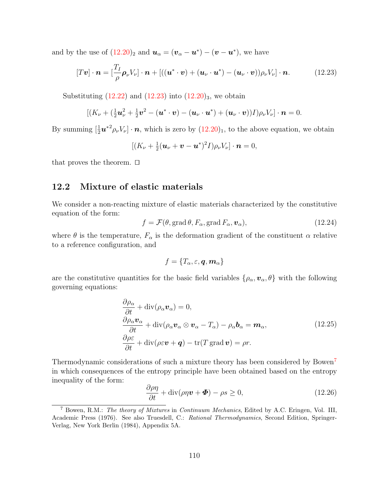and by the use of  $(12.20)_2$  and  $u_\alpha = (v_\alpha - u^*) - (v - u^*)$ , we have

$$
[T\boldsymbol{v}] \cdot \boldsymbol{n} = \left[\frac{T_I}{\rho} \boldsymbol{\rho}_{\nu} V_{\nu}\right] \cdot \boldsymbol{n} + \left[ ((\boldsymbol{u}^* \cdot \boldsymbol{v}) + (\boldsymbol{u}_{\nu} \cdot \boldsymbol{u}^*) - (\boldsymbol{u}_{\nu} \cdot \boldsymbol{v})) \rho_{\nu} V_{\nu} \right] \cdot \boldsymbol{n}. \tag{12.23}
$$

Substituting  $(12.22)$  and  $(12.23)$  into  $(12.20)_3$ , we obtain

$$
[(K_{\nu}+(\frac{1}{2}\boldsymbol{u}_{\nu}^2+\frac{1}{2}\boldsymbol{v}^2-(\boldsymbol{u}^*\cdot\boldsymbol{v})-(\boldsymbol{u}_{\nu}\cdot\boldsymbol{u}^*)+(\boldsymbol{u}_{\nu}\cdot\boldsymbol{v}))I)\rho_{\nu}V_{\nu}]\cdot\boldsymbol{n}=0.
$$

By summing  $[\frac{1}{2}u^{*2}\rho_{\nu}V_{\nu}]\cdot n$ , which is zero by  $(12.20)_1$ , to the above equation, we obtain

$$
[(K_{\nu}+\tfrac{1}{2}(\boldsymbol{u}_{\nu}+\boldsymbol{v}-\boldsymbol{u}^*)^2I)\rho_{\nu}V_{\nu}]\cdot\boldsymbol{n}=0,
$$

that proves the theorem.  $\Box$ 

## <span id="page-115-1"></span>12.2 Mixture of elastic materials

We consider a non-reacting mixture of elastic materials characterized by the constitutive equation of the form:

$$
f = \mathcal{F}(\theta, \text{grad}\,\theta, F_{\alpha}, \text{grad}\,F_{\alpha}, \mathbf{v}_{\alpha}), \qquad (12.24)
$$

where  $\theta$  is the temperature,  $F_{\alpha}$  is the deformation gradient of the constituent  $\alpha$  relative to a reference configuration, and

$$
f=\{T_\alpha,\varepsilon,\bm{q},\bm{m}_\alpha\}
$$

are the constitutive quantities for the basic field variables  $\{\rho_{\alpha}, \nu_{\alpha}, \theta\}$  with the following governing equations:

$$
\frac{\partial \rho_{\alpha}}{\partial t} + \text{div}(\rho_{\alpha} \mathbf{v}_{\alpha}) = 0,\n\frac{\partial \rho_{\alpha} \mathbf{v}_{\alpha}}{\partial t} + \text{div}(\rho_{\alpha} \mathbf{v}_{\alpha} \otimes \mathbf{v}_{\alpha} - T_{\alpha}) - \rho_{\alpha} \mathbf{b}_{\alpha} = \mathbf{m}_{\alpha},
$$
\n(12.25)\n
$$
\frac{\partial \rho \varepsilon}{\partial t} + \text{div}(\rho \varepsilon \mathbf{v} + \mathbf{q}) - \text{tr}(T \text{ grad } \mathbf{v}) = \rho r.
$$

Thermodynamic considerations of such a mixture theory has been considered by Bowen[7](#page-115-0) in which consequences of the entropy principle have been obtained based on the entropy inequality of the form:

$$
\frac{\partial \rho \eta}{\partial t} + \text{div}(\rho \eta \boldsymbol{v} + \boldsymbol{\Phi}) - \rho s \ge 0, \qquad (12.26)
$$

<span id="page-115-0"></span><sup>7</sup> Bowen, R.M.: The theory of Mixtures in Continuum Mechanics, Edited by A.C. Eringen, Vol. III, Academic Press (1976). See also Truesdell, C.: Rational Thermodynamics, Second Edition, Springer-Verlag, New York Berlin (1984), Appendix 5A.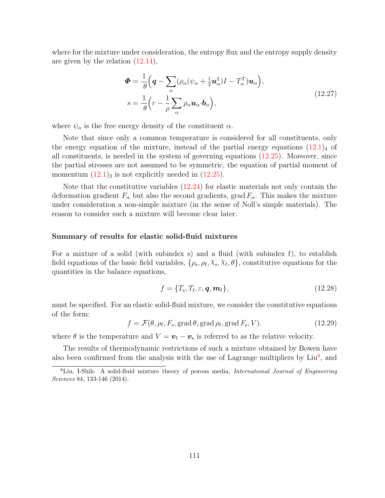where for the mixture under consideration, the entropy flux and the entropy supply density are given by the relation [\(12.14\)](#page-111-0),

$$
\Phi = \frac{1}{\theta} \Big( \mathbf{q} - \sum_{\alpha} (\rho_{\alpha} (\psi_{\alpha} + \frac{1}{2} \mathbf{u}_{\alpha}^{2}) I - T_{\alpha}^{T}) \mathbf{u}_{\alpha} \Big),
$$
  
\n
$$
s = \frac{1}{\theta} \Big( r - \frac{1}{\rho} \sum_{\alpha} \rho_{\alpha} \mathbf{u}_{\alpha} \cdot \mathbf{b}_{\alpha} \Big),
$$
\n(12.27)

where  $\psi_{\alpha}$  is the free energy density of the constituent  $\alpha$ .

Note that since only a common temperature is considered for all constituents, only the energy equation of the mixture, instead of the partial energy equations  $(12.1)_4$  of all constituents, is needed in the system of governing equations [\(12.25\)](#page-115-1). Moreover, since the partial stresses are not assumed to be symmetric, the equation of partial moment of momentum  $(12.1)_3$  is not explicitly needed in  $(12.25)$ .

Note that the constitutive variables  $(12.24)$  for elastic materials not only contain the deformation gradient  $F_{\alpha}$  but also the second gradients, grad  $F_{\alpha}$ . This makes the mixture under consideration a non-simple mixture (in the sense of Noll's simple materials). The reason to consider such a mixture will become clear later.

#### <span id="page-116-1"></span>Summary of results for elastic solid-fluid mixtures

For a mixture of a solid (with subindex s) and a fluid (with subindex f), to establish field equations of the basic field variables,  $\{\rho_s, \rho_f, \chi_s, \chi_f, \theta\}$ , constitutive equations for the quantities in the balance equations,

$$
f = \{T_{\rm s}, T_{\rm f}, \varepsilon, \mathbf{q}, \mathbf{m}_{\rm f}\},\tag{12.28}
$$

must be specified. For an elastic solid-fluid mixture, we consider the constitutive equations of the form:

$$
f = \mathcal{F}(\theta, \rho_{\rm f}, F_{\rm s}, \text{grad }\theta, \text{grad }\rho_{\rm f}, \text{grad }F_{\rm s}, V). \tag{12.29}
$$

where  $\theta$  is the temperature and  $V = v_f - v_s$  is referred to as the relative velocity.

The results of thermodynamic restrictions of such a mixture obtained by Bowen have also been confirmed from the analysis with the use of Lagrange multipliers by  $\text{Liu}^8$  $\text{Liu}^8$ , and

<span id="page-116-0"></span><sup>&</sup>lt;sup>8</sup>Liu, I-Shih: A solid-fluid mixture theory of porous media, *International Journal of Engineering* Sciences 84, 133-146 (2014).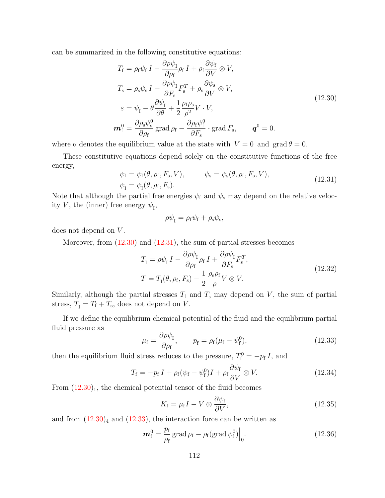can be summarized in the following constitutive equations:

$$
T_{\rm f} = \rho_{\rm f} \psi_{\rm f} I - \frac{\partial \rho \psi_{\rm I}}{\partial \rho_{\rm f}} \rho_{\rm f} I + \rho_{\rm f} \frac{\partial \psi_{\rm f}}{\partial V} \otimes V,
$$
  
\n
$$
T_{\rm s} = \rho_{\rm s} \psi_{\rm s} I + \frac{\partial \rho \psi_{\rm I}}{\partial F_{\rm s}} F_{\rm s}^{T} + \rho_{\rm s} \frac{\partial \psi_{\rm s}}{\partial V} \otimes V,
$$
  
\n
$$
\varepsilon = \psi_{\rm I} - \theta \frac{\partial \psi_{\rm I}}{\partial \theta} + \frac{1}{2} \frac{\rho_{\rm f} \rho_{\rm s}}{\rho^{2}} V \cdot V,
$$
  
\n
$$
\mathbf{m}_{\rm f}^{0} = \frac{\partial \rho_{\rm s} \psi_{\rm s}^{0}}{\partial \rho_{\rm f}} \operatorname{grad} \rho_{\rm f} - \frac{\partial \rho_{\rm f} \psi_{\rm f}^{0}}{\partial F_{\rm s}} \cdot \operatorname{grad} F_{\rm s}, \qquad \mathbf{q}^{0} = 0.
$$
\n(12.30)

where 0 denotes the equilibrium value at the state with  $V = 0$  and grad  $\theta = 0$ .

These constitutive equations depend solely on the constitutive functions of the free energy,

$$
\psi_{\rm f} = \psi_{\rm f}(\theta, \rho_{\rm f}, F_{\rm s}, V), \qquad \psi_{\rm s} = \psi_{\rm s}(\theta, \rho_{\rm f}, F_{\rm s}, V), \n\psi_{\rm I} = \psi_{\rm I}(\theta, \rho_{\rm f}, F_{\rm s}).
$$
\n(12.31)

Note that although the partial free energies  $\psi_f$  and  $\psi_s$  may depend on the relative velocity V, the (inner) free energy  $\psi_{I}$ ,

$$
\rho\psi_{\rm I}=\rho_{\rm f}\psi_{\rm f}+\rho_{\rm s}\psi_{\rm s},
$$

does not depend on  $V$ .

Moreover, from  $(12.30)$  and  $(12.31)$ , the sum of partial stresses becomes

$$
T_{\rm I} = \rho \psi_{\rm I} I - \frac{\partial \rho \psi_{\rm I}}{\partial \rho_{\rm f}} \rho_{\rm f} I + \frac{\partial \rho \psi_{\rm I}}{\partial F_{\rm s}} F_{\rm s}^T,
$$
  
\n
$$
T = T_{\rm I}(\theta, \rho_{\rm f}, F_{\rm s}) - \frac{1}{2} \frac{\rho_{\rm s} \rho_{\rm f}}{\rho} V \otimes V.
$$
\n(12.32)

Similarly, although the partial stresses  $T_f$  and  $T_s$  may depend on V, the sum of partial stress,  $T_{I} = T_{f} + T_{s}$ , does not depend on V.

If we define the equilibrium chemical potential of the fluid and the equilibrium partial fluid pressure as

$$
\mu_{\rm f} = \frac{\partial \rho \psi_{\rm I}}{\partial \rho_{\rm f}}, \qquad p_{\rm f} = \rho_{\rm f} (\mu_{\rm f} - \psi_{\rm f}^0), \qquad (12.33)
$$

then the equilibrium fluid stress reduces to the pressure,  $T_f^0 = -p_f I$ , and

$$
T_{\rm f} = -p_{\rm f} I + \rho_{\rm f} (\psi_{\rm f} - \psi_{\rm f}^0) I + \rho_{\rm f} \frac{\partial \psi_{\rm f}}{\partial V} \otimes V.
$$
 (12.34)

From  $(12.30)_1$ , the chemical potential tensor of the fluid becomes

$$
K_{\rm f} = \mu_{\rm f} I - V \otimes \frac{\partial \psi_{\rm f}}{\partial V},\tag{12.35}
$$

and from  $(12.30)<sub>4</sub>$  and  $(12.33)$ , the interaction force can be written as

$$
\boldsymbol{m}_{\rm f}^0 = \frac{p_{\rm f}}{\rho_{\rm f}} \operatorname{grad} \rho_{\rm f} - \rho_{\rm f} (\operatorname{grad} \psi_{\rm f}^0) \Big|_{0}.
$$
 (12.36)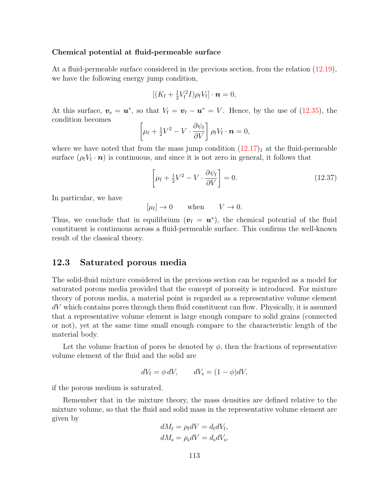### <span id="page-118-1"></span>Chemical potential at fluid-permeable surface

At a fluid-permeable surface considered in the previous section, from the relation [\(12.19\)](#page-113-0), we have the following energy jump condition,

$$
[(K_{\rm f}+\tfrac{1}{2}V_{\rm f}^2I)\rho_{\rm f}V_{\rm f}]\cdot\boldsymbol{n}=0,
$$

At this surface,  $v_s = u^*$ , so that  $V_f = v_f - u^* = V$ . Hence, by the use of [\(12.35\)](#page-116-1), the condition becomes

$$
\left[\mu_{\rm f}+\tfrac{1}{2}V^2-V\cdot\frac{\partial\psi_{\rm f}}{\partial V}\right]\rho_{\rm f}V_{\rm f}\cdot\boldsymbol{n}=0,
$$

where we have noted that from the mass jump condition  $(12.17)<sub>1</sub>$  at the fluid-permeable surface  $(\rho_f V_f \cdot \boldsymbol{n})$  is continuous, and since it is not zero in general, it follows that

$$
\left[\mu_{\rm f} + \frac{1}{2}V^2 - V \cdot \frac{\partial \psi_{\rm f}}{\partial V}\right] = 0. \tag{12.37}
$$

In particular, we have

 $[\mu_f] \to 0$  when  $V \to 0$ .

Thus, we conclude that in equilibrium  $(v_f = u^*)$ , the chemical potential of the fluid constituent is continuous across a fluid-permeable surface. This confirms the well-known result of the classical theory.

## <span id="page-118-0"></span>12.3 Saturated porous media

The solid-fluid mixture considered in the previous section can be regarded as a model for saturated porous media provided that the concept of porosity is introduced. For mixture theory of porous media, a material point is regarded as a representative volume element  $dV$  which contains pores through them fluid constituent can flow. Physically, it is assumed that a representative volume element is large enough compare to solid grains (connected or not), yet at the same time small enough compare to the characteristic length of the material body.

Let the volume fraction of pores be denoted by  $\phi$ , then the fractions of representative volume element of the fluid and the solid are

$$
dV_{\rm f} = \phi \, dV, \qquad dV_{\rm s} = (1 - \phi)dV,
$$

if the porous medium is saturated.

Remember that in the mixture theory, the mass densities are defined relative to the mixture volume, so that the fluid and solid mass in the representative volume element are given by

$$
dM_{\rm f} = \rho_{\rm f} dV = d_{\rm f} dV_{\rm f},
$$
  

$$
dM_{\rm s} = \rho_{\rm s} dV = d_{\rm s} dV_{\rm s},
$$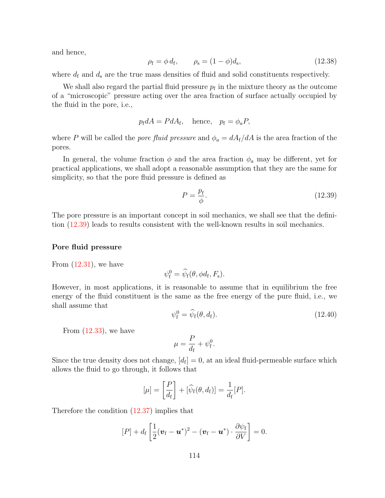and hence,

$$
\rho_{\rm f} = \phi d_{\rm f}, \qquad \rho_{\rm s} = (1 - \phi)d_{\rm s},
$$
\n(12.38)

where  $d_f$  and  $d_s$  are the true mass densities of fluid and solid constituents respectively.

We shall also regard the partial fluid pressure  $p_f$  in the mixture theory as the outcome of a "microscopic" pressure acting over the area fraction of surface actually occupied by the fluid in the pore, i.e.,

$$
p_{\rm f} dA = P dA_{\rm f}
$$
, hence,  $p_{\rm f} = \phi_a P$ ,

where P will be called the *pore fluid pressure* and  $\phi_a = dA_f/dA$  is the area fraction of the pores.

In general, the volume fraction  $\phi$  and the area fraction  $\phi_a$  may be different, yet for practical applications, we shall adopt a reasonable assumption that they are the same for simplicity, so that the pore fluid pressure is defined as

$$
P = \frac{p_{\rm f}}{\phi}.\tag{12.39}
$$

The pore pressure is an important concept in soil mechanics, we shall see that the definition [\(12.39\)](#page-118-0) leads to results consistent with the well-known results in soil mechanics.

#### <span id="page-119-0"></span>Pore fluid pressure

From 
$$
(12.31)
$$
, we have

$$
\psi_{\mathbf{f}}^0 = \widehat{\psi}_{\mathbf{f}}(\theta, \phi d_{\mathbf{f}}, F_{\mathbf{s}}).
$$

However, in most applications, it is reasonable to assume that in equilibrium the free energy of the fluid constituent is the same as the free energy of the pure fluid, i.e., we shall assume that

$$
\psi_{\mathbf{f}}^0 = \widehat{\psi}_{\mathbf{f}}(\theta, d_{\mathbf{f}}). \tag{12.40}
$$

From  $(12.33)$ , we have

$$
\mu = \frac{P}{d_{\rm f}} + \psi_{\rm f}^0.
$$

Since the true density does not change,  $[d_f] = 0$ , at an ideal fluid-permeable surface which allows the fluid to go through, it follows that

$$
[\mu] = \left[\frac{P}{d_{\rm f}}\right] + [\widehat{\psi}_{\rm f}(\theta, d_{\rm f})] = \frac{1}{d_{\rm f}}[P].
$$

Therefore the condition [\(12.37\)](#page-118-1) implies that

$$
[P] + d_{\rm f} \left[ \frac{1}{2} (\boldsymbol{v}_{\rm f} - \boldsymbol{u}^*)^2 - (\boldsymbol{v}_{\rm f} - \boldsymbol{u}^*) \cdot \frac{\partial \psi_{\rm f}}{\partial V} \right] = 0.
$$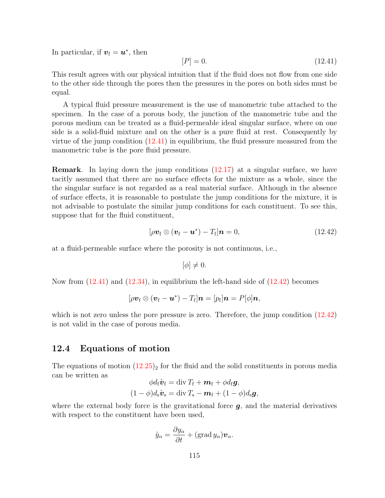In particular, if  $v_f = u^*$ , then

$$
[P] = 0.\tag{12.41}
$$

This result agrees with our physical intuition that if the fluid does not flow from one side to the other side through the pores then the pressures in the pores on both sides must be equal.

A typical fluid pressure measurement is the use of manometric tube attached to the specimen. In the case of a porous body, the junction of the manometric tube and the porous medium can be treated as a fluid-permeable ideal singular surface, where on one side is a solid-fluid mixture and on the other is a pure fluid at rest. Consequently by virtue of the jump condition  $(12.41)$  in equilibrium, the fluid pressure measured from the manometric tube is the pore fluid pressure.

Remark. In laying down the jump conditions [\(12.17\)](#page-113-0) at a singular surface, we have tacitly assumed that there are no surface effects for the mixture as a whole, since the the singular surface is not regarded as a real material surface. Although in the absence of surface effects, it is reasonable to postulate the jump conditions for the mixture, it is not advisable to postulate the similar jump conditions for each constituent. To see this, suppose that for the fluid constituent,

$$
[\rho \boldsymbol{v}_{\rm f} \otimes (\boldsymbol{v}_{\rm f} - \boldsymbol{u}^*) - T_{\rm f}] \boldsymbol{n} = 0, \qquad (12.42)
$$

at a fluid-permeable surface where the porosity is not continuous, i.e.,

$$
[\phi] \neq 0.
$$

Now from [\(12.41\)](#page-119-0) and [\(12.34\)](#page-116-1), in equilibrium the left-hand side of [\(12.42\)](#page-119-0) becomes

$$
[\rho \boldsymbol{v}_{\rm f} \otimes (\boldsymbol{v}_{\rm f} - \boldsymbol{u}^*) - T_{\rm f}] \boldsymbol{n} = [p_{\rm f}] \boldsymbol{n} = P[\phi] \boldsymbol{n},
$$

which is not zero unless the pore pressure is zero. Therefore, the jump condition  $(12.42)$ is not valid in the case of porous media.

## <span id="page-120-0"></span>12.4 Equations of motion

The equations of motion  $(12.25)$  for the fluid and the solid constituents in porous media can be written as  $\overline{u}$  = different  $\overline{u}$  +  $\overline{u}$  +  $\overline{u}$ 

$$
\phi d_{\rm f} \dot{\mathbf{v}}_{\rm f} = \text{div} T_{\rm f} + \boldsymbol{m}_{\rm f} + \phi d_{\rm f} \boldsymbol{g},
$$
  

$$
(1 - \phi) d_{\rm s} \dot{\boldsymbol{v}}_{\rm s} = \text{div} T_{\rm s} - \boldsymbol{m}_{\rm f} + (1 - \phi) d_{\rm s} \boldsymbol{g},
$$

where the external body force is the gravitational force  $q$ , and the material derivatives with respect to the constituent have been used,

$$
\dot{y}_{\alpha} = \frac{\partial y_{\alpha}}{\partial t} + (\text{grad } y_{\alpha}) \boldsymbol{v}_{\alpha}.
$$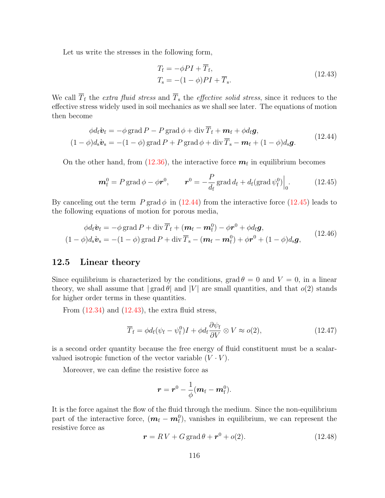Let us write the stresses in the following form,

$$
T_{\rm f} = -\phi P I + \overline{T}_{\rm f},
$$
  
\n
$$
T_{\rm s} = -(1 - \phi) P I + \overline{T}_{\rm s}.
$$
\n(12.43)

We call  $\overline{T}_{f}$  the *extra fluid stress* and  $\overline{T}_{s}$  the *effective solid stress*, since it reduces to the effective stress widely used in soil mechanics as we shall see later. The equations of motion then become

$$
\phi d_{\rm f} \dot{\mathbf{v}}_{\rm f} = -\phi \operatorname{grad} P - P \operatorname{grad} \phi + \operatorname{div} \overline{T}_{\rm f} + \mathbf{m}_{\rm f} + \phi d_{\rm f} \mathbf{g},
$$
  
(1 -  $\phi$ ) $d_{\rm s} \dot{\mathbf{v}}_{\rm s} = -(1 - \phi) \operatorname{grad} P + P \operatorname{grad} \phi + \operatorname{div} \overline{T}_{\rm s} - \mathbf{m}_{\rm f} + (1 - \phi) d_{\rm s} \mathbf{g}.$  (12.44)

On the other hand, from [\(12.36\)](#page-116-1), the interactive force  $m<sub>f</sub>$  in equilibrium becomes

$$
\boldsymbol{m}_{\rm f}^0 = P \operatorname{grad} \phi - \phi \boldsymbol{r}^0, \qquad \boldsymbol{r}^0 = -\frac{P}{d_{\rm f}} \operatorname{grad} d_{\rm f} + d_{\rm f} (\operatorname{grad} \psi_{\rm f}^0) \Big|_{0}. \tag{12.45}
$$

By canceling out the term  $P$  grad  $\phi$  in [\(12.44\)](#page-120-0) from the interactive force [\(12.45\)](#page-120-0) leads to the following equations of motion for porous media,

$$
\phi d_{\rm f} \dot{\mathbf{v}}_{\rm f} = -\phi \operatorname{grad} P + \operatorname{div} \overline{T}_{\rm f} + (\mathbf{m}_{\rm f} - \mathbf{m}_{\rm f}^0) - \phi \mathbf{r}^0 + \phi d_{\rm f} \mathbf{g},
$$
  

$$
(1 - \phi) d_{\rm s} \dot{\mathbf{v}}_{\rm s} = -(1 - \phi) \operatorname{grad} P + \operatorname{div} \overline{T}_{\rm s} - (\mathbf{m}_{\rm f} - \mathbf{m}_{\rm f}^0) + \phi \mathbf{r}^0 + (1 - \phi) d_{\rm s} \mathbf{g},
$$
(12.46)

## <span id="page-121-0"></span>12.5 Linear theory

Since equilibrium is characterized by the conditions, grad  $\theta = 0$  and  $V = 0$ , in a linear theory, we shall assume that  $|\text{grad }\theta|$  and  $|V|$  are small quantities, and that  $o(2)$  stands for higher order terms in these quantities.

From  $(12.34)$  and  $(12.43)$ , the extra fluid stress,

$$
\overline{T}_{\rm f} = \phi d_{\rm f}(\psi_{\rm f} - \psi_{\rm f}^0)I + \phi d_{\rm f} \frac{\partial \psi_{\rm f}}{\partial V} \otimes V \approx o(2), \qquad (12.47)
$$

is a second order quantity because the free energy of fluid constituent must be a scalarvalued isotropic function of the vector variable  $(V \cdot V)$ .

Moreover, we can define the resistive force as

$$
\boldsymbol{r} = \boldsymbol{r}^0 - \frac{1}{\phi}(\boldsymbol{m}_{\rm f} - \boldsymbol{m}_{\rm f}^0).
$$

It is the force against the flow of the fluid through the medium. Since the non-equilibrium part of the interactive force,  $(m_f - m_f^0)$ , vanishes in equilibrium, we can represent the resistive force as

$$
\boldsymbol{r} = \boldsymbol{R}V + \boldsymbol{G}\,\text{grad}\,\boldsymbol{\theta} + \boldsymbol{r}^0 + o(2). \tag{12.48}
$$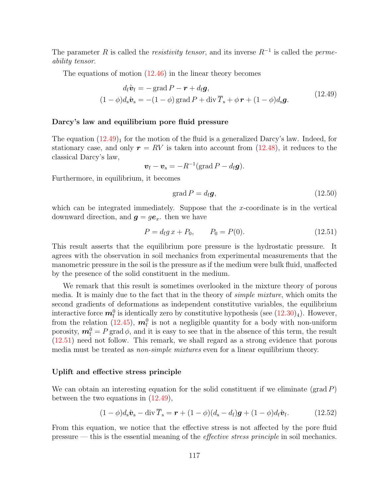The parameter R is called the *resistivity tensor*, and its inverse  $R^{-1}$  is called the *perme*ability tensor.

The equations of motion  $(12.46)$  in the linear theory becomes

$$
d_{\mathbf{f}}\dot{\mathbf{v}}_{\mathbf{f}} = -\operatorname{grad} P - \mathbf{r} + d_{\mathbf{f}}\mathbf{g},
$$
  
(1 -  $\phi$ ) $d_{\mathbf{s}}\dot{\mathbf{v}}_{\mathbf{s}} = -(1 - \phi)\operatorname{grad} P + \operatorname{div} \overline{T}_{\mathbf{s}} + \phi \mathbf{r} + (1 - \phi)d_{\mathbf{s}}\mathbf{g}.$  (12.49)

#### <span id="page-122-0"></span>Darcy's law and equilibrium pore fluid pressure

The equation  $(12.49)$ <sub>1</sub> for the motion of the fluid is a generalized Darcy's law. Indeed, for stationary case, and only  $r = RV$  is taken into account from [\(12.48\)](#page-121-0), it reduces to the classical Darcy's law,

$$
\boldsymbol{v}_{\rm f} - \boldsymbol{v}_{\rm s} = -R^{-1}(\text{grad } P - d_{\rm f}\boldsymbol{g}).
$$

Furthermore, in equilibrium, it becomes

$$
\operatorname{grad} P = d_{\text{f}} \mathbf{g},\tag{12.50}
$$

which can be integrated immediately. Suppose that the x-coordinate is in the vertical downward direction, and  $g = ge_x$ . then we have

$$
P = d_{\rm f} g x + P_0, \qquad P_0 = P(0). \tag{12.51}
$$

This result asserts that the equilibrium pore pressure is the hydrostatic pressure. It agrees with the observation in soil mechanics from experimental measurements that the manometric pressure in the soil is the pressure as if the medium were bulk fluid, unaffected by the presence of the solid constituent in the medium.

We remark that this result is sometimes overlooked in the mixture theory of porous media. It is mainly due to the fact that in the theory of simple mixture, which omits the second gradients of deformations as independent constitutive variables, the equilibrium interactive force  $\boldsymbol{m}_{\rm f}^0$  is identically zero by constitutive hypothesis (see  $(12.30)_4$ ). However, from the relation [\(12.45\)](#page-120-0),  $\mathbf{m}_{\rm f}^0$  is not a negligible quantity for a body with non-uniform porosity,  $\mathbf{m}_\mathrm{f}^0 = P$  grad  $\phi$ , and it is easy to see that in the absence of this term, the result [\(12.51\)](#page-122-0) need not follow. This remark, we shall regard as a strong evidence that porous media must be treated as *non-simple mixtures* even for a linear equilibrium theory.

#### <span id="page-122-1"></span>Uplift and effective stress principle

We can obtain an interesting equation for the solid constituent if we eliminate  $(\text{grad } P)$ between the two equations in [\(12.49\)](#page-121-0),

$$
(1 - \phi)d_s\mathbf{\hat{v}}_s - \operatorname{div}\overline{T}_s = \mathbf{r} + (1 - \phi)(d_s - d_f)\mathbf{g} + (1 - \phi)d_f\mathbf{\hat{v}}_f.
$$
 (12.52)

From this equation, we notice that the effective stress is not affected by the pore fluid pressure — this is the essential meaning of the effective stress principle in soil mechanics.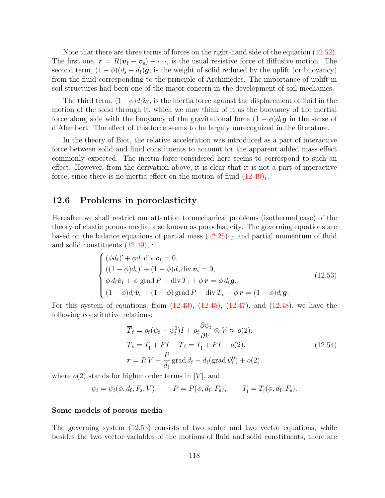Note that there are three terms of forces on the right-hand side of the equation [\(12.52\)](#page-122-1). The first one,  $\mathbf{r} = R(\mathbf{v}_{\rm f} - \mathbf{v}_{\rm s}) + \cdots$ , is the usual resistive force of diffusive motion. The second term,  $(1 - \phi)(d_s - d_f)g$ , is the weight of solid reduced by the uplift (or buoyancy) from the fluid corresponding to the principle of Archimedes. The importance of uplift in soil structures had been one of the major concern in the development of soil mechanics.

The third term,  $(1-\phi)d_f\mathbf{\hat{v}}_f$ , is the inertia force against the displacement of fluid in the motion of the solid through it, which we may think of it as the buoyancy of the inertial force along side with the buoyancy of the gravitational force  $(1 - \phi)d_f\mathbf{g}$  in the sense of d'Alembert. The effect of this force seems to be largely unrecognized in the literature.

In the theory of Biot, the relative acceleration was introduced as a part of interactive force between solid and fluid constituents to account for the apparent added mass effect commonly expected. The inertia force considered here seems to correspond to such an effect. However, from the derivation above, it is clear that it is not a part of interactive force, since there is no inertia effect on the motion of fluid  $(12.49)_1$ .

## <span id="page-123-0"></span>12.6 Problems in poroelasticity

Hereafter we shall restrict our attention to mechanical problems (isothermal case) of the theory of elastic porous media, also known as poroelasticity. The governing equations are based on the balance equations of partial mass  $(12.25)_{1,2}$  and partial momentum of fluid and solid constituents [\(12.49\)](#page-121-0), :

$$
\begin{cases}\n(\phi d_{\rm f}) + \phi d_{\rm f} \operatorname{div} \boldsymbol{v}_{\rm f} = 0, \\
((1 - \phi) d_{\rm s}) + (1 - \phi) d_{\rm s} \operatorname{div} \boldsymbol{v}_{\rm s} = 0, \\
\phi d_{\rm f} \dot{\boldsymbol{v}}_{\rm f} + \phi \operatorname{grad} P - \operatorname{div} \overline{T}_{\rm f} + \phi \boldsymbol{r} = \phi d_{\rm f} \boldsymbol{g}, \\
(1 - \phi) d_{\rm s} \dot{\boldsymbol{v}}_{\rm s} + (1 - \phi) \operatorname{grad} P - \operatorname{div} \overline{T}_{\rm s} - \phi \boldsymbol{r} = (1 - \phi) d_{\rm s} \boldsymbol{g}.\n\end{cases}
$$
\n(12.53)

For this system of equations, from  $(12.43)$ ,  $(12.45)$ ,  $(12.47)$ , and  $(12.48)$ , we have the following constitutive relations:

$$
\overline{T}_{\rm f} = \rho_{\rm f}(\psi_{\rm f} - \psi_{\rm f}^{0})I + \rho_{\rm f} \frac{\partial \psi_{\rm f}}{\partial V} \otimes V \approx o(2),
$$
\n
$$
\overline{T}_{\rm s} = T_{\rm I} + PI - \overline{T}_{\rm f} = T_{\rm I} + PI + o(2),
$$
\n
$$
\mathbf{r} = RV - \frac{P}{d_{\rm f}} \operatorname{grad} d_{\rm f} + d_{\rm f} (\operatorname{grad} \psi_{\rm f}^{0}) + o(2).
$$
\n(12.54)

where  $o(2)$  stands for higher order terms in |V|, and

$$
\psi_{\rm f} = \psi_{\rm f}(\phi, d_{\rm f}, F_{\rm s}, V),
$$
\n $P = P(\phi, d_{\rm f}, F_{\rm s}),$ \n $T_{\rm I} = T_{\rm I}(\phi, d_{\rm f}, F_{\rm s}).$ 

#### Some models of porous media

The governing system [\(12.53\)](#page-123-0) consists of two scalar and two vector equations, while besides the two vector variables of the motions of fluid and solid constituents, there are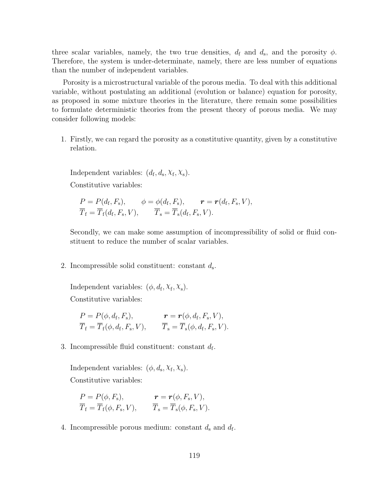three scalar variables, namely, the two true densities,  $d_f$  and  $d_s$ , and the porosity  $\phi$ . Therefore, the system is under-determinate, namely, there are less number of equations than the number of independent variables.

Porosity is a microstructural variable of the porous media. To deal with this additional variable, without postulating an additional (evolution or balance) equation for porosity, as proposed in some mixture theories in the literature, there remain some possibilities to formulate deterministic theories from the present theory of porous media. We may consider following models:

1. Firstly, we can regard the porosity as a constitutive quantity, given by a constitutive relation.

Independent variables:  $(d_f, d_s, X_f, X_s)$ . Constitutive variables:

$$
P = P(d_{\rm f}, F_{\rm s}), \qquad \phi = \phi(d_{\rm f}, F_{\rm s}), \qquad \boldsymbol{r} = \boldsymbol{r}(d_{\rm f}, F_{\rm s}, V),
$$
  

$$
\overline{T}_{\rm f} = \overline{T}_{\rm f}(d_{\rm f}, F_{\rm s}, V), \qquad \overline{T}_{\rm s} = \overline{T}_{\rm s}(d_{\rm f}, F_{\rm s}, V).
$$

Secondly, we can make some assumption of incompressibility of solid or fluid constituent to reduce the number of scalar variables.

2. Incompressible solid constituent: constant  $d_s$ .

Independent variables:  $(\phi, d_f, X_f, X_s)$ . Constitutive variables:

$$
P = P(\phi, d_{\rm f}, F_{\rm s}), \qquad \qquad \mathbf{r} = \mathbf{r}(\phi, d_{\rm f}, F_{\rm s}, V), \overline{T}_{\rm f} = \overline{T}_{\rm f}(\phi, d_{\rm f}, F_{\rm s}, V), \qquad \overline{T}_{\rm s} = \overline{T}_{\rm s}(\phi, d_{\rm f}, F_{\rm s}, V).
$$

3. Incompressible fluid constituent: constant  $d_f$ .

Independent variables:  $(\phi, d_s, X_f, X_s)$ . Constitutive variables:

$$
P = P(\phi, F_{s}), \qquad \qquad \mathbf{r} = \mathbf{r}(\phi, F_{s}, V), \overline{T}_{f} = \overline{T}_{f}(\phi, F_{s}, V), \qquad \overline{T}_{s} = \overline{T}_{s}(\phi, F_{s}, V).
$$

4. Incompressible porous medium: constant  $d_s$  and  $d_f$ .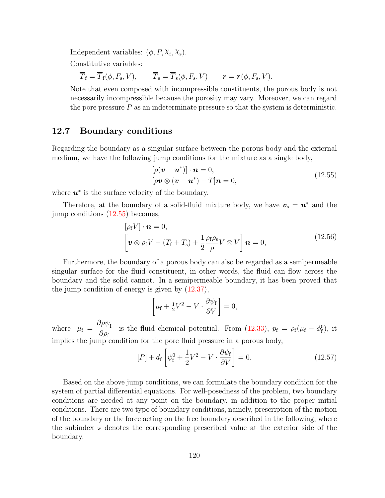Independent variables:  $(\phi, P, X_f, X_s)$ .

Constitutive variables:

 $\overline{T}_{f} = \overline{T}_{f}(\phi, F_{s}, V),$  $, V$ ),  $T_s = T_s(\phi, F_s, V)$   $\boldsymbol{r} = \boldsymbol{r}(\phi, F_s, V)$ .

Note that even composed with incompressible constituents, the porous body is not necessarily incompressible because the porosity may vary. Moreover, we can regard the pore pressure  $P$  as an indeterminate pressure so that the system is deterministic.

## <span id="page-125-0"></span>12.7 Boundary conditions

Regarding the boundary as a singular surface between the porous body and the external medium, we have the following jump conditions for the mixture as a single body,

$$
[\rho(\mathbf{v} - \mathbf{u}^*)] \cdot \mathbf{n} = 0,
$$
  

$$
[\rho \mathbf{v} \otimes (\mathbf{v} - \mathbf{u}^*) - T] \mathbf{n} = 0,
$$
 (12.55)

where  $u^*$  is the surface velocity of the boundary.

Therefore, at the boundary of a solid-fluid mixture body, we have  $v_s = u^*$  and the jump conditions [\(12.55\)](#page-125-0) becomes,

$$
[\rho_f V] \cdot \boldsymbol{n} = 0,
$$
  

$$
\left[ \boldsymbol{v} \otimes \rho_f V - (T_f + T_s) + \frac{1}{2} \frac{\rho_f \rho_s}{\rho} V \otimes V \right] \boldsymbol{n} = 0,
$$
 (12.56)

Furthermore, the boundary of a porous body can also be regarded as a semipermeable singular surface for the fluid constituent, in other words, the fluid can flow across the boundary and the solid cannot. In a semipermeable boundary, it has been proved that the jump condition of energy is given by [\(12.37\)](#page-118-1),

$$
\left[\mu_{\rm f} + \frac{1}{2}V^2 - V \cdot \frac{\partial \psi_{\rm f}}{\partial V}\right] = 0,
$$

where  $\mu_{\rm f} = \frac{\partial \rho \psi_{\rm I}}{\partial \rho}$  $\partial \rho_{\mathrm{f}}$ is the fluid chemical potential. From [\(12.33\)](#page-116-1),  $p_f = \rho_f(\mu_f - \phi_f^0)$ , it implies the jump condition for the pore fluid pressure in a porous body,

$$
[P] + d_{\rm f} \left[ \psi_{\rm f}^0 + \frac{1}{2} V^2 - V \cdot \frac{\partial \psi_{\rm f}}{\partial V} \right] = 0. \tag{12.57}
$$

Based on the above jump conditions, we can formulate the boundary condition for the system of partial differential equations. For well-posedness of the problem, two boundary conditions are needed at any point on the boundary, in addition to the proper initial conditions. There are two type of boundary conditions, namely, prescription of the motion of the boundary or the force acting on the free boundary described in the following, where the subindex <sup>w</sup> denotes the corresponding prescribed value at the exterior side of the boundary.